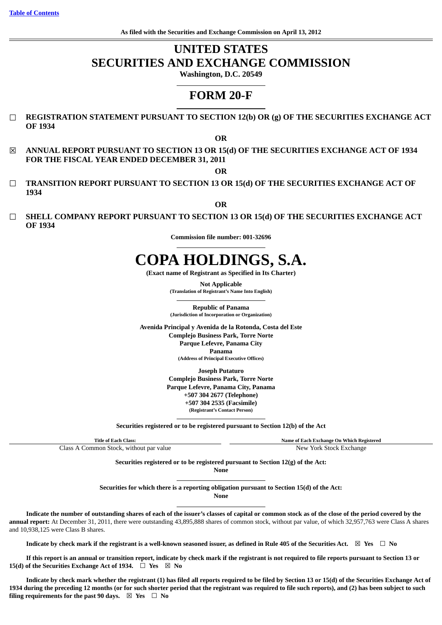# **UNITED STATES SECURITIES AND EXCHANGE COMMISSION**

**Washington, D.C. 20549**

# **FORM 20-F**

☐ **REGISTRATION STATEMENT PURSUANT TO SECTION 12(b) OR (g) OF THE SECURITIES EXCHANGE ACT OF 1934**

**OR**

☒ **ANNUAL REPORT PURSUANT TO SECTION 13 OR 15(d) OF THE SECURITIES EXCHANGE ACT OF 1934 FOR THE FISCAL YEAR ENDED DECEMBER 31, 2011**

**OR**

☐ **TRANSITION REPORT PURSUANT TO SECTION 13 OR 15(d) OF THE SECURITIES EXCHANGE ACT OF 1934**

**OR**

☐ **SHELL COMPANY REPORT PURSUANT TO SECTION 13 OR 15(d) OF THE SECURITIES EXCHANGE ACT OF 1934**

**Commission file number: 001-32696**

# **COPA HOLDINGS, S.A.**

**(Exact name of Registrant as Specified in Its Charter)**

**Not Applicable (Translation of Registrant's Name Into English)**

**Republic of Panama (Jurisdiction of Incorporation or Organization)**

**Avenida Principal y Avenida de la Rotonda, Costa del Este Complejo Business Park, Torre Norte Parque Lefevre, Panama City Panama (Address of Principal Executive Offices)**

**Joseph Putaturo**

**Complejo Business Park, Torre Norte Parque Lefevre, Panama City, Panama**

**+507 304 2677 (Telephone) +507 304 2535 (Facsimile) (Registrant's Contact Person)**

**Securities registered or to be registered pursuant to Section 12(b) of the Act**

Class A Common Stock, without par value  $\blacksquare$  New York Stock Exchange

**Title of Each Class: Name of Each Exchange On Which Registered**

**Securities registered or to be registered pursuant to Section 12(g) of the Act:**

**None**

**Securities for which there is a reporting obligation pursuant to Section 15(d) of the Act:**

**None**

**Indicate the number of outstanding shares of each of the issuer's classes of capital or common stock as of the close of the period covered by the annual report:** At December 31, 2011, there were outstanding 43,895,888 shares of common stock, without par value, of which 32,957,763 were Class A shares and 10,938,125 were Class B shares.

**Indicate by check mark if the registrant is a well-known seasoned issuer, as defined in Rule 405 of the Securities Act.** ☒ **Yes** ☐ **No**

**If this report is an annual or transition report, indicate by check mark if the registrant is not required to file reports pursuant to Section 13 or 15(d) of the Securities Exchange Act of 1934.** ☐ **Yes** ☒ **No**

**Indicate by check mark whether the registrant (1) has filed all reports required to be filed by Section 13 or 15(d) of the Securities Exchange Act of 1934 during the preceding 12 months (or for such shorter period that the registrant was required to file such reports), and (2) has been subject to such filing requirements for the past 90 days.** ☒ **Yes** ☐ **No**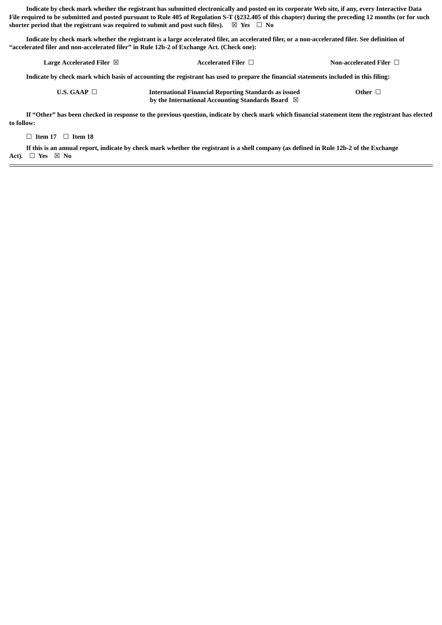**Indicate by check mark whether the registrant has submitted electronically and posted on its corporate Web site, if any, every Interactive Data File required to be submitted and posted pursuant to Rule 405 of Regulation S-T (§232.405 of this chapter) during the preceding 12 months (or for such shorter period that the registrant was required to submit and post such files).** ☒ **Yes** ☐ **No**

**Indicate by check mark whether the registrant is a large accelerated filer, an accelerated filer, or a non-accelerated filer. See definition of "accelerated filer and non-accelerated filer" in Rule 12b-2 of Exchange Act. (Check one):**

| Non-accelerated Filer $\Box$<br><b>Accelerated Filer</b> [<br>Large Accelerated Filer $\boxtimes$ |  |
|---------------------------------------------------------------------------------------------------|--|
|---------------------------------------------------------------------------------------------------|--|

**Indicate by check mark which basis of accounting the registrant has used to prepare the financial statements included in this filing:**

**U.S. GAAP** ☐ **International Financial Reporting Standards as issued by the International Accounting Standards Board** ☒ **Other** □

**If "Other" has been checked in response to the previous question, indicate by check mark which financial statement item the registrant has elected to follow:**

☐ **Item 17** ☐ **Item 18**

**If this is an annual report, indicate by check mark whether the registrant is a shell company (as defined in Rule 12b-2 of the Exchange Act).** ☐ **Yes** ☒ **No**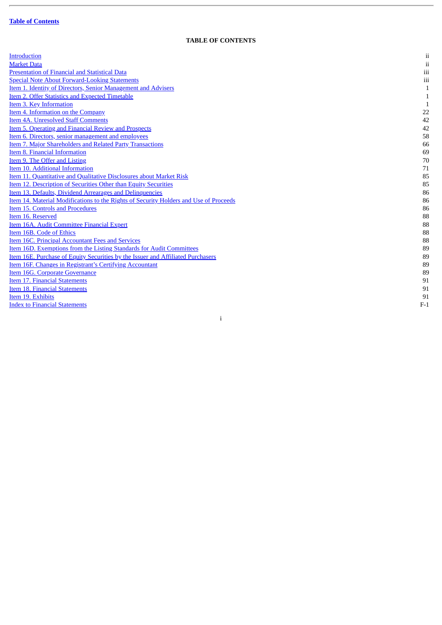Ē.

# **TABLE OF CONTENTS**

<span id="page-2-0"></span>

| <b>Introduction</b>                                                                   | $\rm ii$     |
|---------------------------------------------------------------------------------------|--------------|
| <b>Market Data</b>                                                                    | $\rm ii$     |
| <b>Presentation of Financial and Statistical Data</b>                                 | iii          |
| <b>Special Note About Forward-Looking Statements</b>                                  | $\rm iii$    |
| Item 1. Identity of Directors, Senior Management and Advisers                         | $\mathbf{1}$ |
| <b>Item 2. Offer Statistics and Expected Timetable</b>                                | $\mathbf{1}$ |
| Item 3. Key Information                                                               | $\mathbf{1}$ |
| Item 4. Information on the Company                                                    | 22           |
| <b>Item 4A. Unresolved Staff Comments</b>                                             | 42           |
| <b>Item 5. Operating and Financial Review and Prospects</b>                           | 42           |
| Item 6. Directors, senior management and employees                                    | 58           |
| <b>Item 7. Major Shareholders and Related Party Transactions</b>                      | 66           |
| Item 8. Financial Information                                                         | 69           |
| Item 9. The Offer and Listing                                                         | 70           |
| Item 10. Additional Information                                                       | 71           |
| Item 11. Quantitative and Qualitative Disclosures about Market Risk                   | 85           |
| Item 12. Description of Securities Other than Equity Securities                       | 85           |
| Item 13. Defaults, Dividend Arrearages and Delinquencies                              | 86           |
| Item 14. Material Modifications to the Rights of Security Holders and Use of Proceeds | 86           |
| <b>Item 15. Controls and Procedures</b>                                               | 86           |
| Item 16. Reserved                                                                     | 88           |
| Item 16A. Audit Committee Financial Expert                                            | 88           |
| Item 16B. Code of Ethics                                                              | 88           |
| <b>Item 16C. Principal Accountant Fees and Services</b>                               | 88           |
| Item 16D. Exemptions from the Listing Standards for Audit Committees                  | 89           |
| Item 16E. Purchase of Equity Securities by the Issuer and Affiliated Purchasers       | 89           |
| Item 16F. Changes in Registrant's Certifying Accountant                               | 89           |
| Item 16G. Corporate Governance                                                        | 89           |
| <b>Item 17. Financial Statements</b>                                                  | 91           |
| Item 18. Financial Statements                                                         | 91           |
| Item 19. Exhibits                                                                     | 91           |
| <b>Index to Financial Statements</b>                                                  | $F-1$        |
|                                                                                       |              |
| j                                                                                     |              |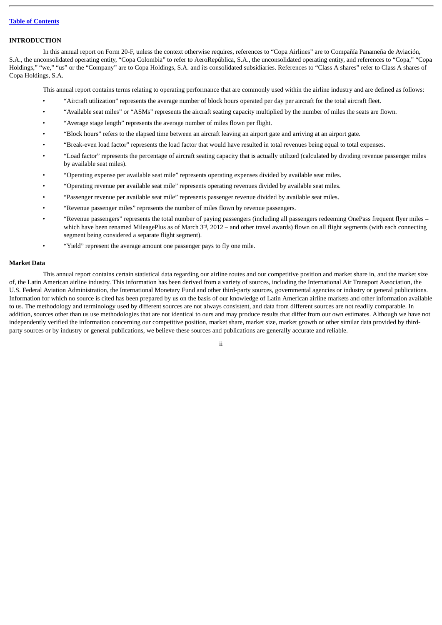# <span id="page-3-0"></span>**INTRODUCTION**

In this annual report on Form 20-F, unless the context otherwise requires, references to "Copa Airlines" are to Compañía Panameña de Aviación, S.A., the unconsolidated operating entity, "Copa Colombia" to refer to AeroRepública, S.A., the unconsolidated operating entity, and references to "Copa," "Copa Holdings," "we," "us" or the "Company" are to Copa Holdings, S.A. and its consolidated subsidiaries. References to "Class A shares" refer to Class A shares of Copa Holdings, S.A.

This annual report contains terms relating to operating performance that are commonly used within the airline industry and are defined as follows:

- "Aircraft utilization" represents the average number of block hours operated per day per aircraft for the total aircraft fleet.
- "Available seat miles" or "ASMs" represents the aircraft seating capacity multiplied by the number of miles the seats are flown.
- "Average stage length" represents the average number of miles flown per flight.
- "Block hours" refers to the elapsed time between an aircraft leaving an airport gate and arriving at an airport gate.
- "Break-even load factor" represents the load factor that would have resulted in total revenues being equal to total expenses.
- "Load factor" represents the percentage of aircraft seating capacity that is actually utilized (calculated by dividing revenue passenger miles by available seat miles).
- "Operating expense per available seat mile" represents operating expenses divided by available seat miles.
- "Operating revenue per available seat mile" represents operating revenues divided by available seat miles.
- "Passenger revenue per available seat mile" represents passenger revenue divided by available seat miles.
- "Revenue passenger miles" represents the number of miles flown by revenue passengers.
- "Revenue passengers" represents the total number of paying passengers (including all passengers redeeming OnePass frequent flyer miles which have been renamed MileagePlus as of March 3<sup>rd</sup>, 2012 – and other travel awards) flown on all flight segments (with each connecting segment being considered a separate flight segment).
- "Yield" represent the average amount one passenger pays to fly one mile.

# <span id="page-3-1"></span>**Market Data**

This annual report contains certain statistical data regarding our airline routes and our competitive position and market share in, and the market size of, the Latin American airline industry. This information has been derived from a variety of sources, including the International Air Transport Association, the U.S. Federal Aviation Administration, the International Monetary Fund and other third-party sources, governmental agencies or industry or general publications. Information for which no source is cited has been prepared by us on the basis of our knowledge of Latin American airline markets and other information available to us. The methodology and terminology used by different sources are not always consistent, and data from different sources are not readily comparable. In addition, sources other than us use methodologies that are not identical to ours and may produce results that differ from our own estimates. Although we have not independently verified the information concerning our competitive position, market share, market size, market growth or other similar data provided by thirdparty sources or by industry or general publications, we believe these sources and publications are generally accurate and reliable.

ii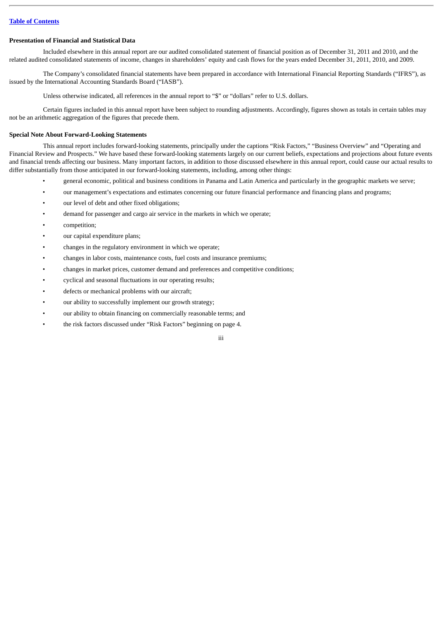# <span id="page-4-0"></span>**Presentation of Financial and Statistical Data**

Included elsewhere in this annual report are our audited consolidated statement of financial position as of December 31, 2011 and 2010, and the related audited consolidated statements of income, changes in shareholders' equity and cash flows for the years ended December 31, 2011, 2010, and 2009.

The Company's consolidated financial statements have been prepared in accordance with International Financial Reporting Standards ("IFRS"), as issued by the International Accounting Standards Board ("IASB").

Unless otherwise indicated, all references in the annual report to "\$" or "dollars" refer to U.S. dollars.

Certain figures included in this annual report have been subject to rounding adjustments. Accordingly, figures shown as totals in certain tables may not be an arithmetic aggregation of the figures that precede them.

# <span id="page-4-1"></span>**Special Note About Forward-Looking Statements**

This annual report includes forward-looking statements, principally under the captions "Risk Factors," "Business Overview" and "Operating and Financial Review and Prospects." We have based these forward-looking statements largely on our current beliefs, expectations and projections about future events and financial trends affecting our business. Many important factors, in addition to those discussed elsewhere in this annual report, could cause our actual results to differ substantially from those anticipated in our forward-looking statements, including, among other things:

- general economic, political and business conditions in Panama and Latin America and particularly in the geographic markets we serve;
- our management's expectations and estimates concerning our future financial performance and financing plans and programs;
- our level of debt and other fixed obligations;
- demand for passenger and cargo air service in the markets in which we operate;
- competition;
- our capital expenditure plans;
- changes in the regulatory environment in which we operate;
- changes in labor costs, maintenance costs, fuel costs and insurance premiums;
- changes in market prices, customer demand and preferences and competitive conditions;
- cyclical and seasonal fluctuations in our operating results;
- defects or mechanical problems with our aircraft;
- our ability to successfully implement our growth strategy;
- our ability to obtain financing on commercially reasonable terms; and
- the risk factors discussed under "Risk Factors" beginning on page 4.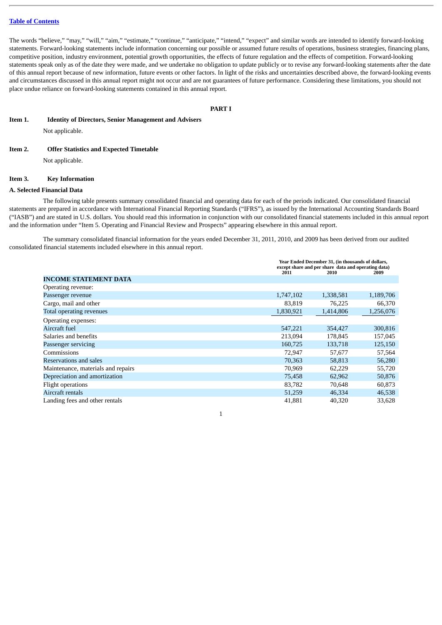The words "believe," "may," "will," "aim," "estimate," "continue," "anticipate," "intend," "expect" and similar words are intended to identify forward-looking statements. Forward-looking statements include information concerning our possible or assumed future results of operations, business strategies, financing plans, competitive position, industry environment, potential growth opportunities, the effects of future regulation and the effects of competition. Forward-looking statements speak only as of the date they were made, and we undertake no obligation to update publicly or to revise any forward-looking statements after the date of this annual report because of new information, future events or other factors. In light of the risks and uncertainties described above, the forward-looking events and circumstances discussed in this annual report might not occur and are not guarantees of future performance. Considering these limitations, you should not place undue reliance on forward-looking statements contained in this annual report.

#### **PART I**

# <span id="page-5-0"></span>**Item 1. Identity of Directors, Senior Management and Advisers**

Not applicable.

# <span id="page-5-1"></span>**Item 2. Offer Statistics and Expected Timetable**

Not applicable.

#### <span id="page-5-2"></span>**Item 3. Key Information**

#### **A. Selected Financial Data**

The following table presents summary consolidated financial and operating data for each of the periods indicated. Our consolidated financial statements are prepared in accordance with International Financial Reporting Standards ("IFRS"), as issued by the International Accounting Standards Board ("IASB") and are stated in U.S. dollars. You should read this information in conjunction with our consolidated financial statements included in this annual report and the information under "Item 5. Operating and Financial Review and Prospects" appearing elsewhere in this annual report.

The summary consolidated financial information for the years ended December 31, 2011, 2010, and 2009 has been derived from our audited consolidated financial statements included elsewhere in this annual report.

|                                    |           | Year Ended December 31, (in thousands of dollars,<br>except share and per share data and operating data) |           |  |
|------------------------------------|-----------|----------------------------------------------------------------------------------------------------------|-----------|--|
|                                    | 2011      | 2010                                                                                                     | 2009      |  |
| <b>INCOME STATEMENT DATA</b>       |           |                                                                                                          |           |  |
| Operating revenue:                 |           |                                                                                                          |           |  |
| Passenger revenue                  | 1,747,102 | 1,338,581                                                                                                | 1,189,706 |  |
| Cargo, mail and other              | 83,819    | 76,225                                                                                                   | 66,370    |  |
| Total operating revenues           | 1,830,921 | 1,414,806                                                                                                | 1,256,076 |  |
| Operating expenses:                |           |                                                                                                          |           |  |
| Aircraft fuel                      | 547,221   | 354,427                                                                                                  | 300,816   |  |
| Salaries and benefits              | 213,094   | 178,845                                                                                                  | 157,045   |  |
| Passenger servicing                | 160,725   | 133,718                                                                                                  | 125,150   |  |
| Commissions                        | 72,947    | 57,677                                                                                                   | 57,564    |  |
| Reservations and sales             | 70,363    | 58,813                                                                                                   | 56,280    |  |
| Maintenance, materials and repairs | 70,969    | 62,229                                                                                                   | 55,720    |  |
| Depreciation and amortization      | 75,458    | 62,962                                                                                                   | 50,876    |  |
| Flight operations                  | 83,782    | 70,648                                                                                                   | 60,873    |  |
| Aircraft rentals                   | 51,259    | 46,334                                                                                                   | 46,538    |  |
| Landing fees and other rentals     | 41,881    | 40,320                                                                                                   | 33,628    |  |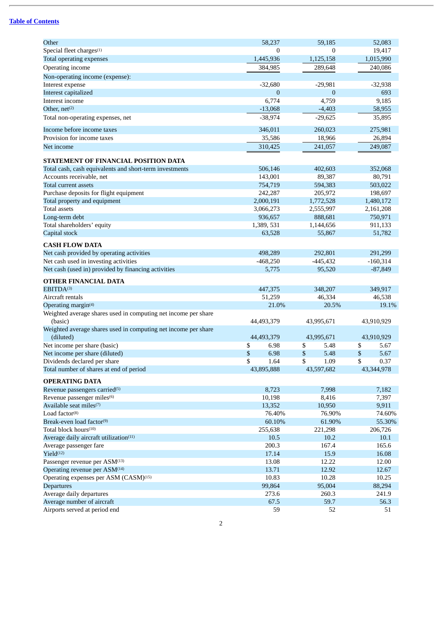J.

| Other                                                          | 58,237       | 59,185     | 52,083              |  |
|----------------------------------------------------------------|--------------|------------|---------------------|--|
| Special fleet charges <sup>(1)</sup>                           | 0<br>0       |            | 19,417<br>1,015,990 |  |
| Total operating expenses                                       | 1,445,936    | 1,125,158  |                     |  |
| Operating income                                               | 384,985      | 289,648    |                     |  |
| Non-operating income (expense):                                |              |            |                     |  |
| Interest expense                                               | $-32,680$    | $-29,981$  | $-32,938$           |  |
| Interest capitalized                                           | $\mathbf{0}$ | $\bf{0}$   | 693                 |  |
| Interest income                                                | 6,774        | 4,759      | 9,185               |  |
| Other, $net(2)$                                                | $-13,068$    | $-4,403$   | 58,955              |  |
| Total non-operating expenses, net                              | $-38,974$    | $-29,625$  | 35,895              |  |
| Income before income taxes                                     | 346,011      | 260,023    | 275,981             |  |
| Provision for income taxes                                     | 35,586       | 18,966     | 26,894              |  |
| Net income                                                     | 310,425      | 241,057    | 249,087             |  |
| STATEMENT OF FINANCIAL POSITION DATA                           |              |            |                     |  |
| Total cash, cash equivalents and short-term investments        | 506,146      | 402,603    | 352,068             |  |
| Accounts receivable, net                                       | 143,001      | 89,387     | 80,791              |  |
| Total current assets                                           | 754,719      | 594,383    | 503,022             |  |
| Purchase deposits for flight equipment                         | 242,287      | 205,972    | 198,697             |  |
| Total property and equipment                                   | 2,000,191    | 1,772,528  | 1,480,172           |  |
| <b>Total assets</b>                                            | 3,066,273    | 2,555,997  | 2,161,208           |  |
| Long-term debt                                                 | 936,657      | 888,681    | 750,971             |  |
| Total shareholders' equity                                     | 1,389, 531   | 1,144,656  | 911,133             |  |
| Capital stock                                                  | 63,528       | 55,867     | 51,782              |  |
|                                                                |              |            |                     |  |
| <b>CASH FLOW DATA</b>                                          |              |            |                     |  |
| Net cash provided by operating activities                      | 498,289      | 292,801    | 291,299             |  |
| Net cash used in investing activities                          | $-468,250$   | $-445,432$ | $-160,314$          |  |
| Net cash (used in) provided by financing activities            | 5,775        | 95,520     | $-87,849$           |  |
| <b>OTHER FINANCIAL DATA</b>                                    |              |            |                     |  |
| EBITDA(3)                                                      | 447,375      | 348,207    | 349,917             |  |
| Aircraft rentals                                               | 51,259       | 46,334     | 46,538              |  |
| Operating margin <sup>(4)</sup>                                | 21.0%        | 20.5%      | 19.1%               |  |
| Weighted average shares used in computing net income per share |              |            |                     |  |
| (basic)                                                        | 44,493,379   | 43,995,671 | 43,910,929          |  |
| Weighted average shares used in computing net income per share |              |            |                     |  |
| (diluted)                                                      | 44,493,379   | 43,995,671 | 43,910,929          |  |
| Net income per share (basic)                                   | \$<br>6.98   | \$<br>5.48 | \$<br>5.67          |  |
| Net income per share (diluted)                                 | \$<br>6.98   | \$<br>5.48 | \$<br>5.67          |  |
| Dividends declared per share                                   | \$<br>1.64   | \$<br>1.09 | \$<br>0.37          |  |
| Total number of shares at end of period                        | 43,895,888   | 43,597,682 | 43,344,978          |  |
| <b>OPERATING DATA</b>                                          |              |            |                     |  |
| Revenue passengers carried <sup>(5)</sup>                      | 8,723        | 7,998      | 7,182               |  |
| Revenue passenger miles(6)                                     | 10,198       | 8,416      | 7,397               |  |
| Available seat miles <sup>(7)</sup>                            | 13,352       | 10,950     | 9,911               |  |
| Load factor <sup>(8)</sup>                                     | 76.40%       | 76.90%     | 74.60%              |  |
| Break-even load factor <sup>(9)</sup>                          | 60.10%       | 61.90%     | 55.30%              |  |
| Total block hours <sup>(10)</sup>                              | 255,638      | 221,298    | 206,726             |  |
| Average daily aircraft utilization <sup>(11)</sup>             | 10.5         | 10.2       | 10.1                |  |
| Average passenger fare                                         | 200.3        | 167.4      | 165.6               |  |
| Yield <sup>(12)</sup>                                          | 17.14        | 15.9       | 16.08               |  |
| Passenger revenue per ASM(13)                                  | 13.08        | 12.22      | 12.00               |  |
| Operating revenue per ASM <sup>(14)</sup>                      | 13.71        | 12.92      | 12.67               |  |
| Operating expenses per ASM (CASM) <sup>(15)</sup>              | 10.83        | 10.28      | 10.25               |  |
| Departures                                                     | 99,864       | 95,004     | 88,294              |  |
| Average daily departures                                       | 273.6        | 260.3      | 241.9               |  |
| Average number of aircraft                                     | 67.5         | 59.7       | 56.3                |  |
| Airports served at period end                                  | 59           | 52         | 51                  |  |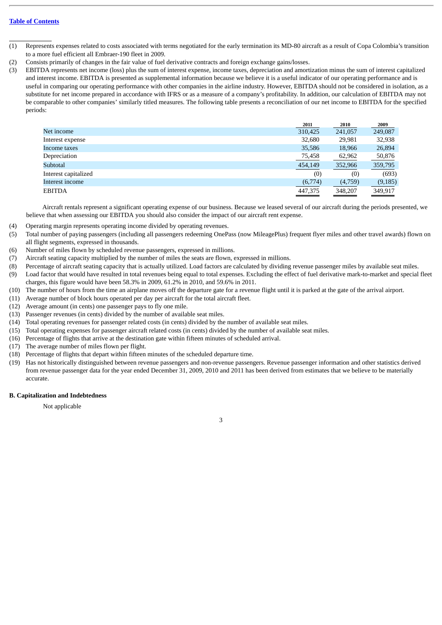- (1) Represents expenses related to costs associated with terms negotiated for the early termination its MD-80 aircraft as a result of Copa Colombia's transition to a more fuel efficient all Embraer-190 fleet in 2009.
- (2) Consists primarily of changes in the fair value of fuel derivative contracts and foreign exchange gains/losses.
- (3) EBITDA represents net income (loss) plus the sum of interest expense, income taxes, depreciation and amortization minus the sum of interest capitalized and interest income. EBITDA is presented as supplemental information because we believe it is a useful indicator of our operating performance and is useful in comparing our operating performance with other companies in the airline industry. However, EBITDA should not be considered in isolation, as a substitute for net income prepared in accordance with IFRS or as a measure of a company's profitability. In addition, our calculation of EBITDA may not be comparable to other companies' similarly titled measures. The following table presents a reconciliation of our net income to EBITDA for the specified periods:

|                      | 2011    | 2010    | 2009     |
|----------------------|---------|---------|----------|
| Net income           | 310,425 | 241,057 | 249,087  |
| Interest expense     | 32,680  | 29,981  | 32,938   |
| Income taxes         | 35,586  | 18,966  | 26,894   |
| Depreciation         | 75,458  | 62,962  | 50,876   |
| Subtotal             | 454,149 | 352,966 | 359,795  |
| Interest capitalized | (0)     | (0)     | (693)    |
| Interest income      | (6,774) | (4,759) | (9, 185) |
| <b>EBITDA</b>        | 447,375 | 348,207 | 349,917  |

Aircraft rentals represent a significant operating expense of our business. Because we leased several of our aircraft during the periods presented, we believe that when assessing our EBITDA you should also consider the impact of our aircraft rent expense.

- (4) Operating margin represents operating income divided by operating revenues.
- (5) Total number of paying passengers (including all passengers redeeming OnePass (now MileagePlus) frequent flyer miles and other travel awards) flown on all flight segments, expressed in thousands.
- (6) Number of miles flown by scheduled revenue passengers, expressed in millions.
- (7) Aircraft seating capacity multiplied by the number of miles the seats are flown, expressed in millions.
- (8) Percentage of aircraft seating capacity that is actually utilized. Load factors are calculated by dividing revenue passenger miles by available seat miles.
- (9) Load factor that would have resulted in total revenues being equal to total expenses. Excluding the effect of fuel derivative mark-to-market and special fleet charges, this figure would have been 58.3% in 2009, 61.2% in 2010, and 59.6% in 2011.
- (10) The number of hours from the time an airplane moves off the departure gate for a revenue flight until it is parked at the gate of the arrival airport.
- (11) Average number of block hours operated per day per aircraft for the total aircraft fleet.
- (12) Average amount (in cents) one passenger pays to fly one mile.
- (13) Passenger revenues (in cents) divided by the number of available seat miles.
- (14) Total operating revenues for passenger related costs (in cents) divided by the number of available seat miles.
- (15) Total operating expenses for passenger aircraft related costs (in cents) divided by the number of available seat miles.
- (16) Percentage of flights that arrive at the destination gate within fifteen minutes of scheduled arrival.
- (17) The average number of miles flown per flight.
- (18) Percentage of flights that depart within fifteen minutes of the scheduled departure time.
- (19) Has not historically distinguished between revenue passengers and non-revenue passengers. Revenue passenger information and other statistics derived from revenue passenger data for the year ended December 31, 2009, 2010 and 2011 has been derived from estimates that we believe to be materially accurate.

3

# **B. Capitalization and Indebtedness**

Not applicable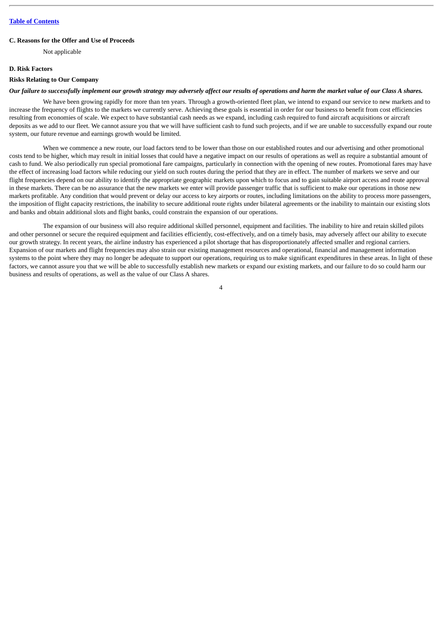# **C. Reasons for the Offer and Use of Proceeds**

Not applicable

# **D. Risk Factors**

#### **Risks Relating to Our Company**

#### *Our failure to successfully implement our growth strategy may adversely affect our results of operations and harm the market value of our Class A shares.*

We have been growing rapidly for more than ten years. Through a growth-oriented fleet plan, we intend to expand our service to new markets and to increase the frequency of flights to the markets we currently serve. Achieving these goals is essential in order for our business to benefit from cost efficiencies resulting from economies of scale. We expect to have substantial cash needs as we expand, including cash required to fund aircraft acquisitions or aircraft deposits as we add to our fleet. We cannot assure you that we will have sufficient cash to fund such projects, and if we are unable to successfully expand our route system, our future revenue and earnings growth would be limited.

When we commence a new route, our load factors tend to be lower than those on our established routes and our advertising and other promotional costs tend to be higher, which may result in initial losses that could have a negative impact on our results of operations as well as require a substantial amount of cash to fund. We also periodically run special promotional fare campaigns, particularly in connection with the opening of new routes. Promotional fares may have the effect of increasing load factors while reducing our yield on such routes during the period that they are in effect. The number of markets we serve and our flight frequencies depend on our ability to identify the appropriate geographic markets upon which to focus and to gain suitable airport access and route approval in these markets. There can be no assurance that the new markets we enter will provide passenger traffic that is sufficient to make our operations in those new markets profitable. Any condition that would prevent or delay our access to key airports or routes, including limitations on the ability to process more passengers, the imposition of flight capacity restrictions, the inability to secure additional route rights under bilateral agreements or the inability to maintain our existing slots and banks and obtain additional slots and flight banks, could constrain the expansion of our operations.

The expansion of our business will also require additional skilled personnel, equipment and facilities. The inability to hire and retain skilled pilots and other personnel or secure the required equipment and facilities efficiently, cost-effectively, and on a timely basis, may adversely affect our ability to execute our growth strategy. In recent years, the airline industry has experienced a pilot shortage that has disproportionately affected smaller and regional carriers. Expansion of our markets and flight frequencies may also strain our existing management resources and operational, financial and management information systems to the point where they may no longer be adequate to support our operations, requiring us to make significant expenditures in these areas. In light of these factors, we cannot assure you that we will be able to successfully establish new markets or expand our existing markets, and our failure to do so could harm our business and results of operations, as well as the value of our Class A shares.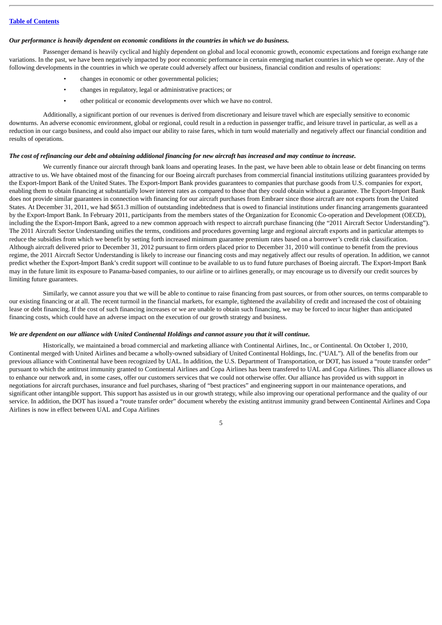#### *Our performance is heavily dependent on economic conditions in the countries in which we do business.*

Passenger demand is heavily cyclical and highly dependent on global and local economic growth, economic expectations and foreign exchange rate variations. In the past, we have been negatively impacted by poor economic performance in certain emerging market countries in which we operate. Any of the following developments in the countries in which we operate could adversely affect our business, financial condition and results of operations:

- changes in economic or other governmental policies;
- changes in regulatory, legal or administrative practices; or
- other political or economic developments over which we have no control.

Additionally, a significant portion of our revenues is derived from discretionary and leisure travel which are especially sensitive to economic downturns. An adverse economic environment, global or regional, could result in a reduction in passenger traffic, and leisure travel in particular, as well as a reduction in our cargo business, and could also impact our ability to raise fares, which in turn would materially and negatively affect our financial condition and results of operations.

#### *The cost of refinancing our debt and obtaining additional financing for new aircraft has increased and may continue to increase.*

We currently finance our aircraft through bank loans and operating leases. In the past, we have been able to obtain lease or debt financing on terms attractive to us. We have obtained most of the financing for our Boeing aircraft purchases from commercial financial institutions utilizing guarantees provided by the Export-Import Bank of the United States. The Export-Import Bank provides guarantees to companies that purchase goods from U.S. companies for export, enabling them to obtain financing at substantially lower interest rates as compared to those that they could obtain without a guarantee. The Export-Import Bank does not provide similar guarantees in connection with financing for our aircraft purchases from Embraer since those aircraft are not exports from the United States. At December 31, 2011, we had \$651.3 million of outstanding indebtedness that is owed to financial institutions under financing arrangements guaranteed by the Export-Import Bank. In February 2011, participants from the members states of the Organization for Economic Co-operation and Development (OECD), including the the Export-Import Bank, agreed to a new common approach with respect to aircraft purchase financing (the "2011 Aircraft Sector Understanding"). The 2011 Aircraft Sector Understanding unifies the terms, conditions and procedures governing large and regional aircraft exports and in particular attempts to reduce the subsidies from which we benefit by setting forth increased minimum guarantee premium rates based on a borrower's credit risk classification. Although aircraft delivered prior to December 31, 2012 pursuant to firm orders placed prior to December 31, 2010 will continue to benefit from the previous regime, the 2011 Aircraft Sector Understanding is likely to increase our financing costs and may negatively affect our results of operation. In addition, we cannot predict whether the Export-Import Bank's credit support will continue to be available to us to fund future purchases of Boeing aircraft. The Export-Import Bank may in the future limit its exposure to Panama-based companies, to our airline or to airlines generally, or may encourage us to diversify our credit sources by limiting future guarantees.

Similarly, we cannot assure you that we will be able to continue to raise financing from past sources, or from other sources, on terms comparable to our existing financing or at all. The recent turmoil in the financial markets, for example, tightened the availability of credit and increased the cost of obtaining lease or debt financing. If the cost of such financing increases or we are unable to obtain such financing, we may be forced to incur higher than anticipated financing costs, which could have an adverse impact on the execution of our growth strategy and business.

#### *We are dependent on our alliance with United Continental Holdings and cannot assure you that it will continue.*

Historically, we maintained a broad commercial and marketing alliance with Continental Airlines, Inc., or Continental. On October 1, 2010, Continental merged with United Airlines and became a wholly-owned subsidiary of United Continental Holdings, Inc. ("UAL"). All of the benefits from our previous alliance with Continental have been recognized by UAL. In addition, the U.S. Department of Transportation, or DOT, has issued a "route transfer order" pursuant to which the antitrust immunity granted to Continental Airlines and Copa Airlines has been transfered to UAL and Copa Airlines. This alliance allows us to enhance our network and, in some cases, offer our customers services that we could not otherwise offer. Our alliance has provided us with support in negotiations for aircraft purchases, insurance and fuel purchases, sharing of "best practices" and engineering support in our maintenance operations, and significant other intangible support. This support has assisted us in our growth strategy, while also improving our operational performance and the quality of our service. In addition, the DOT has issued a "route transfer order" document whereby the existing antitrust immunity grand between Continental Airlines and Copa Airlines is now in effect between UAL and Copa Airlines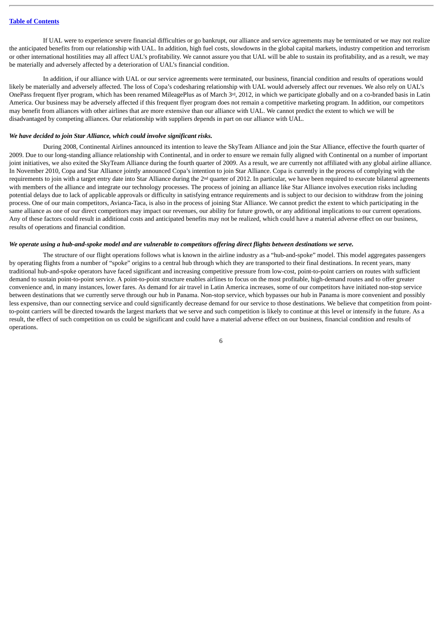If UAL were to experience severe financial difficulties or go bankrupt, our alliance and service agreements may be terminated or we may not realize the anticipated benefits from our relationship with UAL. In addition, high fuel costs, slowdowns in the global capital markets, industry competition and terrorism or other international hostilities may all affect UAL's profitability. We cannot assure you that UAL will be able to sustain its profitability, and as a result, we may be materially and adversely affected by a deterioration of UAL's financial condition.

In addition, if our alliance with UAL or our service agreements were terminated, our business, financial condition and results of operations would likely be materially and adversely affected. The loss of Copa's codesharing relationship with UAL would adversely affect our revenues. We also rely on UAL's OnePass frequent flyer program, which has been renamed MileagePlus as of March 3<sup>rd</sup>, 2012, in which we participate globally and on a co-branded basis in Latin America. Our business may be adversely affected if this frequent flyer program does not remain a competitive marketing program. In addition, our competitors may benefit from alliances with other airlines that are more extensive than our alliance with UAL. We cannot predict the extent to which we will be disadvantaged by competing alliances. Our relationship with suppliers depends in part on our alliance with UAL.

# *We have decided to join Star Alliance, which could involve significant risks.*

During 2008, Continental Airlines announced its intention to leave the SkyTeam Alliance and join the Star Alliance, effective the fourth quarter of 2009. Due to our long-standing alliance relationship with Continental, and in order to ensure we remain fully aligned with Continental on a number of important joint initiatives, we also exited the SkyTeam Alliance during the fourth quarter of 2009. As a result, we are currently not affiliated with any global airline alliance. In November 2010, Copa and Star Alliance jointly announced Copa's intention to join Star Alliance. Copa is currently in the process of complying with the requirements to join with a target entry date into Star Alliance during the 2<sup>nd</sup> quarter of 2012. In particular, we have been required to execute bilateral agreements with members of the alliance and integrate our technology processes. The process of joining an alliance like Star Alliance involves execution risks including potential delays due to lack of applicable approvals or difficulty in satisfying entrance requirements and is subject to our decision to withdraw from the joining process. One of our main competitors, Avianca-Taca, is also in the process of joining Star Alliance. We cannot predict the extent to which participating in the same alliance as one of our direct competitors may impact our revenues, our ability for future growth, or any additional implications to our current operations. Any of these factors could result in additional costs and anticipated benefits may not be realized, which could have a material adverse effect on our business, results of operations and financial condition.

# *We operate using a hub-and-spoke model and are vulnerable to competitors offering direct flights between destinations we serve.*

The structure of our flight operations follows what is known in the airline industry as a "hub-and-spoke" model. This model aggregates passengers by operating flights from a number of "spoke" origins to a central hub through which they are transported to their final destinations. In recent years, many traditional hub-and-spoke operators have faced significant and increasing competitive pressure from low-cost, point-to-point carriers on routes with sufficient demand to sustain point-to-point service. A point-to-point structure enables airlines to focus on the most profitable, high-demand routes and to offer greater convenience and, in many instances, lower fares. As demand for air travel in Latin America increases, some of our competitors have initiated non-stop service between destinations that we currently serve through our hub in Panama. Non-stop service, which bypasses our hub in Panama is more convenient and possibly less expensive, than our connecting service and could significantly decrease demand for our service to those destinations. We believe that competition from pointto-point carriers will be directed towards the largest markets that we serve and such competition is likely to continue at this level or intensify in the future. As a result, the effect of such competition on us could be significant and could have a material adverse effect on our business, financial condition and results of operations.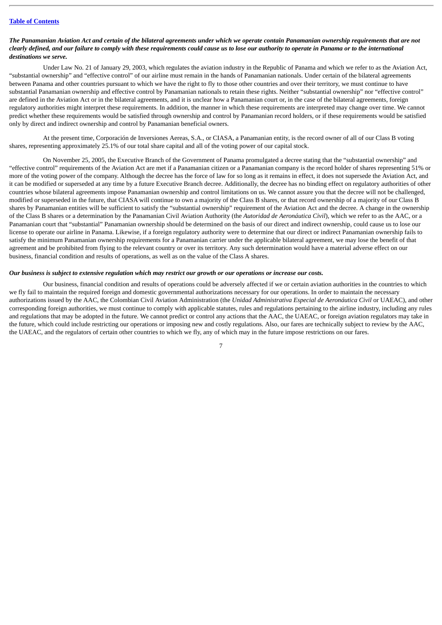## *The Panamanian Aviation Act and certain of the bilateral agreements under which we operate contain Panamanian ownership requirements that are not clearly defined, and our failure to comply with these requirements could cause us to lose our authority to operate in Panama or to the international destinations we serve.*

Under Law No. 21 of January 29, 2003, which regulates the aviation industry in the Republic of Panama and which we refer to as the Aviation Act, "substantial ownership" and "effective control" of our airline must remain in the hands of Panamanian nationals. Under certain of the bilateral agreements between Panama and other countries pursuant to which we have the right to fly to those other countries and over their territory, we must continue to have substantial Panamanian ownership and effective control by Panamanian nationals to retain these rights. Neither "substantial ownership" nor "effective control" are defined in the Aviation Act or in the bilateral agreements, and it is unclear how a Panamanian court or, in the case of the bilateral agreements, foreign regulatory authorities might interpret these requirements. In addition, the manner in which these requirements are interpreted may change over time. We cannot predict whether these requirements would be satisfied through ownership and control by Panamanian record holders, or if these requirements would be satisfied only by direct and indirect ownership and control by Panamanian beneficial owners.

At the present time, Corporación de Inversiones Aereas, S.A., or CIASA, a Panamanian entity, is the record owner of all of our Class B voting shares, representing approximately 25.1% of our total share capital and all of the voting power of our capital stock.

On November 25, 2005, the Executive Branch of the Government of Panama promulgated a decree stating that the "substantial ownership" and "effective control" requirements of the Aviation Act are met if a Panamanian citizen or a Panamanian company is the record holder of shares representing 51% or more of the voting power of the company. Although the decree has the force of law for so long as it remains in effect, it does not supersede the Aviation Act, and it can be modified or superseded at any time by a future Executive Branch decree. Additionally, the decree has no binding effect on regulatory authorities of other countries whose bilateral agreements impose Panamanian ownership and control limitations on us. We cannot assure you that the decree will not be challenged, modified or superseded in the future, that CIASA will continue to own a majority of the Class B shares, or that record ownership of a majority of our Class B shares by Panamanian entities will be sufficient to satisfy the "substantial ownership" requirement of the Aviation Act and the decree. A change in the ownership of the Class B shares or a determination by the Panamanian Civil Aviation Authority (the *Autoridad de Aeronáutica Civil*), which we refer to as the AAC, or a Panamanian court that "substantial" Panamanian ownership should be determined on the basis of our direct and indirect ownership, could cause us to lose our license to operate our airline in Panama. Likewise, if a foreign regulatory authority were to determine that our direct or indirect Panamanian ownership fails to satisfy the minimum Panamanian ownership requirements for a Panamanian carrier under the applicable bilateral agreement, we may lose the benefit of that agreement and be prohibited from flying to the relevant country or over its territory. Any such determination would have a material adverse effect on our business, financial condition and results of operations, as well as on the value of the Class A shares.

# *Our business is subject to extensive regulation which may restrict our growth or our operations or increase our costs.*

Our business, financial condition and results of operations could be adversely affected if we or certain aviation authorities in the countries to which we fly fail to maintain the required foreign and domestic governmental authorizations necessary for our operations. In order to maintain the necessary authorizations issued by the AAC, the Colombian Civil Aviation Administration (the *Unidad Administrativa Especial de Aeronáutica Civil* or UAEAC), and other corresponding foreign authorities, we must continue to comply with applicable statutes, rules and regulations pertaining to the airline industry, including any rules and regulations that may be adopted in the future. We cannot predict or control any actions that the AAC, the UAEAC, or foreign aviation regulators may take in the future, which could include restricting our operations or imposing new and costly regulations. Also, our fares are technically subject to review by the AAC, the UAEAC, and the regulators of certain other countries to which we fly, any of which may in the future impose restrictions on our fares.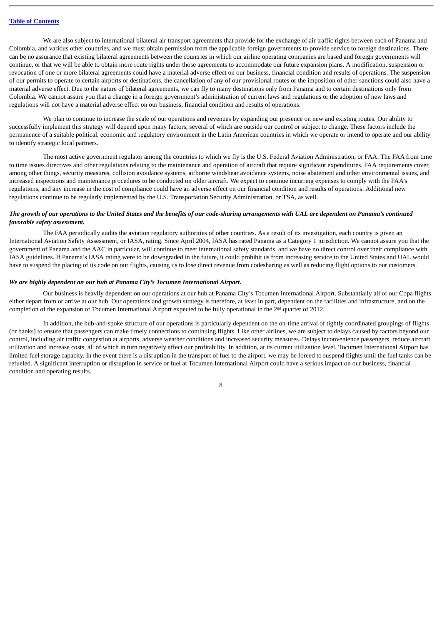We are also subject to international bilateral air transport agreements that provide for the exchange of air traffic rights between each of Panama and Colombia, and various other countries, and we must obtain permission from the applicable foreign governments to provide service to foreign destinations. There can be no assurance that existing bilateral agreements between the countries in which our airline operating companies are based and foreign governments will continue, or that we will be able to obtain more route rights under those agreements to accommodate our future expansion plans. A modification, suspension or revocation of one or more bilateral agreements could have a material adverse effect on our business, financial condition and results of operations. The suspension of our permits to operate to certain airports or destinations, the cancellation of any of our provisional routes or the imposition of other sanctions could also have a material adverse effect. Due to the nature of bilateral agreements, we can fly to many destinations only from Panama and to certain destinations only from Colombia. We cannot assure you that a change in a foreign government's administration of current laws and regulations or the adoption of new laws and regulations will not have a material adverse effect on our business, financial condition and results of operations.

We plan to continue to increase the scale of our operations and revenues by expanding our presence on new and existing routes. Our ability to successfully implement this strategy will depend upon many factors, several of which are outside our control or subject to change. These factors include the permanence of a suitable political, economic and regulatory environment in the Latin American countries in which we operate or intend to operate and our ability to identify strategic local partners.

The most active government regulator among the countries to which we fly is the U.S. Federal Aviation Administration, or FAA. The FAA from time to time issues directives and other regulations relating to the maintenance and operation of aircraft that require significant expenditures. FAA requirements cover, among other things, security measures, collision avoidance systems, airborne windshear avoidance systems, noise abatement and other environmental issues, and increased inspections and maintenance procedures to be conducted on older aircraft. We expect to continue incurring expenses to comply with the FAA's regulations, and any increase in the cost of compliance could have an adverse effect on our financial condition and results of operations. Additional new regulations continue to be regularly implemented by the U.S. Transportation Security Administration, or TSA, as well.

# *The growth of our operations to the United States and the benefits of our code-sharing arrangements with UAL are dependent on Panama's continued favorable safety assessment.*

The FAA periodically audits the aviation regulatory authorities of other countries. As a result of its investigation, each country is given an International Aviation Safety Assessment, or IASA, rating. Since April 2004, IASA has rated Panama as a Category 1 jurisdiction. We cannot assure you that the government of Panama and the AAC in particular, will continue to meet international safety standards, and we have no direct control over their compliance with IASA guidelines. If Panama's IASA rating were to be downgraded in the future, it could prohibit us from increasing service to the United States and UAL would have to suspend the placing of its code on our flights, causing us to lose direct revenue from codesharing as well as reducing flight options to our customers.

# *We are highly dependent on our hub at Panama City's Tocumen International Airport.*

Our business is heavily dependent on our operations at our hub at Panama City's Tocumen International Airport. Substantially all of our Copa flights either depart from or arrive at our hub. Our operations and growth strategy is therefore, at least in part, dependent on the facilities and infrastructure, and on the completion of the expansion of Tocumen International Airport expected to be fully operational in the  $2<sup>nd</sup>$  quarter of 2012.

In addition, the hub-and-spoke structure of our operations is particularly dependent on the on-time arrival of tightly coordinated groupings of flights (or banks) to ensure that passengers can make timely connections to continuing flights. Like other airlines, we are subject to delays caused by factors beyond our control, including air traffic congestion at airports, adverse weather conditions and increased security measures. Delays inconvenience passengers, reduce aircraft utilization and increase costs, all of which in turn negatively affect our profitability. In addition, at its current utilization level, Tocumen International Airport has limited fuel storage capacity. In the event there is a disruption in the transport of fuel to the airport, we may be forced to suspend flights until the fuel tanks can be refueled. A significant interruption or disruption in service or fuel at Tocumen International Airport could have a serious impact on our business, financial condition and operating results.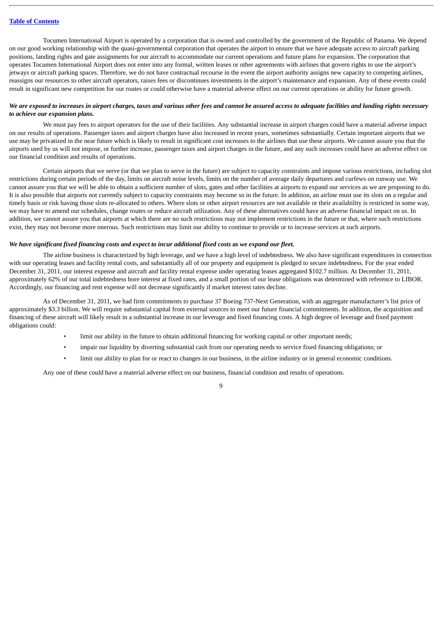Tocumen International Airport is operated by a corporation that is owned and controlled by the government of the Republic of Panama. We depend on our good working relationship with the quasi-governmental corporation that operates the airport to ensure that we have adequate access to aircraft parking positions, landing rights and gate assignments for our aircraft to accommodate our current operations and future plans for expansion. The corporation that operates Tocumen International Airport does not enter into any formal, written leases or other agreements with airlines that govern rights to use the airport's jetways or aircraft parking spaces. Therefore, we do not have contractual recourse in the event the airport authority assigns new capacity to competing airlines, reassigns our resources to other aircraft operators, raises fees or discontinues investments in the airport's maintenance and expansion. Any of these events could result in significant new competition for our routes or could otherwise have a material adverse effect on our current operations or ability for future growth.

# *We are exposed to increases in airport charges, taxes and various other fees and cannot be assured access to adequate facilities and landing rights necessary to achieve our expansion plans.*

We must pay fees to airport operators for the use of their facilities. Any substantial increase in airport charges could have a material adverse impact on our results of operations. Passenger taxes and airport charges have also increased in recent years, sometimes substantially. Certain important airports that we use may be privatized in the near future which is likely to result in significant cost increases to the airlines that use these airports. We cannot assure you that the airports used by us will not impose, or further increase, passenger taxes and airport charges in the future, and any such increases could have an adverse effect on our financial condition and results of operations.

Certain airports that we serve (or that we plan to serve in the future) are subject to capacity constraints and impose various restrictions, including slot restrictions during certain periods of the day, limits on aircraft noise levels, limits on the number of average daily departures and curfews on runway use. We cannot assure you that we will be able to obtain a sufficient number of slots, gates and other facilities at airports to expand our services as we are proposing to do. It is also possible that airports not currently subject to capacity constraints may become so in the future. In addition, an airline must use its slots on a regular and timely basis or risk having those slots re-allocated to others. Where slots or other airport resources are not available or their availability is restricted in some way, we may have to amend our schedules, change routes or reduce aircraft utilization. Any of these alternatives could have an adverse financial impact on us. In addition, we cannot assure you that airports at which there are no such restrictions may not implement restrictions in the future or that, where such restrictions exist, they may not become more onerous. Such restrictions may limit our ability to continue to provide or to increase services at such airports.

# *We have significant fixed financing costs and expect to incur additional fixed costs as we expand our fleet.*

The airline business is characterized by high leverage, and we have a high level of indebtedness. We also have significant expenditures in connection with our operating leases and facility rental costs, and substantially all of our property and equipment is pledged to secure indebtedness. For the year ended December 31, 2011, our interest expense and aircraft and facility rental expense under operating leases aggregated \$102.7 million. At December 31, 2011, approximately 62% of our total indebtedness bore interest at fixed rates, and a small portion of our lease obligations was determined with reference to LIBOR. Accordingly, our financing and rent expense will not decrease significantly if market interest rates decline.

As of December 31, 2011, we had firm commitments to purchase 37 Boeing 737-Next Generation, with an aggregate manufacturer's list price of approximately \$3.3 billion. We will require substantial capital from external sources to meet our future financial commitments. In addition, the acquisition and financing of these aircraft will likely result in a substantial increase in our leverage and fixed financing costs. A high degree of leverage and fixed payment obligations could:

- limit our ability in the future to obtain additional financing for working capital or other important needs;
- impair our liquidity by diverting substantial cash from our operating needs to service fixed financing obligations; or
- limit our ability to plan for or react to changes in our business, in the airline industry or in general economic conditions.

Any one of these could have a material adverse effect on our business, financial condition and results of operations.

 $\overline{q}$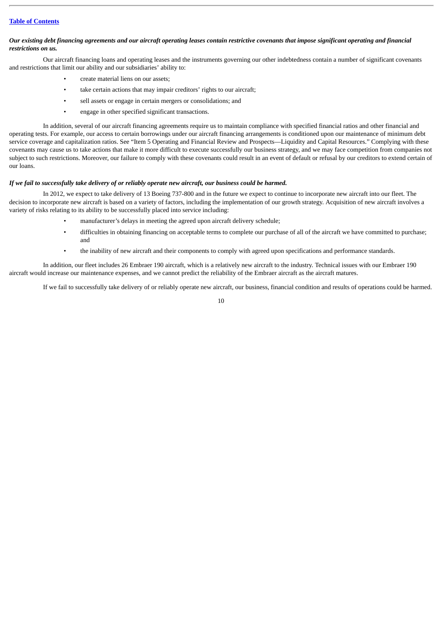# *Our existing debt financing agreements and our aircraft operating leases contain restrictive covenants that impose significant operating and financial restrictions on us.*

Our aircraft financing loans and operating leases and the instruments governing our other indebtedness contain a number of significant covenants and restrictions that limit our ability and our subsidiaries' ability to:

- create material liens on our assets;
- take certain actions that may impair creditors' rights to our aircraft;
- sell assets or engage in certain mergers or consolidations; and
- engage in other specified significant transactions.

In addition, several of our aircraft financing agreements require us to maintain compliance with specified financial ratios and other financial and operating tests. For example, our access to certain borrowings under our aircraft financing arrangements is conditioned upon our maintenance of minimum debt service coverage and capitalization ratios. See "Item 5 Operating and Financial Review and Prospects—Liquidity and Capital Resources." Complying with these covenants may cause us to take actions that make it more difficult to execute successfully our business strategy, and we may face competition from companies not subject to such restrictions. Moreover, our failure to comply with these covenants could result in an event of default or refusal by our creditors to extend certain of our loans.

# *If we fail to successfully take delivery of or reliably operate new aircraft, our business could be harmed.*

In 2012, we expect to take delivery of 13 Boeing 737-800 and in the future we expect to continue to incorporate new aircraft into our fleet. The decision to incorporate new aircraft is based on a variety of factors, including the implementation of our growth strategy. Acquisition of new aircraft involves a variety of risks relating to its ability to be successfully placed into service including:

- manufacturer's delays in meeting the agreed upon aircraft delivery schedule;
- difficulties in obtaining financing on acceptable terms to complete our purchase of all of the aircraft we have committed to purchase; and
- the inability of new aircraft and their components to comply with agreed upon specifications and performance standards.

In addition, our fleet includes 26 Embraer 190 aircraft, which is a relatively new aircraft to the industry. Technical issues with our Embraer 190 aircraft would increase our maintenance expenses, and we cannot predict the reliability of the Embraer aircraft as the aircraft matures.

If we fail to successfully take delivery of or reliably operate new aircraft, our business, financial condition and results of operations could be harmed.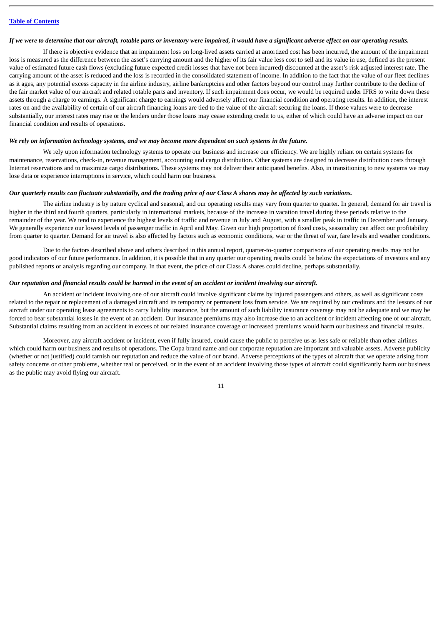#### *If we were to determine that our aircraft, rotable parts or inventory were impaired, it would have a significant adverse effect on our operating results.*

If there is objective evidence that an impairment loss on long-lived assets carried at amortized cost has been incurred, the amount of the impairment loss is measured as the difference between the asset's carrying amount and the higher of its fair value less cost to sell and its value in use, defined as the present value of estimated future cash flows (excluding future expected credit losses that have not been incurred) discounted at the asset's risk adjusted interest rate. The carrying amount of the asset is reduced and the loss is recorded in the consolidated statement of income. In addition to the fact that the value of our fleet declines as it ages, any potential excess capacity in the airline industry, airline bankruptcies and other factors beyond our control may further contribute to the decline of the fair market value of our aircraft and related rotable parts and inventory. If such impairment does occur, we would be required under IFRS to write down these assets through a charge to earnings. A significant charge to earnings would adversely affect our financial condition and operating results. In addition, the interest rates on and the availability of certain of our aircraft financing loans are tied to the value of the aircraft securing the loans. If those values were to decrease substantially, our interest rates may rise or the lenders under those loans may cease extending credit to us, either of which could have an adverse impact on our financial condition and results of operations.

#### *We rely on information technology systems, and we may become more dependent on such systems in the future.*

We rely upon information technology systems to operate our business and increase our efficiency. We are highly reliant on certain systems for maintenance, reservations, check-in, revenue management, accounting and cargo distribution. Other systems are designed to decrease distribution costs through Internet reservations and to maximize cargo distributions. These systems may not deliver their anticipated benefits. Also, in transitioning to new systems we may lose data or experience interruptions in service, which could harm our business.

#### *Our quarterly results can fluctuate substantially, and the trading price of our Class A shares may be affected by such variations.*

The airline industry is by nature cyclical and seasonal, and our operating results may vary from quarter to quarter. In general, demand for air travel is higher in the third and fourth quarters, particularly in international markets, because of the increase in vacation travel during these periods relative to the remainder of the year. We tend to experience the highest levels of traffic and revenue in July and August, with a smaller peak in traffic in December and January. We generally experience our lowest levels of passenger traffic in April and May. Given our high proportion of fixed costs, seasonality can affect our profitability from quarter to quarter. Demand for air travel is also affected by factors such as economic conditions, war or the threat of war, fare levels and weather conditions.

Due to the factors described above and others described in this annual report, quarter-to-quarter comparisons of our operating results may not be good indicators of our future performance. In addition, it is possible that in any quarter our operating results could be below the expectations of investors and any published reports or analysis regarding our company. In that event, the price of our Class A shares could decline, perhaps substantially.

# *Our reputation and financial results could be harmed in the event of an accident or incident involving our aircraft.*

An accident or incident involving one of our aircraft could involve significant claims by injured passengers and others, as well as significant costs related to the repair or replacement of a damaged aircraft and its temporary or permanent loss from service. We are required by our creditors and the lessors of our aircraft under our operating lease agreements to carry liability insurance, but the amount of such liability insurance coverage may not be adequate and we may be forced to bear substantial losses in the event of an accident. Our insurance premiums may also increase due to an accident or incident affecting one of our aircraft. Substantial claims resulting from an accident in excess of our related insurance coverage or increased premiums would harm our business and financial results.

Moreover, any aircraft accident or incident, even if fully insured, could cause the public to perceive us as less safe or reliable than other airlines which could harm our business and results of operations. The Copa brand name and our corporate reputation are important and valuable assets. Adverse publicity (whether or not justified) could tarnish our reputation and reduce the value of our brand. Adverse perceptions of the types of aircraft that we operate arising from safety concerns or other problems, whether real or perceived, or in the event of an accident involving those types of aircraft could significantly harm our business as the public may avoid flying our aircraft.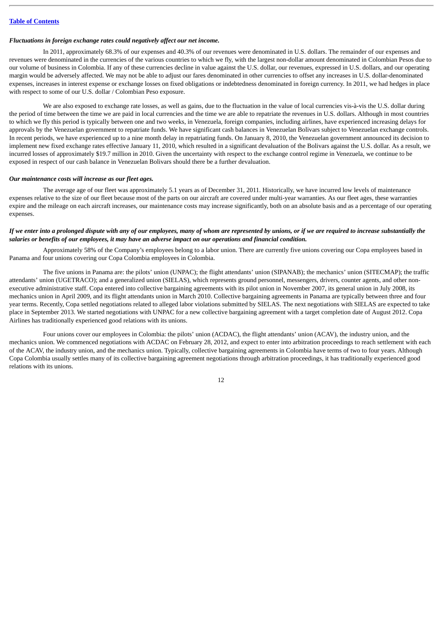#### *Fluctuations in foreign exchange rates could negatively affect our net income.*

In 2011, approximately 68.3% of our expenses and 40.3% of our revenues were denominated in U.S. dollars. The remainder of our expenses and revenues were denominated in the currencies of the various countries to which we fly, with the largest non-dollar amount denominated in Colombian Pesos due to our volume of business in Colombia. If any of these currencies decline in value against the U.S. dollar, our revenues, expressed in U.S. dollars, and our operating margin would be adversely affected. We may not be able to adjust our fares denominated in other currencies to offset any increases in U.S. dollar-denominated expenses, increases in interest expense or exchange losses on fixed obligations or indebtedness denominated in foreign currency. In 2011, we had hedges in place with respect to some of our U.S. dollar / Colombian Peso exposure.

We are also exposed to exchange rate losses, as well as gains, due to the fluctuation in the value of local currencies vis-à-vis the U.S. dollar during the period of time between the time we are paid in local currencies and the time we are able to repatriate the revenues in U.S. dollars. Although in most countries to which we fly this period is typically between one and two weeks, in Venezuela, foreign companies, including airlines, have experienced increasing delays for approvals by the Venezuelan government to repatriate funds. We have significant cash balances in Venezuelan Bolivars subject to Venezuelan exchange controls. In recent periods, we have experienced up to a nine month delay in repatriating funds. On January 8, 2010, the Venezuelan government announced its decision to implement new fixed exchange rates effective January 11, 2010, which resulted in a significant devaluation of the Bolivars against the U.S. dollar. As a result, we incurred losses of approximately \$19.7 million in 2010. Given the uncertainty with respect to the exchange control regime in Venezuela, we continue to be exposed in respect of our cash balance in Venezuelan Bolivars should there be a further devaluation.

#### *Our maintenance costs will increase as our fleet ages.*

The average age of our fleet was approximately 5.1 years as of December 31, 2011. Historically, we have incurred low levels of maintenance expenses relative to the size of our fleet because most of the parts on our aircraft are covered under multi-year warranties. As our fleet ages, these warranties expire and the mileage on each aircraft increases, our maintenance costs may increase significantly, both on an absolute basis and as a percentage of our operating expenses.

# *If we enter into a prolonged dispute with any of our employees, many of whom are represented by unions, or if we are required to increase substantially the salaries or benefits of our employees, it may have an adverse impact on our operations and financial condition.*

Approximately 58% of the Company's employees belong to a labor union. There are currently five unions covering our Copa employees based in Panama and four unions covering our Copa Colombia employees in Colombia.

The five unions in Panama are: the pilots' union (UNPAC); the flight attendants' union (SIPANAB); the mechanics' union (SITECMAP); the traffic attendants' union (UGETRACO); and a generalized union (SIELAS), which represents ground personnel, messengers, drivers, counter agents, and other nonexecutive administrative staff. Copa entered into collective bargaining agreements with its pilot union in November 2007, its general union in July 2008, its mechanics union in April 2009, and its flight attendants union in March 2010. Collective bargaining agreements in Panama are typically between three and four year terms. Recently, Copa settled negotiations related to alleged labor violations submitted by SIELAS. The next negotiations with SIELAS are expected to take place in September 2013. We started negotiations with UNPAC for a new collective bargaining agreement with a target completion date of August 2012. Copa Airlines has traditionally experienced good relations with its unions.

Four unions cover our employees in Colombia: the pilots' union (ACDAC), the flight attendants' union (ACAV), the industry union, and the mechanics union. We commenced negotiations with ACDAC on February 28, 2012, and expect to enter into arbitration proceedings to reach settlement with each of the ACAV, the industry union, and the mechanics union. Typically, collective bargaining agreements in Colombia have terms of two to four years. Although Copa Colombia usually settles many of its collective bargaining agreement negotiations through arbitration proceedings, it has traditionally experienced good relations with its unions.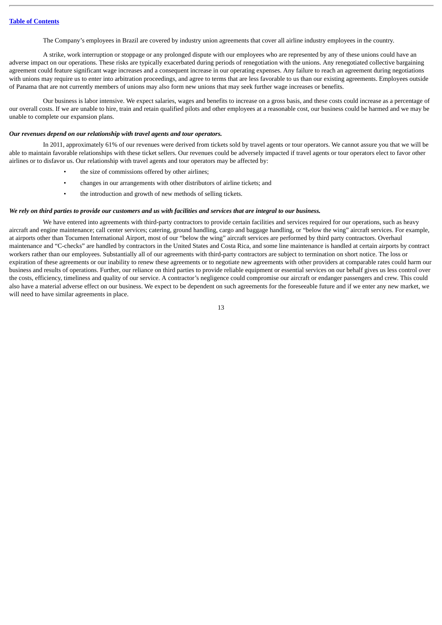The Company's employees in Brazil are covered by industry union agreements that cover all airline industry employees in the country.

A strike, work interruption or stoppage or any prolonged dispute with our employees who are represented by any of these unions could have an adverse impact on our operations. These risks are typically exacerbated during periods of renegotiation with the unions. Any renegotiated collective bargaining agreement could feature significant wage increases and a consequent increase in our operating expenses. Any failure to reach an agreement during negotiations with unions may require us to enter into arbitration proceedings, and agree to terms that are less favorable to us than our existing agreements. Employees outside of Panama that are not currently members of unions may also form new unions that may seek further wage increases or benefits.

Our business is labor intensive. We expect salaries, wages and benefits to increase on a gross basis, and these costs could increase as a percentage of our overall costs. If we are unable to hire, train and retain qualified pilots and other employees at a reasonable cost, our business could be harmed and we may be unable to complete our expansion plans.

# *Our revenues depend on our relationship with travel agents and tour operators.*

In 2011, approximately 61% of our revenues were derived from tickets sold by travel agents or tour operators. We cannot assure you that we will be able to maintain favorable relationships with these ticket sellers. Our revenues could be adversely impacted if travel agents or tour operators elect to favor other airlines or to disfavor us. Our relationship with travel agents and tour operators may be affected by:

- the size of commissions offered by other airlines;
- changes in our arrangements with other distributors of airline tickets; and
- the introduction and growth of new methods of selling tickets.

# *We rely on third parties to provide our customers and us with facilities and services that are integral to our business.*

We have entered into agreements with third-party contractors to provide certain facilities and services required for our operations, such as heavy aircraft and engine maintenance; call center services; catering, ground handling, cargo and baggage handling, or "below the wing" aircraft services. For example, at airports other than Tocumen International Airport, most of our "below the wing" aircraft services are performed by third party contractors. Overhaul maintenance and "C-checks" are handled by contractors in the United States and Costa Rica, and some line maintenance is handled at certain airports by contract workers rather than our employees. Substantially all of our agreements with third-party contractors are subject to termination on short notice. The loss or expiration of these agreements or our inability to renew these agreements or to negotiate new agreements with other providers at comparable rates could harm our business and results of operations. Further, our reliance on third parties to provide reliable equipment or essential services on our behalf gives us less control over the costs, efficiency, timeliness and quality of our service. A contractor's negligence could compromise our aircraft or endanger passengers and crew. This could also have a material adverse effect on our business. We expect to be dependent on such agreements for the foreseeable future and if we enter any new market, we will need to have similar agreements in place.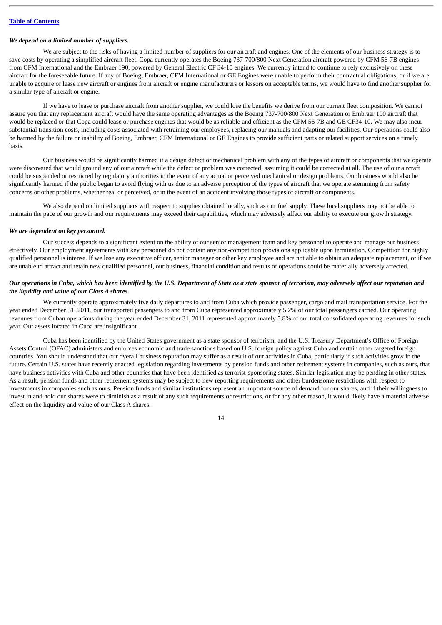#### *We depend on a limited number of suppliers.*

We are subject to the risks of having a limited number of suppliers for our aircraft and engines. One of the elements of our business strategy is to save costs by operating a simplified aircraft fleet. Copa currently operates the Boeing 737-700/800 Next Generation aircraft powered by CFM 56-7B engines from CFM International and the Embraer 190, powered by General Electric CF 34-10 engines. We currently intend to continue to rely exclusively on these aircraft for the foreseeable future. If any of Boeing, Embraer, CFM International or GE Engines were unable to perform their contractual obligations, or if we are unable to acquire or lease new aircraft or engines from aircraft or engine manufacturers or lessors on acceptable terms, we would have to find another supplier for a similar type of aircraft or engine.

If we have to lease or purchase aircraft from another supplier, we could lose the benefits we derive from our current fleet composition. We cannot assure you that any replacement aircraft would have the same operating advantages as the Boeing 737-700/800 Next Generation or Embraer 190 aircraft that would be replaced or that Copa could lease or purchase engines that would be as reliable and efficient as the CFM 56-7B and GE CF34-10. We may also incur substantial transition costs, including costs associated with retraining our employees, replacing our manuals and adapting our facilities. Our operations could also be harmed by the failure or inability of Boeing, Embraer, CFM International or GE Engines to provide sufficient parts or related support services on a timely basis.

Our business would be significantly harmed if a design defect or mechanical problem with any of the types of aircraft or components that we operate were discovered that would ground any of our aircraft while the defect or problem was corrected, assuming it could be corrected at all. The use of our aircraft could be suspended or restricted by regulatory authorities in the event of any actual or perceived mechanical or design problems. Our business would also be significantly harmed if the public began to avoid flying with us due to an adverse perception of the types of aircraft that we operate stemming from safety concerns or other problems, whether real or perceived, or in the event of an accident involving those types of aircraft or components.

We also depend on limited suppliers with respect to supplies obtained locally, such as our fuel supply. These local suppliers may not be able to maintain the pace of our growth and our requirements may exceed their capabilities, which may adversely affect our ability to execute our growth strategy.

### *We are dependent on key personnel.*

Our success depends to a significant extent on the ability of our senior management team and key personnel to operate and manage our business effectively. Our employment agreements with key personnel do not contain any non-competition provisions applicable upon termination. Competition for highly qualified personnel is intense. If we lose any executive officer, senior manager or other key employee and are not able to obtain an adequate replacement, or if we are unable to attract and retain new qualified personnel, our business, financial condition and results of operations could be materially adversely affected.

# *Our operations in Cuba, which has been identified by the U.S. Department of State as a state sponsor of terrorism, may adversely affect our reputation and the liquidity and value of our Class A shares.*

We currently operate approximately five daily departures to and from Cuba which provide passenger, cargo and mail transportation service. For the year ended December 31, 2011, our transported passengers to and from Cuba represented approximately 5.2% of our total passengers carried. Our operating revenues from Cuban operations during the year ended December 31, 2011 represented approximately 5.8% of our total consolidated operating revenues for such year. Our assets located in Cuba are insignificant.

Cuba has been identified by the United States government as a state sponsor of terrorism, and the U.S. Treasury Department's Office of Foreign Assets Control (OFAC) administers and enforces economic and trade sanctions based on U.S. foreign policy against Cuba and certain other targeted foreign countries. You should understand that our overall business reputation may suffer as a result of our activities in Cuba, particularly if such activities grow in the future. Certain U.S. states have recently enacted legislation regarding investments by pension funds and other retirement systems in companies, such as ours, that have business activities with Cuba and other countries that have been identified as terrorist-sponsoring states. Similar legislation may be pending in other states. As a result, pension funds and other retirement systems may be subject to new reporting requirements and other burdensome restrictions with respect to investments in companies such as ours. Pension funds and similar institutions represent an important source of demand for our shares, and if their willingness to invest in and hold our shares were to diminish as a result of any such requirements or restrictions, or for any other reason, it would likely have a material adverse effect on the liquidity and value of our Class A shares.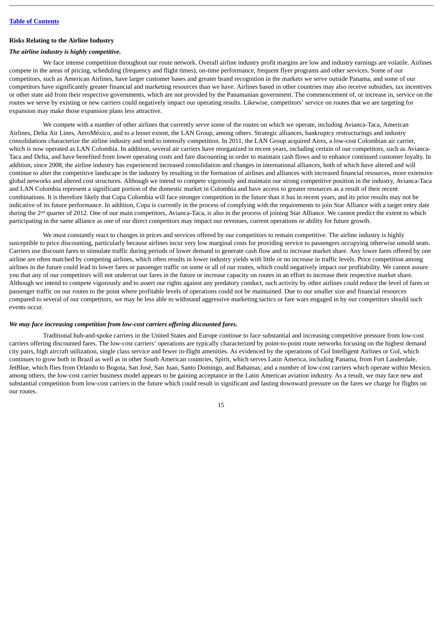# **Risks Relating to the Airline Industry**

# *The airline industry is highly competitive.*

We face intense competition throughout our route network. Overall airline industry profit margins are low and industry earnings are volatile. Airlines compete in the areas of pricing, scheduling (frequency and flight times), on-time performance, frequent flyer programs and other services. Some of our competitors, such as American Airlines, have larger customer bases and greater brand recognition in the markets we serve outside Panama, and some of our competitors have significantly greater financial and marketing resources than we have. Airlines based in other countries may also receive subsidies, tax incentives or other state aid from their respective governments, which are not provided by the Panamanian government. The commencement of, or increase in, service on the routes we serve by existing or new carriers could negatively impact our operating results. Likewise, competitors' service on routes that we are targeting for expansion may make those expansion plans less attractive.

We compete with a number of other airlines that currently serve some of the routes on which we operate, including Avianca-Taca, American Airlines, Delta Air Lines, AeroMéxico, and to a lesser extent, the LAN Group, among others. Strategic alliances, bankruptcy restructurings and industry consolidations characterize the airline industry and tend to intensify competition. In 2011, the LAN Group acquired Aires, a low-cost Colombian air carrier, which is now operated as LAN Colombia. In addition, several air carriers have reorganized in recent years, including certain of our competitors, such as Avianca-Taca and Delta, and have benefited from lower operating costs and fare discounting in order to maintain cash flows and to enhance continued customer loyalty. In addition, since 2008, the airline industry has experienced increased consolidation and changes in international alliances, both of which have altered and will continue to alter the competitive landscape in the industry by resulting in the formation of airlines and alliances with increased financial resources, more extensive global networks and altered cost structures. Although we intend to compete vigorously and maintain our strong competitive position in the industry, Avianca-Taca and LAN Colombia represent a significant portion of the domestic market in Colombia and have access to greater resources as a result of their recent combinations. It is therefore likely that Copa Colombia will face stronger competition in the future than it has in recent years, and its prior results may not be indicative of its future performance. In addition, Copa is currently in the process of complying with the requirements to join Star Alliance with a target entry date during the 2<sup>nd</sup> quarter of 2012. One of our main competitors, Avianca-Taca, is also in the process of joining Star Alliance. We cannot predict the extent to which participating in the same alliance as one of our direct competitors may impact our revenues, current operations or ability for future growth.

We must constantly react to changes in prices and services offered by our competitors to remain competitive. The airline industry is highly susceptible to price discounting, particularly because airlines incur very low marginal costs for providing service to passengers occupying otherwise unsold seats. Carriers use discount fares to stimulate traffic during periods of lower demand to generate cash flow and to increase market share. Any lower fares offered by one airline are often matched by competing airlines, which often results in lower industry yields with little or no increase in traffic levels. Price competition among airlines in the future could lead to lower fares or passenger traffic on some or all of our routes, which could negatively impact our profitability. We cannot assure you that any of our competitors will not undercut our fares in the future or increase capacity on routes in an effort to increase their respective market share. Although we intend to compete vigorously and to assert our rights against any predatory conduct, such activity by other airlines could reduce the level of fares or passenger traffic on our routes to the point where profitable levels of operations could not be maintained. Due to our smaller size and financial resources compared to several of our competitors, we may be less able to withstand aggressive marketing tactics or fare wars engaged in by our competitors should such events occur.

#### *We may face increasing competition from low-cost carriers offering discounted fares.*

Traditional hub-and-spoke carriers in the United States and Europe continue to face substantial and increasing competitive pressure from low-cost carriers offering discounted fares. The low-cost carriers' operations are typically characterized by point-to-point route networks focusing on the highest demand city pairs, high aircraft utilization, single class service and fewer in-flight amenities. As evidenced by the operations of Gol Intelligent Airlines or Gol, which continues to grow both in Brazil as well as in other South American countries, Spirit, which serves Latin America, including Panama, from Fort Lauderdale, JetBlue, which flies from Orlando to Bogota, San José, San Juan, Santo Domingo, and Bahamas; and a number of low-cost carriers which operate within Mexico, among others, the low-cost carrier business model appears to be gaining acceptance in the Latin American aviation industry. As a result, we may face new and substantial competition from low-cost carriers in the future which could result in significant and lasting downward pressure on the fares we charge for flights on our routes.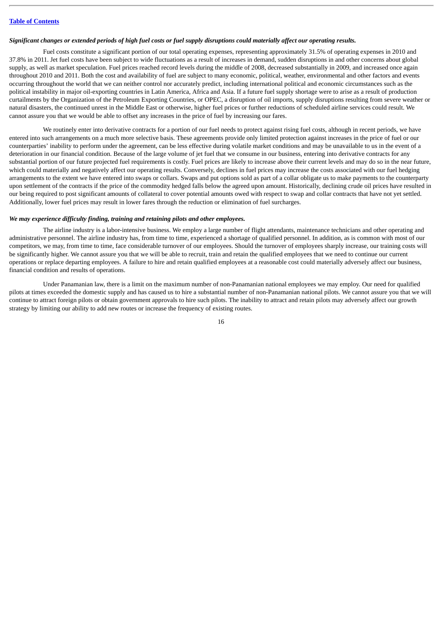#### *Significant changes or extended periods of high fuel costs or fuel supply disruptions could materially affect our operating results.*

Fuel costs constitute a significant portion of our total operating expenses, representing approximately 31.5% of operating expenses in 2010 and 37.8% in 2011. Jet fuel costs have been subject to wide fluctuations as a result of increases in demand, sudden disruptions in and other concerns about global supply, as well as market speculation. Fuel prices reached record levels during the middle of 2008, decreased substantially in 2009, and increased once again throughout 2010 and 2011. Both the cost and availability of fuel are subject to many economic, political, weather, environmental and other factors and events occurring throughout the world that we can neither control nor accurately predict, including international political and economic circumstances such as the political instability in major oil-exporting countries in Latin America, Africa and Asia. If a future fuel supply shortage were to arise as a result of production curtailments by the Organization of the Petroleum Exporting Countries, or OPEC, a disruption of oil imports, supply disruptions resulting from severe weather or natural disasters, the continued unrest in the Middle East or otherwise, higher fuel prices or further reductions of scheduled airline services could result. We cannot assure you that we would be able to offset any increases in the price of fuel by increasing our fares.

We routinely enter into derivative contracts for a portion of our fuel needs to protect against rising fuel costs, although in recent periods, we have entered into such arrangements on a much more selective basis. These agreements provide only limited protection against increases in the price of fuel or our counterparties' inability to perform under the agreement, can be less effective during volatile market conditions and may be unavailable to us in the event of a deterioration in our financial condition. Because of the large volume of jet fuel that we consume in our business, entering into derivative contracts for any substantial portion of our future projected fuel requirements is costly. Fuel prices are likely to increase above their current levels and may do so in the near future, which could materially and negatively affect our operating results. Conversely, declines in fuel prices may increase the costs associated with our fuel hedging arrangements to the extent we have entered into swaps or collars. Swaps and put options sold as part of a collar obligate us to make payments to the counterparty upon settlement of the contracts if the price of the commodity hedged falls below the agreed upon amount. Historically, declining crude oil prices have resulted in our being required to post significant amounts of collateral to cover potential amounts owed with respect to swap and collar contracts that have not yet settled. Additionally, lower fuel prices may result in lower fares through the reduction or elimination of fuel surcharges.

#### *We may experience difficulty finding, training and retaining pilots and other employees.*

The airline industry is a labor-intensive business. We employ a large number of flight attendants, maintenance technicians and other operating and administrative personnel. The airline industry has, from time to time, experienced a shortage of qualified personnel. In addition, as is common with most of our competitors, we may, from time to time, face considerable turnover of our employees. Should the turnover of employees sharply increase, our training costs will be significantly higher. We cannot assure you that we will be able to recruit, train and retain the qualified employees that we need to continue our current operations or replace departing employees. A failure to hire and retain qualified employees at a reasonable cost could materially adversely affect our business, financial condition and results of operations.

Under Panamanian law, there is a limit on the maximum number of non-Panamanian national employees we may employ. Our need for qualified pilots at times exceeded the domestic supply and has caused us to hire a substantial number of non-Panamanian national pilots. We cannot assure you that we will continue to attract foreign pilots or obtain government approvals to hire such pilots. The inability to attract and retain pilots may adversely affect our growth strategy by limiting our ability to add new routes or increase the frequency of existing routes.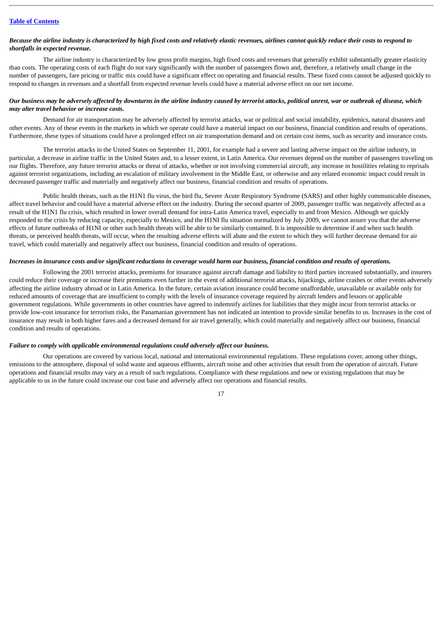# *Because the airline industry is characterized by high fixed costs and relatively elastic revenues, airlines cannot quickly reduce their costs to respond to shortfalls in expected revenue.*

The airline industry is characterized by low gross profit margins, high fixed costs and revenues that generally exhibit substantially greater elasticity than costs. The operating costs of each flight do not vary significantly with the number of passengers flown and, therefore, a relatively small change in the number of passengers, fare pricing or traffic mix could have a significant effect on operating and financial results. These fixed costs cannot be adjusted quickly to respond to changes in revenues and a shortfall from expected revenue levels could have a material adverse effect on our net income.

# *Our business may be adversely affected by downturns in the airline industry caused by terrorist attacks, political unrest, war or outbreak of disease, which may alter travel behavior or increase costs.*

Demand for air transportation may be adversely affected by terrorist attacks, war or political and social instability, epidemics, natural disasters and other events. Any of these events in the markets in which we operate could have a material impact on our business, financial condition and results of operations. Furthermore, these types of situations could have a prolonged effect on air transportation demand and on certain cost items, such as security and insurance costs.

The terrorist attacks in the United States on September 11, 2001, for example had a severe and lasting adverse impact on the airline industry, in particular, a decrease in airline traffic in the United States and, to a lesser extent, in Latin America. Our revenues depend on the number of passengers traveling on our flights. Therefore, any future terrorist attacks or threat of attacks, whether or not involving commercial aircraft, any increase in hostilities relating to reprisals against terrorist organizations, including an escalation of military involvement in the Middle East, or otherwise and any related economic impact could result in decreased passenger traffic and materially and negatively affect our business, financial condition and results of operations.

Public health threats, such as the H1N1 flu virus, the bird flu, Severe Acute Respiratory Syndrome (SARS) and other highly communicable diseases, affect travel behavior and could have a material adverse effect on the industry. During the second quarter of 2009, passenger traffic was negatively affected as a result of the H1N1 flu crisis, which resulted in lower overall demand for intra-Latin America travel, especially to and from Mexico. Although we quickly responded to the crisis by reducing capacity, especially to Mexico, and the H1NI flu situation normalized by July 2009, we cannot assure you that the adverse effects of future outbreaks of H1NI or other such health threats will be able to be similarly contained. It is impossible to determine if and when such health threats, or perceived health threats, will occur, when the resulting adverse effects will abate and the extent to which they will further decrease demand for air travel, which could materially and negatively affect our business, financial condition and results of operations.

## *Increases in insurance costs and/or significant reductions in coverage would harm our business, financial condition and results of operations.*

Following the 2001 terrorist attacks, premiums for insurance against aircraft damage and liability to third parties increased substantially, and insurers could reduce their coverage or increase their premiums even further in the event of additional terrorist attacks, hijackings, airline crashes or other events adversely affecting the airline industry abroad or in Latin America. In the future, certain aviation insurance could become unaffordable, unavailable or available only for reduced amounts of coverage that are insufficient to comply with the levels of insurance coverage required by aircraft lenders and lessors or applicable government regulations. While governments in other countries have agreed to indemnify airlines for liabilities that they might incur from terrorist attacks or provide low-cost insurance for terrorism risks, the Panamanian government has not indicated an intention to provide similar benefits to us. Increases in the cost of insurance may result in both higher fares and a decreased demand for air travel generally, which could materially and negatively affect our business, financial condition and results of operations.

# *Failure to comply with applicable environmental regulations could adversely affect our business.*

Our operations are covered by various local, national and international environmental regulations. These regulations cover, among other things, emissions to the atmosphere, disposal of solid waste and aqueous effluents, aircraft noise and other activities that result from the operation of aircraft. Future operations and financial results may vary as a result of such regulations. Compliance with these regulations and new or existing regulations that may be applicable to us in the future could increase our cost base and adversely affect our operations and financial results.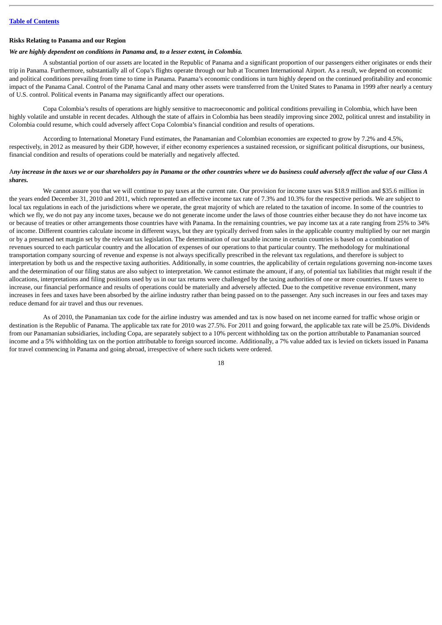# **Risks Relating to Panama and our Region**

### *We are highly dependent on conditions in Panama and, to a lesser extent, in Colombia.*

A substantial portion of our assets are located in the Republic of Panama and a significant proportion of our passengers either originates or ends their trip in Panama. Furthermore, substantially all of Copa's flights operate through our hub at Tocumen International Airport. As a result, we depend on economic and political conditions prevailing from time to time in Panama. Panama's economic conditions in turn highly depend on the continued profitability and economic impact of the Panama Canal. Control of the Panama Canal and many other assets were transferred from the United States to Panama in 1999 after nearly a century of U.S. control. Political events in Panama may significantly affect our operations.

Copa Colombia's results of operations are highly sensitive to macroeconomic and political conditions prevailing in Colombia, which have been highly volatile and unstable in recent decades. Although the state of affairs in Colombia has been steadily improving since 2002, political unrest and instability in Colombia could resume, which could adversely affect Copa Colombia's financial condition and results of operations.

According to International Monetary Fund estimates, the Panamanian and Colombian economies are expected to grow by 7.2% and 4.5%, respectively, in 2012 as measured by their GDP, however, if either economy experiences a sustained recession, or significant political disruptions, our business, financial condition and results of operations could be materially and negatively affected.

# A*ny increase in the taxes we or our shareholders pay in Panama or the other countries where we do business could adversely affect the value of our Class A shares.*

We cannot assure you that we will continue to pay taxes at the current rate. Our provision for income taxes was \$18.9 million and \$35.6 million in the years ended December 31, 2010 and 2011, which represented an effective income tax rate of 7.3% and 10.3% for the respective periods. We are subject to local tax regulations in each of the jurisdictions where we operate, the great majority of which are related to the taxation of income. In some of the countries to which we fly, we do not pay any income taxes, because we do not generate income under the laws of those countries either because they do not have income tax or because of treaties or other arrangements those countries have with Panama. In the remaining countries, we pay income tax at a rate ranging from 25% to 34% of income. Different countries calculate income in different ways, but they are typically derived from sales in the applicable country multiplied by our net margin or by a presumed net margin set by the relevant tax legislation. The determination of our taxable income in certain countries is based on a combination of revenues sourced to each particular country and the allocation of expenses of our operations to that particular country. The methodology for multinational transportation company sourcing of revenue and expense is not always specifically prescribed in the relevant tax regulations, and therefore is subject to interpretation by both us and the respective taxing authorities. Additionally, in some countries, the applicability of certain regulations governing non-income taxes and the determination of our filing status are also subject to interpretation. We cannot estimate the amount, if any, of potential tax liabilities that might result if the allocations, interpretations and filing positions used by us in our tax returns were challenged by the taxing authorities of one or more countries. If taxes were to increase, our financial performance and results of operations could be materially and adversely affected. Due to the competitive revenue environment, many increases in fees and taxes have been absorbed by the airline industry rather than being passed on to the passenger. Any such increases in our fees and taxes may reduce demand for air travel and thus our revenues.

As of 2010, the Panamanian tax code for the airline industry was amended and tax is now based on net income earned for traffic whose origin or destination is the Republic of Panama. The applicable tax rate for 2010 was 27.5%. For 2011 and going forward, the applicable tax rate will be 25.0%. Dividends from our Panamanian subsidiaries, including Copa, are separately subject to a 10% percent withholding tax on the portion attributable to Panamanian sourced income and a 5% withholding tax on the portion attributable to foreign sourced income. Additionally, a 7% value added tax is levied on tickets issued in Panama for travel commencing in Panama and going abroad, irrespective of where such tickets were ordered.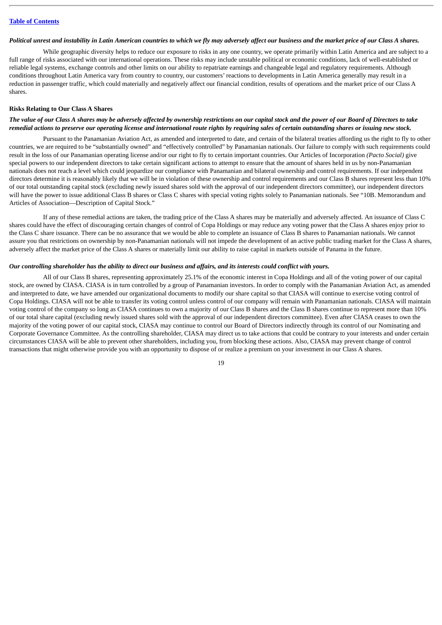#### *Political unrest and instability in Latin American countries to which we fly may adversely affect our business and the market price of our Class A shares.*

While geographic diversity helps to reduce our exposure to risks in any one country, we operate primarily within Latin America and are subject to a full range of risks associated with our international operations. These risks may include unstable political or economic conditions, lack of well-established or reliable legal systems, exchange controls and other limits on our ability to repatriate earnings and changeable legal and regulatory requirements. Although conditions throughout Latin America vary from country to country, our customers' reactions to developments in Latin America generally may result in a reduction in passenger traffic, which could materially and negatively affect our financial condition, results of operations and the market price of our Class A shares.

### **Risks Relating to Our Class A Shares**

# *The value of our Class A shares may be adversely affected by ownership restrictions on our capital stock and the power of our Board of Directors to take remedial actions to preserve our operating license and international route rights by requiring sales of certain outstanding shares or issuing new stock.*

Pursuant to the Panamanian Aviation Act, as amended and interpreted to date, and certain of the bilateral treaties affording us the right to fly to other countries, we are required to be "substantially owned" and "effectively controlled" by Panamanian nationals. Our failure to comply with such requirements could result in the loss of our Panamanian operating license and/or our right to fly to certain important countries. Our Articles of Incorporation *(Pacto Social)* give special powers to our independent directors to take certain significant actions to attempt to ensure that the amount of shares held in us by non-Panamanian nationals does not reach a level which could jeopardize our compliance with Panamanian and bilateral ownership and control requirements. If our independent directors determine it is reasonably likely that we will be in violation of these ownership and control requirements and our Class B shares represent less than 10% of our total outstanding capital stock (excluding newly issued shares sold with the approval of our independent directors committee), our independent directors will have the power to issue additional Class B shares or Class C shares with special voting rights solely to Panamanian nationals. See "10B. Memorandum and Articles of Association—Description of Capital Stock."

If any of these remedial actions are taken, the trading price of the Class A shares may be materially and adversely affected. An issuance of Class C shares could have the effect of discouraging certain changes of control of Copa Holdings or may reduce any voting power that the Class A shares enjoy prior to the Class C share issuance. There can be no assurance that we would be able to complete an issuance of Class B shares to Panamanian nationals. We cannot assure you that restrictions on ownership by non-Panamanian nationals will not impede the development of an active public trading market for the Class A shares, adversely affect the market price of the Class A shares or materially limit our ability to raise capital in markets outside of Panama in the future.

#### *Our controlling shareholder has the ability to direct our business and affairs, and its interests could conflict with yours.*

All of our Class B shares, representing approximately 25.1% of the economic interest in Copa Holdings and all of the voting power of our capital stock, are owned by CIASA. CIASA is in turn controlled by a group of Panamanian investors. In order to comply with the Panamanian Aviation Act, as amended and interpreted to date, we have amended our organizational documents to modify our share capital so that CIASA will continue to exercise voting control of Copa Holdings. CIASA will not be able to transfer its voting control unless control of our company will remain with Panamanian nationals. CIASA will maintain voting control of the company so long as CIASA continues to own a majority of our Class B shares and the Class B shares continue to represent more than 10% of our total share capital (excluding newly issued shares sold with the approval of our independent directors committee). Even after CIASA ceases to own the majority of the voting power of our capital stock, CIASA may continue to control our Board of Directors indirectly through its control of our Nominating and Corporate Governance Committee. As the controlling shareholder, CIASA may direct us to take actions that could be contrary to your interests and under certain circumstances CIASA will be able to prevent other shareholders, including you, from blocking these actions. Also, CIASA may prevent change of control transactions that might otherwise provide you with an opportunity to dispose of or realize a premium on your investment in our Class A shares.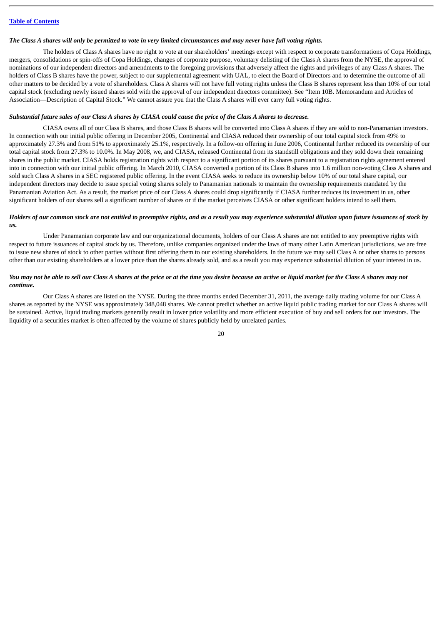#### *The Class A shares will only be permitted to vote in very limited circumstances and may never have full voting rights.*

The holders of Class A shares have no right to vote at our shareholders' meetings except with respect to corporate transformations of Copa Holdings, mergers, consolidations or spin-offs of Copa Holdings, changes of corporate purpose, voluntary delisting of the Class A shares from the NYSE, the approval of nominations of our independent directors and amendments to the foregoing provisions that adversely affect the rights and privileges of any Class A shares. The holders of Class B shares have the power, subject to our supplemental agreement with UAL, to elect the Board of Directors and to determine the outcome of all other matters to be decided by a vote of shareholders. Class A shares will not have full voting rights unless the Class B shares represent less than 10% of our total capital stock (excluding newly issued shares sold with the approval of our independent directors committee). See "Item 10B. Memorandum and Articles of Association—Description of Capital Stock." We cannot assure you that the Class A shares will ever carry full voting rights.

# *Substantial future sales of our Class A shares by CIASA could cause the price of the Class A shares to decrease.*

CIASA owns all of our Class B shares, and those Class B shares will be converted into Class A shares if they are sold to non-Panamanian investors. In connection with our initial public offering in December 2005, Continental and CIASA reduced their ownership of our total capital stock from 49% to approximately 27.3% and from 51% to approximately 25.1%, respectively. In a follow-on offering in June 2006, Continental further reduced its ownership of our total capital stock from 27.3% to 10.0%. In May 2008, we, and CIASA, released Continental from its standstill obligations and they sold down their remaining shares in the public market. CIASA holds registration rights with respect to a significant portion of its shares pursuant to a registration rights agreement entered into in connection with our initial public offering. In March 2010, CIASA converted a portion of its Class B shares into 1.6 million non-voting Class A shares and sold such Class A shares in a SEC registered public offering. In the event CIASA seeks to reduce its ownership below 10% of our total share capital, our independent directors may decide to issue special voting shares solely to Panamanian nationals to maintain the ownership requirements mandated by the Panamanian Aviation Act. As a result, the market price of our Class A shares could drop significantly if CIASA further reduces its investment in us, other significant holders of our shares sell a significant number of shares or if the market perceives CIASA or other significant holders intend to sell them.

#### *Holders of our common stock are not entitled to preemptive rights, and as a result you may experience substantial dilution upon future issuances of stock by us.*

Under Panamanian corporate law and our organizational documents, holders of our Class A shares are not entitled to any preemptive rights with respect to future issuances of capital stock by us. Therefore, unlike companies organized under the laws of many other Latin American jurisdictions, we are free to issue new shares of stock to other parties without first offering them to our existing shareholders. In the future we may sell Class A or other shares to persons other than our existing shareholders at a lower price than the shares already sold, and as a result you may experience substantial dilution of your interest in us.

#### *You may not be able to sell our Class A shares at the price or at the time you desire because an active or liquid market for the Class A shares may not continue.*

Our Class A shares are listed on the NYSE. During the three months ended December 31, 2011, the average daily trading volume for our Class A shares as reported by the NYSE was approximately 348,048 shares. We cannot predict whether an active liquid public trading market for our Class A shares will be sustained. Active, liquid trading markets generally result in lower price volatility and more efficient execution of buy and sell orders for our investors. The liquidity of a securities market is often affected by the volume of shares publicly held by unrelated parties.

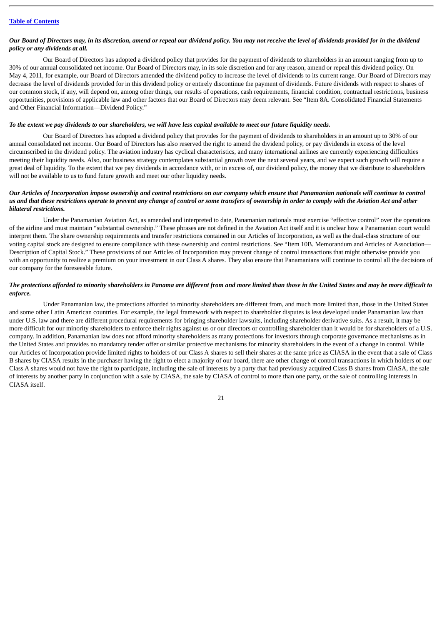# *Our Board of Directors may, in its discretion, amend or repeal our dividend policy. You may not receive the level of dividends provided for in the dividend policy or any dividends at all.*

Our Board of Directors has adopted a dividend policy that provides for the payment of dividends to shareholders in an amount ranging from up to 30% of our annual consolidated net income. Our Board of Directors may, in its sole discretion and for any reason, amend or repeal this dividend policy. On May 4, 2011, for example, our Board of Directors amended the dividend policy to increase the level of dividends to its current range. Our Board of Directors may decrease the level of dividends provided for in this dividend policy or entirely discontinue the payment of dividends. Future dividends with respect to shares of our common stock, if any, will depend on, among other things, our results of operations, cash requirements, financial condition, contractual restrictions, business opportunities, provisions of applicable law and other factors that our Board of Directors may deem relevant. See "Item 8A. Consolidated Financial Statements and Other Financial Information—Dividend Policy."

# *To the extent we pay dividends to our shareholders, we will have less capital available to meet our future liquidity needs.*

Our Board of Directors has adopted a dividend policy that provides for the payment of dividends to shareholders in an amount up to 30% of our annual consolidated net income. Our Board of Directors has also reserved the right to amend the dividend policy, or pay dividends in excess of the level circumscribed in the dividend policy. The aviation industry has cyclical characteristics, and many international airlines are currently experiencing difficulties meeting their liquidity needs. Also, our business strategy contemplates substantial growth over the next several years, and we expect such growth will require a great deal of liquidity. To the extent that we pay dividends in accordance with, or in excess of, our dividend policy, the money that we distribute to shareholders will not be available to us to fund future growth and meet our other liquidity needs.

# *Our Articles of Incorporation impose ownership and control restrictions on our company which ensure that Panamanian nationals will continue to control us and that these restrictions operate to prevent any change of control or some transfers of ownership in order to comply with the Aviation Act and other bilateral restrictions.*

Under the Panamanian Aviation Act, as amended and interpreted to date, Panamanian nationals must exercise "effective control" over the operations of the airline and must maintain "substantial ownership." These phrases are not defined in the Aviation Act itself and it is unclear how a Panamanian court would interpret them. The share ownership requirements and transfer restrictions contained in our Articles of Incorporation, as well as the dual-class structure of our voting capital stock are designed to ensure compliance with these ownership and control restrictions. See "Item 10B. Memorandum and Articles of Association— Description of Capital Stock." These provisions of our Articles of Incorporation may prevent change of control transactions that might otherwise provide you with an opportunity to realize a premium on your investment in our Class A shares. They also ensure that Panamanians will continue to control all the decisions of our company for the foreseeable future.

# *The protections afforded to minority shareholders in Panama are different from and more limited than those in the United States and may be more difficult to enforce.*

Under Panamanian law, the protections afforded to minority shareholders are different from, and much more limited than, those in the United States and some other Latin American countries. For example, the legal framework with respect to shareholder disputes is less developed under Panamanian law than under U.S. law and there are different procedural requirements for bringing shareholder lawsuits, including shareholder derivative suits. As a result, it may be more difficult for our minority shareholders to enforce their rights against us or our directors or controlling shareholder than it would be for shareholders of a U.S. company. In addition, Panamanian law does not afford minority shareholders as many protections for investors through corporate governance mechanisms as in the United States and provides no mandatory tender offer or similar protective mechanisms for minority shareholders in the event of a change in control. While our Articles of Incorporation provide limited rights to holders of our Class A shares to sell their shares at the same price as CIASA in the event that a sale of Class B shares by CIASA results in the purchaser having the right to elect a majority of our board, there are other change of control transactions in which holders of our Class A shares would not have the right to participate, including the sale of interests by a party that had previously acquired Class B shares from CIASA, the sale of interests by another party in conjunction with a sale by CIASA, the sale by CIASA of control to more than one party, or the sale of controlling interests in CIASA itself.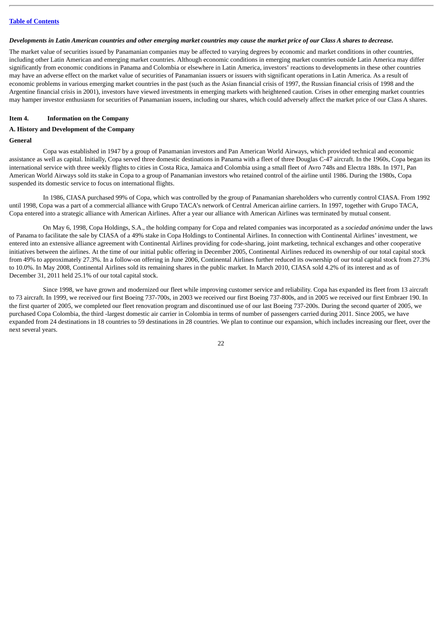#### *Developments in Latin American countries and other emerging market countries may cause the market price of our Class A shares to decrease.*

The market value of securities issued by Panamanian companies may be affected to varying degrees by economic and market conditions in other countries, including other Latin American and emerging market countries. Although economic conditions in emerging market countries outside Latin America may differ significantly from economic conditions in Panama and Colombia or elsewhere in Latin America, investors' reactions to developments in these other countries may have an adverse effect on the market value of securities of Panamanian issuers or issuers with significant operations in Latin America. As a result of economic problems in various emerging market countries in the past (such as the Asian financial crisis of 1997, the Russian financial crisis of 1998 and the Argentine financial crisis in 2001), investors have viewed investments in emerging markets with heightened caution. Crises in other emerging market countries may hamper investor enthusiasm for securities of Panamanian issuers, including our shares, which could adversely affect the market price of our Class A shares.

# <span id="page-26-0"></span>**Item 4. Information on the Company**

# **A. History and Development of the Company**

# **General**

Copa was established in 1947 by a group of Panamanian investors and Pan American World Airways, which provided technical and economic assistance as well as capital. Initially, Copa served three domestic destinations in Panama with a fleet of three Douglas C-47 aircraft. In the 1960s, Copa began its international service with three weekly flights to cities in Costa Rica, Jamaica and Colombia using a small fleet of Avro 748s and Electra 188s. In 1971, Pan American World Airways sold its stake in Copa to a group of Panamanian investors who retained control of the airline until 1986. During the 1980s, Copa suspended its domestic service to focus on international flights.

In 1986, CIASA purchased 99% of Copa, which was controlled by the group of Panamanian shareholders who currently control CIASA. From 1992 until 1998, Copa was a part of a commercial alliance with Grupo TACA's network of Central American airline carriers. In 1997, together with Grupo TACA, Copa entered into a strategic alliance with American Airlines. After a year our alliance with American Airlines was terminated by mutual consent.

On May 6, 1998, Copa Holdings, S.A., the holding company for Copa and related companies was incorporated as a *sociedad anónima* under the laws of Panama to facilitate the sale by CIASA of a 49% stake in Copa Holdings to Continental Airlines. In connection with Continental Airlines' investment, we entered into an extensive alliance agreement with Continental Airlines providing for code-sharing, joint marketing, technical exchanges and other cooperative initiatives between the airlines. At the time of our initial public offering in December 2005, Continental Airlines reduced its ownership of our total capital stock from 49% to approximately 27.3%. In a follow-on offering in June 2006, Continental Airlines further reduced its ownership of our total capital stock from 27.3% to 10.0%. In May 2008, Continental Airlines sold its remaining shares in the public market. In March 2010, CIASA sold 4.2% of its interest and as of December 31, 2011 held 25.1% of our total capital stock.

Since 1998, we have grown and modernized our fleet while improving customer service and reliability. Copa has expanded its fleet from 13 aircraft to 73 aircraft. In 1999, we received our first Boeing 737-700s, in 2003 we received our first Boeing 737-800s, and in 2005 we received our first Embraer 190. In the first quarter of 2005, we completed our fleet renovation program and discontinued use of our last Boeing 737-200s. During the second quarter of 2005, we purchased Copa Colombia, the third -largest domestic air carrier in Colombia in terms of number of passengers carried during 2011. Since 2005, we have expanded from 24 destinations in 18 countries to 59 destinations in 28 countries. We plan to continue our expansion, which includes increasing our fleet, over the next several years.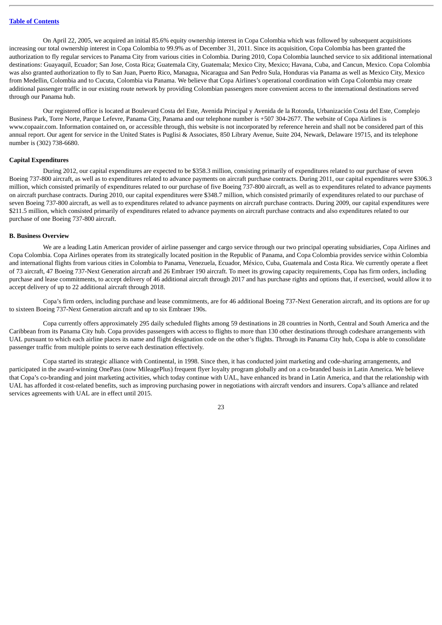On April 22, 2005, we acquired an initial 85.6% equity ownership interest in Copa Colombia which was followed by subsequent acquisitions increasing our total ownership interest in Copa Colombia to 99.9% as of December 31, 2011. Since its acquisition, Copa Colombia has been granted the authorization to fly regular services to Panama City from various cities in Colombia. During 2010, Copa Colombia launched service to six additional international destinations: Guayaquil, Ecuador; San Jose, Costa Rica; Guatemala City, Guatemala; Mexico City, Mexico; Havana, Cuba, and Cancun, Mexico. Copa Colombia was also granted authorization to fly to San Juan, Puerto Rico, Managua, Nicaragua and San Pedro Sula, Honduras via Panama as well as Mexico City, Mexico from Medellin, Colombia and to Cucuta, Colombia via Panama. We believe that Copa Airlines's operational coordination with Copa Colombia may create additional passenger traffic in our existing route network by providing Colombian passengers more convenient access to the international destinations served through our Panama hub.

Our registered office is located at Boulevard Costa del Este, Avenida Principal y Avenida de la Rotonda, Urbanización Costa del Este, Complejo Business Park, Torre Norte, Parque Lefevre, Panama City, Panama and our telephone number is +507 304-2677. The website of Copa Airlines is www.copaair.com. Information contained on, or accessible through, this website is not incorporated by reference herein and shall not be considered part of this annual report. Our agent for service in the United States is Puglisi & Associates, 850 Library Avenue, Suite 204, Newark, Delaware 19715, and its telephone number is (302) 738-6680.

#### **Capital Expenditures**

During 2012, our capital expenditures are expected to be \$358.3 million, consisting primarily of expenditures related to our purchase of seven Boeing 737-800 aircraft, as well as to expenditures related to advance payments on aircraft purchase contracts. During 2011, our capital expenditures were \$306.3 million, which consisted primarily of expenditures related to our purchase of five Boeing 737-800 aircraft, as well as to expenditures related to advance payments on aircraft purchase contracts. During 2010, our capital expenditures were \$348.7 million, which consisted primarily of expenditures related to our purchase of seven Boeing 737-800 aircraft, as well as to expenditures related to advance payments on aircraft purchase contracts. During 2009, our capital expenditures were \$211.5 million, which consisted primarily of expenditures related to advance payments on aircraft purchase contracts and also expenditures related to our purchase of one Boeing 737-800 aircraft.

# **B. Business Overview**

We are a leading Latin American provider of airline passenger and cargo service through our two principal operating subsidiaries, Copa Airlines and Copa Colombia. Copa Airlines operates from its strategically located position in the Republic of Panama, and Copa Colombia provides service within Colombia and international flights from various cities in Colombia to Panama, Venezuela, Ecuador, México, Cuba, Guatemala and Costa Rica. We currently operate a fleet of 73 aircraft, 47 Boeing 737-Next Generation aircraft and 26 Embraer 190 aircraft. To meet its growing capacity requirements, Copa has firm orders, including purchase and lease commitments, to accept delivery of 46 additional aircraft through 2017 and has purchase rights and options that, if exercised, would allow it to accept delivery of up to 22 additional aircraft through 2018.

Copa's firm orders, including purchase and lease commitments, are for 46 additional Boeing 737-Next Generation aircraft, and its options are for up to sixteen Boeing 737-Next Generation aircraft and up to six Embraer 190s.

Copa currently offers approximately 295 daily scheduled flights among 59 destinations in 28 countries in North, Central and South America and the Caribbean from its Panama City hub. Copa provides passengers with access to flights to more than 130 other destinations through codeshare arrangements with UAL pursuant to which each airline places its name and flight designation code on the other's flights. Through its Panama City hub, Copa is able to consolidate passenger traffic from multiple points to serve each destination effectively.

Copa started its strategic alliance with Continental, in 1998. Since then, it has conducted joint marketing and code-sharing arrangements, and participated in the award-winning OnePass (now MileagePlus) frequent flyer loyalty program globally and on a co-branded basis in Latin America. We believe that Copa's co-branding and joint marketing activities, which today continue with UAL, have enhanced its brand in Latin America, and that the relationship with UAL has afforded it cost-related benefits, such as improving purchasing power in negotiations with aircraft vendors and insurers. Copa's alliance and related services agreements with UAL are in effect until 2015.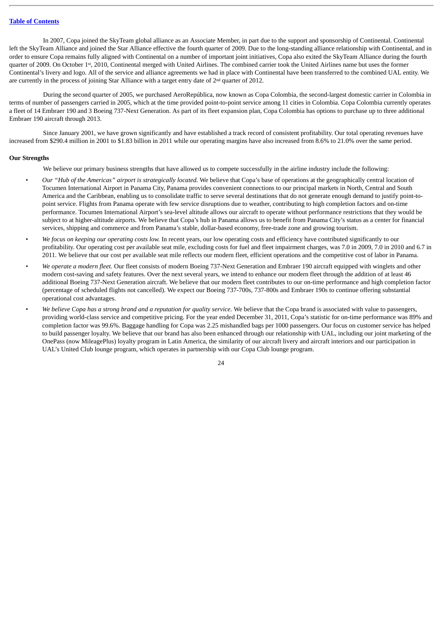In 2007, Copa joined the SkyTeam global alliance as an Associate Member, in part due to the support and sponsorship of Continental. Continental left the SkyTeam Alliance and joined the Star Alliance effective the fourth quarter of 2009. Due to the long-standing alliance relationship with Continental, and in order to ensure Copa remains fully aligned with Continental on a number of important joint initiatives, Copa also exited the SkyTeam Alliance during the fourth quarter of 2009. On October 1st, 2010, Continental merged with United Airlines. The combined carrier took the United Airlines name but uses the former Continental's livery and logo. All of the service and alliance agreements we had in place with Continental have been transferred to the combined UAL entity. We are currently in the process of joining Star Alliance with a target entry date of  $2<sup>nd</sup>$  quarter of 2012.

During the second quarter of 2005, we purchased AeroRepública, now known as Copa Colombia, the second-largest domestic carrier in Colombia in terms of number of passengers carried in 2005, which at the time provided point-to-point service among 11 cities in Colombia. Copa Colombia currently operates a fleet of 14 Embraer 190 and 3 Boeing 737-Next Generation. As part of its fleet expansion plan, Copa Colombia has options to purchase up to three additional Embraer 190 aircraft through 2013.

Since January 2001, we have grown significantly and have established a track record of consistent profitability. Our total operating revenues have increased from \$290.4 million in 2001 to \$1.83 billion in 2011 while our operating margins have also increased from 8.6% to 21.0% over the same period.

# **Our Strengths**

We believe our primary business strengths that have allowed us to compete successfully in the airline industry include the following:

- *Our "Hub of the Americas" airport is strategically located.* We believe that Copa's base of operations at the geographically central location of Tocumen International Airport in Panama City, Panama provides convenient connections to our principal markets in North, Central and South America and the Caribbean, enabling us to consolidate traffic to serve several destinations that do not generate enough demand to justify point-topoint service. Flights from Panama operate with few service disruptions due to weather, contributing to high completion factors and on-time performance. Tocumen International Airport's sea-level altitude allows our aircraft to operate without performance restrictions that they would be subject to at higher-altitude airports. We believe that Copa's hub in Panama allows us to benefit from Panama City's status as a center for financial services, shipping and commerce and from Panama's stable, dollar-based economy, free-trade zone and growing tourism.
- *We focus on keeping our operating costs low.* In recent years, our low operating costs and efficiency have contributed significantly to our profitability. Our operating cost per available seat mile, excluding costs for fuel and fleet impairment charges, was 7.0 in 2009, 7.0 in 2010 and 6.7 in 2011. We believe that our cost per available seat mile reflects our modern fleet, efficient operations and the competitive cost of labor in Panama.
- *We operate a modern fleet.* Our fleet consists of modern Boeing 737-Next Generation and Embraer 190 aircraft equipped with winglets and other modern cost-saving and safety features. Over the next several years, we intend to enhance our modern fleet through the addition of at least 46 additional Boeing 737-Next Generation aircraft. We believe that our modern fleet contributes to our on-time performance and high completion factor (percentage of scheduled flights not cancelled). We expect our Boeing 737-700s, 737-800s and Embraer 190s to continue offering substantial operational cost advantages.
- *We believe Copa has a strong brand and a reputation for quality service.* We believe that the Copa brand is associated with value to passengers, providing world-class service and competitive pricing. For the year ended December 31, 2011, Copa's statistic for on-time performance was 89% and completion factor was 99.6%. Baggage handling for Copa was 2.25 mishandled bags per 1000 passengers. Our focus on customer service has helped to build passenger loyalty. We believe that our brand has also been enhanced through our relationship with UAL, including our joint marketing of the OnePass (now MileagePlus) loyalty program in Latin America, the similarity of our aircraft livery and aircraft interiors and our participation in UAL's United Club lounge program, which operates in partnership with our Copa Club lounge program.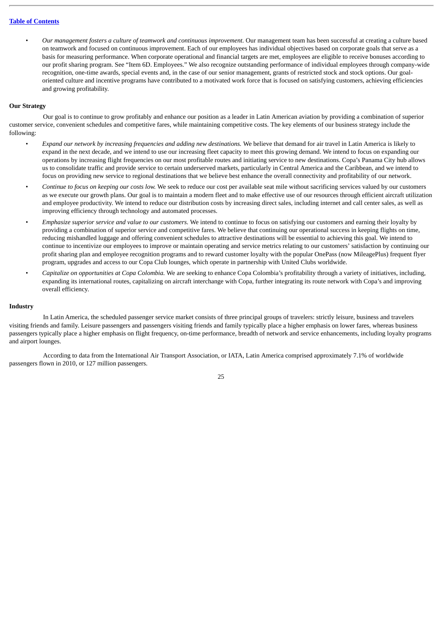• *Our management fosters a culture of teamwork and continuous improvement.* Our management team has been successful at creating a culture based on teamwork and focused on continuous improvement. Each of our employees has individual objectives based on corporate goals that serve as a basis for measuring performance. When corporate operational and financial targets are met, employees are eligible to receive bonuses according to our profit sharing program. See "Item 6D. Employees." We also recognize outstanding performance of individual employees through company-wide recognition, one-time awards, special events and, in the case of our senior management, grants of restricted stock and stock options. Our goaloriented culture and incentive programs have contributed to a motivated work force that is focused on satisfying customers, achieving efficiencies and growing profitability.

# **Our Strategy**

Our goal is to continue to grow profitably and enhance our position as a leader in Latin American aviation by providing a combination of superior customer service, convenient schedules and competitive fares, while maintaining competitive costs. The key elements of our business strategy include the following:

- *Expand our network by increasing frequencies and adding new destinations.* We believe that demand for air travel in Latin America is likely to expand in the next decade, and we intend to use our increasing fleet capacity to meet this growing demand. We intend to focus on expanding our operations by increasing flight frequencies on our most profitable routes and initiating service to new destinations. Copa's Panama City hub allows us to consolidate traffic and provide service to certain underserved markets, particularly in Central America and the Caribbean, and we intend to focus on providing new service to regional destinations that we believe best enhance the overall connectivity and profitability of our network.
- *Continue to focus on keeping our costs low.* We seek to reduce our cost per available seat mile without sacrificing services valued by our customers as we execute our growth plans. Our goal is to maintain a modern fleet and to make effective use of our resources through efficient aircraft utilization and employee productivity. We intend to reduce our distribution costs by increasing direct sales, including internet and call center sales, as well as improving efficiency through technology and automated processes.
- *Emphasize superior service and value to our customers.* We intend to continue to focus on satisfying our customers and earning their loyalty by providing a combination of superior service and competitive fares. We believe that continuing our operational success in keeping flights on time, reducing mishandled luggage and offering convenient schedules to attractive destinations will be essential to achieving this goal. We intend to continue to incentivize our employees to improve or maintain operating and service metrics relating to our customers' satisfaction by continuing our profit sharing plan and employee recognition programs and to reward customer loyalty with the popular OnePass (now MileagePlus) frequent flyer program, upgrades and access to our Copa Club lounges, which operate in partnership with United Clubs worldwide.
- *Capitalize on opportunities at Copa Colombia.* We are seeking to enhance Copa Colombia's profitability through a variety of initiatives, including, expanding its international routes, capitalizing on aircraft interchange with Copa, further integrating its route network with Copa's and improving overall efficiency.

# **Industry**

In Latin America, the scheduled passenger service market consists of three principal groups of travelers: strictly leisure, business and travelers visiting friends and family. Leisure passengers and passengers visiting friends and family typically place a higher emphasis on lower fares, whereas business passengers typically place a higher emphasis on flight frequency, on-time performance, breadth of network and service enhancements, including loyalty programs and airport lounges.

According to data from the International Air Transport Association, or IATA, Latin America comprised approximately 7.1% of worldwide passengers flown in 2010, or 127 million passengers.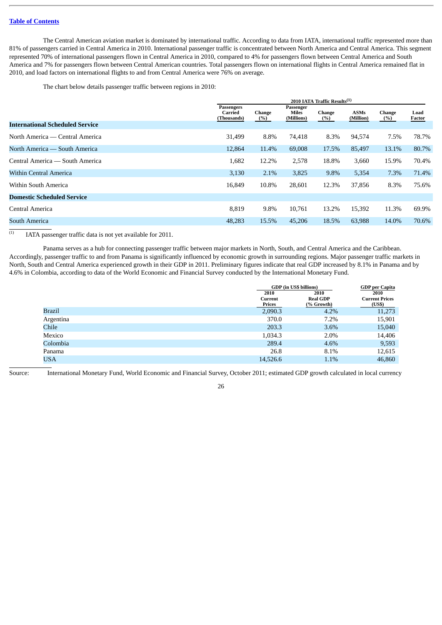The Central American aviation market is dominated by international traffic. According to data from IATA, international traffic represented more than 81% of passengers carried in Central America in 2010. International passenger traffic is concentrated between North America and Central America. This segment represented 70% of international passengers flown in Central America in 2010, compared to 4% for passengers flown between Central America and South America and 7% for passengers flown between Central American countries. Total passengers flown on international flights in Central America remained flat in 2010, and load factors on international flights to and from Central America were 76% on average.

The chart below details passenger traffic between regions in 2010:

|                                        | 2010 IATA Traffic Results <sup>(1)</sup> |                         |                                         |                  |                          |                  |                |
|----------------------------------------|------------------------------------------|-------------------------|-----------------------------------------|------------------|--------------------------|------------------|----------------|
|                                        | Passengers<br>Carried<br>(Thousands)     | <b>Change</b><br>$(\%)$ | Passenger<br><b>Miles</b><br>(Millions) | Change<br>$(\%)$ | <b>ASMs</b><br>(Million) | Change<br>$(\%)$ | Load<br>Factor |
| <b>International Scheduled Service</b> |                                          |                         |                                         |                  |                          |                  |                |
| North America — Central America        | 31,499                                   | 8.8%                    | 74,418                                  | 8.3%             | 94,574                   | 7.5%             | 78.7%          |
| North America — South America          | 12,864                                   | 11.4%                   | 69,008                                  | 17.5%            | 85,497                   | 13.1%            | 80.7%          |
| Central America — South America        | 1,682                                    | 12.2%                   | 2,578                                   | 18.8%            | 3,660                    | 15.9%            | 70.4%          |
| Within Central America                 | 3,130                                    | 2.1%                    | 3,825                                   | 9.8%             | 5,354                    | 7.3%             | 71.4%          |
| Within South America                   | 16,849                                   | 10.8%                   | 28,601                                  | 12.3%            | 37,856                   | 8.3%             | 75.6%          |
| <b>Domestic Scheduled Service</b>      |                                          |                         |                                         |                  |                          |                  |                |
| Central America                        | 8,819                                    | 9.8%                    | 10,761                                  | 13.2%            | 15,392                   | 11.3%            | 69.9%          |
| South America                          | 48,283                                   | 15.5%                   | 45,206                                  | 18.5%            | 63.988                   | 14.0%            | 70.6%          |

IATA passenger traffic data is not yet available for 2011.  $\overline{(1)}$ 

Panama serves as a hub for connecting passenger traffic between major markets in North, South, and Central America and the Caribbean. Accordingly, passenger traffic to and from Panama is significantly influenced by economic growth in surrounding regions. Major passenger traffic markets in North, South and Central America experienced growth in their GDP in 2011. Preliminary figures indicate that real GDP increased by 8.1% in Panama and by 4.6% in Colombia, according to data of the World Economic and Financial Survey conducted by the International Monetary Fund.

|           |                 | GDP (in US\$ billions)  | <b>GDP</b> per Capita         |
|-----------|-----------------|-------------------------|-------------------------------|
|           | 2010<br>Current | 2010<br><b>Real GDP</b> | 2010<br><b>Current Prices</b> |
|           | Prices          | (% Growth)              | (US\$)                        |
| Brazil    | 2,090.3         | 4.2%                    | 11,273                        |
| Argentina | 370.0           | 7.2%                    | 15,901                        |
| Chile     | 203.3           | 3.6%                    | 15,040                        |
| Mexico    | 1,034.3         | 2.0%                    | 14,406                        |
| Colombia  | 289.4           | 4.6%                    | 9,593                         |
| Panama    | 26.8            | 8.1%                    | 12,615                        |
| USA       | 14,526.6        | 1.1%                    | 46,860                        |
|           |                 |                         |                               |

Source: International Monetary Fund, World Economic and Financial Survey, October 2011; estimated GDP growth calculated in local currency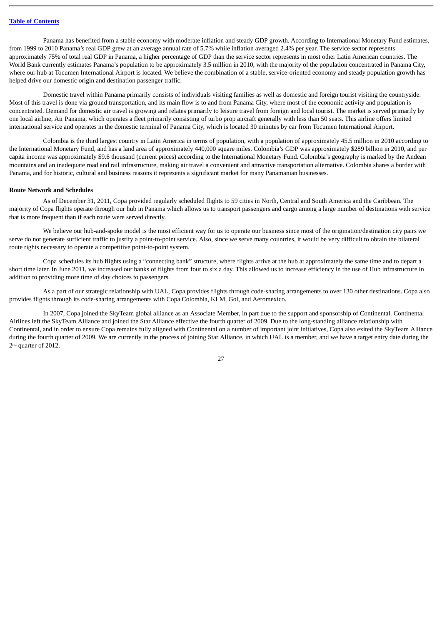Panama has benefited from a stable economy with moderate inflation and steady GDP growth. According to International Monetary Fund estimates, from 1999 to 2010 Panama's real GDP grew at an average annual rate of 5.7% while inflation averaged 2.4% per year. The service sector represents approximately 75% of total real GDP in Panama, a higher percentage of GDP than the service sector represents in most other Latin American countries. The World Bank currently estimates Panama's population to be approximately 3.5 million in 2010, with the majority of the population concentrated in Panama City, where our hub at Tocumen International Airport is located. We believe the combination of a stable, service-oriented economy and steady population growth has helped drive our domestic origin and destination passenger traffic.

Domestic travel within Panama primarily consists of individuals visiting families as well as domestic and foreign tourist visiting the countryside. Most of this travel is done via ground transportation, and its main flow is to and from Panama City, where most of the economic activity and population is concentrated. Demand for domestic air travel is growing and relates primarily to leisure travel from foreign and local tourist. The market is served primarily by one local airline, Air Panama, which operates a fleet primarily consisting of turbo prop aircraft generally with less than 50 seats. This airline offers limited international service and operates in the domestic terminal of Panama City, which is located 30 minutes by car from Tocumen International Airport.

Colombia is the third largest country in Latin America in terms of population, with a population of approximately 45.5 million in 2010 according to the International Monetary Fund, and has a land area of approximately 440,000 square miles. Colombia's GDP was approximately \$289 billion in 2010, and per capita income was approximately \$9.6 thousand (current prices) according to the International Monetary Fund. Colombia's geography is marked by the Andean mountains and an inadequate road and rail infrastructure, making air travel a convenient and attractive transportation alternative. Colombia shares a border with Panama, and for historic, cultural and business reasons it represents a significant market for many Panamanian businesses.

# **Route Network and Schedules**

As of December 31, 2011, Copa provided regularly scheduled flights to 59 cities in North, Central and South America and the Caribbean. The majority of Copa flights operate through our hub in Panama which allows us to transport passengers and cargo among a large number of destinations with service that is more frequent than if each route were served directly.

We believe our hub-and-spoke model is the most efficient way for us to operate our business since most of the origination/destination city pairs we serve do not generate sufficient traffic to justify a point-to-point service. Also, since we serve many countries, it would be very difficult to obtain the bilateral route rights necessary to operate a competitive point-to-point system.

Copa schedules its hub flights using a "connecting bank" structure, where flights arrive at the hub at approximately the same time and to depart a short time later. In June 2011, we increased our banks of flights from four to six a day. This allowed us to increase efficiency in the use of Hub infrastructure in addition to providing more time of day choices to passengers.

As a part of our strategic relationship with UAL, Copa provides flights through code-sharing arrangements to over 130 other destinations. Copa also provides flights through its code-sharing arrangements with Copa Colombia, KLM, Gol, and Aeromexico.

In 2007, Copa joined the SkyTeam global alliance as an Associate Member, in part due to the support and sponsorship of Continental. Continental Airlines left the SkyTeam Alliance and joined the Star Alliance effective the fourth quarter of 2009. Due to the long-standing alliance relationship with Continental, and in order to ensure Copa remains fully aligned with Continental on a number of important joint initiatives, Copa also exited the SkyTeam Alliance during the fourth quarter of 2009. We are currently in the process of joining Star Alliance, in which UAL is a member, and we have a target entry date during the 2<sup>nd</sup> quarter of 2012.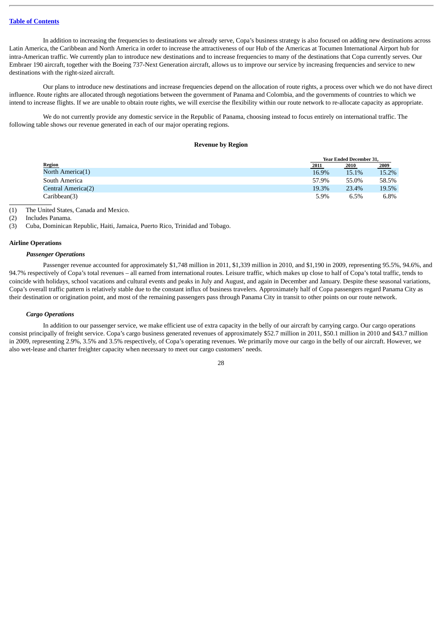In addition to increasing the frequencies to destinations we already serve, Copa's business strategy is also focused on adding new destinations across Latin America, the Caribbean and North America in order to increase the attractiveness of our Hub of the Americas at Tocumen International Airport hub for intra-American traffic. We currently plan to introduce new destinations and to increase frequencies to many of the destinations that Copa currently serves. Our Embraer 190 aircraft, together with the Boeing 737-Next Generation aircraft, allows us to improve our service by increasing frequencies and service to new destinations with the right-sized aircraft.

Our plans to introduce new destinations and increase frequencies depend on the allocation of route rights, a process over which we do not have direct influence. Route rights are allocated through negotiations between the government of Panama and Colombia, and the governments of countries to which we intend to increase flights. If we are unable to obtain route rights, we will exercise the flexibility within our route network to re-allocate capacity as appropriate.

We do not currently provide any domestic service in the Republic of Panama, choosing instead to focus entirely on international traffic. The following table shows our revenue generated in each of our major operating regions.

# **Revenue by Region**

|                    |       | <b>Year Ended December 31.</b> |       |  |
|--------------------|-------|--------------------------------|-------|--|
| <b>Region</b>      | 2011  | 2010                           | 2009  |  |
| North America(1)   | 16.9% | 15.1%                          | 15.2% |  |
| South America      | 57.9% | 55.0%                          | 58.5% |  |
| Central America(2) | 19.3% | 23.4%                          | 19.5% |  |
| Caribbean(3)       | 5.9%  | 6.5%                           | 6.8%  |  |

(1) The United States, Canada and Mexico.

(2) Includes Panama.

(3) Cuba, Dominican Republic, Haiti, Jamaica, Puerto Rico, Trinidad and Tobago.

#### **Airline Operations**

#### *Passenger Operations*

Passenger revenue accounted for approximately \$1,748 million in 2011, \$1,339 million in 2010, and \$1,190 in 2009, representing 95.5%, 94.6%, and 94.7% respectively of Copa's total revenues – all earned from international routes. Leisure traffic, which makes up close to half of Copa's total traffic, tends to coincide with holidays, school vacations and cultural events and peaks in July and August, and again in December and January. Despite these seasonal variations, Copa's overall traffic pattern is relatively stable due to the constant influx of business travelers. Approximately half of Copa passengers regard Panama City as their destination or origination point, and most of the remaining passengers pass through Panama City in transit to other points on our route network.

# *Cargo Operations*

In addition to our passenger service, we make efficient use of extra capacity in the belly of our aircraft by carrying cargo. Our cargo operations consist principally of freight service. Copa's cargo business generated revenues of approximately \$52.7 million in 2011, \$50.1 million in 2010 and \$43.7 million in 2009, representing 2.9%, 3.5% and 3.5% respectively, of Copa's operating revenues. We primarily move our cargo in the belly of our aircraft. However, we also wet-lease and charter freighter capacity when necessary to meet our cargo customers' needs.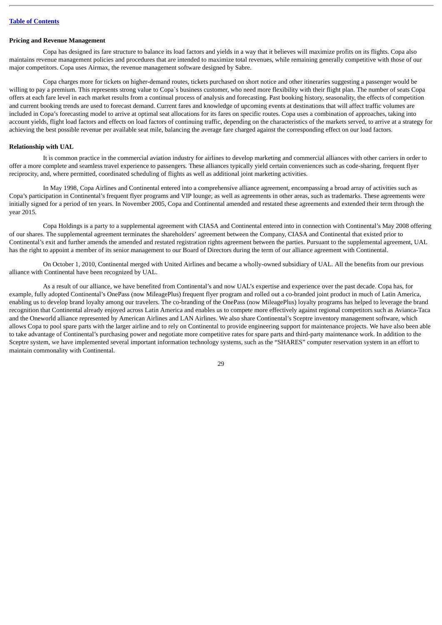#### **Pricing and Revenue Management**

Copa has designed its fare structure to balance its load factors and yields in a way that it believes will maximize profits on its flights. Copa also maintains revenue management policies and procedures that are intended to maximize total revenues, while remaining generally competitive with those of our major competitors. Copa uses Airmax, the revenue management software designed by Sabre.

Copa charges more for tickets on higher-demand routes, tickets purchased on short notice and other itineraries suggesting a passenger would be willing to pay a premium. This represents strong value to Copa`s business customer, who need more flexibility with their flight plan. The number of seats Copa offers at each fare level in each market results from a continual process of analysis and forecasting. Past booking history, seasonality, the effects of competition and current booking trends are used to forecast demand. Current fares and knowledge of upcoming events at destinations that will affect traffic volumes are included in Copa's forecasting model to arrive at optimal seat allocations for its fares on specific routes. Copa uses a combination of approaches, taking into account yields, flight load factors and effects on load factors of continuing traffic, depending on the characteristics of the markets served, to arrive at a strategy for achieving the best possible revenue per available seat mile, balancing the average fare charged against the corresponding effect on our load factors.

#### **Relationship with UAL**

It is common practice in the commercial aviation industry for airlines to develop marketing and commercial alliances with other carriers in order to offer a more complete and seamless travel experience to passengers. These alliances typically yield certain conveniences such as code-sharing, frequent flyer reciprocity, and, where permitted, coordinated scheduling of flights as well as additional joint marketing activities.

In May 1998, Copa Airlines and Continental entered into a comprehensive alliance agreement, encompassing a broad array of activities such as Copa's participation in Continental's frequent flyer programs and VIP lounge; as well as agreements in other areas, such as trademarks. These agreements were initially signed for a period of ten years. In November 2005, Copa and Continental amended and restated these agreements and extended their term through the year 2015.

Copa Holdings is a party to a supplemental agreement with CIASA and Continental entered into in connection with Continental's May 2008 offering of our shares. The supplemental agreement terminates the shareholders' agreement between the Company, CIASA and Continental that existed prior to Continental's exit and further amends the amended and restated registration rights agreement between the parties. Pursuant to the supplemental agreement, UAL has the right to appoint a member of its senior management to our Board of Directors during the term of our alliance agreement with Continental.

On October 1, 2010, Continental merged with United Airlines and became a wholly-owned subsidiary of UAL. All the benefits from our previous alliance with Continental have been recognized by UAL.

As a result of our alliance, we have benefited from Continental's and now UAL's expertise and experience over the past decade. Copa has, for example, fully adopted Continental's OnePass (now MileagePlus) frequent flyer program and rolled out a co-branded joint product in much of Latin America, enabling us to develop brand loyalty among our travelers. The co-branding of the OnePass (now MileagePlus) loyalty programs has helped to leverage the brand recognition that Continental already enjoyed across Latin America and enables us to compete more effectively against regional competitors such as Avianca-Taca and the Oneworld alliance represented by American Airlines and LAN Airlines. We also share Continental's Sceptre inventory management software, which allows Copa to pool spare parts with the larger airline and to rely on Continental to provide engineering support for maintenance projects. We have also been able to take advantage of Continental's purchasing power and negotiate more competitive rates for spare parts and third-party maintenance work. In addition to the Sceptre system, we have implemented several important information technology systems, such as the "SHARES" computer reservation system in an effort to maintain commonality with Continental.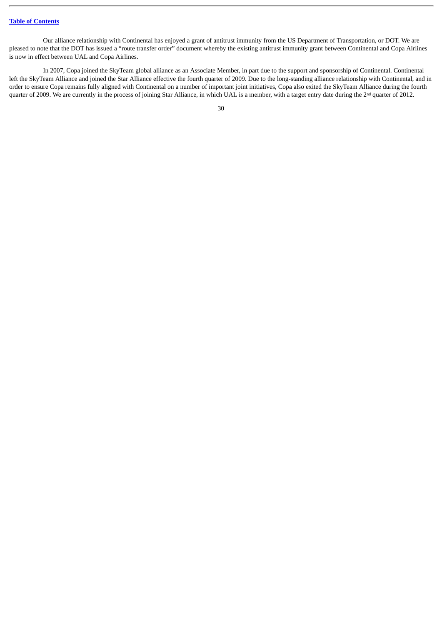Our alliance relationship with Continental has enjoyed a grant of antitrust immunity from the US Department of Transportation, or DOT. We are pleased to note that the DOT has issued a "route transfer order" document whereby the existing antitrust immunity grant between Continental and Copa Airlines is now in effect between UAL and Copa Airlines.

In 2007, Copa joined the SkyTeam global alliance as an Associate Member, in part due to the support and sponsorship of Continental. Continental left the SkyTeam Alliance and joined the Star Alliance effective the fourth quarter of 2009. Due to the long-standing alliance relationship with Continental, and in order to ensure Copa remains fully aligned with Continental on a number of important joint initiatives, Copa also exited the SkyTeam Alliance during the fourth quarter of 2009. We are currently in the process of joining Star Alliance, in which UAL is a member, with a target entry date during the 2<sup>nd</sup> quarter of 2012.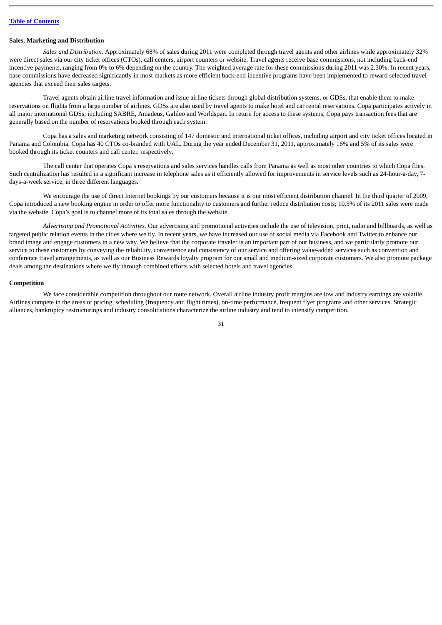# **Sales, Marketing and Distribution**

*Sales and Distribution.* Approximately 68% of sales during 2011 were completed through travel agents and other airlines while approximately 32% were direct sales via our city ticket offices (CTOs), call centers, airport counters or website. Travel agents receive base commissions, not including back-end incentive payments, ranging from 0% to 6% depending on the country. The weighted average rate for these commissions during 2011 was 2.30%. In recent years, base commissions have decreased significantly in most markets as more efficient back-end incentive programs have been implemented to reward selected travel agencies that exceed their sales targets.

Travel agents obtain airline travel information and issue airline tickets through global distribution systems, or GDSs, that enable them to make reservations on flights from a large number of airlines. GDSs are also used by travel agents to make hotel and car rental reservations. Copa participates actively in all major international GDSs, including SABRE, Amadeus, Galileo and Worldspan. In return for access to these systems, Copa pays transaction fees that are generally based on the number of reservations booked through each system.

Copa has a sales and marketing network consisting of 147 domestic and international ticket offices, including airport and city ticket offices located in Panama and Colombia. Copa has 40 CTOs co-branded with UAL. During the year ended December 31, 2011, approximately 16% and 5% of its sales were booked through its ticket counters and call center, respectively.

The call center that operates Copa's reservations and sales services handles calls from Panama as well as most other countries to which Copa flies. Such centralization has resulted in a significant increase in telephone sales as it efficiently allowed for improvements in service levels such as 24-hour-a-day, 7 days-a-week service, in three different languages.

We encourage the use of direct Internet bookings by our customers because it is our most efficient distribution channel. In the third quarter of 2009, Copa introduced a new booking engine in order to offer more functionality to customers and further reduce distribution costs; 10.5% of its 2011 sales were made via the website. Copa's goal is to channel more of its total sales through the website.

*Advertising and Promotional Activities.* Our advertising and promotional activities include the use of television, print, radio and billboards, as well as targeted public relation events in the cities where we fly. In recent years, we have increased our use of social media via Facebook and Twitter to enhance our brand image and engage customers in a new way. We believe that the corporate traveler is an important part of our business, and we particularly promote our service to these customers by conveying the reliability, convenience and consistency of our service and offering value-added services such as convention and conference travel arrangements, as well as our Business Rewards loyalty program for our small and medium-sized corporate customers. We also promote package deals among the destinations where we fly through combined efforts with selected hotels and travel agencies.

# **Competition**

We face considerable competition throughout our route network. Overall airline industry profit margins are low and industry earnings are volatile. Airlines compete in the areas of pricing, scheduling (frequency and flight times), on-time performance, frequent flyer programs and other services. Strategic alliances, bankruptcy restructurings and industry consolidations characterize the airline industry and tend to intensify competition.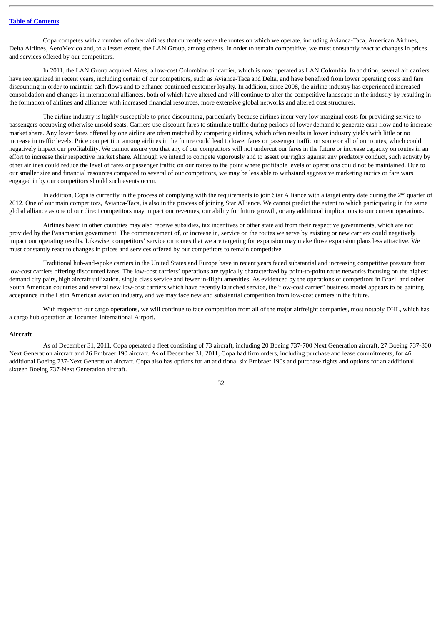Copa competes with a number of other airlines that currently serve the routes on which we operate, including Avianca-Taca, American Airlines, Delta Airlines, AeroMexico and, to a lesser extent, the LAN Group, among others. In order to remain competitive, we must constantly react to changes in prices and services offered by our competitors.

In 2011, the LAN Group acquired Aires, a low-cost Colombian air carrier, which is now operated as LAN Colombia. In addition, several air carriers have reorganized in recent years, including certain of our competitors, such as Avianca-Taca and Delta, and have benefited from lower operating costs and fare discounting in order to maintain cash flows and to enhance continued customer loyalty. In addition, since 2008, the airline industry has experienced increased consolidation and changes in international alliances, both of which have altered and will continue to alter the competitive landscape in the industry by resulting in the formation of airlines and alliances with increased financial resources, more extensive global networks and altered cost structures.

The airline industry is highly susceptible to price discounting, particularly because airlines incur very low marginal costs for providing service to passengers occupying otherwise unsold seats. Carriers use discount fares to stimulate traffic during periods of lower demand to generate cash flow and to increase market share. Any lower fares offered by one airline are often matched by competing airlines, which often results in lower industry yields with little or no increase in traffic levels. Price competition among airlines in the future could lead to lower fares or passenger traffic on some or all of our routes, which could negatively impact our profitability. We cannot assure you that any of our competitors will not undercut our fares in the future or increase capacity on routes in an effort to increase their respective market share. Although we intend to compete vigorously and to assert our rights against any predatory conduct, such activity by other airlines could reduce the level of fares or passenger traffic on our routes to the point where profitable levels of operations could not be maintained. Due to our smaller size and financial resources compared to several of our competitors, we may be less able to withstand aggressive marketing tactics or fare wars engaged in by our competitors should such events occur.

In addition, Copa is currently in the process of complying with the requirements to join Star Alliance with a target entry date during the  $2<sup>nd</sup>$  quarter of 2012. One of our main competitors, Avianca-Taca, is also in the process of joining Star Alliance. We cannot predict the extent to which participating in the same global alliance as one of our direct competitors may impact our revenues, our ability for future growth, or any additional implications to our current operations.

Airlines based in other countries may also receive subsidies, tax incentives or other state aid from their respective governments, which are not provided by the Panamanian government. The commencement of, or increase in, service on the routes we serve by existing or new carriers could negatively impact our operating results. Likewise, competitors' service on routes that we are targeting for expansion may make those expansion plans less attractive. We must constantly react to changes in prices and services offered by our competitors to remain competitive.

Traditional hub-and-spoke carriers in the United States and Europe have in recent years faced substantial and increasing competitive pressure from low-cost carriers offering discounted fares. The low-cost carriers' operations are typically characterized by point-to-point route networks focusing on the highest demand city pairs, high aircraft utilization, single class service and fewer in-flight amenities. As evidenced by the operations of competitors in Brazil and other South American countries and several new low-cost carriers which have recently launched service, the "low-cost carrier" business model appears to be gaining acceptance in the Latin American aviation industry, and we may face new and substantial competition from low-cost carriers in the future.

With respect to our cargo operations, we will continue to face competition from all of the major airfreight companies, most notably DHL, which has a cargo hub operation at Tocumen International Airport.

#### **Aircraft**

As of December 31, 2011, Copa operated a fleet consisting of 73 aircraft, including 20 Boeing 737-700 Next Generation aircraft, 27 Boeing 737-800 Next Generation aircraft and 26 Embraer 190 aircraft. As of December 31, 2011, Copa had firm orders, including purchase and lease commitments, for 46 additional Boeing 737-Next Generation aircraft. Copa also has options for an additional six Embraer 190s and purchase rights and options for an additional sixteen Boeing 737-Next Generation aircraft.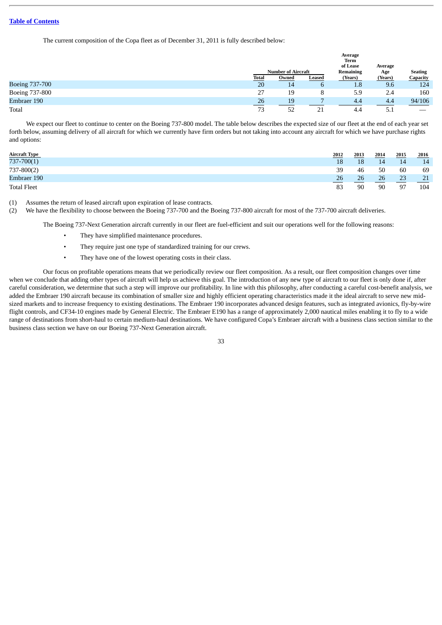The current composition of the Copa fleet as of December 31, 2011 is fully described below:

|                |              | <b>Number of Aircraft</b> |        |         | Average<br>Age | <b>Seating</b>  |
|----------------|--------------|---------------------------|--------|---------|----------------|-----------------|
|                | <u>Total</u> | Owned                     | Leased | (Years) | (Years)        | <b>Capacity</b> |
| Boeing 737-700 | 20           | 14                        | b      | 1.8     | 9.6            | 124             |
| Boeing 737-800 | 27           | 19                        | 8      | 5.9     | 2.4            | 160             |
| Embraer 190    | 26           | 19                        |        | 4.4     | 4.4            | 94/106          |
| Total          | 73           | 52                        | 21     | 4.4     | 5.1            |                 |

We expect our fleet to continue to center on the Boeing 737-800 model. The table below describes the expected size of our fleet at the end of each year set forth below, assuming delivery of all aircraft for which we currently have firm orders but not taking into account any aircraft for which we have purchase rights and options:

| <b>Aircraft Type</b> | 2012 | 2013 | 2014<br>_____ | 2015 | 2016 |
|----------------------|------|------|---------------|------|------|
| 737-700(1)           | 18   | 18   | 14            | 14   | 14   |
| 737-800(2)           | 39   | 46   | 50            | 60   | 69   |
| Embraer 190          | 26   | 26   | 26            | 23   | 21   |
| <b>Total Fleet</b>   | 83   | 90   | 90            | 97   | 104  |

(1) Assumes the return of leased aircraft upon expiration of lease contracts.

(2) We have the flexibility to choose between the Boeing 737-700 and the Boeing 737-800 aircraft for most of the 737-700 aircraft deliveries.

The Boeing 737-Next Generation aircraft currently in our fleet are fuel-efficient and suit our operations well for the following reasons:

- They have simplified maintenance procedures.
- They require just one type of standardized training for our crews.
- They have one of the lowest operating costs in their class.

Our focus on profitable operations means that we periodically review our fleet composition. As a result, our fleet composition changes over time when we conclude that adding other types of aircraft will help us achieve this goal. The introduction of any new type of aircraft to our fleet is only done if, after careful consideration, we determine that such a step will improve our profitability. In line with this philosophy, after conducting a careful cost-benefit analysis, we added the Embraer 190 aircraft because its combination of smaller size and highly efficient operating characteristics made it the ideal aircraft to serve new midsized markets and to increase frequency to existing destinations. The Embraer 190 incorporates advanced design features, such as integrated avionics, fly-by-wire flight controls, and CF34-10 engines made by General Electric. The Embraer E190 has a range of approximately 2,000 nautical miles enabling it to fly to a wide range of destinations from short-haul to certain medium-haul destinations. We have configured Copa's Embraer aircraft with a business class section similar to the business class section we have on our Boeing 737-Next Generation aircraft.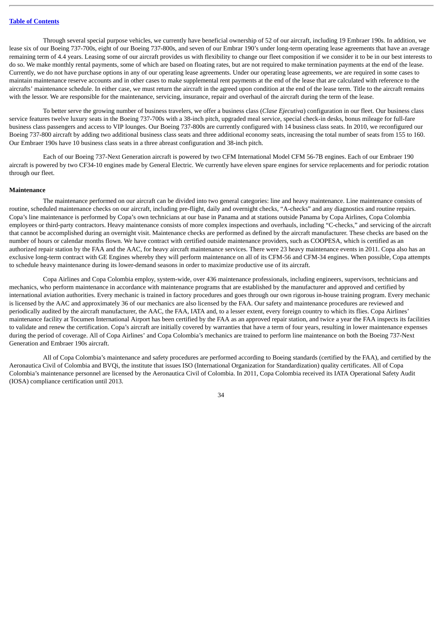Through several special purpose vehicles, we currently have beneficial ownership of 52 of our aircraft, including 19 Embraer 190s. In addition, we lease six of our Boeing 737-700s, eight of our Boeing 737-800s, and seven of our Embrar 190's under long-term operating lease agreements that have an average remaining term of 4.4 years. Leasing some of our aircraft provides us with flexibility to change our fleet composition if we consider it to be in our best interests to do so. We make monthly rental payments, some of which are based on floating rates, but are not required to make termination payments at the end of the lease. Currently, we do not have purchase options in any of our operating lease agreements. Under our operating lease agreements, we are required in some cases to maintain maintenance reserve accounts and in other cases to make supplemental rent payments at the end of the lease that are calculated with reference to the aircrafts' maintenance schedule. In either case, we must return the aircraft in the agreed upon condition at the end of the lease term. Title to the aircraft remains with the lessor. We are responsible for the maintenance, servicing, insurance, repair and overhaul of the aircraft during the term of the lease.

To better serve the growing number of business travelers, we offer a business class (*Clase Ejecutiva*) configuration in our fleet. Our business class service features twelve luxury seats in the Boeing 737-700s with a 38-inch pitch, upgraded meal service, special check-in desks, bonus mileage for full-fare business class passengers and access to VIP lounges. Our Boeing 737-800s are currently configured with 14 business class seats. In 2010, we reconfigured our Boeing 737-800 aircraft by adding two additional business class seats and three additional economy seats, increasing the total number of seats from 155 to 160. Our Embraer 190s have 10 business class seats in a three abreast configuration and 38-inch pitch.

Each of our Boeing 737-Next Generation aircraft is powered by two CFM International Model CFM 56-7B engines. Each of our Embraer 190 aircraft is powered by two CF34-10 engines made by General Electric. We currently have eleven spare engines for service replacements and for periodic rotation through our fleet.

#### **Maintenance**

The maintenance performed on our aircraft can be divided into two general categories: line and heavy maintenance. Line maintenance consists of routine, scheduled maintenance checks on our aircraft, including pre-flight, daily and overnight checks, "A-checks" and any diagnostics and routine repairs. Copa's line maintenance is performed by Copa's own technicians at our base in Panama and at stations outside Panama by Copa Airlines, Copa Colombia employees or third-party contractors. Heavy maintenance consists of more complex inspections and overhauls, including "C-checks," and servicing of the aircraft that cannot be accomplished during an overnight visit. Maintenance checks are performed as defined by the aircraft manufacturer. These checks are based on the number of hours or calendar months flown. We have contract with certified outside maintenance providers, such as COOPESA, which is certified as an authorized repair station by the FAA and the AAC, for heavy aircraft maintenance services. There were 23 heavy maintenance events in 2011. Copa also has an exclusive long-term contract with GE Engines whereby they will perform maintenance on all of its CFM-56 and CFM-34 engines. When possible, Copa attempts to schedule heavy maintenance during its lower-demand seasons in order to maximize productive use of its aircraft.

Copa Airlines and Copa Colombia employ, system-wide, over 436 maintenance professionals, including engineers, supervisors, technicians and mechanics, who perform maintenance in accordance with maintenance programs that are established by the manufacturer and approved and certified by international aviation authorities. Every mechanic is trained in factory procedures and goes through our own rigorous in-house training program. Every mechanic is licensed by the AAC and approximately 36 of our mechanics are also licensed by the FAA. Our safety and maintenance procedures are reviewed and periodically audited by the aircraft manufacturer, the AAC, the FAA, IATA and, to a lesser extent, every foreign country to which its flies. Copa Airlines' maintenance facility at Tocumen International Airport has been certified by the FAA as an approved repair station, and twice a year the FAA inspects its facilities to validate and renew the certification. Copa's aircraft are initially covered by warranties that have a term of four years, resulting in lower maintenance expenses during the period of coverage. All of Copa Airlines' and Copa Colombia's mechanics are trained to perform line maintenance on both the Boeing 737-Next Generation and Embraer 190s aircraft.

All of Copa Colombia's maintenance and safety procedures are performed according to Boeing standards (certified by the FAA), and certified by the Aeronautica Civil of Colombia and BVQi, the institute that issues ISO (International Organization for Standardization) quality certificates. All of Copa Colombia's maintenance personnel are licensed by the Aeronautica Civil of Colombia. In 2011, Copa Colombia received its IATA Operational Safety Audit (IOSA) compliance certification until 2013.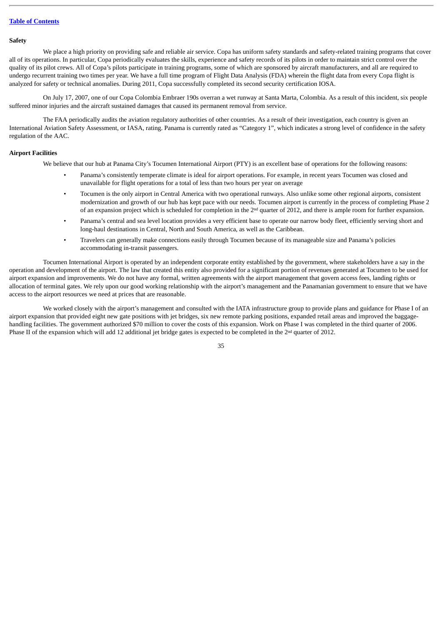# **Safety**

We place a high priority on providing safe and reliable air service. Copa has uniform safety standards and safety-related training programs that cover all of its operations. In particular, Copa periodically evaluates the skills, experience and safety records of its pilots in order to maintain strict control over the quality of its pilot crews. All of Copa's pilots participate in training programs, some of which are sponsored by aircraft manufacturers, and all are required to undergo recurrent training two times per year. We have a full time program of Flight Data Analysis (FDA) wherein the flight data from every Copa flight is analyzed for safety or technical anomalies. During 2011, Copa successfully completed its second security certification IOSA.

On July 17, 2007, one of our Copa Colombia Embraer 190s overran a wet runway at Santa Marta, Colombia. As a result of this incident, six people suffered minor injuries and the aircraft sustained damages that caused its permanent removal from service.

The FAA periodically audits the aviation regulatory authorities of other countries. As a result of their investigation, each country is given an International Aviation Safety Assessment, or IASA, rating. Panama is currently rated as "Category 1", which indicates a strong level of confidence in the safety regulation of the AAC.

### **Airport Facilities**

We believe that our hub at Panama City's Tocumen International Airport (PTY) is an excellent base of operations for the following reasons:

- Panama's consistently temperate climate is ideal for airport operations. For example, in recent years Tocumen was closed and unavailable for flight operations for a total of less than two hours per year on average
- Tocumen is the only airport in Central America with two operational runways. Also unlike some other regional airports, consistent modernization and growth of our hub has kept pace with our needs. Tocumen airport is currently in the process of completing Phase 2 of an expansion project which is scheduled for completion in the  $2<sup>nd</sup>$  quarter of 2012, and there is ample room for further expansion.
- Panama's central and sea level location provides a very efficient base to operate our narrow body fleet, efficiently serving short and long-haul destinations in Central, North and South America, as well as the Caribbean.
- Travelers can generally make connections easily through Tocumen because of its manageable size and Panama's policies accommodating in-transit passengers.

Tocumen International Airport is operated by an independent corporate entity established by the government, where stakeholders have a say in the operation and development of the airport. The law that created this entity also provided for a significant portion of revenues generated at Tocumen to be used for airport expansion and improvements. We do not have any formal, written agreements with the airport management that govern access fees, landing rights or allocation of terminal gates. We rely upon our good working relationship with the airport's management and the Panamanian government to ensure that we have access to the airport resources we need at prices that are reasonable.

We worked closely with the airport's management and consulted with the IATA infrastructure group to provide plans and guidance for Phase I of an airport expansion that provided eight new gate positions with jet bridges, six new remote parking positions, expanded retail areas and improved the baggagehandling facilities. The government authorized \$70 million to cover the costs of this expansion. Work on Phase I was completed in the third quarter of 2006. Phase II of the expansion which will add 12 additional jet bridge gates is expected to be completed in the  $2<sup>nd</sup>$  quarter of 2012.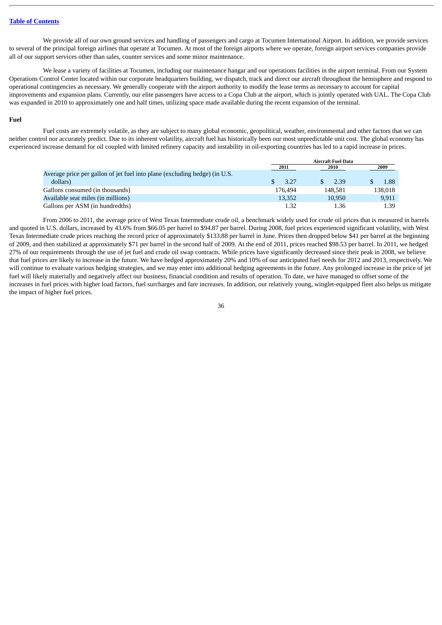We provide all of our own ground services and handling of passengers and cargo at Tocumen International Airport. In addition, we provide services to several of the principal foreign airlines that operate at Tocumen. At most of the foreign airports where we operate, foreign airport services companies provide all of our support services other than sales, counter services and some minor maintenance.

We lease a variety of facilities at Tocumen, including our maintenance hangar and our operations facilities in the airport terminal. From our System Operations Control Center located within our corporate headquarters building, we dispatch, track and direct our aircraft throughout the hemisphere and respond to operational contingencies as necessary. We generally cooperate with the airport authority to modify the lease terms as necessary to account for capital improvements and expansion plans. Currently, our elite passengers have access to a Copa Club at the airport, which is jointly operated with UAL. The Copa Club was expanded in 2010 to approximately one and half times, utilizing space made available during the recent expansion of the terminal.

### **Fuel**

Fuel costs are extremely volatile, as they are subject to many global economic, geopolitical, weather, environmental and other factors that we can neither control nor accurately predict. Due to its inherent volatility, aircraft fuel has historically been our most unpredictable unit cost. The global economy has experienced increase demand for oil coupled with limited refinery capacity and instability in oil-exporting countries has led to a rapid increase in prices.

|                                                                            |         | <b>Aircraft Fuel Data</b> |         |
|----------------------------------------------------------------------------|---------|---------------------------|---------|
|                                                                            | 2011    | 2010                      | 2009    |
| Average price per gallon of jet fuel into plane (excluding hedge) (in U.S. |         |                           |         |
| dollars)                                                                   | 3.27    | 2.39                      | 1.88    |
| Gallons consumed (in thousands)                                            | 176.494 | 148.581                   | 138,018 |
| Available seat miles (in millions)                                         | 13,352  | 10,950                    | 9,911   |
| Gallons per ASM (in hundredths)                                            | 1.32    | 1.36                      | 1.39    |

From 2006 to 2011, the average price of West Texas Intermediate crude oil, a benchmark widely used for crude oil prices that is measured in barrels and quoted in U.S. dollars, increased by 43.6% from \$66.05 per barrel to \$94.87 per barrel. During 2008, fuel prices experienced significant volatility, with West Texas Intermediate crude prices reaching the record price of approximately \$133.88 per barrel in June. Prices then dropped below \$41 per barrel at the beginning of 2009, and then stabilized at approximately \$71 per barrel in the second half of 2009. At the end of 2011, prices reached \$98.53 per barrel. In 2011, we hedged 27% of our requirements through the use of jet fuel and crude oil swap contracts. While prices have significantly decreased since their peak in 2008, we believe that fuel prices are likely to increase in the future. We have hedged approximately 20% and 10% of our anticipated fuel needs for 2012 and 2013, respectively. We will continue to evaluate various hedging strategies, and we may enter into additional hedging agreements in the future. Any prolonged increase in the price of jet fuel will likely materially and negatively affect our business, financial condition and results of operation. To date, we have managed to offset some of the increases in fuel prices with higher load factors, fuel surcharges and fare increases. In addition, our relatively young, winglet-equipped fleet also helps us mitigate the impact of higher fuel prices.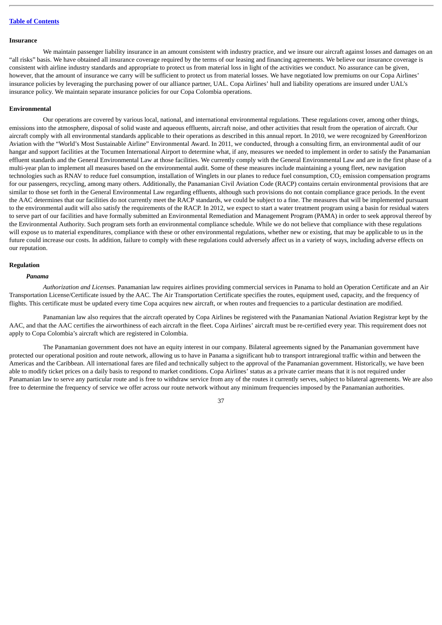### **Insurance**

We maintain passenger liability insurance in an amount consistent with industry practice, and we insure our aircraft against losses and damages on an "all risks" basis. We have obtained all insurance coverage required by the terms of our leasing and financing agreements. We believe our insurance coverage is consistent with airline industry standards and appropriate to protect us from material loss in light of the activities we conduct. No assurance can be given, however, that the amount of insurance we carry will be sufficient to protect us from material losses. We have negotiated low premiums on our Copa Airlines' insurance policies by leveraging the purchasing power of our alliance partner, UAL. Copa Airlines' hull and liability operations are insured under UAL's insurance policy. We maintain separate insurance policies for our Copa Colombia operations.

### **Environmental**

Our operations are covered by various local, national, and international environmental regulations. These regulations cover, among other things, emissions into the atmosphere, disposal of solid waste and aqueous effluents, aircraft noise, and other activities that result from the operation of aircraft. Our aircraft comply with all environmental standards applicable to their operations as described in this annual report. In 2010, we were recognized by GreenHorizon Aviation with the "World's Most Sustainable Airline" Environmental Award. In 2011, we conducted, through a consulting firm, an environmental audit of our hangar and support facilities at the Tocumen International Airport to determine what, if any, measures we needed to implement in order to satisfy the Panamanian effluent standards and the General Environmental Law at those facilities. We currently comply with the General Environmental Law and are in the first phase of a multi-year plan to implement all measures based on the environmental audit. Some of these measures include maintaining a young fleet, new navigation technologies such as RNAV to reduce fuel consumption, installation of Winglets in our planes to reduce fuel consumption,  $CO_2$  emission compensation programs for our passengers, recycling, among many others. Additionally, the Panamanian Civil Aviation Code (RACP) contains certain environmental provisions that are similar to those set forth in the General Environmental Law regarding effluents, although such provisions do not contain compliance grace periods. In the event the AAC determines that our facilities do not currently meet the RACP standards, we could be subject to a fine. The measures that will be implemented pursuant to the environmental audit will also satisfy the requirements of the RACP. In 2012, we expect to start a water treatment program using a basin for residual waters to serve part of our facilities and have formally submitted an Environmental Remediation and Management Program (PAMA) in order to seek approval thereof by the Environmental Authority. Such program sets forth an environmental compliance schedule. While we do not believe that compliance with these regulations will expose us to material expenditures, compliance with these or other environmental regulations, whether new or existing, that may be applicable to us in the future could increase our costs. In addition, failure to comply with these regulations could adversely affect us in a variety of ways, including adverse effects on our reputation.

### **Regulation**

#### *Panama*

*Authorization and Licenses.* Panamanian law requires airlines providing commercial services in Panama to hold an Operation Certificate and an Air Transportation License/Certificate issued by the AAC. The Air Transportation Certificate specifies the routes, equipment used, capacity, and the frequency of flights. This certificate must be updated every time Copa acquires new aircraft, or when routes and frequencies to a particular destination are modified.

Panamanian law also requires that the aircraft operated by Copa Airlines be registered with the Panamanian National Aviation Registrar kept by the AAC, and that the AAC certifies the airworthiness of each aircraft in the fleet. Copa Airlines' aircraft must be re-certified every year. This requirement does not apply to Copa Colombia's aircraft which are registered in Colombia.

The Panamanian government does not have an equity interest in our company. Bilateral agreements signed by the Panamanian government have protected our operational position and route network, allowing us to have in Panama a significant hub to transport intraregional traffic within and between the Americas and the Caribbean. All international fares are filed and technically subject to the approval of the Panamanian government. Historically, we have been able to modify ticket prices on a daily basis to respond to market conditions. Copa Airlines' status as a private carrier means that it is not required under Panamanian law to serve any particular route and is free to withdraw service from any of the routes it currently serves, subject to bilateral agreements. We are also free to determine the frequency of service we offer across our route network without any minimum frequencies imposed by the Panamanian authorities.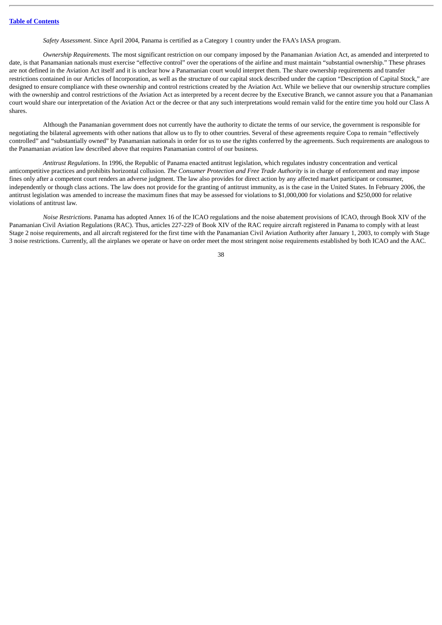*Safety Assessment.* Since April 2004, Panama is certified as a Category 1 country under the FAA's IASA program.

*Ownership Requirements.* The most significant restriction on our company imposed by the Panamanian Aviation Act, as amended and interpreted to date, is that Panamanian nationals must exercise "effective control" over the operations of the airline and must maintain "substantial ownership." These phrases are not defined in the Aviation Act itself and it is unclear how a Panamanian court would interpret them. The share ownership requirements and transfer restrictions contained in our Articles of Incorporation, as well as the structure of our capital stock described under the caption "Description of Capital Stock," are designed to ensure compliance with these ownership and control restrictions created by the Aviation Act. While we believe that our ownership structure complies with the ownership and control restrictions of the Aviation Act as interpreted by a recent decree by the Executive Branch, we cannot assure you that a Panamanian court would share our interpretation of the Aviation Act or the decree or that any such interpretations would remain valid for the entire time you hold our Class A shares.

Although the Panamanian government does not currently have the authority to dictate the terms of our service, the government is responsible for negotiating the bilateral agreements with other nations that allow us to fly to other countries. Several of these agreements require Copa to remain "effectively controlled" and "substantially owned" by Panamanian nationals in order for us to use the rights conferred by the agreements. Such requirements are analogous to the Panamanian aviation law described above that requires Panamanian control of our business.

*Antitrust Regulations*. In 1996, the Republic of Panama enacted antitrust legislation, which regulates industry concentration and vertical anticompetitive practices and prohibits horizontal collusion. *The Consumer Protection and Free Trade Authority* is in charge of enforcement and may impose fines only after a competent court renders an adverse judgment. The law also provides for direct action by any affected market participant or consumer, independently or though class actions. The law does not provide for the granting of antitrust immunity, as is the case in the United States. In February 2006, the antitrust legislation was amended to increase the maximum fines that may be assessed for violations to \$1,000,000 for violations and \$250,000 for relative violations of antitrust law.

*Noise Restrictions*. Panama has adopted Annex 16 of the ICAO regulations and the noise abatement provisions of ICAO, through Book XIV of the Panamanian Civil Aviation Regulations (RAC). Thus, articles 227-229 of Book XIV of the RAC require aircraft registered in Panama to comply with at least Stage 2 noise requirements, and all aircraft registered for the first time with the Panamanian Civil Aviation Authority after January 1, 2003, to comply with Stage 3 noise restrictions. Currently, all the airplanes we operate or have on order meet the most stringent noise requirements established by both ICAO and the AAC.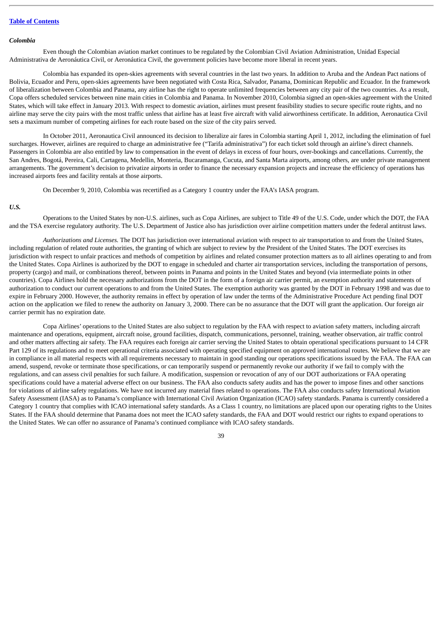# *Colombia*

Even though the Colombian aviation market continues to be regulated by the Colombian Civil Aviation Administration, Unidad Especial Administrativa de Aeronáutica Civil, or Aeronáutica Civil, the government policies have become more liberal in recent years.

Colombia has expanded its open-skies agreements with several countries in the last two years. In addition to Aruba and the Andean Pact nations of Bolivia, Ecuador and Peru, open-skies agreements have been negotiated with Costa Rica, Salvador, Panama, Dominican Republic and Ecuador. In the framework of liberalization between Colombia and Panama, any airline has the right to operate unlimited frequencies between any city pair of the two countries. As a result, Copa offers scheduled services between nine main cities in Colombia and Panama. In November 2010, Colombia signed an open-skies agreement with the United States, which will take effect in January 2013. With respect to domestic aviation, airlines must present feasibility studies to secure specific route rights, and no airline may serve the city pairs with the most traffic unless that airline has at least five aircraft with valid airworthiness certificate. In addition, Aeronautica Civil sets a maximum number of competing airlines for each route based on the size of the city pairs served.

In October 2011, Aeronautica Civil announced its decision to liberalize air fares in Colombia starting April 1, 2012, including the elimination of fuel surcharges. However, airlines are required to charge an administrative fee ("Tarifa administrativa") for each ticket sold through an airline's direct channels. Passengers in Colombia are also entitled by law to compensation in the event of delays in excess of four hours, over-bookings and cancellations. Currently, the San Andres, Bogotá, Pereira, Cali, Cartagena, Medellin, Monteria, Bucaramanga, Cucuta, and Santa Marta airports, among others, are under private management arrangements. The government's decision to privatize airports in order to finance the necessary expansion projects and increase the efficiency of operations has increased airports fees and facility rentals at those airports.

On December 9, 2010, Colombia was recertified as a Category 1 country under the FAA's IASA program.

# *U.S.*

Operations to the United States by non-U.S. airlines, such as Copa Airlines, are subject to Title 49 of the U.S. Code, under which the DOT, the FAA and the TSA exercise regulatory authority. The U.S. Department of Justice also has jurisdiction over airline competition matters under the federal antitrust laws.

*Authorizations and Licenses.* The DOT has jurisdiction over international aviation with respect to air transportation to and from the United States, including regulation of related route authorities, the granting of which are subject to review by the President of the United States. The DOT exercises its jurisdiction with respect to unfair practices and methods of competition by airlines and related consumer protection matters as to all airlines operating to and from the United States. Copa Airlines is authorized by the DOT to engage in scheduled and charter air transportation services, including the transportation of persons, property (cargo) and mail, or combinations thereof, between points in Panama and points in the United States and beyond (via intermediate points in other countries). Copa Airlines hold the necessary authorizations from the DOT in the form of a foreign air carrier permit, an exemption authority and statements of authorization to conduct our current operations to and from the United States. The exemption authority was granted by the DOT in February 1998 and was due to expire in February 2000. However, the authority remains in effect by operation of law under the terms of the Administrative Procedure Act pending final DOT action on the application we filed to renew the authority on January 3, 2000. There can be no assurance that the DOT will grant the application. Our foreign air carrier permit has no expiration date.

Copa Airlines' operations to the United States are also subject to regulation by the FAA with respect to aviation safety matters, including aircraft maintenance and operations, equipment, aircraft noise, ground facilities, dispatch, communications, personnel, training, weather observation, air traffic control and other matters affecting air safety. The FAA requires each foreign air carrier serving the United States to obtain operational specifications pursuant to 14 CFR Part 129 of its regulations and to meet operational criteria associated with operating specified equipment on approved international routes. We believe that we are in compliance in all material respects with all requirements necessary to maintain in good standing our operations specifications issued by the FAA. The FAA can amend, suspend, revoke or terminate those specifications, or can temporarily suspend or permanently revoke our authority if we fail to comply with the regulations, and can assess civil penalties for such failure. A modification, suspension or revocation of any of our DOT authorizations or FAA operating specifications could have a material adverse effect on our business. The FAA also conducts safety audits and has the power to impose fines and other sanctions for violations of airline safety regulations. We have not incurred any material fines related to operations. The FAA also conducts safety International Aviation Safety Assessment (IASA) as to Panama's compliance with International Civil Aviation Organization (ICAO) safety standards. Panama is currently considered a Category 1 country that complies with ICAO international safety standards. As a Class 1 country, no limitations are placed upon our operating rights to the Unites States. If the FAA should determine that Panama does not meet the ICAO safety standards, the FAA and DOT would restrict our rights to expand operations to the United States. We can offer no assurance of Panama's continued compliance with ICAO safety standards.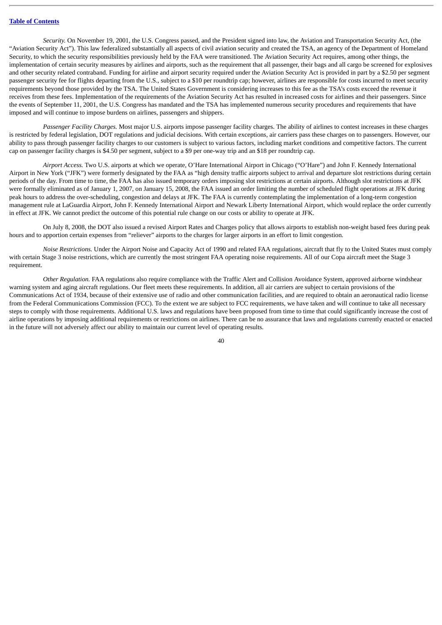*Security.* On November 19, 2001, the U.S. Congress passed, and the President signed into law, the Aviation and Transportation Security Act, (the "Aviation Security Act"). This law federalized substantially all aspects of civil aviation security and created the TSA, an agency of the Department of Homeland Security, to which the security responsibilities previously held by the FAA were transitioned. The Aviation Security Act requires, among other things, the implementation of certain security measures by airlines and airports, such as the requirement that all passenger, their bags and all cargo be screened for explosives and other security related contraband. Funding for airline and airport security required under the Aviation Security Act is provided in part by a \$2.50 per segment passenger security fee for flights departing from the U.S., subject to a \$10 per roundtrip cap; however, airlines are responsible for costs incurred to meet security requirements beyond those provided by the TSA. The United States Government is considering increases to this fee as the TSA's costs exceed the revenue it receives from these fees. Implementation of the requirements of the Aviation Security Act has resulted in increased costs for airlines and their passengers. Since the events of September 11, 2001, the U.S. Congress has mandated and the TSA has implemented numerous security procedures and requirements that have imposed and will continue to impose burdens on airlines, passengers and shippers.

*Passenger Facility Charges.* Most major U.S. airports impose passenger facility charges. The ability of airlines to contest increases in these charges is restricted by federal legislation, DOT regulations and judicial decisions. With certain exceptions, air carriers pass these charges on to passengers. However, our ability to pass through passenger facility charges to our customers is subject to various factors, including market conditions and competitive factors. The current cap on passenger facility charges is \$4.50 per segment, subject to a \$9 per one-way trip and an \$18 per roundtrip cap.

*Airport Access.* Two U.S. airports at which we operate, O'Hare International Airport in Chicago ("O'Hare") and John F. Kennedy International Airport in New York ("JFK") were formerly designated by the FAA as "high density traffic airports subject to arrival and departure slot restrictions during certain periods of the day. From time to time, the FAA has also issued temporary orders imposing slot restrictions at certain airports. Although slot restrictions at JFK were formally eliminated as of January 1, 2007, on January 15, 2008, the FAA issued an order limiting the number of scheduled flight operations at JFK during peak hours to address the over-scheduling, congestion and delays at JFK. The FAA is currently contemplating the implementation of a long-term congestion management rule at LaGuardia Airport, John F. Kennedy International Airport and Newark Liberty International Airport, which would replace the order currently in effect at JFK. We cannot predict the outcome of this potential rule change on our costs or ability to operate at JFK.

On July 8, 2008, the DOT also issued a revised Airport Rates and Charges policy that allows airports to establish non-weight based fees during peak hours and to apportion certain expenses from "reliever" airports to the charges for larger airports in an effort to limit congestion.

*Noise Restrictions.* Under the Airport Noise and Capacity Act of 1990 and related FAA regulations, aircraft that fly to the United States must comply with certain Stage 3 noise restrictions, which are currently the most stringent FAA operating noise requirements. All of our Copa aircraft meet the Stage 3 requirement.

*Other Regulation.* FAA regulations also require compliance with the Traffic Alert and Collision Avoidance System, approved airborne windshear warning system and aging aircraft regulations. Our fleet meets these requirements. In addition, all air carriers are subject to certain provisions of the Communications Act of 1934, because of their extensive use of radio and other communication facilities, and are required to obtain an aeronautical radio license from the Federal Communications Commission (FCC). To the extent we are subject to FCC requirements, we have taken and will continue to take all necessary steps to comply with those requirements. Additional U.S. laws and regulations have been proposed from time to time that could significantly increase the cost of airline operations by imposing additional requirements or restrictions on airlines. There can be no assurance that laws and regulations currently enacted or enacted in the future will not adversely affect our ability to maintain our current level of operating results.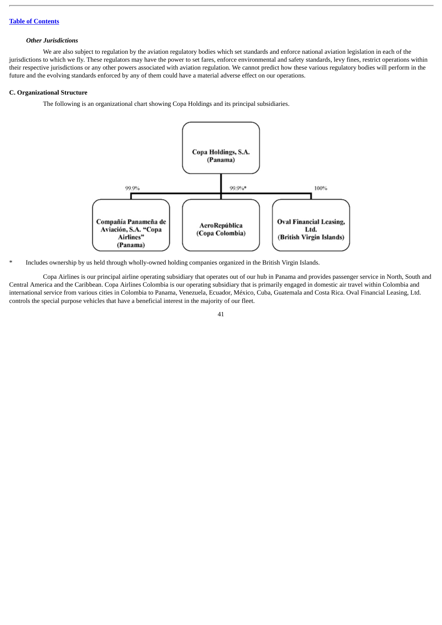# *Other Jurisdictions*

We are also subject to regulation by the aviation regulatory bodies which set standards and enforce national aviation legislation in each of the jurisdictions to which we fly. These regulators may have the power to set fares, enforce environmental and safety standards, levy fines, restrict operations within their respective jurisdictions or any other powers associated with aviation regulation. We cannot predict how these various regulatory bodies will perform in the future and the evolving standards enforced by any of them could have a material adverse effect on our operations.

# **C. Organizational Structure**

The following is an organizational chart showing Copa Holdings and its principal subsidiaries.



\* Includes ownership by us held through wholly-owned holding companies organized in the British Virgin Islands.

Copa Airlines is our principal airline operating subsidiary that operates out of our hub in Panama and provides passenger service in North, South and Central America and the Caribbean. Copa Airlines Colombia is our operating subsidiary that is primarily engaged in domestic air travel within Colombia and international service from various cities in Colombia to Panama, Venezuela, Ecuador, México, Cuba, Guatemala and Costa Rica. Oval Financial Leasing, Ltd. controls the special purpose vehicles that have a beneficial interest in the majority of our fleet.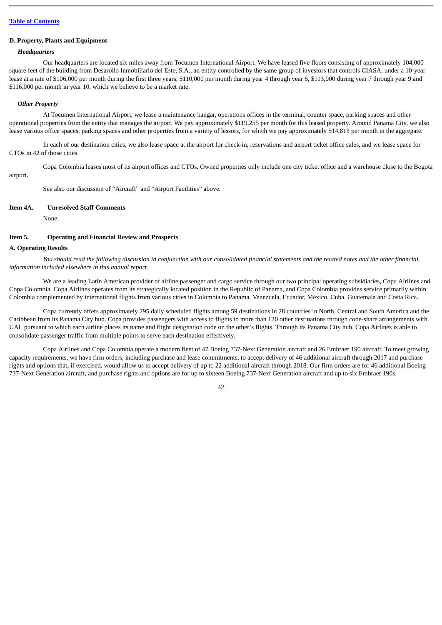# **D. Property, Plants and Equipment**

# *Headquarters*

Our headquarters are located six miles away from Tocumen International Airport. We have leased five floors consisting of approximately 104,000 square feet of the building from Desarollo Inmobiliario del Este, S.A., an entity controlled by the same group of investors that controls CIASA, under a 10-year lease at a rate of \$106,000 per month during the first three years, \$110,000 per month during year 4 through year 6, \$113,000 during year 7 through year 9 and \$116,000 per month in year 10, which we believe to be a market rate.

### *Other Property*

At Tocumen International Airport, we lease a maintenance hangar, operations offices in the terminal, counter space, parking spaces and other operational properties from the entity that manages the airport. We pay approximately \$119,255 per month for this leased property. Around Panama City, we also lease various office spaces, parking spaces and other properties from a variety of lessors, for which we pay approximately \$14,813 per month in the aggregate.

In each of our destination cities, we also lease space at the airport for check-in, reservations and airport ticket office sales, and we lease space for CTOs in 42 of those cities.

Copa Colombia leases most of its airport offices and CTOs. Owned properties only include one city ticket office and a warehouse close to the Bogota airport.

See also our discussion of "Aircraft" and "Airport Facilities" above.

# **Item 4A. Unresolved Staff Comments**

None.

### **Item 5. Operating and Financial Review and Prospects**

# **A. Operating Results**

*You should read the following discussion in conjunction with our consolidated financial statements and the related notes and the other financial information included elsewhere in this annual report.*

We are a leading Latin American provider of airline passenger and cargo service through our two principal operating subsidiaries, Copa Airlines and Copa Colombia. Copa Airlines operates from its strategically located position in the Republic of Panama, and Copa Colombia provides service primarily within Colombia complemented by international flights from various cities in Colombia to Panama, Venezuela, Ecuador, México, Cuba, Guatemala and Costa Rica.

Copa currently offers approximately 295 daily scheduled flights among 59 destinations in 28 countries in North, Central and South America and the Caribbean from its Panama City hub. Copa provides passengers with access to flights to more than 120 other destinations through code-share arrangements with UAL pursuant to which each airline places its name and flight designation code on the other's flights. Through its Panama City hub, Copa Airlines is able to consolidate passenger traffic from multiple points to serve each destination effectively.

Copa Airlines and Copa Colombia operate a modern fleet of 47 Boeing 737-Next Generation aircraft and 26 Embraer 190 aircraft. To meet growing capacity requirements, we have firm orders, including purchase and lease commitments, to accept delivery of 46 additional aircraft through 2017 and purchase rights and options that, if exercised, would allow us to accept delivery of up to 22 additional aircraft through 2018. Our firm orders are for 46 additional Boeing 737-Next Generation aircraft, and purchase rights and options are for up to sixteen Boeing 737-Next Generation aircraft and up to six Embraer 190s.

 $\Delta$ 2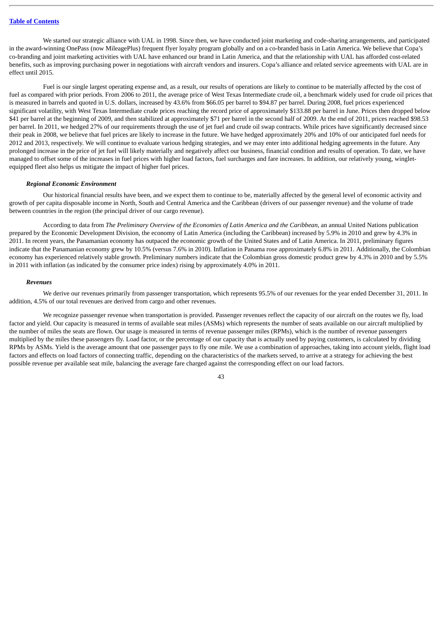We started our strategic alliance with UAL in 1998. Since then, we have conducted joint marketing and code-sharing arrangements, and participated in the award-winning OnePass (now MileagePlus) frequent flyer loyalty program globally and on a co-branded basis in Latin America. We believe that Copa's co-branding and joint marketing activities with UAL have enhanced our brand in Latin America, and that the relationship with UAL has afforded cost-related benefits, such as improving purchasing power in negotiations with aircraft vendors and insurers. Copa's alliance and related service agreements with UAL are in effect until 2015.

Fuel is our single largest operating expense and, as a result, our results of operations are likely to continue to be materially affected by the cost of fuel as compared with prior periods. From 2006 to 2011, the average price of West Texas Intermediate crude oil, a benchmark widely used for crude oil prices that is measured in barrels and quoted in U.S. dollars, increased by 43.6% from \$66.05 per barrel to \$94.87 per barrel. During 2008, fuel prices experienced significant volatility, with West Texas Intermediate crude prices reaching the record price of approximately \$133.88 per barrel in June. Prices then dropped below \$41 per barrel at the beginning of 2009, and then stabilized at approximately \$71 per barrel in the second half of 2009. At the end of 2011, prices reached \$98.53 per barrel. In 2011, we hedged 27% of our requirements through the use of jet fuel and crude oil swap contracts. While prices have significantly decreased since their peak in 2008, we believe that fuel prices are likely to increase in the future. We have hedged approximately 20% and 10% of our anticipated fuel needs for 2012 and 2013, respectively. We will continue to evaluate various hedging strategies, and we may enter into additional hedging agreements in the future. Any prolonged increase in the price of jet fuel will likely materially and negatively affect our business, financial condition and results of operation. To date, we have managed to offset some of the increases in fuel prices with higher load factors, fuel surcharges and fare increases. In addition, our relatively young, wingletequipped fleet also helps us mitigate the impact of higher fuel prices.

#### *Regional Economic Environment*

Our historical financial results have been, and we expect them to continue to be, materially affected by the general level of economic activity and growth of per capita disposable income in North, South and Central America and the Caribbean (drivers of our passenger revenue) and the volume of trade between countries in the region (the principal driver of our cargo revenue).

According to data from *The Preliminary Overview of the Economies of Latin America and the Caribbean*, an annual United Nations publication prepared by the Economic Development Division, the economy of Latin America (including the Caribbean) increased by 5.9% in 2010 and grew by 4.3% in 2011. In recent years, the Panamanian economy has outpaced the economic growth of the United States and of Latin America. In 2011, preliminary figures indicate that the Panamanian economy grew by 10.5% (versus 7.6% in 2010). Inflation in Panama rose approximately 6.8% in 2011. Additionally, the Colombian economy has experienced relatively stable growth. Preliminary numbers indicate that the Colombian gross domestic product grew by 4.3% in 2010 and by 5.5% in 2011 with inflation (as indicated by the consumer price index) rising by approximately 4.0% in 2011.

#### *Revenues*

We derive our revenues primarily from passenger transportation, which represents 95.5% of our revenues for the year ended December 31, 2011. In addition, 4.5% of our total revenues are derived from cargo and other revenues.

We recognize passenger revenue when transportation is provided. Passenger revenues reflect the capacity of our aircraft on the routes we fly, load factor and yield. Our capacity is measured in terms of available seat miles (ASMs) which represents the number of seats available on our aircraft multiplied by the number of miles the seats are flown. Our usage is measured in terms of revenue passenger miles (RPMs), which is the number of revenue passengers multiplied by the miles these passengers fly. Load factor, or the percentage of our capacity that is actually used by paying customers, is calculated by dividing RPMs by ASMs. Yield is the average amount that one passenger pays to fly one mile. We use a combination of approaches, taking into account yields, flight load factors and effects on load factors of connecting traffic, depending on the characteristics of the markets served, to arrive at a strategy for achieving the best possible revenue per available seat mile, balancing the average fare charged against the corresponding effect on our load factors.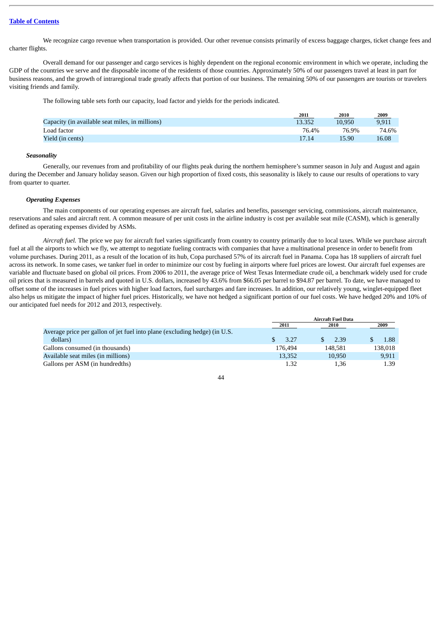We recognize cargo revenue when transportation is provided. Our other revenue consists primarily of excess baggage charges, ticket change fees and charter flights.

Overall demand for our passenger and cargo services is highly dependent on the regional economic environment in which we operate, including the GDP of the countries we serve and the disposable income of the residents of those countries. Approximately 50% of our passengers travel at least in part for business reasons, and the growth of intraregional trade greatly affects that portion of our business. The remaining 50% of our passengers are tourists or travelers visiting friends and family.

The following table sets forth our capacity, load factor and yields for the periods indicated.

|                                                 | 2011   | 2010   | 2009  |
|-------------------------------------------------|--------|--------|-------|
| Capacity (in available seat miles, in millions) | 13.352 | 10.950 | 9.911 |
| Load factor                                     | 76.4%  | 76.9%  | 74.6% |
| Yield (in cents)                                | 17.14  | 15.90  | 16.08 |

### *Seasonality*

Generally, our revenues from and profitability of our flights peak during the northern hemisphere's summer season in July and August and again during the December and January holiday season. Given our high proportion of fixed costs, this seasonality is likely to cause our results of operations to vary from quarter to quarter.

### *Operating Expenses*

The main components of our operating expenses are aircraft fuel, salaries and benefits, passenger servicing, commissions, aircraft maintenance, reservations and sales and aircraft rent. A common measure of per unit costs in the airline industry is cost per available seat mile (CASM), which is generally defined as operating expenses divided by ASMs.

*Aircraft fuel.* The price we pay for aircraft fuel varies significantly from country to country primarily due to local taxes. While we purchase aircraft fuel at all the airports to which we fly, we attempt to negotiate fueling contracts with companies that have a multinational presence in order to benefit from volume purchases. During 2011, as a result of the location of its hub, Copa purchased 57% of its aircraft fuel in Panama. Copa has 18 suppliers of aircraft fuel across its network. In some cases, we tanker fuel in order to minimize our cost by fueling in airports where fuel prices are lowest. Our aircraft fuel expenses are variable and fluctuate based on global oil prices. From 2006 to 2011, the average price of West Texas Intermediate crude oil, a benchmark widely used for crude oil prices that is measured in barrels and quoted in U.S. dollars, increased by 43.6% from \$66.05 per barrel to \$94.87 per barrel. To date, we have managed to offset some of the increases in fuel prices with higher load factors, fuel surcharges and fare increases. In addition, our relatively young, winglet-equipped fleet also helps us mitigate the impact of higher fuel prices. Historically, we have not hedged a significant portion of our fuel costs. We have hedged 20% and 10% of our anticipated fuel needs for 2012 and 2013, respectively.

|                                                                            | <b>Aircraft Fuel Data</b> |         |         |
|----------------------------------------------------------------------------|---------------------------|---------|---------|
|                                                                            | 2011                      | 2010    | 2009    |
| Average price per gallon of jet fuel into plane (excluding hedge) (in U.S. |                           |         |         |
| dollars)                                                                   | 3.27                      | 2.39    | 1.88    |
| Gallons consumed (in thousands)                                            | 176.494                   | 148,581 | 138,018 |
| Available seat miles (in millions)                                         | 13.352                    | 10.950  | 9.911   |
| Gallons per ASM (in hundredths)                                            | 1.32                      | 1.36    | 1.39    |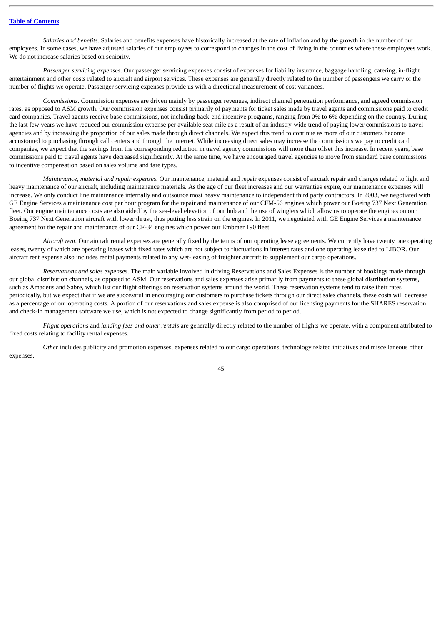*Salaries and benefits.* Salaries and benefits expenses have historically increased at the rate of inflation and by the growth in the number of our employees. In some cases, we have adjusted salaries of our employees to correspond to changes in the cost of living in the countries where these employees work. We do not increase salaries based on seniority.

*Passenger servicing expenses.* Our passenger servicing expenses consist of expenses for liability insurance, baggage handling, catering, in-flight entertainment and other costs related to aircraft and airport services. These expenses are generally directly related to the number of passengers we carry or the number of flights we operate. Passenger servicing expenses provide us with a directional measurement of cost variances.

*Commissions.* Commission expenses are driven mainly by passenger revenues, indirect channel penetration performance, and agreed commission rates, as opposed to ASM growth. Our commission expenses consist primarily of payments for ticket sales made by travel agents and commissions paid to credit card companies. Travel agents receive base commissions, not including back-end incentive programs, ranging from 0% to 6% depending on the country. During the last few years we have reduced our commission expense per available seat mile as a result of an industry-wide trend of paying lower commissions to travel agencies and by increasing the proportion of our sales made through direct channels. We expect this trend to continue as more of our customers become accustomed to purchasing through call centers and through the internet. While increasing direct sales may increase the commissions we pay to credit card companies, we expect that the savings from the corresponding reduction in travel agency commissions will more than offset this increase. In recent years, base commissions paid to travel agents have decreased significantly. At the same time, we have encouraged travel agencies to move from standard base commissions to incentive compensation based on sales volume and fare types.

*Maintenance, material and repair expenses.* Our maintenance, material and repair expenses consist of aircraft repair and charges related to light and heavy maintenance of our aircraft, including maintenance materials. As the age of our fleet increases and our warranties expire, our maintenance expenses will increase. We only conduct line maintenance internally and outsource most heavy maintenance to independent third party contractors. In 2003, we negotiated with GE Engine Services a maintenance cost per hour program for the repair and maintenance of our CFM-56 engines which power our Boeing 737 Next Generation fleet. Our engine maintenance costs are also aided by the sea-level elevation of our hub and the use of winglets which allow us to operate the engines on our Boeing 737 Next Generation aircraft with lower thrust, thus putting less strain on the engines. In 2011, we negotiated with GE Engine Services a maintenance agreement for the repair and maintenance of our CF-34 engines which power our Embraer 190 fleet.

*Aircraft rent.* Our aircraft rental expenses are generally fixed by the terms of our operating lease agreements. We currently have twenty one operating leases, twenty of which are operating leases with fixed rates which are not subject to fluctuations in interest rates and one operating lease tied to LIBOR. Our aircraft rent expense also includes rental payments related to any wet-leasing of freighter aircraft to supplement our cargo operations.

*Reservations and sales expenses.* The main variable involved in driving Reservations and Sales Expenses is the number of bookings made through our global distribution channels, as opposed to ASM. Our reservations and sales expenses arise primarily from payments to these global distribution systems, such as Amadeus and Sabre, which list our flight offerings on reservation systems around the world. These reservation systems tend to raise their rates periodically, but we expect that if we are successful in encouraging our customers to purchase tickets through our direct sales channels, these costs will decrease as a percentage of our operating costs. A portion of our reservations and sales expense is also comprised of our licensing payments for the SHARES reservation and check-in management software we use, which is not expected to change significantly from period to period.

*Flight operations* and *landing fees and other rentals* are generally directly related to the number of flights we operate, with a component attributed to fixed costs relating to facility rental expenses.

*Other* includes publicity and promotion expenses, expenses related to our cargo operations, technology related initiatives and miscellaneous other expenses.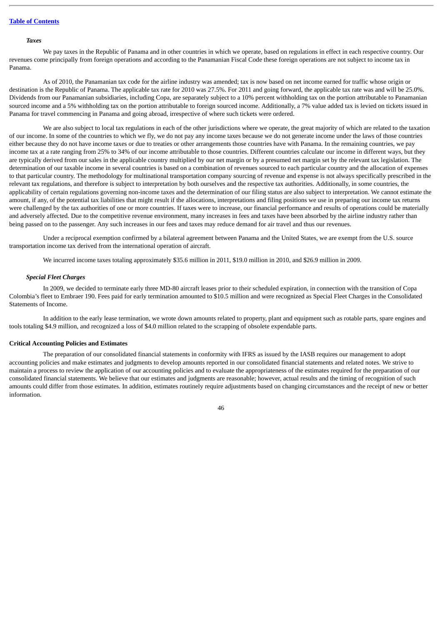# *Taxes*

We pay taxes in the Republic of Panama and in other countries in which we operate, based on regulations in effect in each respective country. Our revenues come principally from foreign operations and according to the Panamanian Fiscal Code these foreign operations are not subject to income tax in Panama.

As of 2010, the Panamanian tax code for the airline industry was amended; tax is now based on net income earned for traffic whose origin or destination is the Republic of Panama. The applicable tax rate for 2010 was 27.5%. For 2011 and going forward, the applicable tax rate was and will be 25.0%. Dividends from our Panamanian subsidiaries, including Copa, are separately subject to a 10% percent withholding tax on the portion attributable to Panamanian sourced income and a 5% withholding tax on the portion attributable to foreign sourced income. Additionally, a 7% value added tax is levied on tickets issued in Panama for travel commencing in Panama and going abroad, irrespective of where such tickets were ordered.

We are also subject to local tax regulations in each of the other jurisdictions where we operate, the great majority of which are related to the taxation of our income. In some of the countries to which we fly, we do not pay any income taxes because we do not generate income under the laws of those countries either because they do not have income taxes or due to treaties or other arrangements those countries have with Panama. In the remaining countries, we pay income tax at a rate ranging from 25% to 34% of our income attributable to those countries. Different countries calculate our income in different ways, but they are typically derived from our sales in the applicable country multiplied by our net margin or by a presumed net margin set by the relevant tax legislation. The determination of our taxable income in several countries is based on a combination of revenues sourced to each particular country and the allocation of expenses to that particular country. The methodology for multinational transportation company sourcing of revenue and expense is not always specifically prescribed in the relevant tax regulations, and therefore is subject to interpretation by both ourselves and the respective tax authorities. Additionally, in some countries, the applicability of certain regulations governing non-income taxes and the determination of our filing status are also subject to interpretation. We cannot estimate the amount, if any, of the potential tax liabilities that might result if the allocations, interpretations and filing positions we use in preparing our income tax returns were challenged by the tax authorities of one or more countries. If taxes were to increase, our financial performance and results of operations could be materially and adversely affected. Due to the competitive revenue environment, many increases in fees and taxes have been absorbed by the airline industry rather than being passed on to the passenger. Any such increases in our fees and taxes may reduce demand for air travel and thus our revenues.

Under a reciprocal exemption confirmed by a bilateral agreement between Panama and the United States, we are exempt from the U.S. source transportation income tax derived from the international operation of aircraft.

We incurred income taxes totaling approximately \$35.6 million in 2011, \$19.0 million in 2010, and \$26.9 million in 2009.

#### *Special Fleet Charges*

In 2009, we decided to terminate early three MD-80 aircraft leases prior to their scheduled expiration, in connection with the transition of Copa Colombia's fleet to Embraer 190. Fees paid for early termination amounted to \$10.5 million and were recognized as Special Fleet Charges in the Consolidated Statements of Income.

In addition to the early lease termination, we wrote down amounts related to property, plant and equipment such as rotable parts, spare engines and tools totaling \$4.9 million, and recognized a loss of \$4.0 million related to the scrapping of obsolete expendable parts.

#### **Critical Accounting Policies and Estimates**

The preparation of our consolidated financial statements in conformity with IFRS as issued by the IASB requires our management to adopt accounting policies and make estimates and judgments to develop amounts reported in our consolidated financial statements and related notes. We strive to maintain a process to review the application of our accounting policies and to evaluate the appropriateness of the estimates required for the preparation of our consolidated financial statements. We believe that our estimates and judgments are reasonable; however, actual results and the timing of recognition of such amounts could differ from those estimates. In addition, estimates routinely require adjustments based on changing circumstances and the receipt of new or better information.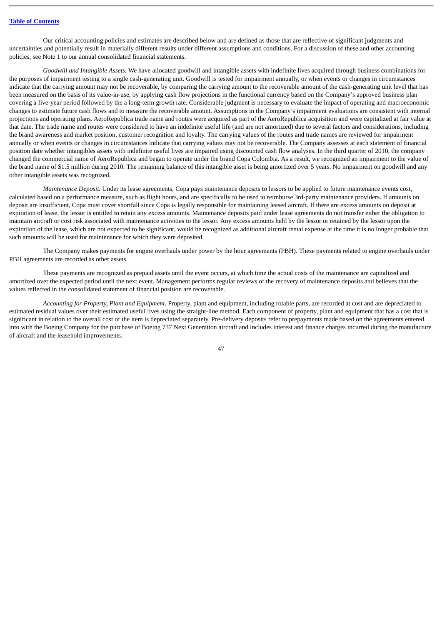Our critical accounting policies and estimates are described below and are defined as those that are reflective of significant judgments and uncertainties and potentially result in materially different results under different assumptions and conditions. For a discussion of these and other accounting policies, see Note 1 to our annual consolidated financial statements.

*Goodwill and Intangible Assets.* We have allocated goodwill and intangible assets with indefinite lives acquired through business combinations for the purposes of impairment testing to a single cash-generating unit. Goodwill is tested for impairment annually, or when events or changes in circumstances indicate that the carrying amount may not be recoverable, by comparing the carrying amount to the recoverable amount of the cash-generating unit level that has been measured on the basis of its value-in-use, by applying cash flow projections in the functional currency based on the Company's approved business plan covering a five-year period followed by the a long-term growth rate. Considerable judgment is necessary to evaluate the impact of operating and macroeconomic changes to estimate future cash flows and to measure the recoverable amount. Assumptions in the Company's impairment evaluations are consistent with internal projections and operating plans. AeroRepublica trade name and routes were acquired as part of the AeroRepublica acquisition and were capitalized at fair value at that date. The trade name and routes were considered to have an indefinite useful life (and are not amortized) due to several factors and considerations, including the brand awareness and market position, customer recognition and loyalty. The carrying values of the routes and trade names are reviewed for impairment annually or when events or changes in circumstances indicate that carrying values may not be recoverable. The Company assesses at each statement of financial position date whether intangibles assets with indefinite useful lives are impaired using discounted cash flow analyses. In the third quarter of 2010, the company changed the commercial name of AeroRepublica and began to operate under the brand Copa Colombia. As a result, we recognized an impairment to the value of the brand name of \$1.5 million during 2010. The remaining balance of this intangible asset is being amortized over 5 years. No impairment on goodwill and any other intangible assets was recognized.

*Maintenance Deposit.* Under its lease agreements, Copa pays maintenance deposits to lessors to be applied to future maintenance events cost, calculated based on a performance measure, such as flight hours, and are specifically to be used to reimburse 3rd-party maintenance providers. If amounts on deposit are insufficient, Copa must cover shortfall since Copa is legally responsible for maintaining leased aircraft. If there are excess amounts on deposit at expiration of lease, the lessor is entitled to retain any excess amounts. Maintenance deposits paid under lease agreements do not transfer either the obligation to maintain aircraft or cost risk associated with maintenance activities to the lessor. Any excess amounts held by the lessor or retained by the lessor upon the expiration of the lease, which are not expected to be significant, would be recognized as additional aircraft rental expense at the time it is no longer probable that such amounts will be used for maintenance for which they were deposited.

The Company makes payments for engine overhauls under power by the hour agreements (PBH). These payments related to engine overhauls under PBH agreements are recorded as other assets.

These payments are recognized as prepaid assets until the event occurs, at which time the actual costs of the maintenance are capitalized and amortized over the expected period until the next event. Management performs regular reviews of the recovery of maintenance deposits and believes that the values reflected in the consolidated statement of financial position are recoverable.

*Accounting for Property, Plant and Equipment*. Property, plant and equipment, including rotable parts, are recorded at cost and are depreciated to estimated residual values over their estimated useful lives using the straight-line method. Each component of property, plant and equipment that has a cost that is significant in relation to the overall cost of the item is depreciated separately. Pre-delivery deposits refer to prepayments made based on the agreements entered into with the Boeing Company for the purchase of Boeing 737 Next Generation aircraft and includes interest and finance charges incurred during the manufacture of aircraft and the leasehold improvements.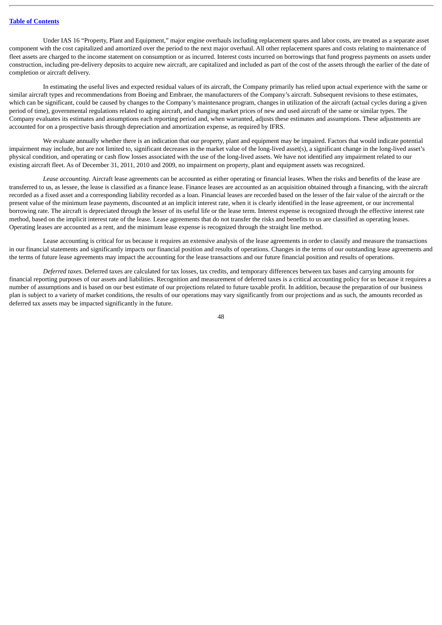Under IAS 16 "Property, Plant and Equipment," major engine overhauls including replacement spares and labor costs, are treated as a separate asset component with the cost capitalized and amortized over the period to the next major overhaul. All other replacement spares and costs relating to maintenance of fleet assets are charged to the income statement on consumption or as incurred. Interest costs incurred on borrowings that fund progress payments on assets under construction, including pre-delivery deposits to acquire new aircraft, are capitalized and included as part of the cost of the assets through the earlier of the date of completion or aircraft delivery.

In estimating the useful lives and expected residual values of its aircraft, the Company primarily has relied upon actual experience with the same or similar aircraft types and recommendations from Boeing and Embraer, the manufacturers of the Company's aircraft. Subsequent revisions to these estimates, which can be significant, could be caused by changes to the Company's maintenance program, changes in utilization of the aircraft (actual cycles during a given period of time), governmental regulations related to aging aircraft, and changing market prices of new and used aircraft of the same or similar types. The Company evaluates its estimates and assumptions each reporting period and, when warranted, adjusts these estimates and assumptions. These adjustments are accounted for on a prospective basis through depreciation and amortization expense, as required by IFRS.

We evaluate annually whether there is an indication that our property, plant and equipment may be impaired. Factors that would indicate potential impairment may include, but are not limited to, significant decreases in the market value of the long-lived asset(s), a significant change in the long-lived asset's physical condition, and operating or cash flow losses associated with the use of the long-lived assets. We have not identified any impairment related to our existing aircraft fleet. As of December 31, 2011, 2010 and 2009, no impairment on property, plant and equipment assets was recognized.

*Lease accounting.* Aircraft lease agreements can be accounted as either operating or financial leases. When the risks and benefits of the lease are transferred to us, as lessee, the lease is classified as a finance lease. Finance leases are accounted as an acquisition obtained through a financing, with the aircraft recorded as a fixed asset and a corresponding liability recorded as a loan. Financial leases are recorded based on the lesser of the fair value of the aircraft or the present value of the minimum lease payments, discounted at an implicit interest rate, when it is clearly identified in the lease agreement, or our incremental borrowing rate. The aircraft is depreciated through the lesser of its useful life or the lease term. Interest expense is recognized through the effective interest rate method, based on the implicit interest rate of the lease. Lease agreements that do not transfer the risks and benefits to us are classified as operating leases. Operating leases are accounted as a rent, and the minimum lease expense is recognized through the straight line method.

Lease accounting is critical for us because it requires an extensive analysis of the lease agreements in order to classify and measure the transactions in our financial statements and significantly impacts our financial position and results of operations. Changes in the terms of our outstanding lease agreements and the terms of future lease agreements may impact the accounting for the lease transactions and our future financial position and results of operations.

*Deferred taxes.* Deferred taxes are calculated for tax losses, tax credits, and temporary differences between tax bases and carrying amounts for financial reporting purposes of our assets and liabilities. Recognition and measurement of deferred taxes is a critical accounting policy for us because it requires a number of assumptions and is based on our best estimate of our projections related to future taxable profit. In addition, because the preparation of our business plan is subject to a variety of market conditions, the results of our operations may vary significantly from our projections and as such, the amounts recorded as deferred tax assets may be impacted significantly in the future.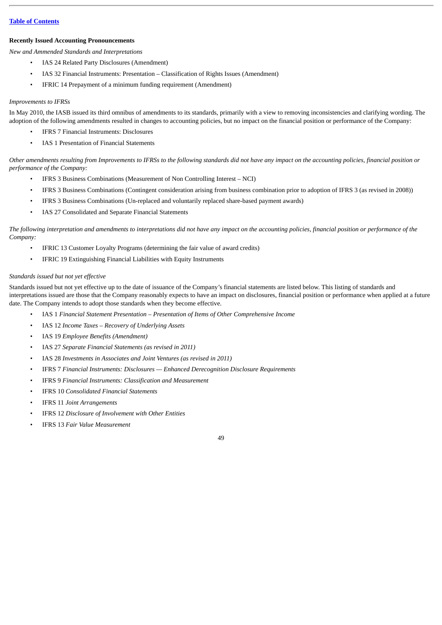# **Recently Issued Accounting Pronouncements**

*New and Ammended Standards and Interpretations*

- IAS 24 Related Party Disclosures (Amendment)
- IAS 32 Financial Instruments: Presentation Classification of Rights Issues (Amendment)
- IFRIC 14 Prepayment of a minimum funding requirement (Amendment)

# *Improvements to IFRSs*

In May 2010, the IASB issued its third omnibus of amendments to its standards, primarily with a view to removing inconsistencies and clarifying wording. The adoption of the following amendments resulted in changes to accounting policies, but no impact on the financial position or performance of the Company:

- IFRS 7 Financial Instruments: Disclosures
- IAS 1 Presentation of Financial Statements

*Other amendments resulting from Improvements to IFRSs to the following standards did not have any impact on the accounting policies, financial position or performance of the Company:*

- IFRS 3 Business Combinations (Measurement of Non Controlling Interest NCI)
- IFRS 3 Business Combinations (Contingent consideration arising from business combination prior to adoption of IFRS 3 (as revised in 2008))
- IFRS 3 Business Combinations (Un-replaced and voluntarily replaced share-based payment awards)
- IAS 27 Consolidated and Separate Financial Statements

*The following interpretation and amendments to interpretations did not have any impact on the accounting policies, financial position or performance of the Company:*

- IFRIC 13 Customer Loyalty Programs (determining the fair value of award credits)
- IFRIC 19 Extinguishing Financial Liabilities with Equity Instruments

# *Standards issued but not yet effective*

Standards issued but not yet effective up to the date of issuance of the Company's financial statements are listed below. This listing of standards and interpretations issued are those that the Company reasonably expects to have an impact on disclosures, financial position or performance when applied at a future date. The Company intends to adopt those standards when they become effective.

- IAS 1 *Financial Statement Presentation Presentation of Items of Other Comprehensive Income*
- IAS 12 *Income Taxes Recovery of Underlying Assets*
- IAS 19 *Employee Benefits (Amendment)*
- IAS 27 *Separate Financial Statements (as revised in 2011)*
- IAS 28 *Investments in Associates and Joint Ventures (as revised in 2011)*
- IFRS 7 *Financial Instruments: Disclosures Enhanced Derecognition Disclosure Requirements*
- IFRS 9 *Financial Instruments: Classification and Measurement*
- IFRS 10 *Consolidated Financial Statements*
- IFRS 11 *Joint Arrangements*
- IFRS 12 *Disclosure of Involvement with Other Entities*
- IFRS 13 *Fair Value Measurement*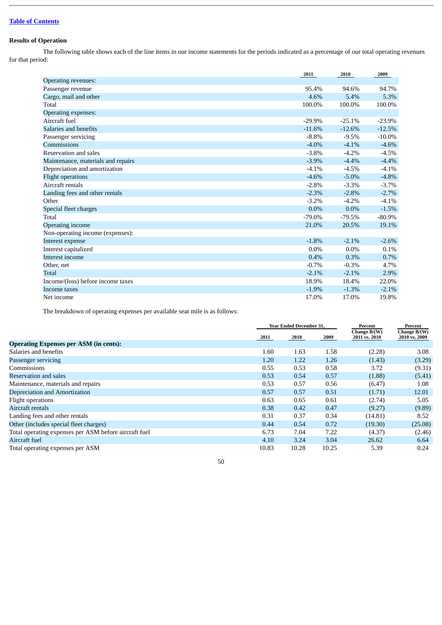# **Results of Operation**

The following table shows each of the line items in our income statements for the periods indicated as a percentage of our total operating revenues for that period:

|                                    | 2011      | 2010     | 2009      |
|------------------------------------|-----------|----------|-----------|
| Operating revenues:                |           |          |           |
| Passenger revenue                  | 95.4%     | 94.6%    | 94.7%     |
| Cargo, mail and other              | 4.6%      | 5.4%     | 5.3%      |
| Total                              | 100.0%    | 100.0%   | 100.0%    |
| Operating expenses:                |           |          |           |
| Aircraft fuel                      | $-29.9%$  | $-25.1%$ | $-23.9%$  |
| Salaries and benefits              | $-11.6%$  | $-12.6%$ | $-12.5%$  |
| Passenger servicing                | $-8.8%$   | $-9.5%$  | $-10.0\%$ |
| Commissions                        | $-4.0\%$  | $-4.1%$  | $-4.6%$   |
| Reservation and sales              | $-3.8%$   | $-4.2%$  | $-4.5%$   |
| Maintenance, materials and repairs | $-3.9\%$  | $-4.4%$  | $-4.4%$   |
| Depreciation and amortization      | $-4.1%$   | $-4.5%$  | $-4.1%$   |
| <b>Flight operations</b>           | $-4.6%$   | $-5.0%$  | $-4.8%$   |
| Aircraft rentals                   | $-2.8%$   | $-3.3%$  | $-3.7%$   |
| Landing fees and other rentals     | $-2.3%$   | $-2.8%$  | $-2.7%$   |
| Other                              | $-3.2\%$  | $-4.2\%$ | $-4.1%$   |
| Special fleet charges              | $0.0\%$   | $0.0\%$  | $-1.5%$   |
| Total                              | $-79.0\%$ | $-79.5%$ | $-80.9%$  |
| Operating income                   | 21.0%     | 20.5%    | 19.1%     |
| Non-operating income (expenses):   |           |          |           |
| Interest expense                   | $-1.8%$   | $-2.1%$  | $-2.6%$   |
| Interest capitalized               | 0.0%      | $0.0\%$  | 0.1%      |
| Interest income                    | 0.4%      | 0.3%     | 0.7%      |
| Other, net                         | $-0.7%$   | $-0.3%$  | 4.7%      |
| Total                              | $-2.1%$   | $-2.1%$  | 2.9%      |
| Income/(loss) before income taxes  | 18.9%     | 18.4%    | 22.0%     |
| Income taxes                       | $-1.9%$   | $-1.3%$  | $-2.1%$   |
| Net income                         | 17.0%     | 17.0%    | 19.8%     |

The breakdown of operating expenses per available seat mile is as follows:

|                                                       |       | <b>Year Ended December 31.</b> |       | Percent                         | Percent                       |
|-------------------------------------------------------|-------|--------------------------------|-------|---------------------------------|-------------------------------|
|                                                       | 2011  | 2010                           | 2009  | Change $B/(W)$<br>2011 vs. 2010 | Change B/(W)<br>2010 vs. 2009 |
| <b>Operating Expenses per ASM (in cents):</b>         |       |                                |       |                                 |                               |
| Salaries and benefits                                 | 1.60  | 1.63                           | 1.58  | (2.28)                          | 3.08                          |
| Passenger servicing                                   | 1.20  | 1.22                           | 1.26  | (1.43)                          | (3.29)                        |
| Commissions                                           | 0.55  | 0.53                           | 0.58  | 3.72                            | (9.31)                        |
| Reservation and sales                                 | 0.53  | 0.54                           | 0.57  | (1.88)                          | (5.41)                        |
| Maintenance, materials and repairs                    | 0.53  | 0.57                           | 0.56  | (6.47)                          | 1.08                          |
| Depreciation and Amortization                         | 0.57  | 0.57                           | 0.51  | (1.71)                          | 12.01                         |
| Flight operations                                     | 0.63  | 0.65                           | 0.61  | (2.74)                          | 5.05                          |
| Aircraft rentals                                      | 0.38  | 0.42                           | 0.47  | (9.27)                          | (9.89)                        |
| Landing fees and other rentals                        | 0.31  | 0.37                           | 0.34  | (14.81)                         | 8.52                          |
| Other (includes special fleet charges)                | 0.44  | 0.54                           | 0.72  | (19.30)                         | (25.08)                       |
| Total operating expenses per ASM before aircraft fuel | 6.73  | 7.04                           | 7.22  | (4.37)                          | (2.46)                        |
| Aircraft fuel                                         | 4.10  | 3.24                           | 3.04  | 26.62                           | 6.64                          |
| Total operating expenses per ASM                      | 10.83 | 10.28                          | 10.25 | 5.39                            | 0.24                          |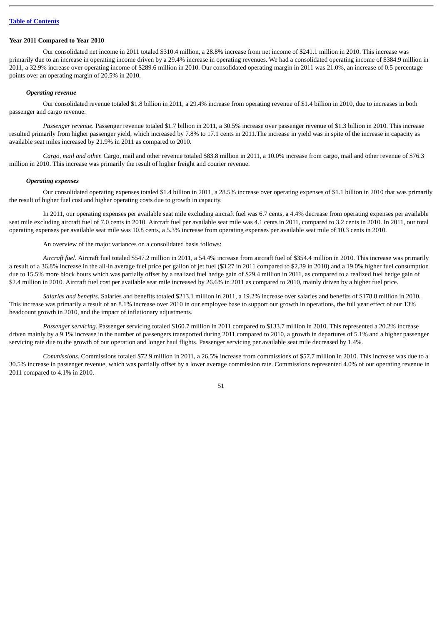### **Year 2011 Compared to Year 2010**

Our consolidated net income in 2011 totaled \$310.4 million, a 28.8% increase from net income of \$241.1 million in 2010. This increase was primarily due to an increase in operating income driven by a 29.4% increase in operating revenues. We had a consolidated operating income of \$384.9 million in 2011, a 32.9% increase over operating income of \$289.6 million in 2010. Our consolidated operating margin in 2011 was 21.0%, an increase of 0.5 percentage points over an operating margin of 20.5% in 2010.

# *Operating revenue*

Our consolidated revenue totaled \$1.8 billion in 2011, a 29.4% increase from operating revenue of \$1.4 billion in 2010, due to increases in both passenger and cargo revenue.

*Passenger revenue.* Passenger revenue totaled \$1.7 billion in 2011, a 30.5% increase over passenger revenue of \$1.3 billion in 2010. This increase resulted primarily from higher passenger yield, which increased by 7.8% to 17.1 cents in 2011.The increase in yield was in spite of the increase in capacity as available seat miles increased by 21.9% in 2011 as compared to 2010.

*Cargo, mail and other.* Cargo, mail and other revenue totaled \$83.8 million in 2011, a 10.0% increase from cargo, mail and other revenue of \$76.3 million in 2010. This increase was primarily the result of higher freight and courier revenue.

#### *Operating expenses*

Our consolidated operating expenses totaled \$1.4 billion in 2011, a 28.5% increase over operating expenses of \$1.1 billion in 2010 that was primarily the result of higher fuel cost and higher operating costs due to growth in capacity.

In 2011, our operating expenses per available seat mile excluding aircraft fuel was 6.7 cents, a 4.4% decrease from operating expenses per available seat mile excluding aircraft fuel of 7.0 cents in 2010. Aircraft fuel per available seat mile was 4.1 cents in 2011, compared to 3.2 cents in 2010. In 2011, our total operating expenses per available seat mile was 10.8 cents, a 5.3% increase from operating expenses per available seat mile of 10.3 cents in 2010.

An overview of the major variances on a consolidated basis follows:

*Aircraft fuel.* Aircraft fuel totaled \$547.2 million in 2011, a 54.4% increase from aircraft fuel of \$354.4 million in 2010. This increase was primarily a result of a 36.8% increase in the all-in average fuel price per gallon of jet fuel (\$3.27 in 2011 compared to \$2.39 in 2010) and a 19.0% higher fuel consumption due to 15.5% more block hours which was partially offset by a realized fuel hedge gain of \$29.4 million in 2011, as compared to a realized fuel hedge gain of \$2.4 million in 2010. Aircraft fuel cost per available seat mile increased by 26.6% in 2011 as compared to 2010, mainly driven by a higher fuel price.

*Salaries and benefits.* Salaries and benefits totaled \$213.1 million in 2011, a 19.2% increase over salaries and benefits of \$178.8 million in 2010. This increase was primarily a result of an 8.1% increase over 2010 in our employee base to support our growth in operations, the full year effect of our 13% headcount growth in 2010, and the impact of inflationary adjustments.

*Passenger servicing*. Passenger servicing totaled \$160.7 million in 2011 compared to \$133.7 million in 2010. This represented a 20.2% increase driven mainly by a 9.1% increase in the number of passengers transported during 2011 compared to 2010, a growth in departures of 5.1% and a higher passenger servicing rate due to the growth of our operation and longer haul flights. Passenger servicing per available seat mile decreased by 1.4%.

*Commissions.* Commissions totaled \$72.9 million in 2011, a 26.5% increase from commissions of \$57.7 million in 2010. This increase was due to a 30.5% increase in passenger revenue, which was partially offset by a lower average commission rate. Commissions represented 4.0% of our operating revenue in 2011 compared to 4.1% in 2010.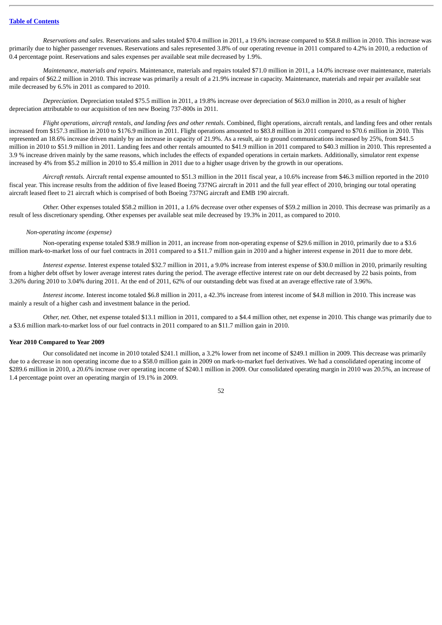*Reservations and sales.* Reservations and sales totaled \$70.4 million in 2011, a 19.6% increase compared to \$58.8 million in 2010. This increase was primarily due to higher passenger revenues. Reservations and sales represented 3.8% of our operating revenue in 2011 compared to 4.2% in 2010, a reduction of 0.4 percentage point. Reservations and sales expenses per available seat mile decreased by 1.9%.

*Maintenance, materials and repairs.* Maintenance, materials and repairs totaled \$71.0 million in 2011, a 14.0% increase over maintenance, materials and repairs of \$62.2 million in 2010. This increase was primarily a result of a 21.9% increase in capacity. Maintenance, materials and repair per available seat mile decreased by 6.5% in 2011 as compared to 2010.

*Depreciation.* Depreciation totaled \$75.5 million in 2011, a 19.8% increase over depreciation of \$63.0 million in 2010, as a result of higher depreciation attributable to our acquisition of ten new Boeing 737-800s in 2011.

*Flight operations, aircraft rentals, and landing fees and other rentals.* Combined, flight operations, aircraft rentals, and landing fees and other rentals increased from \$157.3 million in 2010 to \$176.9 million in 2011. Flight operations amounted to \$83.8 million in 2011 compared to \$70.6 million in 2010. This represented an 18.6% increase driven mainly by an increase in capacity of 21.9%. As a result, air to ground communications increased by 25%, from \$41.5 million in 2010 to \$51.9 million in 2011. Landing fees and other rentals amounted to \$41.9 million in 2011 compared to \$40.3 million in 2010. This represented a 3.9 % increase driven mainly by the same reasons, which includes the effects of expanded operations in certain markets. Additionally, simulator rent expense increased by 4% from \$5.2 million in 2010 to \$5.4 million in 2011 due to a higher usage driven by the growth in our operations.

*Aircraft rentals.* Aircraft rental expense amounted to \$51.3 million in the 2011 fiscal year, a 10.6% increase from \$46.3 million reported in the 2010 fiscal year. This increase results from the addition of five leased Boeing 737NG aircraft in 2011 and the full year effect of 2010, bringing our total operating aircraft leased fleet to 21 aircraft which is comprised of both Boeing 737NG aircraft and EMB 190 aircraft.

*Other.* Other expenses totaled \$58.2 million in 2011, a 1.6% decrease over other expenses of \$59.2 million in 2010. This decrease was primarily as a result of less discretionary spending. Other expenses per available seat mile decreased by 19.3% in 2011, as compared to 2010.

## *Non-operating income (expense)*

Non-operating expense totaled \$38.9 million in 2011, an increase from non-operating expense of \$29.6 million in 2010, primarily due to a \$3.6 million mark-to-market loss of our fuel contracts in 2011 compared to a \$11.7 million gain in 2010 and a higher interest expense in 2011 due to more debt.

*Interest expense.* Interest expense totaled \$32.7 million in 2011, a 9.0% increase from interest expense of \$30.0 million in 2010, primarily resulting from a higher debt offset by lower average interest rates during the period. The average effective interest rate on our debt decreased by 22 basis points, from 3.26% during 2010 to 3.04% during 2011. At the end of 2011, 62% of our outstanding debt was fixed at an average effective rate of 3.96%.

*Interest income.* Interest income totaled \$6.8 million in 2011, a 42.3% increase from interest income of \$4.8 million in 2010. This increase was mainly a result of a higher cash and investment balance in the period.

*Other, net.* Other, net expense totaled \$13.1 million in 2011, compared to a \$4.4 million other, net expense in 2010. This change was primarily due to a \$3.6 million mark-to-market loss of our fuel contracts in 2011 compared to an \$11.7 million gain in 2010.

## **Year 2010 Compared to Year 2009**

Our consolidated net income in 2010 totaled \$241.1 million, a 3.2% lower from net income of \$249.1 million in 2009. This decrease was primarily due to a decrease in non operating income due to a \$58.0 million gain in 2009 on mark-to-market fuel derivatives. We had a consolidated operating income of \$289.6 million in 2010, a 20.6% increase over operating income of \$240.1 million in 2009. Our consolidated operating margin in 2010 was 20.5%, an increase of 1.4 percentage point over an operating margin of 19.1% in 2009.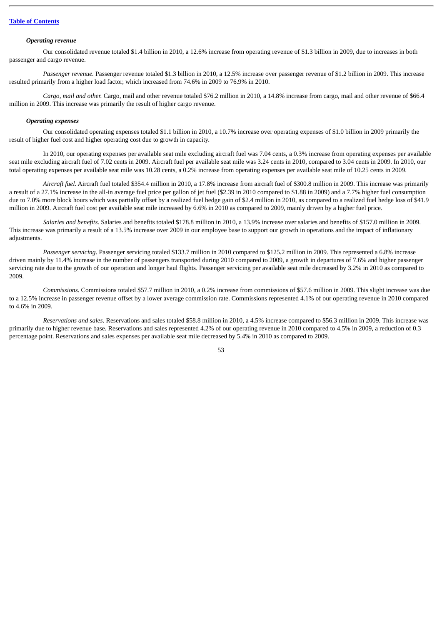#### *Operating revenue*

Our consolidated revenue totaled \$1.4 billion in 2010, a 12.6% increase from operating revenue of \$1.3 billion in 2009, due to increases in both passenger and cargo revenue.

*Passenger revenue.* Passenger revenue totaled \$1.3 billion in 2010, a 12.5% increase over passenger revenue of \$1.2 billion in 2009. This increase resulted primarily from a higher load factor, which increased from 74.6% in 2009 to 76.9% in 2010.

*Cargo, mail and other.* Cargo, mail and other revenue totaled \$76.2 million in 2010, a 14.8% increase from cargo, mail and other revenue of \$66.4 million in 2009. This increase was primarily the result of higher cargo revenue.

# *Operating expenses*

Our consolidated operating expenses totaled \$1.1 billion in 2010, a 10.7% increase over operating expenses of \$1.0 billion in 2009 primarily the result of higher fuel cost and higher operating cost due to growth in capacity.

In 2010, our operating expenses per available seat mile excluding aircraft fuel was 7.04 cents, a 0.3% increase from operating expenses per available seat mile excluding aircraft fuel of 7.02 cents in 2009. Aircraft fuel per available seat mile was 3.24 cents in 2010, compared to 3.04 cents in 2009. In 2010, our total operating expenses per available seat mile was 10.28 cents, a 0.2% increase from operating expenses per available seat mile of 10.25 cents in 2009.

*Aircraft fuel.* Aircraft fuel totaled \$354.4 million in 2010, a 17.8% increase from aircraft fuel of \$300.8 million in 2009. This increase was primarily a result of a 27.1% increase in the all-in average fuel price per gallon of jet fuel (\$2.39 in 2010 compared to \$1.88 in 2009) and a 7.7% higher fuel consumption due to 7.0% more block hours which was partially offset by a realized fuel hedge gain of \$2.4 million in 2010, as compared to a realized fuel hedge loss of \$41.9 million in 2009. Aircraft fuel cost per available seat mile increased by 6.6% in 2010 as compared to 2009, mainly driven by a higher fuel price.

*Salaries and benefits.* Salaries and benefits totaled \$178.8 million in 2010, a 13.9% increase over salaries and benefits of \$157.0 million in 2009. This increase was primarily a result of a 13.5% increase over 2009 in our employee base to support our growth in operations and the impact of inflationary adjustments.

*Passenger servicing*. Passenger servicing totaled \$133.7 million in 2010 compared to \$125.2 million in 2009. This represented a 6.8% increase driven mainly by 11.4% increase in the number of passengers transported during 2010 compared to 2009, a growth in departures of 7.6% and higher passenger servicing rate due to the growth of our operation and longer haul flights. Passenger servicing per available seat mile decreased by 3.2% in 2010 as compared to 2009.

*Commissions.* Commissions totaled \$57.7 million in 2010, a 0.2% increase from commissions of \$57.6 million in 2009. This slight increase was due to a 12.5% increase in passenger revenue offset by a lower average commission rate. Commissions represented 4.1% of our operating revenue in 2010 compared to 4.6% in 2009.

*Reservations and sales.* Reservations and sales totaled \$58.8 million in 2010, a 4.5% increase compared to \$56.3 million in 2009. This increase was primarily due to higher revenue base. Reservations and sales represented 4.2% of our operating revenue in 2010 compared to 4.5% in 2009, a reduction of 0.3 percentage point. Reservations and sales expenses per available seat mile decreased by 5.4% in 2010 as compared to 2009.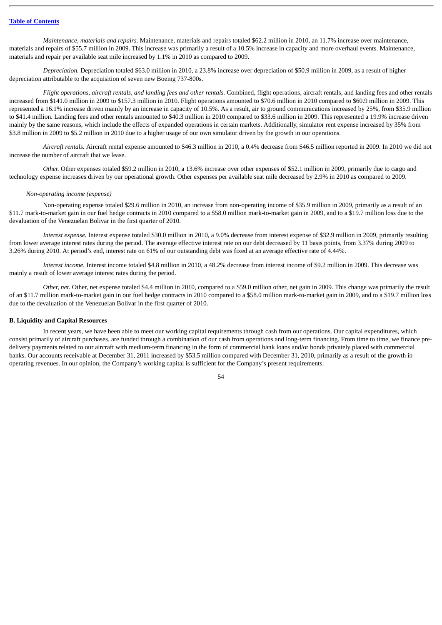*Maintenance, materials and repairs.* Maintenance, materials and repairs totaled \$62.2 million in 2010, an 11.7% increase over maintenance, materials and repairs of \$55.7 million in 2009. This increase was primarily a result of a 10.5% increase in capacity and more overhaul events. Maintenance, materials and repair per available seat mile increased by 1.1% in 2010 as compared to 2009.

*Depreciation.* Depreciation totaled \$63.0 million in 2010, a 23.8% increase over depreciation of \$50.9 million in 2009, as a result of higher depreciation attributable to the acquisition of seven new Boeing 737-800s.

*Flight operations, aircraft rentals, and landing fees and other rentals.* Combined, flight operations, aircraft rentals, and landing fees and other rentals increased from \$141.0 million in 2009 to \$157.3 million in 2010. Flight operations amounted to \$70.6 million in 2010 compared to \$60.9 million in 2009. This represented a 16.1% increase driven mainly by an increase in capacity of 10.5%. As a result, air to ground communications increased by 25%, from \$35.9 million to \$41.4 million. Landing fees and other rentals amounted to \$40.3 million in 2010 compared to \$33.6 million in 2009. This represented a 19.9% increase driven mainly by the same reasons, which include the effects of expanded operations in certain markets. Additionally, simulator rent expense increased by 35% from \$3.8 million in 2009 to \$5.2 million in 2010 due to a higher usage of our own simulator driven by the growth in our operations.

*Aircraft rentals.* Aircraft rental expense amounted to \$46.3 million in 2010, a 0.4% decrease from \$46.5 million reported in 2009. In 2010 we did not increase the number of aircraft that we lease.

*Other.* Other expenses totaled \$59.2 million in 2010, a 13.6% increase over other expenses of \$52.1 million in 2009, primarily due to cargo and technology expense increases driven by our operational growth. Other expenses per available seat mile decreased by 2.9% in 2010 as compared to 2009.

### *Non-operating income (expense)*

Non-operating expense totaled \$29.6 million in 2010, an increase from non-operating income of \$35.9 million in 2009, primarily as a result of an \$11.7 mark-to-market gain in our fuel hedge contracts in 2010 compared to a \$58.0 million mark-to-market gain in 2009, and to a \$19.7 million loss due to the devaluation of the Venezuelan Bolivar in the first quarter of 2010.

*Interest expense.* Interest expense totaled \$30.0 million in 2010, a 9.0% decrease from interest expense of \$32.9 million in 2009, primarily resulting from lower average interest rates during the period. The average effective interest rate on our debt decreased by 11 basis points, from 3.37% during 2009 to 3.26% during 2010. At period's end, interest rate on 61% of our outstanding debt was fixed at an average effective rate of 4.44%.

*Interest income.* Interest income totaled \$4.8 million in 2010, a 48.2% decrease from interest income of \$9.2 million in 2009. This decrease was mainly a result of lower average interest rates during the period.

*Other, net.* Other, net expense totaled \$4.4 million in 2010, compared to a \$59.0 million other, net gain in 2009. This change was primarily the result of an \$11.7 million mark-to-market gain in our fuel hedge contracts in 2010 compared to a \$58.0 million mark-to-market gain in 2009, and to a \$19.7 million loss due to the devaluation of the Venezuelan Bolivar in the first quarter of 2010.

# **B. Liquidity and Capital Resources**

In recent years, we have been able to meet our working capital requirements through cash from our operations. Our capital expenditures, which consist primarily of aircraft purchases, are funded through a combination of our cash from operations and long-term financing. From time to time, we finance predelivery payments related to our aircraft with medium-term financing in the form of commercial bank loans and/or bonds privately placed with commercial banks. Our accounts receivable at December 31, 2011 increased by \$53.5 million compared with December 31, 2010, primarily as a result of the growth in operating revenues. In our opinion, the Company's working capital is sufficient for the Company's present requirements.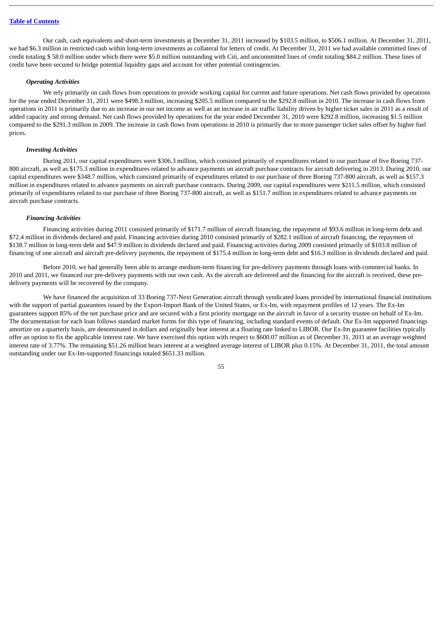Our cash, cash equivalents and short-term investments at December 31, 2011 increased by \$103.5 million, to \$506.1 million. At December 31, 2011, we had \$6.3 million in restricted cash within long-term investments as collateral for letters of credit. At December 31, 2011 we had available committed lines of credit totaling \$ 58.0 million under which there were \$5.0 million outstanding with Citi, and uncommitted lines of credit totaling \$84.2 million. These lines of credit have been secured to bridge potential liquidity gaps and account for other potential contingencies.

#### *Operating Activities*

We rely primarily on cash flows from operations to provide working capital for current and future operations. Net cash flows provided by operations for the year ended December 31, 2011 were \$498.3 million, increasing \$205.5 million compared to the \$292.8 million in 2010. The increase in cash flows from operations in 2011 is primarily due to an increase in our net income as well as an increase in air traffic liability driven by higher ticket sales in 2011 as a result of added capacity and strong demand. Net cash flows provided by operations for the year ended December 31, 2010 were \$292.8 million, increasing \$1.5 million compared to the \$291.3 million in 2009. The increase in cash flows from operations in 2010 is primarily due to more passenger ticket sales offset by higher fuel prices.

# *Investing Activities*

During 2011, our capital expenditures were \$306.3 million, which consisted primarily of expenditures related to our purchase of five Boeing 737- 800 aircraft, as well as \$175.3 million in expenditures related to advance payments on aircraft purchase contracts for aircraft delivering in 2013. During 2010, our capital expenditures were \$348.7 million, which consisted primarily of expenditures related to our purchase of three Boeing 737-800 aircraft, as well as \$157.3 million in expenditures related to advance payments on aircraft purchase contracts. During 2009, our capital expenditures were \$211.5 million, which consisted primarily of expenditures related to our purchase of three Boeing 737-800 aircraft, as well as \$151.7 million in expenditures related to advance payments on aircraft purchase contracts.

#### *Financing Activities*

Financing activities during 2011 consisted primarily of \$171.7 million of aircraft financing, the repayment of \$93.6 million in long-term debt and \$72.4 million in dividends declared and paid. Financing activities during 2010 consisted primarily of \$282.1 million of aircraft financing, the repayment of \$138.7 million in long-term debt and \$47.9 million in dividends declared and paid. Financing activities during 2009 consisted primarily of \$103.8 million of financing of one aircraft and aircraft pre-delivery payments, the repayment of \$175.4 million in long-term debt and \$16.3 million in dividends declared and paid.

Before 2010, we had generally been able to arrange medium-term financing for pre-delivery payments through loans with commercial banks. In 2010 and 2011, we financed our pre-delivery payments with our own cash. As the aircraft are delivered and the financing for the aircraft is received, these predelivery payments will be recovered by the company.

We have financed the acquisition of 33 Boeing 737-Next Generation aircraft through syndicated loans provided by international financial institutions with the support of partial guarantees issued by the Export-Import Bank of the United States, or Ex-Im, with repayment profiles of 12 years. The Ex-Im guarantees support 85% of the net purchase price and are secured with a first priority mortgage on the aircraft in favor of a security trustee on behalf of Ex-Im. The documentation for each loan follows standard market forms for this type of financing, including standard events of default. Our Ex-Im supported financings amortize on a quarterly basis, are denominated in dollars and originally bear interest at a floating rate linked to LIBOR. Our Ex-Im guarantee facilities typically offer an option to fix the applicable interest rate. We have exercised this option with respect to \$600.07 million as of December 31, 2011 at an average weighted interest rate of 3.77%. The remaining \$51.26 million bears interest at a weighted average interest of LIBOR plus 0.15%. At December 31, 2011, the total amount outstanding under our Ex-Im-supported financings totaled \$651.33 million.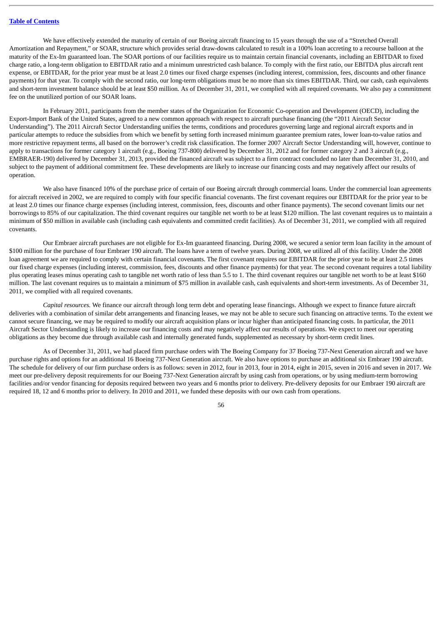We have effectively extended the maturity of certain of our Boeing aircraft financing to 15 years through the use of a "Stretched Overall Amortization and Repayment," or SOAR, structure which provides serial draw-downs calculated to result in a 100% loan accreting to a recourse balloon at the maturity of the Ex-Im guaranteed loan. The SOAR portions of our facilities require us to maintain certain financial covenants, including an EBITDAR to fixed charge ratio, a long-term obligation to EBITDAR ratio and a minimum unrestricted cash balance. To comply with the first ratio, our EBITDA plus aircraft rent expense, or EBITDAR, for the prior year must be at least 2.0 times our fixed charge expenses (including interest, commission, fees, discounts and other finance payments) for that year. To comply with the second ratio, our long-term obligations must be no more than six times EBITDAR. Third, our cash, cash equivalents and short-term investment balance should be at least \$50 million. As of December 31, 2011, we complied with all required covenants. We also pay a commitment fee on the unutilized portion of our SOAR loans.

In February 2011, participants from the member states of the Organization for Economic Co-operation and Development (OECD), including the Export-Import Bank of the United States, agreed to a new common approach with respect to aircraft purchase financing (the "2011 Aircraft Sector Understanding"). The 2011 Aircraft Sector Understanding unifies the terms, conditions and procedures governing large and regional aircraft exports and in particular attempts to reduce the subsidies from which we benefit by setting forth increased minimum guarantee premium rates, lower loan-to-value ratios and more restrictive repayment terms, all based on the borrower's credit risk classification. The former 2007 Aircraft Sector Understanding will, however, continue to apply to transactions for former category 1 aircraft (e.g., Boeing 737-800) delivered by December 31, 2012 and for former category 2 and 3 aircraft (e.g., EMBRAER-190) delivered by December 31, 2013, provided the financed aircraft was subject to a firm contract concluded no later than December 31, 2010, and subject to the payment of additional commitment fee. These developments are likely to increase our financing costs and may negatively affect our results of operation.

We also have financed 10% of the purchase price of certain of our Boeing aircraft through commercial loans. Under the commercial loan agreements for aircraft received in 2002, we are required to comply with four specific financial covenants. The first covenant requires our EBITDAR for the prior year to be at least 2.0 times our finance charge expenses (including interest, commission, fees, discounts and other finance payments). The second covenant limits our net borrowings to 85% of our capitalization. The third covenant requires our tangible net worth to be at least \$120 million. The last covenant requires us to maintain a minimum of \$50 million in available cash (including cash equivalents and committed credit facilities). As of December 31, 2011, we complied with all required covenants.

Our Embraer aircraft purchases are not eligible for Ex-Im guaranteed financing. During 2008, we secured a senior term loan facility in the amount of \$100 million for the purchase of four Embraer 190 aircraft. The loans have a term of twelve years. During 2008, we utilized all of this facility. Under the 2008 loan agreement we are required to comply with certain financial covenants. The first covenant requires our EBITDAR for the prior year to be at least 2.5 times our fixed charge expenses (including interest, commission, fees, discounts and other finance payments) for that year. The second covenant requires a total liability plus operating leases minus operating cash to tangible net worth ratio of less than 5.5 to 1. The third covenant requires our tangible net worth to be at least \$160 million. The last covenant requires us to maintain a minimum of \$75 million in available cash, cash equivalents and short-term investments. As of December 31, 2011, we complied with all required covenants.

*Capital resources.* We finance our aircraft through long term debt and operating lease financings. Although we expect to finance future aircraft deliveries with a combination of similar debt arrangements and financing leases, we may not be able to secure such financing on attractive terms. To the extent we cannot secure financing, we may be required to modify our aircraft acquisition plans or incur higher than anticipated financing costs. In particular, the 2011 Aircraft Sector Understanding is likely to increase our financing costs and may negatively affect our results of operations. We expect to meet our operating obligations as they become due through available cash and internally generated funds, supplemented as necessary by short-term credit lines.

As of December 31, 2011, we had placed firm purchase orders with The Boeing Company for 37 Boeing 737-Next Generation aircraft and we have purchase rights and options for an additional 16 Boeing 737-Next Generation aircraft. We also have options to purchase an additional six Embraer 190 aircraft. The schedule for delivery of our firm purchase orders is as follows: seven in 2012, four in 2013, four in 2014, eight in 2015, seven in 2016 and seven in 2017. We meet our pre-delivery deposit requirements for our Boeing 737-Next Generation aircraft by using cash from operations, or by using medium-term borrowing facilities and/or vendor financing for deposits required between two years and 6 months prior to delivery. Pre-delivery deposits for our Embraer 190 aircraft are required 18, 12 and 6 months prior to delivery. In 2010 and 2011, we funded these deposits with our own cash from operations.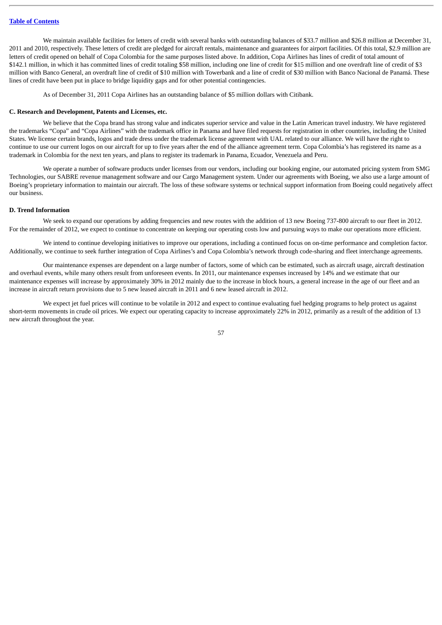We maintain available facilities for letters of credit with several banks with outstanding balances of \$33.7 million and \$26.8 million at December 31, 2011 and 2010, respectively. These letters of credit are pledged for aircraft rentals, maintenance and guarantees for airport facilities. Of this total, \$2.9 million are letters of credit opened on behalf of Copa Colombia for the same purposes listed above. In addition, Copa Airlines has lines of credit of total amount of \$142.1 million, in which it has committed lines of credit totaling \$58 million, including one line of credit for \$15 million and one overdraft line of credit of \$3 million with Banco General, an overdraft line of credit of \$10 million with Towerbank and a line of credit of \$30 million with Banco Nacional de Panamá. These lines of credit have been put in place to bridge liquidity gaps and for other potential contingencies.

As of December 31, 2011 Copa Airlines has an outstanding balance of \$5 million dollars with Citibank.

#### **C. Research and Development, Patents and Licenses, etc.**

We believe that the Copa brand has strong value and indicates superior service and value in the Latin American travel industry. We have registered the trademarks "Copa" and "Copa Airlines" with the trademark office in Panama and have filed requests for registration in other countries, including the United States. We license certain brands, logos and trade dress under the trademark license agreement with UAL related to our alliance. We will have the right to continue to use our current logos on our aircraft for up to five years after the end of the alliance agreement term. Copa Colombia's has registered its name as a trademark in Colombia for the next ten years, and plans to register its trademark in Panama, Ecuador, Venezuela and Peru.

We operate a number of software products under licenses from our vendors, including our booking engine, our automated pricing system from SMG Technologies, our SABRE revenue management software and our Cargo Management system. Under our agreements with Boeing, we also use a large amount of Boeing's proprietary information to maintain our aircraft. The loss of these software systems or technical support information from Boeing could negatively affect our business.

#### **D. Trend Information**

We seek to expand our operations by adding frequencies and new routes with the addition of 13 new Boeing 737-800 aircraft to our fleet in 2012. For the remainder of 2012, we expect to continue to concentrate on keeping our operating costs low and pursuing ways to make our operations more efficient.

We intend to continue developing initiatives to improve our operations, including a continued focus on on-time performance and completion factor. Additionally, we continue to seek further integration of Copa Airlines's and Copa Colombia's network through code-sharing and fleet interchange agreements.

Our maintenance expenses are dependent on a large number of factors, some of which can be estimated, such as aircraft usage, aircraft destination and overhaul events, while many others result from unforeseen events. In 2011, our maintenance expenses increased by 14% and we estimate that our maintenance expenses will increase by approximately 30% in 2012 mainly due to the increase in block hours, a general increase in the age of our fleet and an increase in aircraft return provisions due to 5 new leased aircraft in 2011 and 6 new leased aircraft in 2012.

We expect jet fuel prices will continue to be volatile in 2012 and expect to continue evaluating fuel hedging programs to help protect us against short-term movements in crude oil prices. We expect our operating capacity to increase approximately 22% in 2012, primarily as a result of the addition of 13 new aircraft throughout the year.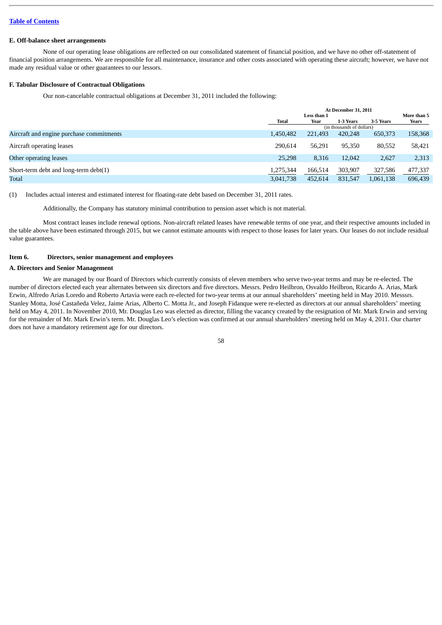# **E. Off-balance sheet arrangements**

None of our operating lease obligations are reflected on our consolidated statement of financial position, and we have no other off-statement of financial position arrangements. We are responsible for all maintenance, insurance and other costs associated with operating these aircraft; however, we have not made any residual value or other guarantees to our lessors.

# **F. Tabular Disclosure of Contractual Obligations**

Our non-cancelable contractual obligations at December 31, 2011 included the following:

|                                                | At December 31, 2011 |         |                           |           |             |
|------------------------------------------------|----------------------|---------|---------------------------|-----------|-------------|
|                                                | Less than 1          |         |                           |           | More than 5 |
|                                                | Total                | Year    | 1-3 Years                 | 3-5 Years | Years       |
|                                                |                      |         | (in thousands of dollars) |           |             |
| Aircraft and engine purchase commitments       | 1,450,482            | 221,493 | 420,248                   | 650,373   | 158,368     |
| Aircraft operating leases                      | 290.614              | 56,291  | 95,350                    | 80,552    | 58,421      |
| Other operating leases                         | 25,298               | 8.316   | 12,042                    | 2,627     | 2,313       |
| Short-term debt and long-term $\text{debt}(1)$ | 1,275,344            | 166,514 | 303,907                   | 327,586   | 477,337     |
| <b>Total</b>                                   | 3,041,738            | 452,614 | 831,547                   | 1,061,138 | 696,439     |

(1) Includes actual interest and estimated interest for floating-rate debt based on December 31, 2011 rates.

Additionally, the Company has statutory minimal contribution to pension asset which is not material.

Most contract leases include renewal options. Non-aircraft related leases have renewable terms of one year, and their respective amounts included in the table above have been estimated through 2015, but we cannot estimate amounts with respect to those leases for later years. Our leases do not include residual value guarantees.

# **Item 6. Directors, senior management and employees**

# **A. Directors and Senior Management**

We are managed by our Board of Directors which currently consists of eleven members who serve two-year terms and may be re-elected. The number of directors elected each year alternates between six directors and five directors. Messrs. Pedro Heilbron, Osvaldo Heilbron, Ricardo A. Arias, Mark Erwin, Alfredo Arias Loredo and Roberto Artavia were each re-elected for two-year terms at our annual shareholders' meeting held in May 2010. Messsrs. Stanley Motta, José Castañeda Velez, Jaime Arias, Alberto C. Motta Jr., and Joseph Fidanque were re-elected as directors at our annual shareholders' meeting held on May 4, 2011. In November 2010, Mr. Douglas Leo was elected as director, filling the vacancy created by the resignation of Mr. Mark Erwin and serving for the remainder of Mr. Mark Erwin's term. Mr. Douglas Leo's election was confirmed at our annual shareholders' meeting held on May 4, 2011. Our charter does not have a mandatory retirement age for our directors.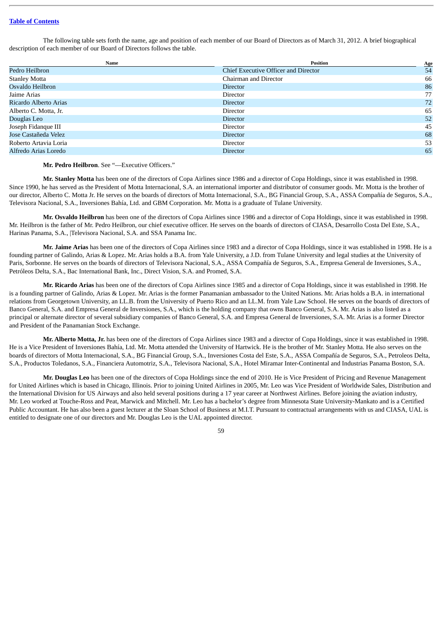The following table sets forth the name, age and position of each member of our Board of Directors as of March 31, 2012. A brief biographical description of each member of our Board of Directors follows the table.

| Name                  | <b>Position</b>                      | <u>Age</u> |
|-----------------------|--------------------------------------|------------|
| Pedro Heilbron        | Chief Executive Officer and Director | 54         |
| <b>Stanley Motta</b>  | Chairman and Director                | 66         |
| Osvaldo Heilbron      | Director                             | 86         |
| Jaime Arias           | Director                             | 77         |
| Ricardo Alberto Arias | Director                             | 72         |
| Alberto C. Motta, Jr. | Director                             | 65         |
| Douglas Leo           | <b>Director</b>                      | 52         |
| Joseph Fidanque III   | Director                             | 45         |
| Jose Castañeda Velez  | <b>Director</b>                      | 68         |
| Roberto Artavia Loria | Director                             | 53         |
| Alfredo Arias Loredo  | Director                             | 65         |
|                       |                                      |            |

**Mr. Pedro Heilbron**. See "—Executive Officers."

**Mr. Stanley Motta** has been one of the directors of Copa Airlines since 1986 and a director of Copa Holdings, since it was established in 1998. Since 1990, he has served as the President of Motta Internacional, S.A. an international importer and distributor of consumer goods. Mr. Motta is the brother of our director, Alberto C. Motta Jr. He serves on the boards of directors of Motta Internacional, S.A., BG Financial Group, S.A., ASSA Compañía de Seguros, S.A., Televisora Nacional, S.A., Inversiones Bahía, Ltd. and GBM Corporation. Mr. Motta is a graduate of Tulane University.

**Mr. Osvaldo Heilbron** has been one of the directors of Copa Airlines since 1986 and a director of Copa Holdings, since it was established in 1998. Mr. Heilbron is the father of Mr. Pedro Heilbron, our chief executive officer. He serves on the boards of directors of CIASA, Desarrollo Costa Del Este, S.A., Harinas Panama, S.A., |Televisora Nacional, S.A. and SSA Panama Inc.

**Mr. Jaime Arias** has been one of the directors of Copa Airlines since 1983 and a director of Copa Holdings, since it was established in 1998. He is a founding partner of Galindo, Arias & Lopez. Mr. Arias holds a B.A. from Yale University, a J.D. from Tulane University and legal studies at the University of Paris, Sorbonne. He serves on the boards of directors of Televisora Nacional, S.A., ASSA Compañía de Seguros, S.A., Empresa General de Inversiones, S.A., Petróleos Delta, S.A., Bac International Bank, Inc., Direct Vision, S.A. and Promed, S.A.

**Mr. Ricardo Arias** has been one of the directors of Copa Airlines since 1985 and a director of Copa Holdings, since it was established in 1998. He is a founding partner of Galindo, Arias & Lopez. Mr. Arias is the former Panamanian ambassador to the United Nations. Mr. Arias holds a B.A. in international relations from Georgetown University, an LL.B. from the University of Puerto Rico and an LL.M. from Yale Law School. He serves on the boards of directors of Banco General, S.A. and Empresa General de Inversiones, S.A., which is the holding company that owns Banco General, S.A. Mr. Arias is also listed as a principal or alternate director of several subsidiary companies of Banco General, S.A. and Empresa General de Inversiones, S.A. Mr. Arias is a former Director and President of the Panamanian Stock Exchange.

**Mr. Alberto Motta, Jr.** has been one of the directors of Copa Airlines since 1983 and a director of Copa Holdings, since it was established in 1998. He is a Vice President of Inversiones Bahía, Ltd. Mr. Motta attended the University of Hartwick. He is the brother of Mr. Stanley Motta. He also serves on the boards of directors of Motta Internacional, S.A., BG Financial Group, S.A., Inversiones Costa del Este, S.A., ASSA Compañía de Seguros, S.A., Petroleos Delta, S.A., Productos Toledanos, S.A., Financiera Automotriz, S.A., Televisora Nacional, S.A., Hotel Miramar Inter-Continental and Industrias Panama Boston, S.A.

**Mr. Douglas Leo** has been one of the directors of Copa Holdings since the end of 2010. He is Vice President of Pricing and Revenue Management for United Airlines which is based in Chicago, Illinois. Prior to joining United Airlines in 2005, Mr. Leo was Vice President of Worldwide Sales, Distribution and the International Division for US Airways and also held several positions during a 17 year career at Northwest Airlines. Before joining the aviation industry, Mr. Leo worked at Touche-Ross and Peat, Marwick and Mitchell. Mr. Leo has a bachelor's degree from Minnesota State University-Mankato and is a Certified Public Accountant. He has also been a guest lecturer at the Sloan School of Business at M.I.T. Pursuant to contractual arrangements with us and CIASA, UAL is entitled to designate one of our directors and Mr. Douglas Leo is the UAL appointed director.

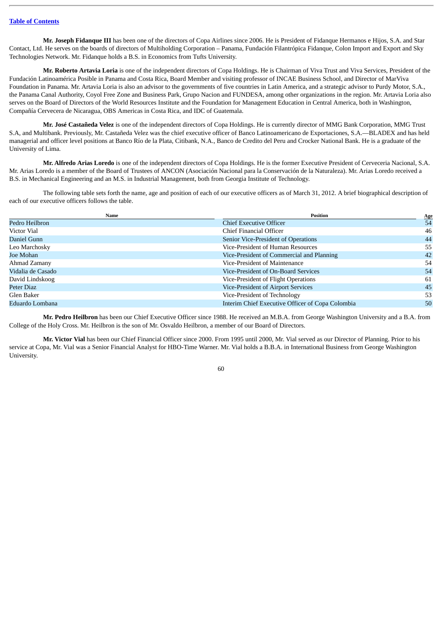**Mr. Joseph Fidanque III** has been one of the directors of Copa Airlines since 2006. He is President of Fidanque Hermanos e Hijos, S.A. and Star Contact, Ltd. He serves on the boards of directors of Multiholding Corporation – Panama, Fundación Filantrópica Fidanque, Colon Import and Export and Sky Technologies Network. Mr. Fidanque holds a B.S. in Economics from Tufts University.

**Mr. Roberto Artavia Loria** is one of the independent directors of Copa Holdings. He is Chairman of Viva Trust and Viva Services, President of the Fundación Latinoamérica Posible in Panama and Costa Rica, Board Member and visiting professor of INCAE Business School, and Director of MarViva Foundation in Panama. Mr. Artavia Loria is also an advisor to the governments of five countries in Latin America, and a strategic advisor to Purdy Motor, S.A., the Panama Canal Authority, Coyol Free Zone and Business Park, Grupo Nacion and FUNDESA, among other organizations in the region. Mr. Artavia Loria also serves on the Board of Directors of the World Resources Institute and the Foundation for Management Education in Central America, both in Washington, Compañía Cervecera de Nicaragua, OBS Americas in Costa Rica, and IDC of Guatemala.

**Mr. José Castañeda Velez** is one of the independent directors of Copa Holdings. He is currently director of MMG Bank Corporation, MMG Trust S.A, and Multibank. Previously, Mr. Castañeda Velez was the chief executive officer of Banco Latinoamericano de Exportaciones, S.A.—BLADEX and has held managerial and officer level positions at Banco Río de la Plata, Citibank, N.A., Banco de Credito del Peru and Crocker National Bank. He is a graduate of the University of Lima.

**Mr. Alfredo Arias Loredo** is one of the independent directors of Copa Holdings. He is the former Executive President of Cerveceria Nacional, S.A. Mr. Arias Loredo is a member of the Board of Trustees of ANCON (Asociación Nacional para la Conservación de la Naturaleza). Mr. Arias Loredo received a B.S. in Mechanical Engineering and an M.S. in Industrial Management, both from Georgia Institute of Technology.

The following table sets forth the name, age and position of each of our executive officers as of March 31, 2012. A brief biographical description of each of our executive officers follows the table.

| Name              | <b>Position</b>                                  | <u>Age</u> |
|-------------------|--------------------------------------------------|------------|
| Pedro Heilbron    | <b>Chief Executive Officer</b>                   | 54         |
| Victor Vial       | Chief Financial Officer                          | 46         |
| Daniel Gunn       | Senior Vice-President of Operations              | 44         |
| Leo Marchosky     | Vice-President of Human Resources                | 55         |
| Joe Mohan         | Vice-President of Commercial and Planning        | 42         |
| Ahmad Zamany      | Vice-President of Maintenance                    | 54         |
| Vidalia de Casado | Vice-President of On-Board Services              | 54         |
| David Lindskoog   | Vice-President of Flight Operations              | 61         |
| Peter Diaz        | Vice-President of Airport Services               | 45         |
| Glen Baker        | Vice-President of Technology                     | 53         |
| Eduardo Lombana   | Interim Chief Executive Officer of Copa Colombia | 50         |

**Mr. Pedro Heilbron** has been our Chief Executive Officer since 1988. He received an M.B.A. from George Washington University and a B.A. from College of the Holy Cross. Mr. Heilbron is the son of Mr. Osvaldo Heilbron, a member of our Board of Directors.

**Mr. Victor Vial** has been our Chief Financial Officer since 2000. From 1995 until 2000, Mr. Vial served as our Director of Planning. Prior to his service at Copa, Mr. Vial was a Senior Financial Analyst for HBO-Time Warner. Mr. Vial holds a B.B.A. in International Business from George Washington University.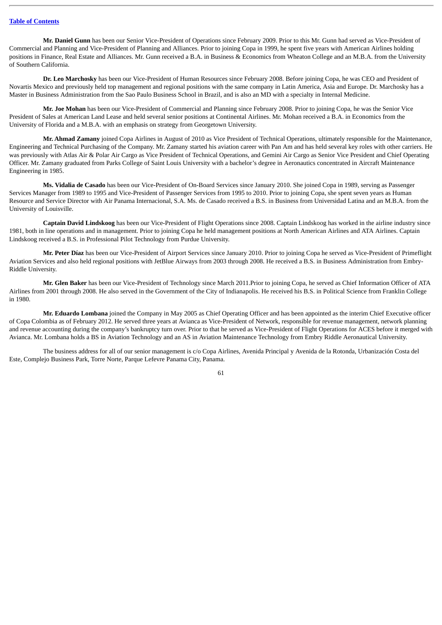**Mr. Daniel Gunn** has been our Senior Vice-President of Operations since February 2009. Prior to this Mr. Gunn had served as Vice-President of Commercial and Planning and Vice-President of Planning and Alliances. Prior to joining Copa in 1999, he spent five years with American Airlines holding positions in Finance, Real Estate and Alliances. Mr. Gunn received a B.A. in Business & Economics from Wheaton College and an M.B.A. from the University of Southern California.

**Dr. Leo Marchosky** has been our Vice-President of Human Resources since February 2008. Before joining Copa, he was CEO and President of Novartis Mexico and previously held top management and regional positions with the same company in Latin America, Asia and Europe. Dr. Marchosky has a Master in Business Administration from the Sao Paulo Business School in Brazil, and is also an MD with a specialty in Internal Medicine.

**Mr. Joe Mohan** has been our Vice-President of Commercial and Planning since February 2008. Prior to joining Copa, he was the Senior Vice President of Sales at American Land Lease and held several senior positions at Continental Airlines. Mr. Mohan received a B.A. in Economics from the University of Florida and a M.B.A. with an emphasis on strategy from Georgetown University.

**Mr. Ahmad Zamany** joined Copa Airlines in August of 2010 as Vice President of Technical Operations, ultimately responsible for the Maintenance, Engineering and Technical Purchasing of the Company. Mr. Zamany started his aviation career with Pan Am and has held several key roles with other carriers. He was previously with Atlas Air & Polar Air Cargo as Vice President of Technical Operations, and Gemini Air Cargo as Senior Vice President and Chief Operating Officer. Mr. Zamany graduated from Parks College of Saint Louis University with a bachelor's degree in Aeronautics concentrated in Aircraft Maintenance Engineering in 1985.

**Ms. Vidalia de Casado** has been our Vice-President of On-Board Services since January 2010. She joined Copa in 1989, serving as Passenger Services Manager from 1989 to 1995 and Vice-President of Passenger Services from 1995 to 2010. Prior to joining Copa, she spent seven years as Human Resource and Service Director with Air Panama Internacional, S.A. Ms. de Casado received a B.S. in Business from Universidad Latina and an M.B.A. from the University of Louisville.

**Captain David Lindskoog** has been our Vice-President of Flight Operations since 2008. Captain Lindskoog has worked in the airline industry since 1981, both in line operations and in management. Prior to joining Copa he held management positions at North American Airlines and ATA Airlines. Captain Lindskoog received a B.S. in Professional Pilot Technology from Purdue University.

**Mr. Peter Díaz** has been our Vice-President of Airport Services since January 2010. Prior to joining Copa he served as Vice-President of Primeflight Aviation Services and also held regional positions with JetBlue Airways from 2003 through 2008. He received a B.S. in Business Administration from Embry-Riddle University.

**Mr. Glen Baker** has been our Vice-President of Technology since March 2011.Prior to joining Copa, he served as Chief Information Officer of ATA Airlines from 2001 through 2008. He also served in the Government of the City of Indianapolis. He received his B.S. in Political Science from Franklin College in 1980.

**Mr. Eduardo Lombana** joined the Company in May 2005 as Chief Operating Officer and has been appointed as the interim Chief Executive officer of Copa Colombia as of February 2012. He served three years at Avianca as Vice-President of Network, responsible for revenue management, network planning and revenue accounting during the company's bankruptcy turn over. Prior to that he served as Vice-President of Flight Operations for ACES before it merged with Avianca. Mr. Lombana holds a BS in Aviation Technology and an AS in Aviation Maintenance Technology from Embry Riddle Aeronautical University.

The business address for all of our senior management is c/o Copa Airlines, Avenida Principal y Avenida de la Rotonda, Urbanización Costa del Este, Complejo Business Park, Torre Norte, Parque Lefevre Panama City, Panama.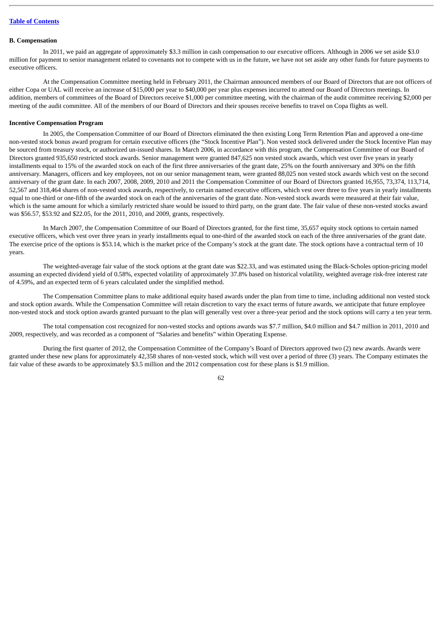#### **B. Compensation**

In 2011, we paid an aggregate of approximately \$3.3 million in cash compensation to our executive officers. Although in 2006 we set aside \$3.0 million for payment to senior management related to covenants not to compete with us in the future, we have not set aside any other funds for future payments to executive officers.

At the Compensation Committee meeting held in February 2011, the Chairman announced members of our Board of Directors that are not officers of either Copa or UAL will receive an increase of \$15,000 per year to \$40,000 per year plus expenses incurred to attend our Board of Directors meetings. In addition, members of committees of the Board of Directors receive \$1,000 per committee meeting, with the chairman of the audit committee receiving \$2,000 per meeting of the audit committee. All of the members of our Board of Directors and their spouses receive benefits to travel on Copa flights as well.

### **Incentive Compensation Program**

In 2005, the Compensation Committee of our Board of Directors eliminated the then existing Long Term Retention Plan and approved a one-time non-vested stock bonus award program for certain executive officers (the "Stock Incentive Plan"). Non vested stock delivered under the Stock Incentive Plan may be sourced from treasury stock, or authorized un-issued shares. In March 2006, in accordance with this program, the Compensation Committee of our Board of Directors granted 935,650 restricted stock awards. Senior management were granted 847,625 non vested stock awards, which vest over five years in yearly installments equal to 15% of the awarded stock on each of the first three anniversaries of the grant date, 25% on the fourth anniversary and 30% on the fifth anniversary. Managers, officers and key employees, not on our senior management team, were granted 88,025 non vested stock awards which vest on the second anniversary of the grant date. In each 2007, 2008, 2009, 2010 and 2011 the Compensation Committee of our Board of Directors granted 16,955, 73,374, 113,714, 52,567 and 318,464 shares of non-vested stock awards, respectively, to certain named executive officers, which vest over three to five years in yearly installments equal to one-third or one-fifth of the awarded stock on each of the anniversaries of the grant date. Non-vested stock awards were measured at their fair value, which is the same amount for which a similarly restricted share would be issued to third party, on the grant date. The fair value of these non-vested stocks award was \$56.57, \$53.92 and \$22.05, for the 2011, 2010, and 2009, grants, respectively.

In March 2007, the Compensation Committee of our Board of Directors granted, for the first time, 35,657 equity stock options to certain named executive officers, which vest over three years in yearly installments equal to one-third of the awarded stock on each of the three anniversaries of the grant date. The exercise price of the options is \$53.14, which is the market price of the Company's stock at the grant date. The stock options have a contractual term of 10 years.

The weighted-average fair value of the stock options at the grant date was \$22.33, and was estimated using the Black-Scholes option-pricing model assuming an expected dividend yield of 0.58%, expected volatility of approximately 37.8% based on historical volatility, weighted average risk-free interest rate of 4.59%, and an expected term of 6 years calculated under the simplified method.

The Compensation Committee plans to make additional equity based awards under the plan from time to time, including additional non vested stock and stock option awards. While the Compensation Committee will retain discretion to vary the exact terms of future awards, we anticipate that future employee non-vested stock and stock option awards granted pursuant to the plan will generally vest over a three-year period and the stock options will carry a ten year term.

The total compensation cost recognized for non-vested stocks and options awards was \$7.7 million, \$4.0 million and \$4.7 million in 2011, 2010 and 2009, respectively, and was recorded as a component of "Salaries and benefits" within Operating Expense.

During the first quarter of 2012, the Compensation Committee of the Company's Board of Directors approved two (2) new awards. Awards were granted under these new plans for approximately 42,358 shares of non-vested stock, which will vest over a period of three (3) years. The Company estimates the fair value of these awards to be approximately \$3.5 million and the 2012 compensation cost for these plans is \$1.9 million.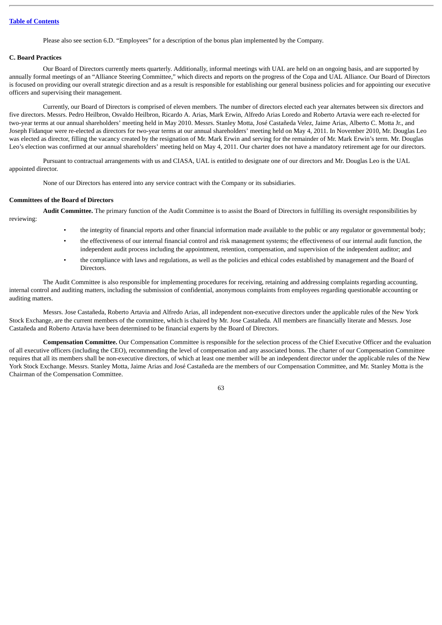Please also see section 6.D. "Employees" for a description of the bonus plan implemented by the Company.

## **C. Board Practices**

Our Board of Directors currently meets quarterly. Additionally, informal meetings with UAL are held on an ongoing basis, and are supported by annually formal meetings of an "Alliance Steering Committee," which directs and reports on the progress of the Copa and UAL Alliance. Our Board of Directors is focused on providing our overall strategic direction and as a result is responsible for establishing our general business policies and for appointing our executive officers and supervising their management.

Currently, our Board of Directors is comprised of eleven members. The number of directors elected each year alternates between six directors and five directors. Messrs. Pedro Heilbron, Osvaldo Heilbron, Ricardo A. Arias, Mark Erwin, Alfredo Arias Loredo and Roberto Artavia were each re-elected for two-year terms at our annual shareholders' meeting held in May 2010. Messrs. Stanley Motta, José Castañeda Velez, Jaime Arias, Alberto C. Motta Jr., and Joseph Fidanque were re-elected as directors for two-year terms at our annual shareholders' meeting held on May 4, 2011. In November 2010, Mr. Douglas Leo was elected as director, filling the vacancy created by the resignation of Mr. Mark Erwin and serving for the remainder of Mr. Mark Erwin's term. Mr. Douglas Leo's election was confirmed at our annual shareholders' meeting held on May 4, 2011. Our charter does not have a mandatory retirement age for our directors.

Pursuant to contractual arrangements with us and CIASA, UAL is entitled to designate one of our directors and Mr. Douglas Leo is the UAL appointed director.

None of our Directors has entered into any service contract with the Company or its subsidiaries.

# **Committees of the Board of Directors**

**Audit Committee.** The primary function of the Audit Committee is to assist the Board of Directors in fulfilling its oversight responsibilities by reviewing:

- the integrity of financial reports and other financial information made available to the public or any regulator or governmental body;
- the effectiveness of our internal financial control and risk management systems; the effectiveness of our internal audit function, the independent audit process including the appointment, retention, compensation, and supervision of the independent auditor; and
- the compliance with laws and regulations, as well as the policies and ethical codes established by management and the Board of **Directors**

The Audit Committee is also responsible for implementing procedures for receiving, retaining and addressing complaints regarding accounting, internal control and auditing matters, including the submission of confidential, anonymous complaints from employees regarding questionable accounting or auditing matters.

Messrs. Jose Castañeda, Roberto Artavia and Alfredo Arias, all independent non-executive directors under the applicable rules of the New York Stock Exchange, are the current members of the committee, which is chaired by Mr. Jose Castañeda. All members are financially literate and Messrs. Jose Castañeda and Roberto Artavia have been determined to be financial experts by the Board of Directors.

**Compensation Committee.** Our Compensation Committee is responsible for the selection process of the Chief Executive Officer and the evaluation of all executive officers (including the CEO), recommending the level of compensation and any associated bonus. The charter of our Compensation Committee requires that all its members shall be non-executive directors, of which at least one member will be an independent director under the applicable rules of the New York Stock Exchange. Messrs. Stanley Motta, Jaime Arias and José Castañeda are the members of our Compensation Committee, and Mr. Stanley Motta is the Chairman of the Compensation Committee.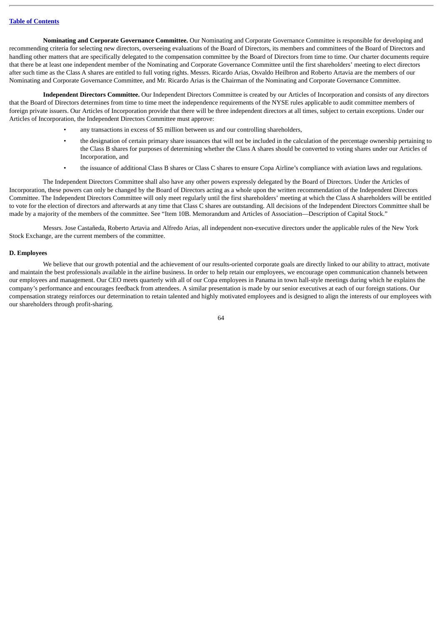**Nominating and Corporate Governance Committee.** Our Nominating and Corporate Governance Committee is responsible for developing and recommending criteria for selecting new directors, overseeing evaluations of the Board of Directors, its members and committees of the Board of Directors and handling other matters that are specifically delegated to the compensation committee by the Board of Directors from time to time. Our charter documents require that there be at least one independent member of the Nominating and Corporate Governance Committee until the first shareholders' meeting to elect directors after such time as the Class A shares are entitled to full voting rights. Messrs. Ricardo Arias, Osvaldo Heilbron and Roberto Artavia are the members of our Nominating and Corporate Governance Committee, and Mr. Ricardo Arias is the Chairman of the Nominating and Corporate Governance Committee.

**Independent Directors Committee.** Our Independent Directors Committee is created by our Articles of Incorporation and consists of any directors that the Board of Directors determines from time to time meet the independence requirements of the NYSE rules applicable to audit committee members of foreign private issuers. Our Articles of Incorporation provide that there will be three independent directors at all times, subject to certain exceptions. Under our Articles of Incorporation, the Independent Directors Committee must approve:

- any transactions in excess of \$5 million between us and our controlling shareholders,
- the designation of certain primary share issuances that will not be included in the calculation of the percentage ownership pertaining to the Class B shares for purposes of determining whether the Class A shares should be converted to voting shares under our Articles of Incorporation, and
- the issuance of additional Class B shares or Class C shares to ensure Copa Airline's compliance with aviation laws and regulations.

The Independent Directors Committee shall also have any other powers expressly delegated by the Board of Directors. Under the Articles of Incorporation, these powers can only be changed by the Board of Directors acting as a whole upon the written recommendation of the Independent Directors Committee. The Independent Directors Committee will only meet regularly until the first shareholders' meeting at which the Class A shareholders will be entitled to vote for the election of directors and afterwards at any time that Class C shares are outstanding. All decisions of the Independent Directors Committee shall be made by a majority of the members of the committee. See "Item 10B. Memorandum and Articles of Association—Description of Capital Stock."

Messrs. Jose Castañeda, Roberto Artavia and Alfredo Arias, all independent non-executive directors under the applicable rules of the New York Stock Exchange, are the current members of the committee.

### **D. Employees**

We believe that our growth potential and the achievement of our results-oriented corporate goals are directly linked to our ability to attract, motivate and maintain the best professionals available in the airline business. In order to help retain our employees, we encourage open communication channels between our employees and management. Our CEO meets quarterly with all of our Copa employees in Panama in town hall-style meetings during which he explains the company's performance and encourages feedback from attendees. A similar presentation is made by our senior executives at each of our foreign stations. Our compensation strategy reinforces our determination to retain talented and highly motivated employees and is designed to align the interests of our employees with our shareholders through profit-sharing.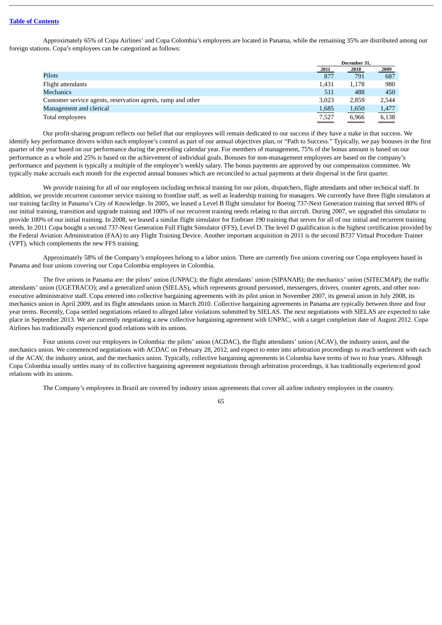Approximately 65% of Copa Airlines' and Copa Colombia's employees are located in Panama, while the remaining 35% are distributed among our foreign stations. Copa's employees can be categorized as follows:

|                                                             | December 31.      |       |                            |
|-------------------------------------------------------------|-------------------|-------|----------------------------|
|                                                             | 2011              | 2010  | 2009                       |
| Pilots                                                      | 877               | 791   | 687                        |
| Flight attendants                                           | 1,431             | 1,178 | 980                        |
| Mechanics                                                   | 511               | 488   | 450                        |
| Customer service agents, reservation agents, ramp and other | 3,023             | 2,859 | 2,544                      |
| Management and clerical                                     | 1,685             | 1,650 | 1,477                      |
| Total employees                                             | $\frac{7,527}{ }$ | 6,966 | 6,138<br>$\equiv$ $\equiv$ |

Our profit-sharing program reflects our belief that our employees will remain dedicated to our success if they have a stake in that success. We identify key performance drivers within each employee's control as part of our annual objectives plan, or "Path to Success." Typically, we pay bonuses in the first quarter of the year based on our performance during the preceding calendar year. For members of management, 75% of the bonus amount is based on our performance as a whole and 25% is based on the achievement of individual goals. Bonuses for non-management employees are based on the company's performance and payment is typically a multiple of the employee's weekly salary. The bonus payments are approved by our compensation committee. We typically make accruals each month for the expected annual bonuses which are reconciled to actual payments at their dispersal in the first quarter.

We provide training for all of our employees including technical training for our pilots, dispatchers, flight attendants and other technical staff. In addition, we provide recurrent customer service training to frontline staff, as well as leadership training for managers. We currently have three flight simulators at our training facility in Panama's City of Knowledge. In 2005, we leased a Level B flight simulator for Boeing 737-Next Generation training that served 80% of our initial training, transition and upgrade training and 100% of our recurrent training needs relating to that aircraft. During 2007, we upgraded this simulator to provide 100% of our initial training. In 2008, we leased a similar flight simulator for Embraer 190 training that serves for all of our initial and recurrent training needs. In 2011 Copa bought a second 737-Next Generation Full Flight Simulator (FFS), Level D. The level D qualification is the highest certification provided by the Federal Aviation Administration (FAA) to any Flight Training Device. Another important acquisition in 2011 is the second B737 Virtual Procedure Trainer (VPT), which complements the new FFS training.

Approximately 58% of the Company's employees belong to a labor union. There are currently five unions covering our Copa employees based in Panama and four unions covering our Copa Colombia employees in Colombia.

The five unions in Panama are: the pilots' union (UNPAC); the flight attendants' union (SIPANAB); the mechanics' union (SITECMAP); the traffic attendants' union (UGETRACO); and a generalized union (SIELAS), which represents ground personnel, messengers, drivers, counter agents, and other nonexecutive administrative staff. Copa entered into collective bargaining agreements with its pilot union in November 2007, its general union in July 2008, its mechanics union in April 2009, and its flight attendants union in March 2010. Collective bargaining agreements in Panama are typically between three and four year terms. Recently, Copa settled negotiations related to alleged labor violations submitted by SIELAS. The next negotiations with SIELAS are expected to take place in September 2013. We are currently negotiating a new collective bargaining agreement with UNPAC, with a target completion date of August 2012. Copa Airlines has traditionally experienced good relations with its unions.

Four unions cover our employees in Colombia: the pilots' union (ACDAC), the flight attendants' union (ACAV), the industry union, and the mechanics union. We commenced negotiations with ACDAC on February 28, 2012, and expect to enter into arbitration proceedings to reach settlement with each of the ACAV, the industry union, and the mechanics union. Typically, collective bargaining agreements in Colombia have terms of two to four years. Although Copa Colombia usually settles many of its collective bargaining agreement negotiations through arbitration proceedings, it has traditionally experienced good relations with its unions.

The Company's employees in Brazil are covered by industry union agreements that cover all airline industry employees in the country.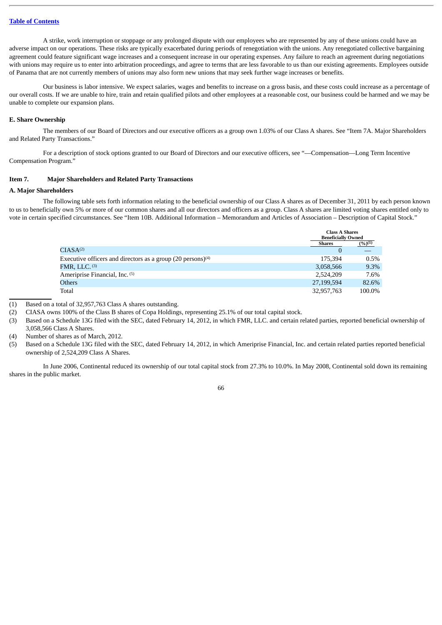A strike, work interruption or stoppage or any prolonged dispute with our employees who are represented by any of these unions could have an adverse impact on our operations. These risks are typically exacerbated during periods of renegotiation with the unions. Any renegotiated collective bargaining agreement could feature significant wage increases and a consequent increase in our operating expenses. Any failure to reach an agreement during negotiations with unions may require us to enter into arbitration proceedings, and agree to terms that are less favorable to us than our existing agreements. Employees outside of Panama that are not currently members of unions may also form new unions that may seek further wage increases or benefits.

Our business is labor intensive. We expect salaries, wages and benefits to increase on a gross basis, and these costs could increase as a percentage of our overall costs. If we are unable to hire, train and retain qualified pilots and other employees at a reasonable cost, our business could be harmed and we may be unable to complete our expansion plans.

### **E. Share Ownership**

The members of our Board of Directors and our executive officers as a group own 1.03% of our Class A shares. See "Item 7A. Major Shareholders and Related Party Transactions."

For a description of stock options granted to our Board of Directors and our executive officers, see "—Compensation—Long Term Incentive Compensation Program."

# **Item 7. Major Shareholders and Related Party Transactions**

### **A. Major Shareholders**

The following table sets forth information relating to the beneficial ownership of our Class A shares as of December 31, 2011 by each person known to us to beneficially own 5% or more of our common shares and all our directors and officers as a group. Class A shares are limited voting shares entitled only to vote in certain specified circumstances. See "Item 10B. Additional Information – Memorandum and Articles of Association – Description of Capital Stock."

|                                                                         | <b>Class A Shares</b>     |             |
|-------------------------------------------------------------------------|---------------------------|-------------|
|                                                                         | <b>Beneficially Owned</b> |             |
|                                                                         | Shares                    | $(%)^{(1)}$ |
| $CIASA^{(2)}$                                                           | $\Omega$                  |             |
| Executive officers and directors as a group (20 persons) <sup>(4)</sup> | 175,394                   | $0.5\%$     |
| $FMR, LLC.$ (3)                                                         | 3,058,566                 | $9.3\%$     |
| Ameriprise Financial, Inc. (5)                                          | 2,524,209                 | 7.6%        |
| Others                                                                  | 27,199,594                | 82.6%       |
| Total                                                                   | 32,957,763                | 100.0%      |

(1) Based on a total of 32,957,763 Class A shares outstanding.

(2) CIASA owns 100% of the Class B shares of Copa Holdings, representing 25.1% of our total capital stock.

(3) Based on a Schedule 13G filed with the SEC, dated February 14, 2012, in which FMR, LLC. and certain related parties, reported beneficial ownership of 3,058,566 Class A Shares.

(4) Number of shares as of March, 2012.

(5) Based on a Schedule 13G filed with the SEC, dated February 14, 2012, in which Ameriprise Financial, Inc. and certain related parties reported beneficial ownership of 2,524,209 Class A Shares.

In June 2006, Continental reduced its ownership of our total capital stock from 27.3% to 10.0%. In May 2008, Continental sold down its remaining shares in the public market.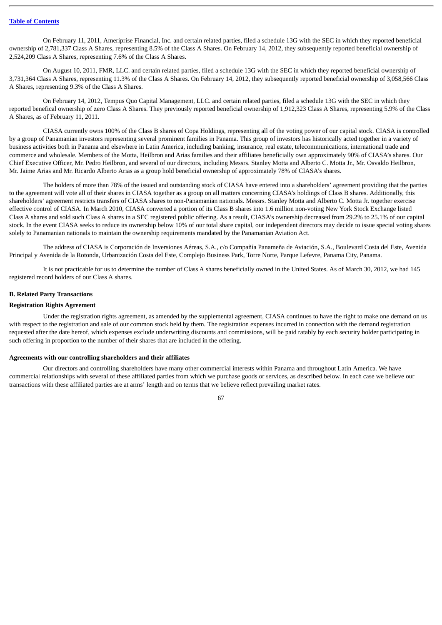On February 11, 2011, Ameriprise Financial, Inc. and certain related parties, filed a schedule 13G with the SEC in which they reported beneficial ownership of 2,781,337 Class A Shares, representing 8.5% of the Class A Shares. On February 14, 2012, they subsequently reported beneficial ownership of 2,524,209 Class A Shares, representing 7.6% of the Class A Shares.

On August 10, 2011, FMR, LLC. and certain related parties, filed a schedule 13G with the SEC in which they reported beneficial ownership of 3,731,364 Class A Shares, representing 11.3% of the Class A Shares. On February 14, 2012, they subsequently reported beneficial ownership of 3,058,566 Class A Shares, representing 9.3% of the Class A Shares.

On February 14, 2012, Tempus Quo Capital Management, LLC. and certain related parties, filed a schedule 13G with the SEC in which they reported benefical ownership of zero Class A Shares. They previously reported beneficial ownership of 1,912,323 Class A Shares, representing 5.9% of the Class A Shares, as of February 11, 2011.

CIASA currently owns 100% of the Class B shares of Copa Holdings, representing all of the voting power of our capital stock. CIASA is controlled by a group of Panamanian investors representing several prominent families in Panama. This group of investors has historically acted together in a variety of business activities both in Panama and elsewhere in Latin America, including banking, insurance, real estate, telecommunications, international trade and commerce and wholesale. Members of the Motta, Heilbron and Arias families and their affiliates beneficially own approximately 90% of CIASA's shares. Our Chief Executive Officer, Mr. Pedro Heilbron, and several of our directors, including Messrs. Stanley Motta and Alberto C. Motta Jr., Mr. Osvaldo Heilbron, Mr. Jaime Arias and Mr. Ricardo Alberto Arias as a group hold beneficial ownership of approximately 78% of CIASA's shares.

The holders of more than 78% of the issued and outstanding stock of CIASA have entered into a shareholders' agreement providing that the parties to the agreement will vote all of their shares in CIASA together as a group on all matters concerning CIASA's holdings of Class B shares. Additionally, this shareholders' agreement restricts transfers of CIASA shares to non-Panamanian nationals. Messrs. Stanley Motta and Alberto C. Motta Jr. together exercise effective control of CIASA. In March 2010, CIASA converted a portion of its Class B shares into 1.6 million non-voting New York Stock Exchange listed Class A shares and sold such Class A shares in a SEC registered public offering. As a result, CIASA's ownership decreased from 29.2% to 25.1% of our capital stock. In the event CIASA seeks to reduce its ownership below 10% of our total share capital, our independent directors may decide to issue special voting shares solely to Panamanian nationals to maintain the ownership requirements mandated by the Panamanian Aviation Act.

The address of CIASA is Corporación de Inversiones Aéreas, S.A., c/o Compañía Panameña de Aviación, S.A., Boulevard Costa del Este, Avenida Principal y Avenida de la Rotonda, Urbanización Costa del Este, Complejo Business Park, Torre Norte, Parque Lefevre, Panama City, Panama.

It is not practicable for us to determine the number of Class A shares beneficially owned in the United States. As of March 30, 2012, we had 145 registered record holders of our Class A shares.

# **B. Related Party Transactions**

# **Registration Rights Agreement**

Under the registration rights agreement, as amended by the supplemental agreement, CIASA continues to have the right to make one demand on us with respect to the registration and sale of our common stock held by them. The registration expenses incurred in connection with the demand registration requested after the date hereof, which expenses exclude underwriting discounts and commissions, will be paid ratably by each security holder participating in such offering in proportion to the number of their shares that are included in the offering.

### **Agreements with our controlling shareholders and their affiliates**

Our directors and controlling shareholders have many other commercial interests within Panama and throughout Latin America. We have commercial relationships with several of these affiliated parties from which we purchase goods or services, as described below. In each case we believe our transactions with these affiliated parties are at arms' length and on terms that we believe reflect prevailing market rates.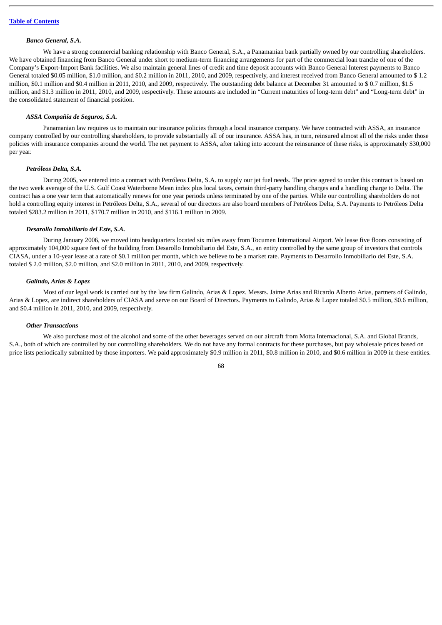#### *Banco General, S.A.*

We have a strong commercial banking relationship with Banco General, S.A., a Panamanian bank partially owned by our controlling shareholders. We have obtained financing from Banco General under short to medium-term financing arrangements for part of the commercial loan tranche of one of the Company's Export-Import Bank facilities. We also maintain general lines of credit and time deposit accounts with Banco General Interest payments to Banco General totaled \$0.05 million, \$1.0 million, and \$0.2 million in 2011, 2010, and 2009, respectively, and interest received from Banco General amounted to \$ 1.2 million, \$0.1 million and \$0.4 million in 2011, 2010, and 2009, respectively. The outstanding debt balance at December 31 amounted to \$ 0.7 million, \$1.5 million, and \$1.3 million in 2011, 2010, and 2009, respectively. These amounts are included in "Current maturities of long-term debt" and "Long-term debt" in the consolidated statement of financial position.

### *ASSA Compañía de Seguros, S.A.*

Panamanian law requires us to maintain our insurance policies through a local insurance company. We have contracted with ASSA, an insurance company controlled by our controlling shareholders, to provide substantially all of our insurance. ASSA has, in turn, reinsured almost all of the risks under those policies with insurance companies around the world. The net payment to ASSA, after taking into account the reinsurance of these risks, is approximately \$30,000 per year.

### *Petróleos Delta, S.A.*

During 2005, we entered into a contract with Petróleos Delta, S.A. to supply our jet fuel needs. The price agreed to under this contract is based on the two week average of the U.S. Gulf Coast Waterborne Mean index plus local taxes, certain third-party handling charges and a handling charge to Delta. The contract has a one year term that automatically renews for one year periods unless terminated by one of the parties. While our controlling shareholders do not hold a controlling equity interest in Petróleos Delta, S.A., several of our directors are also board members of Petróleos Delta, S.A. Payments to Petróleos Delta totaled \$283.2 million in 2011, \$170.7 million in 2010, and \$116.1 million in 2009.

#### *Desarollo Inmobiliario del Este, S.A.*

During January 2006, we moved into headquarters located six miles away from Tocumen International Airport. We lease five floors consisting of approximately 104,000 square feet of the building from Desarollo Inmobiliario del Este, S.A., an entity controlled by the same group of investors that controls CIASA, under a 10-year lease at a rate of \$0.1 million per month, which we believe to be a market rate. Payments to Desarrollo Inmobiliario del Este, S.A. totaled \$ 2.0 million, \$2.0 million, and \$2.0 million in 2011, 2010, and 2009, respectively.

### *Galindo, Arias & Lopez*

Most of our legal work is carried out by the law firm Galindo, Arias & Lopez. Messrs. Jaime Arias and Ricardo Alberto Arias, partners of Galindo, Arias & Lopez, are indirect shareholders of CIASA and serve on our Board of Directors. Payments to Galindo, Arias & Lopez totaled \$0.5 million, \$0.6 million, and \$0.4 million in 2011, 2010, and 2009, respectively.

#### *Other Transactions*

We also purchase most of the alcohol and some of the other beverages served on our aircraft from Motta Internacional, S.A. and Global Brands, S.A., both of which are controlled by our controlling shareholders. We do not have any formal contracts for these purchases, but pay wholesale prices based on price lists periodically submitted by those importers. We paid approximately \$0.9 million in 2011, \$0.8 million in 2010, and \$0.6 million in 2009 in these entities.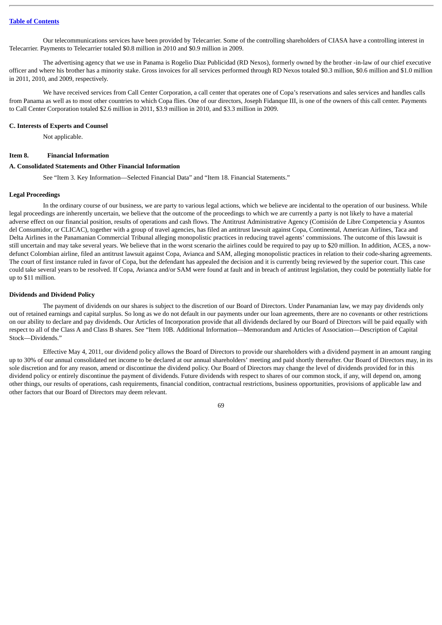Our telecommunications services have been provided by Telecarrier. Some of the controlling shareholders of CIASA have a controlling interest in Telecarrier. Payments to Telecarrier totaled \$0.8 million in 2010 and \$0.9 million in 2009.

The advertising agency that we use in Panama is Rogelio Diaz Publicidad (RD Nexos), formerly owned by the brother -in-law of our chief executive officer and where his brother has a minority stake. Gross invoices for all services performed through RD Nexos totaled \$0.3 million, \$0.6 million and \$1.0 million in 2011, 2010, and 2009, respectively.

We have received services from Call Center Corporation, a call center that operates one of Copa's reservations and sales services and handles calls from Panama as well as to most other countries to which Copa flies. One of our directors, Joseph Fidanque III, is one of the owners of this call center. Payments to Call Center Corporation totaled \$2.6 million in 2011, \$3.9 million in 2010, and \$3.3 million in 2009.

### **C. Interests of Experts and Counsel**

Not applicable.

# **Item 8. Financial Information**

# **A. Consolidated Statements and Other Financial Information**

See "Item 3. Key Information—Selected Financial Data" and "Item 18. Financial Statements."

# **Legal Proceedings**

In the ordinary course of our business, we are party to various legal actions, which we believe are incidental to the operation of our business. While legal proceedings are inherently uncertain, we believe that the outcome of the proceedings to which we are currently a party is not likely to have a material adverse effect on our financial position, results of operations and cash flows. The Antitrust Administrative Agency (Comisión de Libre Competencia y Asuntos del Consumidor, or CLICAC), together with a group of travel agencies, has filed an antitrust lawsuit against Copa, Continental, American Airlines, Taca and Delta Airlines in the Panamanian Commercial Tribunal alleging monopolistic practices in reducing travel agents' commissions. The outcome of this lawsuit is still uncertain and may take several years. We believe that in the worst scenario the airlines could be required to pay up to \$20 million. In addition, ACES, a nowdefunct Colombian airline, filed an antitrust lawsuit against Copa, Avianca and SAM, alleging monopolistic practices in relation to their code-sharing agreements. The court of first instance ruled in favor of Copa, but the defendant has appealed the decision and it is currently being reviewed by the superior court. This case could take several years to be resolved. If Copa, Avianca and/or SAM were found at fault and in breach of antitrust legislation, they could be potentially liable for up to \$11 million.

### **Dividends and Dividend Policy**

The payment of dividends on our shares is subject to the discretion of our Board of Directors. Under Panamanian law, we may pay dividends only out of retained earnings and capital surplus. So long as we do not default in our payments under our loan agreements, there are no covenants or other restrictions on our ability to declare and pay dividends. Our Articles of Incorporation provide that all dividends declared by our Board of Directors will be paid equally with respect to all of the Class A and Class B shares. See "Item 10B. Additional Information—Memorandum and Articles of Association—Description of Capital Stock—Dividends."

Effective May 4, 2011, our dividend policy allows the Board of Directors to provide our shareholders with a dividend payment in an amount ranging up to 30% of our annual consolidated net income to be declared at our annual shareholders' meeting and paid shortly thereafter. Our Board of Directors may, in its sole discretion and for any reason, amend or discontinue the dividend policy. Our Board of Directors may change the level of dividends provided for in this dividend policy or entirely discontinue the payment of dividends. Future dividends with respect to shares of our common stock, if any, will depend on, among other things, our results of operations, cash requirements, financial condition, contractual restrictions, business opportunities, provisions of applicable law and other factors that our Board of Directors may deem relevant.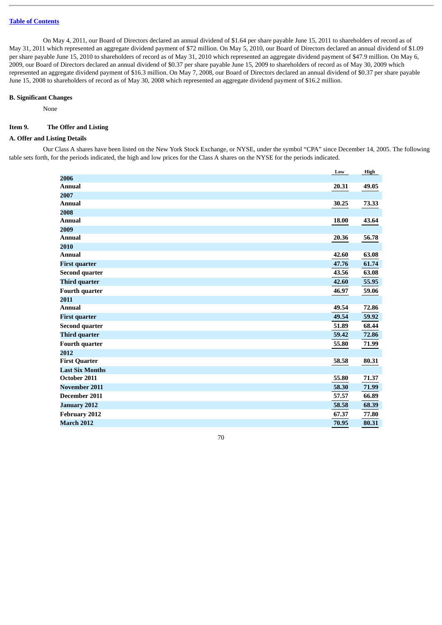On May 4, 2011, our Board of Directors declared an annual dividend of \$1.64 per share payable June 15, 2011 to shareholders of record as of May 31, 2011 which represented an aggregate dividend payment of \$72 million. On May 5, 2010, our Board of Directors declared an annual dividend of \$1.09 per share payable June 15, 2010 to shareholders of record as of May 31, 2010 which represented an aggregate dividend payment of \$47.9 million. On May 6, 2009, our Board of Directors declared an annual dividend of \$0.37 per share payable June 15, 2009 to shareholders of record as of May 30, 2009 which represented an aggregate dividend payment of \$16.3 million. On May 7, 2008, our Board of Directors declared an annual dividend of \$0.37 per share payable June 15, 2008 to shareholders of record as of May 30, 2008 which represented an aggregate dividend payment of \$16.2 million.

# **B. Significant Changes**

None

# **Item 9. The Offer and Listing**

### **A. Offer and Listing Details**

Our Class A shares have been listed on the New York Stock Exchange, or NYSE, under the symbol "CPA" since December 14, 2005. The following table sets forth, for the periods indicated, the high and low prices for the Class A shares on the NYSE for the periods indicated.

|                        | Low   | High  |
|------------------------|-------|-------|
| 2006                   |       |       |
| <b>Annual</b>          | 20.31 | 49.05 |
| 2007                   |       |       |
| <b>Annual</b>          | 30.25 | 73.33 |
| 2008                   |       |       |
| <b>Annual</b>          | 18.00 | 43.64 |
| 2009                   |       |       |
| <b>Annual</b>          | 20.36 | 56.78 |
| 2010                   |       |       |
| <b>Annual</b>          | 42.60 | 63.08 |
| <b>First quarter</b>   | 47.76 | 61.74 |
| <b>Second quarter</b>  | 43.56 | 63.08 |
| <b>Third quarter</b>   | 42.60 | 55.95 |
| <b>Fourth quarter</b>  | 46.97 | 59.06 |
| 2011                   |       |       |
| <b>Annual</b>          | 49.54 | 72.86 |
| <b>First quarter</b>   | 49.54 | 59.92 |
| <b>Second quarter</b>  | 51.89 | 68.44 |
| <b>Third quarter</b>   | 59.42 | 72.86 |
| <b>Fourth quarter</b>  | 55.80 | 71.99 |
| 2012                   |       |       |
| <b>First Quarter</b>   | 58.58 | 80.31 |
| <b>Last Six Months</b> |       |       |
| October 2011           | 55.80 | 71.37 |
| <b>November 2011</b>   | 58.30 | 71.99 |
| <b>December 2011</b>   | 57.57 | 66.89 |
| <b>January 2012</b>    | 58.58 | 68.39 |
| February 2012          | 67.37 | 77.80 |
| <b>March 2012</b>      | 70.95 | 80.31 |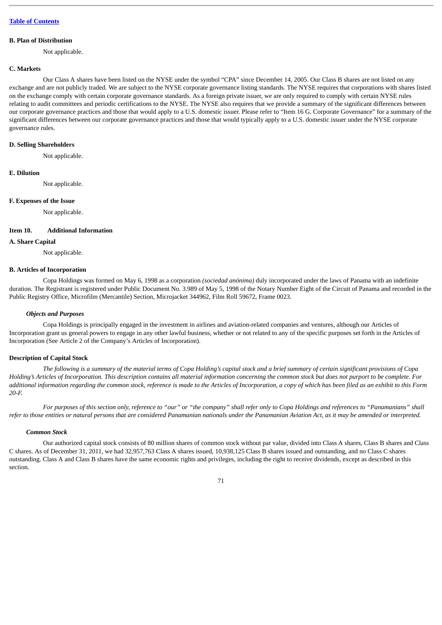### **B. Plan of Distribution**

Not applicable.

## **C. Markets**

Our Class A shares have been listed on the NYSE under the symbol "CPA" since December 14, 2005. Our Class B shares are not listed on any exchange and are not publicly traded. We are subject to the NYSE corporate governance listing standards. The NYSE requires that corporations with shares listed on the exchange comply with certain corporate governance standards. As a foreign private issuer, we are only required to comply with certain NYSE rules relating to audit committees and periodic certifications to the NYSE. The NYSE also requires that we provide a summary of the significant differences between our corporate governance practices and those that would apply to a U.S. domestic issuer. Please refer to "Item 16 G. Corporate Governance" for a summary of the significant differences between our corporate governance practices and those that would typically apply to a U.S. domestic issuer under the NYSE corporate governance rules.

### **D. Selling Shareholders**

Not applicable.

### **E. Dilution**

Not applicable.

# **F. Expenses of the Issue**

Not applicable.

### **Item 10. Additional Information**

# **A. Share Capital**

Not applicable.

### **B. Articles of Incorporation**

Copa Holdings was formed on May 6, 1998 as a corporation *(sociedad anónima)* duly incorporated under the laws of Panama with an indefinite duration. The Registrant is registered under Public Document No. 3.989 of May 5, 1998 of the Notary Number Eight of the Circuit of Panama and recorded in the Public Registry Office, Microfilm (Mercantile) Section, Microjacket 344962, Film Roll 59672, Frame 0023.

### *Objects and Purposes*

Copa Holdings is principally engaged in the investment in airlines and aviation-related companies and ventures, although our Articles of Incorporation grant us general powers to engage in any other lawful business, whether or not related to any of the specific purposes set forth in the Articles of Incorporation (See Article 2 of the Company's Articles of Incorporation).

## **Description of Capital Stock**

*The following is a summary of the material terms of Copa Holding's capital stock and a brief summary of certain significant provisions of Copa Holding's Articles of Incorporation. This description contains all material information concerning the common stock but does not purport to be complete. For additional information regarding the common stock, reference is made to the Articles of Incorporation, a copy of which has been filed as an exhibit to this Form 20-F.*

*For purposes of this section only, reference to "our" or "the company" shall refer only to Copa Holdings and references to "Panamanians" shall refer to those entities or natural persons that are considered Panamanian nationals under the Panamanian Aviation Act, as it may be amended or interpreted.*

# *Common Stock*

Our authorized capital stock consists of 80 million shares of common stock without par value, divided into Class A shares, Class B shares and Class C shares. As of December 31, 2011, we had 32,957,763 Class A shares issued, 10,938,125 Class B shares issued and outstanding, and no Class C shares outstanding. Class A and Class B shares have the same economic rights and privileges, including the right to receive dividends, except as described in this section.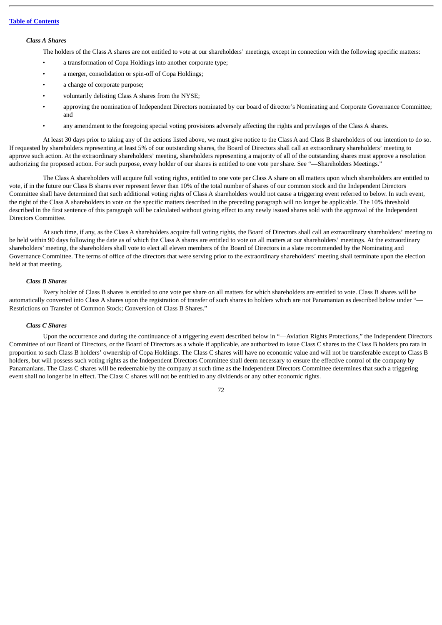### *Class A Shares*

The holders of the Class A shares are not entitled to vote at our shareholders' meetings, except in connection with the following specific matters:

- a transformation of Copa Holdings into another corporate type;
- a merger, consolidation or spin-off of Copa Holdings;
- a change of corporate purpose;
- voluntarily delisting Class A shares from the NYSE;
- approving the nomination of Independent Directors nominated by our board of director's Nominating and Corporate Governance Committee; and
- any amendment to the foregoing special voting provisions adversely affecting the rights and privileges of the Class A shares.

At least 30 days prior to taking any of the actions listed above, we must give notice to the Class A and Class B shareholders of our intention to do so. If requested by shareholders representing at least 5% of our outstanding shares, the Board of Directors shall call an extraordinary shareholders' meeting to approve such action. At the extraordinary shareholders' meeting, shareholders representing a majority of all of the outstanding shares must approve a resolution authorizing the proposed action. For such purpose, every holder of our shares is entitled to one vote per share. See "—Shareholders Meetings."

The Class A shareholders will acquire full voting rights, entitled to one vote per Class A share on all matters upon which shareholders are entitled to vote, if in the future our Class B shares ever represent fewer than 10% of the total number of shares of our common stock and the Independent Directors Committee shall have determined that such additional voting rights of Class A shareholders would not cause a triggering event referred to below. In such event, the right of the Class A shareholders to vote on the specific matters described in the preceding paragraph will no longer be applicable. The 10% threshold described in the first sentence of this paragraph will be calculated without giving effect to any newly issued shares sold with the approval of the Independent Directors Committee.

At such time, if any, as the Class A shareholders acquire full voting rights, the Board of Directors shall call an extraordinary shareholders' meeting to be held within 90 days following the date as of which the Class A shares are entitled to vote on all matters at our shareholders' meetings. At the extraordinary shareholders' meeting, the shareholders shall vote to elect all eleven members of the Board of Directors in a slate recommended by the Nominating and Governance Committee. The terms of office of the directors that were serving prior to the extraordinary shareholders' meeting shall terminate upon the election held at that meeting.

# *Class B Shares*

Every holder of Class B shares is entitled to one vote per share on all matters for which shareholders are entitled to vote. Class B shares will be automatically converted into Class A shares upon the registration of transfer of such shares to holders which are not Panamanian as described below under "-Restrictions on Transfer of Common Stock; Conversion of Class B Shares."

# *Class C Shares*

Upon the occurrence and during the continuance of a triggering event described below in "—Aviation Rights Protections," the Independent Directors Committee of our Board of Directors, or the Board of Directors as a whole if applicable, are authorized to issue Class C shares to the Class B holders pro rata in proportion to such Class B holders' ownership of Copa Holdings. The Class C shares will have no economic value and will not be transferable except to Class B holders, but will possess such voting rights as the Independent Directors Committee shall deem necessary to ensure the effective control of the company by Panamanians. The Class C shares will be redeemable by the company at such time as the Independent Directors Committee determines that such a triggering event shall no longer be in effect. The Class C shares will not be entitled to any dividends or any other economic rights.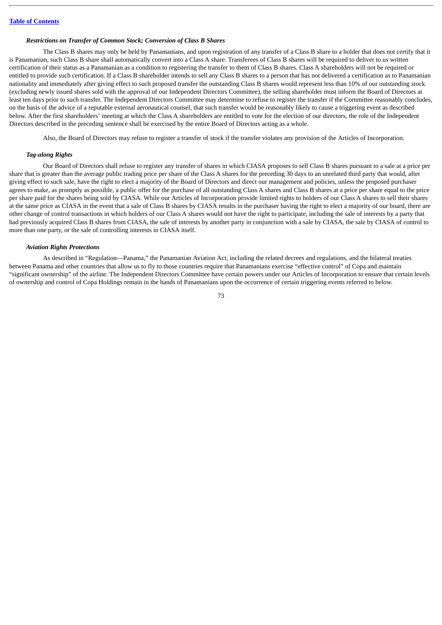#### *Restrictions on Transfer of Common Stock; Conversion of Class B Shares*

The Class B shares may only be held by Panamanians, and upon registration of any transfer of a Class B share to a holder that does not certify that it is Panamanian, such Class B share shall automatically convert into a Class A share. Transferees of Class B shares will be required to deliver to us written certification of their status as a Panamanian as a condition to registering the transfer to them of Class B shares. Class A shareholders will not be required or entitled to provide such certification. If a Class B shareholder intends to sell any Class B shares to a person that has not delivered a certification as to Panamanian nationality and immediately after giving effect to such proposed transfer the outstanding Class B shares would represent less than 10% of our outstanding stock (excluding newly issued shares sold with the approval of our Independent Directors Committee), the selling shareholder must inform the Board of Directors at least ten days prior to such transfer. The Independent Directors Committee may determine to refuse to register the transfer if the Committee reasonably concludes, on the basis of the advice of a reputable external aeronautical counsel, that such transfer would be reasonably likely to cause a triggering event as described below. After the first shareholders' meeting at which the Class A shareholders are entitled to vote for the election of our directors, the role of the Independent Directors described in the preceding sentence shall be exercised by the entire Board of Directors acting as a whole.

Also, the Board of Directors may refuse to register a transfer of stock if the transfer violates any provision of the Articles of Incorporation.

### *Tag-along Rights*

Our Board of Directors shall refuse to register any transfer of shares in which CIASA proposes to sell Class B shares pursuant to a sale at a price per share that is greater than the average public trading price per share of the Class A shares for the preceding 30 days to an unrelated third party that would, after giving effect to such sale, have the right to elect a majority of the Board of Directors and direct our management and policies, unless the proposed purchaser agrees to make, as promptly as possible, a public offer for the purchase of all outstanding Class A shares and Class B shares at a price per share equal to the price per share paid for the shares being sold by CIASA. While our Articles of Incorporation provide limited rights to holders of our Class A shares to sell their shares at the same price as CIASA in the event that a sale of Class B shares by CIASA results in the purchaser having the right to elect a majority of our board, there are other change of control transactions in which holders of our Class A shares would not have the right to participate, including the sale of interests by a party that had previously acquired Class B shares from CIASA, the sale of interests by another party in conjunction with a sale by CIASA, the sale by CIASA of control to more than one party, or the sale of controlling interests in CIASA itself.

### *Aviation Rights Protections*

As described in "Regulation—Panama," the Panamanian Aviation Act, including the related decrees and regulations, and the bilateral treaties between Panama and other countries that allow us to fly to those countries require that Panamanians exercise "effective control" of Copa and maintain "significant ownership" of the airline. The Independent Directors Committee have certain powers under our Articles of Incorporation to ensure that certain levels of ownership and control of Copa Holdings remain in the hands of Panamanians upon the occurrence of certain triggering events referred to below.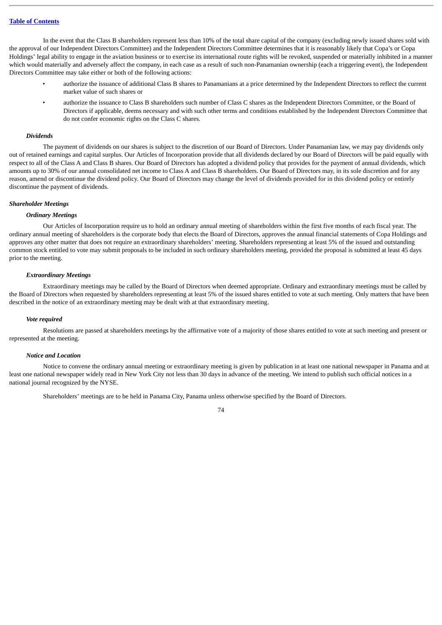In the event that the Class B shareholders represent less than 10% of the total share capital of the company (excluding newly issued shares sold with the approval of our Independent Directors Committee) and the Independent Directors Committee determines that it is reasonably likely that Copa's or Copa Holdings' legal ability to engage in the aviation business or to exercise its international route rights will be revoked, suspended or materially inhibited in a manner which would materially and adversely affect the company, in each case as a result of such non-Panamanian ownership (each a triggering event), the Independent Directors Committee may take either or both of the following actions:

- authorize the issuance of additional Class B shares to Panamanians at a price determined by the Independent Directors to reflect the current market value of such shares or
- authorize the issuance to Class B shareholders such number of Class C shares as the Independent Directors Committee, or the Board of Directors if applicable, deems necessary and with such other terms and conditions established by the Independent Directors Committee that do not confer economic rights on the Class C shares.

## *Dividends*

The payment of dividends on our shares is subject to the discretion of our Board of Directors. Under Panamanian law, we may pay dividends only out of retained earnings and capital surplus. Our Articles of Incorporation provide that all dividends declared by our Board of Directors will be paid equally with respect to all of the Class A and Class B shares. Our Board of Directors has adopted a dividend policy that provides for the payment of annual dividends, which amounts up to 30% of our annual consolidated net income to Class A and Class B shareholders. Our Board of Directors may, in its sole discretion and for any reason, amend or discontinue the dividend policy. Our Board of Directors may change the level of dividends provided for in this dividend policy or entirely discontinue the payment of dividends.

#### *Shareholder Meetings*

# *Ordinary Meetings*

Our Articles of Incorporation require us to hold an ordinary annual meeting of shareholders within the first five months of each fiscal year. The ordinary annual meeting of shareholders is the corporate body that elects the Board of Directors, approves the annual financial statements of Copa Holdings and approves any other matter that does not require an extraordinary shareholders' meeting. Shareholders representing at least 5% of the issued and outstanding common stock entitled to vote may submit proposals to be included in such ordinary shareholders meeting, provided the proposal is submitted at least 45 days prior to the meeting.

# *Extraordinary Meetings*

Extraordinary meetings may be called by the Board of Directors when deemed appropriate. Ordinary and extraordinary meetings must be called by the Board of Directors when requested by shareholders representing at least 5% of the issued shares entitled to vote at such meeting. Only matters that have been described in the notice of an extraordinary meeting may be dealt with at that extraordinary meeting.

#### *Vote required*

Resolutions are passed at shareholders meetings by the affirmative vote of a majority of those shares entitled to vote at such meeting and present or represented at the meeting.

#### *Notice and Location*

Notice to convene the ordinary annual meeting or extraordinary meeting is given by publication in at least one national newspaper in Panama and at least one national newspaper widely read in New York City not less than 30 days in advance of the meeting. We intend to publish such official notices in a national journal recognized by the NYSE.

Shareholders' meetings are to be held in Panama City, Panama unless otherwise specified by the Board of Directors.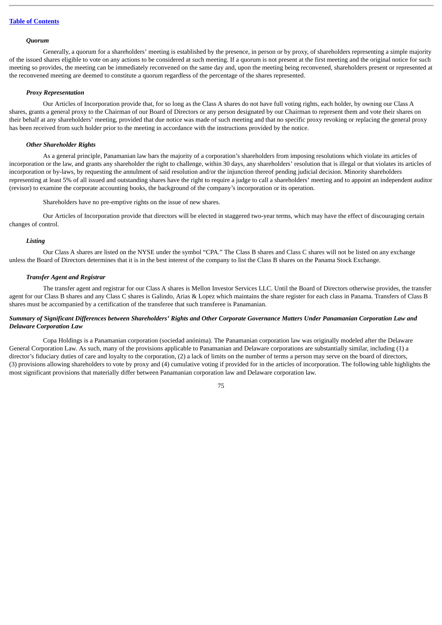### *Quorum*

Generally, a quorum for a shareholders' meeting is established by the presence, in person or by proxy, of shareholders representing a simple majority of the issued shares eligible to vote on any actions to be considered at such meeting. If a quorum is not present at the first meeting and the original notice for such meeting so provides, the meeting can be immediately reconvened on the same day and, upon the meeting being reconvened, shareholders present or represented at the reconvened meeting are deemed to constitute a quorum regardless of the percentage of the shares represented.

### *Proxy Representation*

Our Articles of Incorporation provide that, for so long as the Class A shares do not have full voting rights, each holder, by owning our Class A shares, grants a general proxy to the Chairman of our Board of Directors or any person designated by our Chairman to represent them and vote their shares on their behalf at any shareholders' meeting, provided that due notice was made of such meeting and that no specific proxy revoking or replacing the general proxy has been received from such holder prior to the meeting in accordance with the instructions provided by the notice.

### *Other Shareholder Rights*

As a general principle, Panamanian law bars the majority of a corporation's shareholders from imposing resolutions which violate its articles of incorporation or the law, and grants any shareholder the right to challenge, within 30 days, any shareholders' resolution that is illegal or that violates its articles of incorporation or by-laws, by requesting the annulment of said resolution and/or the injunction thereof pending judicial decision. Minority shareholders representing at least 5% of all issued and outstanding shares have the right to require a judge to call a shareholders' meeting and to appoint an independent auditor (revisor) to examine the corporate accounting books, the background of the company's incorporation or its operation.

Shareholders have no pre-emptive rights on the issue of new shares.

Our Articles of Incorporation provide that directors will be elected in staggered two-year terms, which may have the effect of discouraging certain changes of control.

### *Listing*

Our Class A shares are listed on the NYSE under the symbol "CPA." The Class B shares and Class C shares will not be listed on any exchange unless the Board of Directors determines that it is in the best interest of the company to list the Class B shares on the Panama Stock Exchange.

#### *Transfer Agent and Registrar*

The transfer agent and registrar for our Class A shares is Mellon Investor Services LLC. Until the Board of Directors otherwise provides, the transfer agent for our Class B shares and any Class C shares is Galindo, Arias & Lopez which maintains the share register for each class in Panama. Transfers of Class B shares must be accompanied by a certification of the transferee that such transferee is Panamanian.

## *Summary of Significant Differences between Shareholders' Rights and Other Corporate Governance Matters Under Panamanian Corporation Law and Delaware Corporation Law*

Copa Holdings is a Panamanian corporation (sociedad anónima). The Panamanian corporation law was originally modeled after the Delaware General Corporation Law. As such, many of the provisions applicable to Panamanian and Delaware corporations are substantially similar, including (1) a director's fiduciary duties of care and loyalty to the corporation, (2) a lack of limits on the number of terms a person may serve on the board of directors, (3) provisions allowing shareholders to vote by proxy and (4) cumulative voting if provided for in the articles of incorporation. The following table highlights the most significant provisions that materially differ between Panamanian corporation law and Delaware corporation law.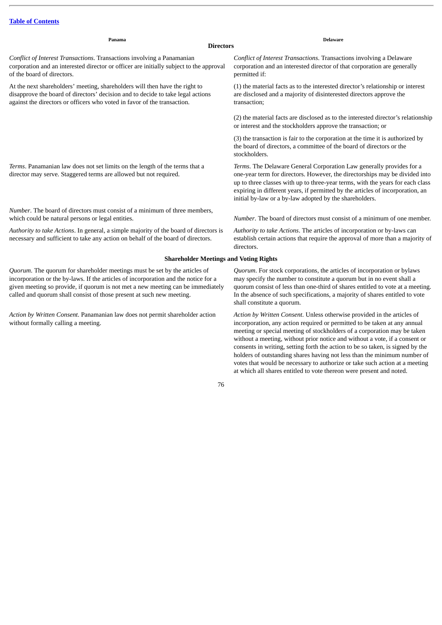| Panama                                                                                                                                                                                                                                     | <b>Delaware</b>                                                                                                                                                                                                                                                                                                                                                                    |  |  |
|--------------------------------------------------------------------------------------------------------------------------------------------------------------------------------------------------------------------------------------------|------------------------------------------------------------------------------------------------------------------------------------------------------------------------------------------------------------------------------------------------------------------------------------------------------------------------------------------------------------------------------------|--|--|
| <b>Directors</b>                                                                                                                                                                                                                           |                                                                                                                                                                                                                                                                                                                                                                                    |  |  |
| Conflict of Interest Transactions. Transactions involving a Panamanian<br>corporation and an interested director or officer are initially subject to the approval<br>of the board of directors.                                            | Conflict of Interest Transactions. Transactions involving a Delaware<br>corporation and an interested director of that corporation are generally<br>permitted if:                                                                                                                                                                                                                  |  |  |
| At the next shareholders' meeting, shareholders will then have the right to<br>disapprove the board of directors' decision and to decide to take legal actions<br>against the directors or officers who voted in favor of the transaction. | (1) the material facts as to the interested director's relationship or interest<br>are disclosed and a majority of disinterested directors approve the<br>transaction;                                                                                                                                                                                                             |  |  |
|                                                                                                                                                                                                                                            | (2) the material facts are disclosed as to the interested director's relationship<br>or interest and the stockholders approve the transaction; or                                                                                                                                                                                                                                  |  |  |
|                                                                                                                                                                                                                                            | (3) the transaction is fair to the corporation at the time it is authorized by<br>the board of directors, a committee of the board of directors or the<br>stockholders.                                                                                                                                                                                                            |  |  |
| Terms. Panamanian law does not set limits on the length of the terms that a<br>director may serve. Staggered terms are allowed but not required.                                                                                           | Terms. The Delaware General Corporation Law generally provides for a<br>one-year term for directors. However, the directorships may be divided into<br>up to three classes with up to three-year terms, with the years for each class<br>expiring in different years, if permitted by the articles of incorporation, an<br>initial by-law or a by-law adopted by the shareholders. |  |  |
| <i>Number</i> . The board of directors must consist of a minimum of three members,<br>which could be natural persons or legal entities.                                                                                                    | <i>Number</i> . The board of directors must consist of a minimum of one member.                                                                                                                                                                                                                                                                                                    |  |  |
| Authority to take Actions. In general, a simple majority of the board of directors is<br>necessary and sufficient to take any action on behalf of the board of directors.                                                                  | Authority to take Actions. The articles of incorporation or by-laws can<br>establish certain actions that require the approval of more than a majority of<br>directors.                                                                                                                                                                                                            |  |  |
| <b>Shareholder Meetings and Voting Rights</b>                                                                                                                                                                                              |                                                                                                                                                                                                                                                                                                                                                                                    |  |  |

*Quorum*. The quorum for shareholder meetings must be set by the articles of incorporation or the by-laws. If the articles of incorporation and the notice for a given meeting so provide, if quorum is not met a new meeting can be immediately called and quorum shall consist of those present at such new meeting.

*Action by Written Consent*. Panamanian law does not permit shareholder action without formally calling a meeting.

*Quorum*. For stock corporations, the articles of incorporation or bylaws may specify the number to constitute a quorum but in no event shall a quorum consist of less than one-third of shares entitled to vote at a meeting. In the absence of such specifications, a majority of shares entitled to vote shall constitute a quorum.

*Action by Written Consent*. Unless otherwise provided in the articles of incorporation, any action required or permitted to be taken at any annual meeting or special meeting of stockholders of a corporation may be taken without a meeting, without prior notice and without a vote, if a consent or consents in writing, setting forth the action to be so taken, is signed by the holders of outstanding shares having not less than the minimum number of votes that would be necessary to authorize or take such action at a meeting at which all shares entitled to vote thereon were present and noted.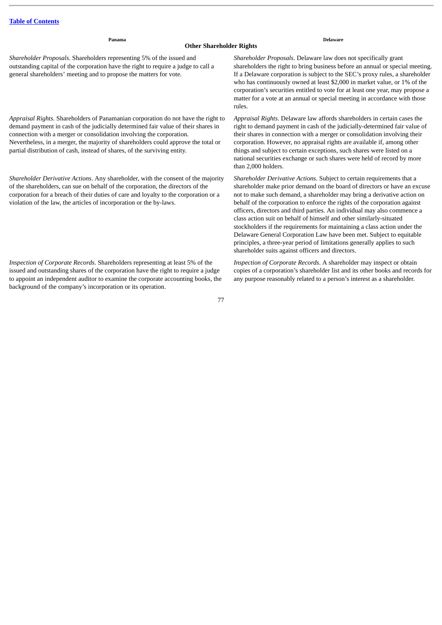| Panama                                                                                                                                                                                                                                                                                                                                                                                                            | <b>Delaware</b>                                                                                                                                                                                                                                                                                                                                                                                                                                                                                                                                                                                                                                                                                                                                       |
|-------------------------------------------------------------------------------------------------------------------------------------------------------------------------------------------------------------------------------------------------------------------------------------------------------------------------------------------------------------------------------------------------------------------|-------------------------------------------------------------------------------------------------------------------------------------------------------------------------------------------------------------------------------------------------------------------------------------------------------------------------------------------------------------------------------------------------------------------------------------------------------------------------------------------------------------------------------------------------------------------------------------------------------------------------------------------------------------------------------------------------------------------------------------------------------|
| <b>Other Shareholder Rights</b>                                                                                                                                                                                                                                                                                                                                                                                   |                                                                                                                                                                                                                                                                                                                                                                                                                                                                                                                                                                                                                                                                                                                                                       |
| Shareholder Proposals. Shareholders representing 5% of the issued and<br>outstanding capital of the corporation have the right to require a judge to call a<br>general shareholders' meeting and to propose the matters for vote.                                                                                                                                                                                 | Shareholder Proposals. Delaware law does not specifically grant<br>shareholders the right to bring business before an annual or special meeting.<br>If a Delaware corporation is subject to the SEC's proxy rules, a shareholder<br>who has continuously owned at least \$2,000 in market value, or 1% of the<br>corporation's securities entitled to vote for at least one year, may propose a<br>matter for a vote at an annual or special meeting in accordance with those<br>rules.                                                                                                                                                                                                                                                               |
| Appraisal Rights. Shareholders of Panamanian corporation do not have the right to<br>demand payment in cash of the judicially determined fair value of their shares in<br>connection with a merger or consolidation involving the corporation.<br>Nevertheless, in a merger, the majority of shareholders could approve the total or<br>partial distribution of cash, instead of shares, of the surviving entity. | Appraisal Rights. Delaware law affords shareholders in certain cases the<br>right to demand payment in cash of the judicially-determined fair value of<br>their shares in connection with a merger or consolidation involving their<br>corporation. However, no appraisal rights are available if, among other<br>things and subject to certain exceptions, such shares were listed on a<br>national securities exchange or such shares were held of record by more<br>than 2,000 holders.                                                                                                                                                                                                                                                            |
| Shareholder Derivative Actions. Any shareholder, with the consent of the majority<br>of the shareholders, can sue on behalf of the corporation, the directors of the<br>corporation for a breach of their duties of care and loyalty to the corporation or a<br>violation of the law, the articles of incorporation or the by-laws.                                                                               | Shareholder Derivative Actions. Subject to certain requirements that a<br>shareholder make prior demand on the board of directors or have an excuse<br>not to make such demand, a shareholder may bring a derivative action on<br>behalf of the corporation to enforce the rights of the corporation against<br>officers, directors and third parties. An individual may also commence a<br>class action suit on behalf of himself and other similarly-situated<br>stockholders if the requirements for maintaining a class action under the<br>Delaware General Corporation Law have been met. Subject to equitable<br>principles, a three-year period of limitations generally applies to such<br>shareholder suits against officers and directors. |
| Inspection of Corporate Records, Shareholders representing at least 5% of the                                                                                                                                                                                                                                                                                                                                     | Inspection of Corporate Records. A shareholder may inspect or obtain                                                                                                                                                                                                                                                                                                                                                                                                                                                                                                                                                                                                                                                                                  |

*Inspection of Corporate Records*. Shareholders representing at least 5% of the issued and outstanding shares of the corporation have the right to require a judge to appoint an independent auditor to examine the corporate accounting books, the background of the company's incorporation or its operation.

77

*Inspection of Corporate Records*. A shareholder may inspect or obtain copies of a corporation's shareholder list and its other books and records for any purpose reasonably related to a person's interest as a shareholder.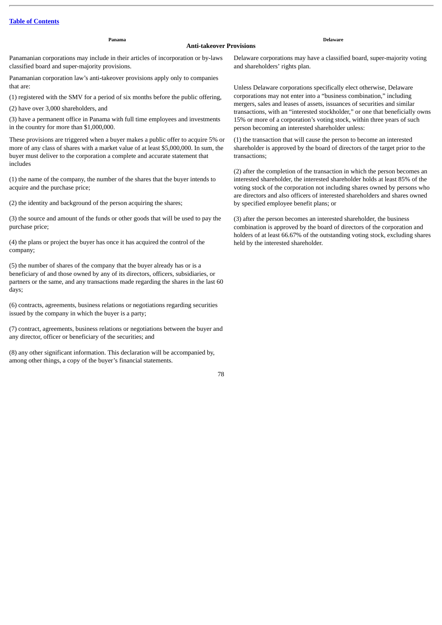### **Anti-takeover Provisions**

**Panama Delaware**

Panamanian corporations may include in their articles of incorporation or by-laws classified board and super-majority provisions.

Panamanian corporation law's anti-takeover provisions apply only to companies that are:

(1) registered with the SMV for a period of six months before the public offering,

(2) have over 3,000 shareholders, and

(3) have a permanent office in Panama with full time employees and investments in the country for more than \$1,000,000.

These provisions are triggered when a buyer makes a public offer to acquire 5% or more of any class of shares with a market value of at least \$5,000,000. In sum, the buyer must deliver to the corporation a complete and accurate statement that includes

(1) the name of the company, the number of the shares that the buyer intends to acquire and the purchase price;

(2) the identity and background of the person acquiring the shares;

(3) the source and amount of the funds or other goods that will be used to pay the purchase price;

(4) the plans or project the buyer has once it has acquired the control of the company;

(5) the number of shares of the company that the buyer already has or is a beneficiary of and those owned by any of its directors, officers, subsidiaries, or partners or the same, and any transactions made regarding the shares in the last 60 days;

(6) contracts, agreements, business relations or negotiations regarding securities issued by the company in which the buyer is a party;

(7) contract, agreements, business relations or negotiations between the buyer and any director, officer or beneficiary of the securities; and

(8) any other significant information. This declaration will be accompanied by, among other things, a copy of the buyer's financial statements.

Delaware corporations may have a classified board, super-majority voting and shareholders' rights plan.

Unless Delaware corporations specifically elect otherwise, Delaware corporations may not enter into a "business combination," including mergers, sales and leases of assets, issuances of securities and similar transactions, with an "interested stockholder," or one that beneficially owns 15% or more of a corporation's voting stock, within three years of such person becoming an interested shareholder unless:

(1) the transaction that will cause the person to become an interested shareholder is approved by the board of directors of the target prior to the transactions;

(2) after the completion of the transaction in which the person becomes an interested shareholder, the interested shareholder holds at least 85% of the voting stock of the corporation not including shares owned by persons who are directors and also officers of interested shareholders and shares owned by specified employee benefit plans; or

(3) after the person becomes an interested shareholder, the business combination is approved by the board of directors of the corporation and holders of at least 66.67% of the outstanding voting stock, excluding shares held by the interested shareholder.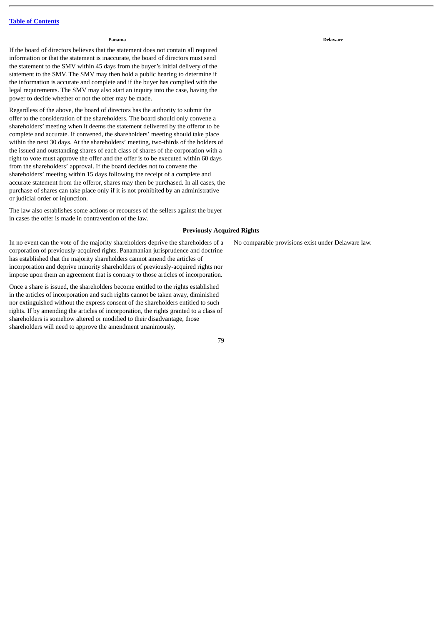If the board of directors believes that the statement does not contain all required information or that the statement is inaccurate, the board of directors must send the statement to the SMV within 45 days from the buyer's initial delivery of the statement to the SMV. The SMV may then hold a public hearing to determine if the information is accurate and complete and if the buyer has complied with the legal requirements. The SMV may also start an inquiry into the case, having the power to decide whether or not the offer may be made.

Regardless of the above, the board of directors has the authority to submit the offer to the consideration of the shareholders. The board should only convene a shareholders' meeting when it deems the statement delivered by the offeror to be complete and accurate. If convened, the shareholders' meeting should take place within the next 30 days. At the shareholders' meeting, two-thirds of the holders of the issued and outstanding shares of each class of shares of the corporation with a right to vote must approve the offer and the offer is to be executed within 60 days from the shareholders' approval. If the board decides not to convene the shareholders' meeting within 15 days following the receipt of a complete and accurate statement from the offeror, shares may then be purchased. In all cases, the purchase of shares can take place only if it is not prohibited by an administrative or judicial order or injunction.

The law also establishes some actions or recourses of the sellers against the buyer in cases the offer is made in contravention of the law.

### **Previously Acquired Rights**

In no event can the vote of the majority shareholders deprive the shareholders of a corporation of previously-acquired rights. Panamanian jurisprudence and doctrine has established that the majority shareholders cannot amend the articles of incorporation and deprive minority shareholders of previously-acquired rights nor impose upon them an agreement that is contrary to those articles of incorporation.

Once a share is issued, the shareholders become entitled to the rights established in the articles of incorporation and such rights cannot be taken away, diminished nor extinguished without the express consent of the shareholders entitled to such rights. If by amending the articles of incorporation, the rights granted to a class of shareholders is somehow altered or modified to their disadvantage, those shareholders will need to approve the amendment unanimously.

No comparable provisions exist under Delaware law.

#### 79

#### **Panama Delaware**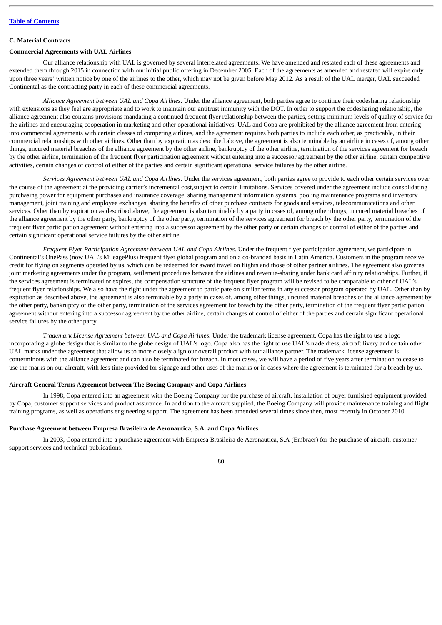# **C. Material Contracts**

## **Commercial Agreements with UAL Airlines**

Our alliance relationship with UAL is governed by several interrelated agreements. We have amended and restated each of these agreements and extended them through 2015 in connection with our initial public offering in December 2005. Each of the agreements as amended and restated will expire only upon three years' written notice by one of the airlines to the other, which may not be given before May 2012. As a result of the UAL merger, UAL succeeded Continental as the contracting party in each of these commercial agreements.

*Alliance Agreement between UAL and Copa Airlines.* Under the alliance agreement, both parties agree to continue their codesharing relationship with extensions as they feel are appropriate and to work to maintain our antitrust immunity with the DOT. In order to support the codesharing relationship, the alliance agreement also contains provisions mandating a continued frequent flyer relationship between the parties, setting minimum levels of quality of service for the airlines and encouraging cooperation in marketing and other operational initiatives. UAL and Copa are prohibited by the alliance agreement from entering into commercial agreements with certain classes of competing airlines, and the agreement requires both parties to include each other, as practicable, in their commercial relationships with other airlines. Other than by expiration as described above, the agreement is also terminable by an airline in cases of, among other things, uncured material breaches of the alliance agreement by the other airline, bankruptcy of the other airline, termination of the services agreement for breach by the other airline, termination of the frequent flyer participation agreement without entering into a successor agreement by the other airline, certain competitive activities, certain changes of control of either of the parties and certain significant operational service failures by the other airline.

*Services Agreement between UAL and Copa Airlines.* Under the services agreement, both parties agree to provide to each other certain services over the course of the agreement at the providing carrier's incremental cost,subject to certain limitations. Services covered under the agreement include consolidating purchasing power for equipment purchases and insurance coverage, sharing management information systems, pooling maintenance programs and inventory management, joint training and employee exchanges, sharing the benefits of other purchase contracts for goods and services, telecommunications and other services. Other than by expiration as described above, the agreement is also terminable by a party in cases of, among other things, uncured material breaches of the alliance agreement by the other party, bankruptcy of the other party, termination of the services agreement for breach by the other party, termination of the frequent flyer participation agreement without entering into a successor agreement by the other party or certain changes of control of either of the parties and certain significant operational service failures by the other airline.

*Frequent Flyer Participation Agreement between UAL and Copa Airlines.* Under the frequent flyer participation agreement, we participate in Continental's OnePass (now UAL's MileagePlus) frequent flyer global program and on a co-branded basis in Latin America. Customers in the program receive credit for flying on segments operated by us, which can be redeemed for award travel on flights and those of other partner airlines. The agreement also governs joint marketing agreements under the program, settlement procedures between the airlines and revenue-sharing under bank card affinity relationships. Further, if the services agreement is terminated or expires, the compensation structure of the frequent flyer program will be revised to be comparable to other of UAL's frequent flyer relationships. We also have the right under the agreement to participate on similar terms in any successor program operated by UAL. Other than by expiration as described above, the agreement is also terminable by a party in cases of, among other things, uncured material breaches of the alliance agreement by the other party, bankruptcy of the other party, termination of the services agreement for breach by the other party, termination of the frequent flyer participation agreement without entering into a successor agreement by the other airline, certain changes of control of either of the parties and certain significant operational service failures by the other party.

*Trademark License Agreement between UAL and Copa Airlines.* Under the trademark license agreement, Copa has the right to use a logo incorporating a globe design that is similar to the globe design of UAL's logo. Copa also has the right to use UAL's trade dress, aircraft livery and certain other UAL marks under the agreement that allow us to more closely align our overall product with our alliance partner. The trademark license agreement is conterminous with the alliance agreement and can also be terminated for breach. In most cases, we will have a period of five years after termination to cease to use the marks on our aircraft, with less time provided for signage and other uses of the marks or in cases where the agreement is terminated for a breach by us.

# **Aircraft General Terms Agreement between The Boeing Company and Copa Airlines**

In 1998, Copa entered into an agreement with the Boeing Company for the purchase of aircraft, installation of buyer furnished equipment provided by Copa, customer support services and product assurance. In addition to the aircraft supplied, the Boeing Company will provide maintenance training and flight training programs, as well as operations engineering support. The agreement has been amended several times since then, most recently in October 2010.

### **Purchase Agreement between Empresa Brasileira de Aeronautica, S.A. and Copa Airlines**

In 2003, Copa entered into a purchase agreement with Empresa Brasileira de Aeronautica, S.A (Embraer) for the purchase of aircraft, customer support services and technical publications.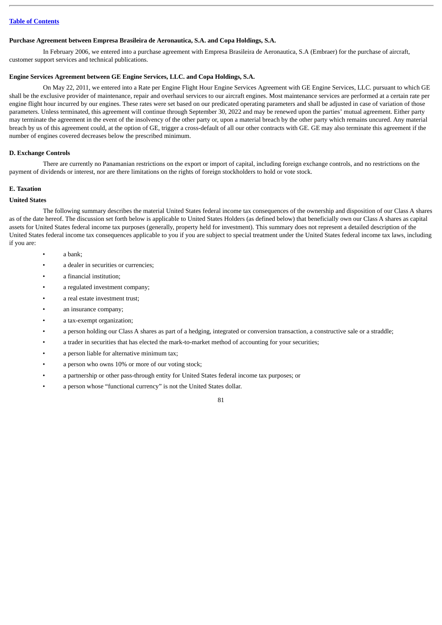### **Purchase Agreement between Empresa Brasileira de Aeronautica, S.A. and Copa Holdings, S.A.**

In February 2006, we entered into a purchase agreement with Empresa Brasileira de Aeronautica, S.A (Embraer) for the purchase of aircraft, customer support services and technical publications.

# **Engine Services Agreement between GE Engine Services, LLC. and Copa Holdings, S.A.**

On May 22, 2011, we entered into a Rate per Engine Flight Hour Engine Services Agreement with GE Engine Services, LLC. pursuant to which GE shall be the exclusive provider of maintenance, repair and overhaul services to our aircraft engines. Most maintenance services are performed at a certain rate per engine flight hour incurred by our engines. These rates were set based on our predicated operating parameters and shall be adjusted in case of variation of those parameters. Unless terminated, this agreement will continue through September 30, 2022 and may be renewed upon the parties' mutual agreement. Either party may terminate the agreement in the event of the insolvency of the other party or, upon a material breach by the other party which remains uncured. Any material breach by us of this agreement could, at the option of GE, trigger a cross-default of all our other contracts with GE. GE may also terminate this agreement if the number of engines covered decreases below the prescribed minimum.

### **D. Exchange Controls**

There are currently no Panamanian restrictions on the export or import of capital, including foreign exchange controls, and no restrictions on the payment of dividends or interest, nor are there limitations on the rights of foreign stockholders to hold or vote stock.

### **E. Taxation**

# **United States**

The following summary describes the material United States federal income tax consequences of the ownership and disposition of our Class A shares as of the date hereof. The discussion set forth below is applicable to United States Holders (as defined below) that beneficially own our Class A shares as capital assets for United States federal income tax purposes (generally, property held for investment). This summary does not represent a detailed description of the United States federal income tax consequences applicable to you if you are subject to special treatment under the United States federal income tax laws, including if you are:

- a bank;
- a dealer in securities or currencies;
- a financial institution;
- a regulated investment company;
- a real estate investment trust;
- an insurance company;
- a tax-exempt organization;
- a person holding our Class A shares as part of a hedging, integrated or conversion transaction, a constructive sale or a straddle;
- a trader in securities that has elected the mark-to-market method of accounting for your securities;
- a person liable for alternative minimum tax;
- a person who owns 10% or more of our voting stock;
- a partnership or other pass-through entity for United States federal income tax purposes; or
- a person whose "functional currency" is not the United States dollar.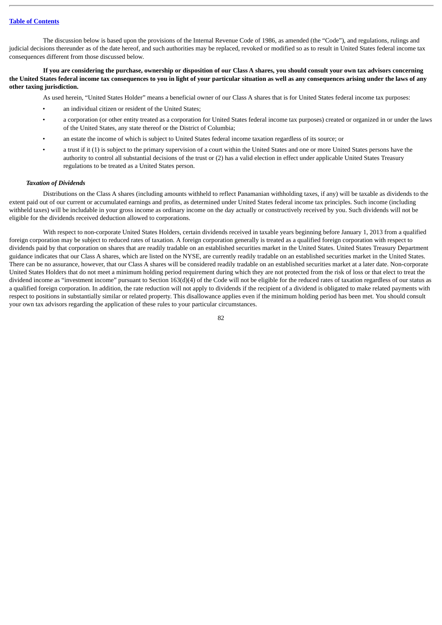The discussion below is based upon the provisions of the Internal Revenue Code of 1986, as amended (the "Code"), and regulations, rulings and judicial decisions thereunder as of the date hereof, and such authorities may be replaced, revoked or modified so as to result in United States federal income tax consequences different from those discussed below.

**If you are considering the purchase, ownership or disposition of our Class A shares, you should consult your own tax advisors concerning the United States federal income tax consequences to you in light of your particular situation as well as any consequences arising under the laws of any other taxing jurisdiction.**

As used herein, "United States Holder" means a beneficial owner of our Class A shares that is for United States federal income tax purposes:

- an individual citizen or resident of the United States:
- a corporation (or other entity treated as a corporation for United States federal income tax purposes) created or organized in or under the laws of the United States, any state thereof or the District of Columbia;
- an estate the income of which is subject to United States federal income taxation regardless of its source; or
- a trust if it (1) is subject to the primary supervision of a court within the United States and one or more United States persons have the authority to control all substantial decisions of the trust or (2) has a valid election in effect under applicable United States Treasury regulations to be treated as a United States person.

### *Taxation of Dividends*

Distributions on the Class A shares (including amounts withheld to reflect Panamanian withholding taxes, if any) will be taxable as dividends to the extent paid out of our current or accumulated earnings and profits, as determined under United States federal income tax principles. Such income (including withheld taxes) will be includable in your gross income as ordinary income on the day actually or constructively received by you. Such dividends will not be eligible for the dividends received deduction allowed to corporations.

With respect to non-corporate United States Holders, certain dividends received in taxable years beginning before January 1, 2013 from a qualified foreign corporation may be subject to reduced rates of taxation. A foreign corporation generally is treated as a qualified foreign corporation with respect to dividends paid by that corporation on shares that are readily tradable on an established securities market in the United States. United States Treasury Department guidance indicates that our Class A shares, which are listed on the NYSE, are currently readily tradable on an established securities market in the United States. There can be no assurance, however, that our Class A shares will be considered readily tradable on an established securities market at a later date. Non-corporate United States Holders that do not meet a minimum holding period requirement during which they are not protected from the risk of loss or that elect to treat the dividend income as "investment income" pursuant to Section 163(d)(4) of the Code will not be eligible for the reduced rates of taxation regardless of our status as a qualified foreign corporation. In addition, the rate reduction will not apply to dividends if the recipient of a dividend is obligated to make related payments with respect to positions in substantially similar or related property. This disallowance applies even if the minimum holding period has been met. You should consult your own tax advisors regarding the application of these rules to your particular circumstances.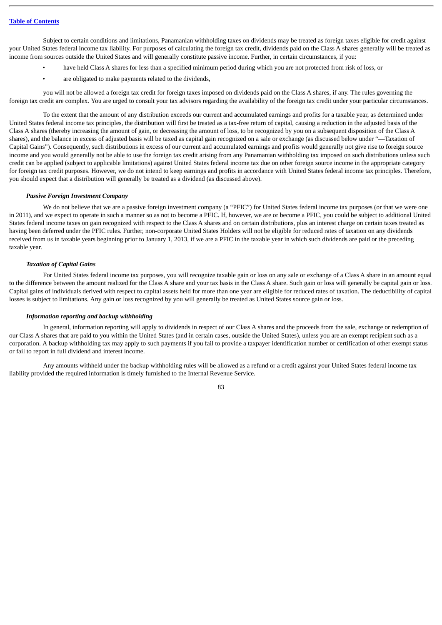Subject to certain conditions and limitations, Panamanian withholding taxes on dividends may be treated as foreign taxes eligible for credit against your United States federal income tax liability. For purposes of calculating the foreign tax credit, dividends paid on the Class A shares generally will be treated as income from sources outside the United States and will generally constitute passive income. Further, in certain circumstances, if you:

- have held Class A shares for less than a specified minimum period during which you are not protected from risk of loss, or
- are obligated to make payments related to the dividends,

you will not be allowed a foreign tax credit for foreign taxes imposed on dividends paid on the Class A shares, if any. The rules governing the foreign tax credit are complex. You are urged to consult your tax advisors regarding the availability of the foreign tax credit under your particular circumstances.

To the extent that the amount of any distribution exceeds our current and accumulated earnings and profits for a taxable year, as determined under United States federal income tax principles, the distribution will first be treated as a tax-free return of capital, causing a reduction in the adjusted basis of the Class A shares (thereby increasing the amount of gain, or decreasing the amount of loss, to be recognized by you on a subsequent disposition of the Class A shares), and the balance in excess of adjusted basis will be taxed as capital gain recognized on a sale or exchange (as discussed below under "—Taxation of Capital Gains"). Consequently, such distributions in excess of our current and accumulated earnings and profits would generally not give rise to foreign source income and you would generally not be able to use the foreign tax credit arising from any Panamanian withholding tax imposed on such distributions unless such credit can be applied (subject to applicable limitations) against United States federal income tax due on other foreign source income in the appropriate category for foreign tax credit purposes. However, we do not intend to keep earnings and profits in accordance with United States federal income tax principles. Therefore, you should expect that a distribution will generally be treated as a dividend (as discussed above).

### *Passive Foreign Investment Company*

We do not believe that we are a passive foreign investment company (a "PFIC") for United States federal income tax purposes (or that we were one in 2011), and we expect to operate in such a manner so as not to become a PFIC. If, however, we are or become a PFIC, you could be subject to additional United States federal income taxes on gain recognized with respect to the Class A shares and on certain distributions, plus an interest charge on certain taxes treated as having been deferred under the PFIC rules. Further, non-corporate United States Holders will not be eligible for reduced rates of taxation on any dividends received from us in taxable years beginning prior to January 1, 2013, if we are a PFIC in the taxable year in which such dividends are paid or the preceding taxable year.

### *Taxation of Capital Gains*

For United States federal income tax purposes, you will recognize taxable gain or loss on any sale or exchange of a Class A share in an amount equal to the difference between the amount realized for the Class A share and your tax basis in the Class A share. Such gain or loss will generally be capital gain or loss. Capital gains of individuals derived with respect to capital assets held for more than one year are eligible for reduced rates of taxation. The deductibility of capital losses is subject to limitations. Any gain or loss recognized by you will generally be treated as United States source gain or loss.

#### *Information reporting and backup withholding*

In general, information reporting will apply to dividends in respect of our Class A shares and the proceeds from the sale, exchange or redemption of our Class A shares that are paid to you within the United States (and in certain cases, outside the United States), unless you are an exempt recipient such as a corporation. A backup withholding tax may apply to such payments if you fail to provide a taxpayer identification number or certification of other exempt status or fail to report in full dividend and interest income.

Any amounts withheld under the backup withholding rules will be allowed as a refund or a credit against your United States federal income tax liability provided the required information is timely furnished to the Internal Revenue Service.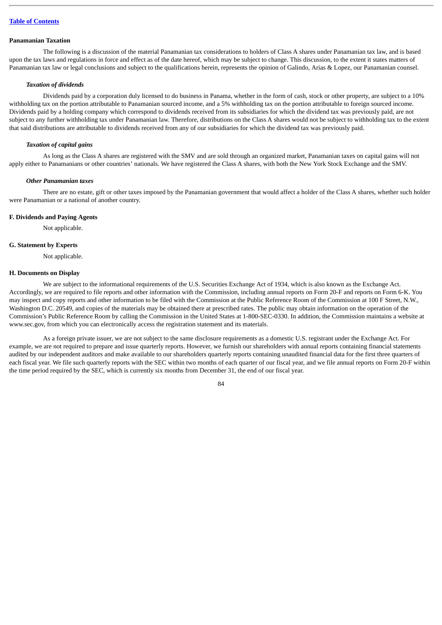## **Panamanian Taxation**

The following is a discussion of the material Panamanian tax considerations to holders of Class A shares under Panamanian tax law, and is based upon the tax laws and regulations in force and effect as of the date hereof, which may be subject to change. This discussion, to the extent it states matters of Panamanian tax law or legal conclusions and subject to the qualifications herein, represents the opinion of Galindo, Arias & Lopez, our Panamanian counsel.

### *Taxation of dividends*

Dividends paid by a corporation duly licensed to do business in Panama, whether in the form of cash, stock or other property, are subject to a 10% withholding tax on the portion attributable to Panamanian sourced income, and a 5% withholding tax on the portion attributable to foreign sourced income. Dividends paid by a holding company which correspond to dividends received from its subsidiaries for which the dividend tax was previously paid, are not subject to any further withholding tax under Panamanian law. Therefore, distributions on the Class A shares would not be subject to withholding tax to the extent that said distributions are attributable to dividends received from any of our subsidiaries for which the dividend tax was previously paid.

### *Taxation of capital gains*

As long as the Class A shares are registered with the SMV and are sold through an organized market, Panamanian taxes on capital gains will not apply either to Panamanians or other countries' nationals. We have registered the Class A shares, with both the New York Stock Exchange and the SMV.

### *Other Panamanian taxes*

There are no estate, gift or other taxes imposed by the Panamanian government that would affect a holder of the Class A shares, whether such holder were Panamanian or a national of another country.

### **F. Dividends and Paying Agents**

Not applicable.

### **G. Statement by Experts**

Not applicable.

## **H. Documents on Display**

We are subject to the informational requirements of the U.S. Securities Exchange Act of 1934, which is also known as the Exchange Act. Accordingly, we are required to file reports and other information with the Commission, including annual reports on Form 20-F and reports on Form 6-K. You may inspect and copy reports and other information to be filed with the Commission at the Public Reference Room of the Commission at 100 F Street, N.W., Washington D.C. 20549, and copies of the materials may be obtained there at prescribed rates. The public may obtain information on the operation of the Commission's Public Reference Room by calling the Commission in the United States at 1-800-SEC-0330. In addition, the Commission maintains a website at www.sec.gov, from which you can electronically access the registration statement and its materials.

As a foreign private issuer, we are not subject to the same disclosure requirements as a domestic U.S. registrant under the Exchange Act. For example, we are not required to prepare and issue quarterly reports. However, we furnish our shareholders with annual reports containing financial statements audited by our independent auditors and make available to our shareholders quarterly reports containing unaudited financial data for the first three quarters of each fiscal year. We file such quarterly reports with the SEC within two months of each quarter of our fiscal year, and we file annual reports on Form 20-F within the time period required by the SEC, which is currently six months from December 31, the end of our fiscal year.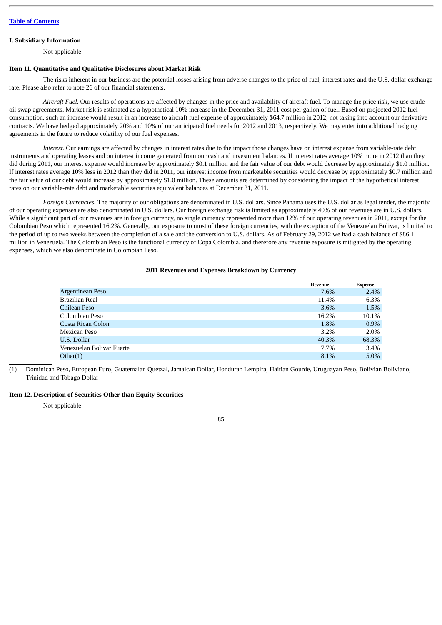### **I. Subsidiary Information**

Not applicable.

# **Item 11. Quantitative and Qualitative Disclosures about Market Risk**

The risks inherent in our business are the potential losses arising from adverse changes to the price of fuel, interest rates and the U.S. dollar exchange rate. Please also refer to note 26 of our financial statements.

*Aircraft Fuel.* Our results of operations are affected by changes in the price and availability of aircraft fuel. To manage the price risk, we use crude oil swap agreements. Market risk is estimated as a hypothetical 10% increase in the December 31, 2011 cost per gallon of fuel. Based on projected 2012 fuel consumption, such an increase would result in an increase to aircraft fuel expense of approximately \$64.7 million in 2012, not taking into account our derivative contracts. We have hedged approximately 20% and 10% of our anticipated fuel needs for 2012 and 2013, respectively. We may enter into additional hedging agreements in the future to reduce volatility of our fuel expenses.

*Interest.* Our earnings are affected by changes in interest rates due to the impact those changes have on interest expense from variable-rate debt instruments and operating leases and on interest income generated from our cash and investment balances. If interest rates average 10% more in 2012 than they did during 2011, our interest expense would increase by approximately \$0.1 million and the fair value of our debt would decrease by approximately \$1.0 million. If interest rates average 10% less in 2012 than they did in 2011, our interest income from marketable securities would decrease by approximately \$0.7 million and the fair value of our debt would increase by approximately \$1.0 million. These amounts are determined by considering the impact of the hypothetical interest rates on our variable-rate debt and marketable securities equivalent balances at December 31, 2011.

*Foreign Currencies.* The majority of our obligations are denominated in U.S. dollars. Since Panama uses the U.S. dollar as legal tender, the majority of our operating expenses are also denominated in U.S. dollars. Our foreign exchange risk is limited as approximately 40% of our revenues are in U.S. dollars. While a significant part of our revenues are in foreign currency, no single currency represented more than 12% of our operating revenues in 2011, except for the Colombian Peso which represented 16.2%. Generally, our exposure to most of these foreign currencies, with the exception of the Venezuelan Bolivar, is limited to the period of up to two weeks between the completion of a sale and the conversion to U.S. dollars. As of February 29, 2012 we had a cash balance of \$86.1 million in Venezuela. The Colombian Peso is the functional currency of Copa Colombia, and therefore any revenue exposure is mitigated by the operating expenses, which we also denominate in Colombian Peso.

# **2011 Revenues and Expenses Breakdown by Currency**

|                           | Revenue | <b>Expense</b> |
|---------------------------|---------|----------------|
| Argentinean Peso          | 7.6%    | 2.4%           |
| Brazilian Real            | 11.4%   | 6.3%           |
| Chilean Peso              | 3.6%    | 1.5%           |
| Colombian Peso            | 16.2%   | 10.1%          |
| Costa Rican Colon         | 1.8%    | $0.9\%$        |
| Mexican Peso              | 3.2%    | 2.0%           |
| U.S. Dollar               | 40.3%   | 68.3%          |
| Venezuelan Bolivar Fuerte | 7.7%    | 3.4%           |
| Other(1)                  | 8.1%    | $5.0\%$        |

(1) Dominican Peso, European Euro, Guatemalan Quetzal, Jamaican Dollar, Honduran Lempira, Haitian Gourde, Uruguayan Peso, Bolivian Boliviano, Trinidad and Tobago Dollar

# **Item 12. Description of Securities Other than Equity Securities**

Not applicable.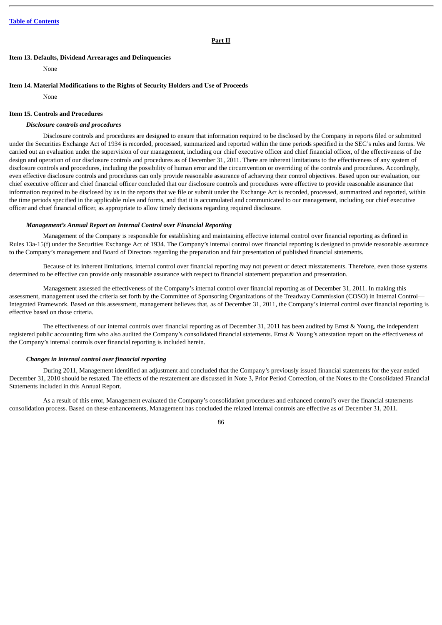### **Part II**

## **Item 13. Defaults, Dividend Arrearages and Delinquencies**

None

# **Item 14. Material Modifications to the Rights of Security Holders and Use of Proceeds**

None

### **Item 15. Controls and Procedures**

# *Disclosure controls and procedures*

Disclosure controls and procedures are designed to ensure that information required to be disclosed by the Company in reports filed or submitted under the Securities Exchange Act of 1934 is recorded, processed, summarized and reported within the time periods specified in the SEC's rules and forms. We carried out an evaluation under the supervision of our management, including our chief executive officer and chief financial officer, of the effectiveness of the design and operation of our disclosure controls and procedures as of December 31, 2011. There are inherent limitations to the effectiveness of any system of disclosure controls and procedures, including the possibility of human error and the circumvention or overriding of the controls and procedures. Accordingly, even effective disclosure controls and procedures can only provide reasonable assurance of achieving their control objectives. Based upon our evaluation, our chief executive officer and chief financial officer concluded that our disclosure controls and procedures were effective to provide reasonable assurance that information required to be disclosed by us in the reports that we file or submit under the Exchange Act is recorded, processed, summarized and reported, within the time periods specified in the applicable rules and forms, and that it is accumulated and communicated to our management, including our chief executive officer and chief financial officer, as appropriate to allow timely decisions regarding required disclosure.

# *Management's Annual Report on Internal Control over Financial Reporting*

Management of the Company is responsible for establishing and maintaining effective internal control over financial reporting as defined in Rules 13a-15(f) under the Securities Exchange Act of 1934. The Company's internal control over financial reporting is designed to provide reasonable assurance to the Company's management and Board of Directors regarding the preparation and fair presentation of published financial statements.

Because of its inherent limitations, internal control over financial reporting may not prevent or detect misstatements. Therefore, even those systems determined to be effective can provide only reasonable assurance with respect to financial statement preparation and presentation.

Management assessed the effectiveness of the Company's internal control over financial reporting as of December 31, 2011. In making this assessment, management used the criteria set forth by the Committee of Sponsoring Organizations of the Treadway Commission (COSO) in Internal Control— Integrated Framework. Based on this assessment, management believes that, as of December 31, 2011, the Company's internal control over financial reporting is effective based on those criteria.

The effectiveness of our internal controls over financial reporting as of December 31, 2011 has been audited by Ernst & Young, the independent registered public accounting firm who also audited the Company's consolidated financial statements. Ernst & Young's attestation report on the effectiveness of the Company's internal controls over financial reporting is included herein.

### *Changes in internal control over financial reporting*

During 2011, Management identified an adjustment and concluded that the Company's previously issued financial statements for the year ended December 31, 2010 should be restated. The effects of the restatement are discussed in Note 3, Prior Period Correction, of the Notes to the Consolidated Financial Statements included in this Annual Report.

As a result of this error, Management evaluated the Company's consolidation procedures and enhanced control's over the financial statements consolidation process. Based on these enhancements, Management has concluded the related internal controls are effective as of December 31, 2011.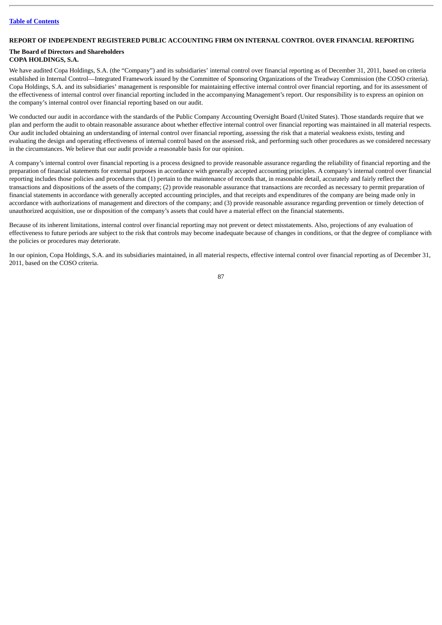# **REPORT OF INDEPENDENT REGISTERED PUBLIC ACCOUNTING FIRM ON INTERNAL CONTROL OVER FINANCIAL REPORTING**

# **The Board of Directors and Shareholders COPA HOLDINGS, S.A.**

We have audited Copa Holdings, S.A. (the "Company") and its subsidiaries' internal control over financial reporting as of December 31, 2011, based on criteria established in Internal Control—Integrated Framework issued by the Committee of Sponsoring Organizations of the Treadway Commission (the COSO criteria). Copa Holdings, S.A. and its subsidiaries' management is responsible for maintaining effective internal control over financial reporting, and for its assessment of the effectiveness of internal control over financial reporting included in the accompanying Management's report. Our responsibility is to express an opinion on the company's internal control over financial reporting based on our audit.

We conducted our audit in accordance with the standards of the Public Company Accounting Oversight Board (United States). Those standards require that we plan and perform the audit to obtain reasonable assurance about whether effective internal control over financial reporting was maintained in all material respects. Our audit included obtaining an understanding of internal control over financial reporting, assessing the risk that a material weakness exists, testing and evaluating the design and operating effectiveness of internal control based on the assessed risk, and performing such other procedures as we considered necessary in the circumstances. We believe that our audit provide a reasonable basis for our opinion.

A company's internal control over financial reporting is a process designed to provide reasonable assurance regarding the reliability of financial reporting and the preparation of financial statements for external purposes in accordance with generally accepted accounting principles. A company's internal control over financial reporting includes those policies and procedures that (1) pertain to the maintenance of records that, in reasonable detail, accurately and fairly reflect the transactions and dispositions of the assets of the company; (2) provide reasonable assurance that transactions are recorded as necessary to permit preparation of financial statements in accordance with generally accepted accounting principles, and that receipts and expenditures of the company are being made only in accordance with authorizations of management and directors of the company; and (3) provide reasonable assurance regarding prevention or timely detection of unauthorized acquisition, use or disposition of the company's assets that could have a material effect on the financial statements.

Because of its inherent limitations, internal control over financial reporting may not prevent or detect misstatements. Also, projections of any evaluation of effectiveness to future periods are subject to the risk that controls may become inadequate because of changes in conditions, or that the degree of compliance with the policies or procedures may deteriorate.

In our opinion, Copa Holdings, S.A. and its subsidiaries maintained, in all material respects, effective internal control over financial reporting as of December 31, 2011, based on the COSO criteria.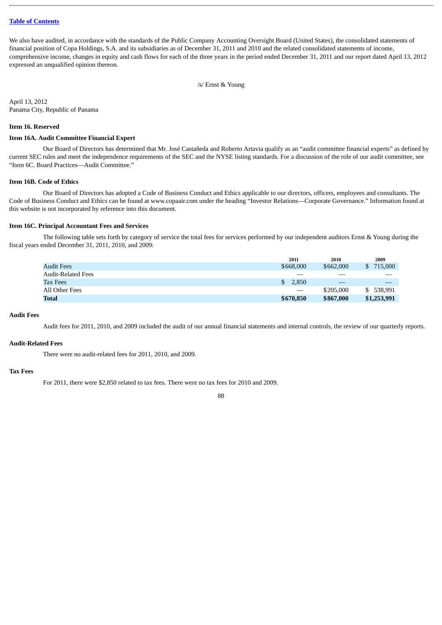We also have audited, in accordance with the standards of the Public Company Accounting Oversight Board (United States), the consolidated statements of financial position of Copa Holdings, S.A. and its subsidiaries as of December 31, 2011 and 2010 and the related consolidated statements of income, comprehensive income, changes in equity and cash flows for each of the three years in the period ended December 31, 2011 and our report dated April 13, 2012 expressed an unqualified opinion thereon.

/s/ Ernst & Young

April 13, 2012 Panama City, Republic of Panama

# **Item 16. Reserved**

# **Item 16A. Audit Committee Financial Expert**

Our Board of Directors has determined that Mr. José Castañeda and Roberto Artavia qualify as an "audit committee financial experts" as defined by current SEC rules and meet the independence requirements of the SEC and the NYSE listing standards. For a discussion of the role of our audit committee, see "Item 6C. Board Practices—Audit Committee."

# **Item 16B. Code of Ethics**

Our Board of Directors has adopted a Code of Business Conduct and Ethics applicable to our directors, officers, employees and consultants. The Code of Business Conduct and Ethics can be found at www.copaair.com under the heading "Investor Relations—Corporate Governance." Information found at this website is not incorporated by reference into this document.

### **Item 16C. Principal Accountant Fees and Services**

The following table sets forth by category of service the total fees for services performed by our independent auditors Ernst & Young during the fiscal years ended December 31, 2011, 2010, and 2009:

|                           | 2011              | 2010      | 2009          |
|---------------------------|-------------------|-----------|---------------|
| Audit Fees                | \$668,000         | \$662,000 | 715,000<br>\$ |
| <b>Audit-Related Fees</b> |                   |           |               |
| <b>Tax Fees</b>           | 2,850<br>\$       |           |               |
| All Other Fees            | $\hspace{0.05cm}$ | \$205,000 | \$538,991     |
| Total                     | \$670,850         | \$867,000 | \$1,253,991   |

### **Audit Fees**

Audit fees for 2011, 2010, and 2009 included the audit of our annual financial statements and internal controls, the review of our quarterly reports.

### **Audit-Related Fees**

There were no audit-related fees for 2011, 2010, and 2009.

## **Tax Fees**

For 2011, there were \$2,850 related to tax fees. There were no tax fees for 2010 and 2009.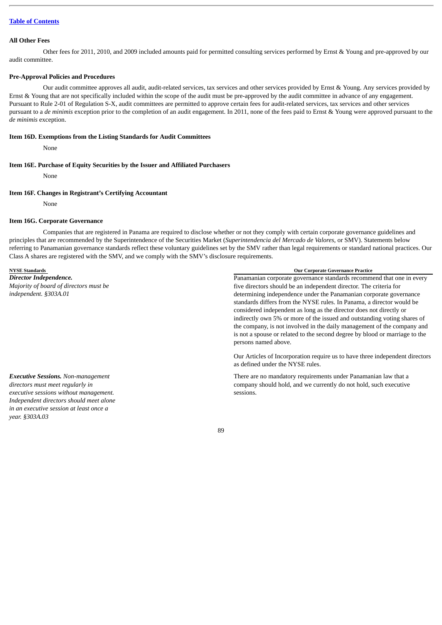# **All Other Fees**

Other fees for 2011, 2010, and 2009 included amounts paid for permitted consulting services performed by Ernst & Young and pre-approved by our audit committee.

### **Pre-Approval Policies and Procedures**

Our audit committee approves all audit, audit-related services, tax services and other services provided by Ernst & Young. Any services provided by Ernst & Young that are not specifically included within the scope of the audit must be pre-approved by the audit committee in advance of any engagement. Pursuant to Rule 2-01 of Regulation S-X, audit committees are permitted to approve certain fees for audit-related services, tax services and other services pursuant to a *de minimis* exception prior to the completion of an audit engagement. In 2011, none of the fees paid to Ernst & Young were approved pursuant to the *de minimis* exception.

#### **Item 16D. Exemptions from the Listing Standards for Audit Committees**

None

#### **Item 16E. Purchase of Equity Securities by the Issuer and Affiliated Purchasers**

None

#### **Item 16F. Changes in Registrant's Certifying Accountant**

None

### **Item 16G. Corporate Governance**

Companies that are registered in Panama are required to disclose whether or not they comply with certain corporate governance guidelines and principles that are recommended by the Superintendence of the Securities Market (*Superintendencia del Mercado de Valores*, or SMV). Statements below referring to Panamanian governance standards reflect these voluntary guidelines set by the SMV rather than legal requirements or standard national practices. Our Class A shares are registered with the SMV, and we comply with the SMV's disclosure requirements.

*Director Independence. Majority of board of directors must be independent. §303A.01*

### **NYSE Standards Our Corporate Governance Practice**

Panamanian corporate governance standards recommend that one in every five directors should be an independent director. The criteria for determining independence under the Panamanian corporate governance standards differs from the NYSE rules. In Panama, a director would be considered independent as long as the director does not directly or indirectly own 5% or more of the issued and outstanding voting shares of the company, is not involved in the daily management of the company and is not a spouse or related to the second degree by blood or marriage to the persons named above.

Our Articles of Incorporation require us to have three independent directors as defined under the NYSE rules.

There are no mandatory requirements under Panamanian law that a company should hold, and we currently do not hold, such executive sessions.

*Executive Sessions. Non-management directors must meet regularly in executive sessions without management. Independent directors should meet alone in an executive session at least once a year. §303A.03*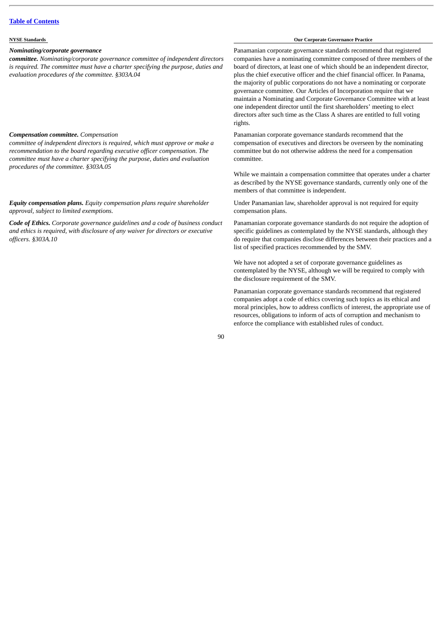### *Nominating/corporate governance*

*committee. Nominating/corporate governance committee of independent directors is required. The committee must have a charter specifying the purpose, duties and evaluation procedures of the committee. §303A.04*

#### *Compensation committee. Compensation*

*committee of independent directors is required, which must approve or make a recommendation to the board regarding executive officer compensation. The committee must have a charter specifying the purpose, duties and evaluation procedures of the committee. §303A.05*

*Equity compensation plans. Equity compensation plans require shareholder approval, subject to limited exemptions.*

*Code of Ethics. Corporate governance guidelines and a code of business conduct and ethics is required, with disclosure of any waiver for directors or executive officers. §303A.10*

### **NYSE Standards Our Corporate Governance Practice**

Panamanian corporate governance standards recommend that registered companies have a nominating committee composed of three members of the board of directors, at least one of which should be an independent director, plus the chief executive officer and the chief financial officer. In Panama, the majority of public corporations do not have a nominating or corporate governance committee. Our Articles of Incorporation require that we maintain a Nominating and Corporate Governance Committee with at least one independent director until the first shareholders' meeting to elect directors after such time as the Class A shares are entitled to full voting rights.

Panamanian corporate governance standards recommend that the compensation of executives and directors be overseen by the nominating committee but do not otherwise address the need for a compensation committee.

While we maintain a compensation committee that operates under a charter as described by the NYSE governance standards, currently only one of the members of that committee is independent.

Under Panamanian law, shareholder approval is not required for equity compensation plans.

Panamanian corporate governance standards do not require the adoption of specific guidelines as contemplated by the NYSE standards, although they do require that companies disclose differences between their practices and a list of specified practices recommended by the SMV.

We have not adopted a set of corporate governance guidelines as contemplated by the NYSE, although we will be required to comply with the disclosure requirement of the SMV.

Panamanian corporate governance standards recommend that registered companies adopt a code of ethics covering such topics as its ethical and moral principles, how to address conflicts of interest, the appropriate use of resources, obligations to inform of acts of corruption and mechanism to enforce the compliance with established rules of conduct.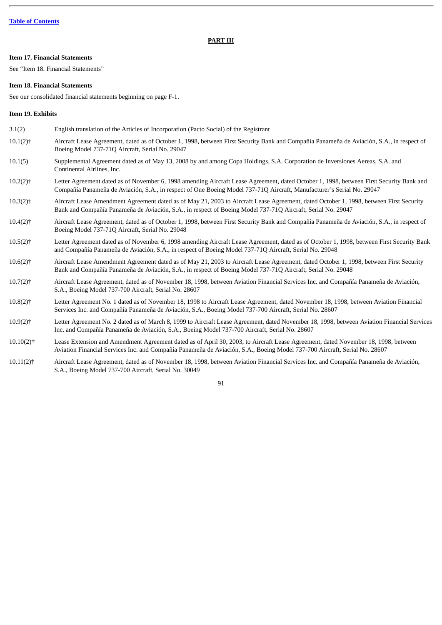## **PART III**

# **Item 17. Financial Statements**

See "Item 18. Financial Statements"

# **Item 18. Financial Statements**

See our consolidated financial statements beginning on page F-1.

#### **Item 19. Exhibits**

- 3.1(2) English translation of the Articles of Incorporation (Pacto Social) of the Registrant
- 10.1(2)† Aircraft Lease Agreement, dated as of October 1, 1998, between First Security Bank and Compañía Panameña de Aviación, S.A., in respect of Boeing Model 737-71Q Aircraft, Serial No. 29047
- 10.1(5) Supplemental Agreement dated as of May 13, 2008 by and among Copa Holdings, S.A. Corporation de Inversiones Aereas, S.A. and Continental Airlines, Inc.
- 10.2(2)† Letter Agreement dated as of November 6, 1998 amending Aircraft Lease Agreement, dated October 1, 1998, between First Security Bank and Compañía Panameña de Aviación, S.A., in respect of One Boeing Model 737-71Q Aircraft, Manufacturer's Serial No. 29047
- 10.3(2)† Aircraft Lease Amendment Agreement dated as of May 21, 2003 to Aircraft Lease Agreement, dated October 1, 1998, between First Security Bank and Compañía Panameña de Aviación, S.A., in respect of Boeing Model 737-71Q Aircraft, Serial No. 29047
- 10.4(2)† Aircraft Lease Agreement, dated as of October 1, 1998, between First Security Bank and Compañía Panameña de Aviación, S.A., in respect of Boeing Model 737-71Q Aircraft, Serial No. 29048
- 10.5(2)† Letter Agreement dated as of November 6, 1998 amending Aircraft Lease Agreement, dated as of October 1, 1998, between First Security Bank and Compañía Panameña de Aviación, S.A., in respect of Boeing Model 737-71Q Aircraft, Serial No. 29048
- 10.6(2)† Aircraft Lease Amendment Agreement dated as of May 21, 2003 to Aircraft Lease Agreement, dated October 1, 1998, between First Security Bank and Compañía Panameña de Aviación, S.A., in respect of Boeing Model 737-71Q Aircraft, Serial No. 29048
- 10.7(2)† Aircraft Lease Agreement, dated as of November 18, 1998, between Aviation Financial Services Inc. and Compañía Panameña de Aviación, S.A., Boeing Model 737-700 Aircraft, Serial No. 28607
- 10.8(2)† Letter Agreement No. 1 dated as of November 18, 1998 to Aircraft Lease Agreement, dated November 18, 1998, between Aviation Financial Services Inc. and Compañía Panameña de Aviación, S.A., Boeing Model 737-700 Aircraft, Serial No. 28607
- 10.9(2)† Letter Agreement No. 2 dated as of March 8, 1999 to Aircraft Lease Agreement, dated November 18, 1998, between Aviation Financial Services Inc. and Compañía Panameña de Aviación, S.A., Boeing Model 737-700 Aircraft, Serial No. 28607
- 10.10(2)† Lease Extension and Amendment Agreement dated as of April 30, 2003, to Aircraft Lease Agreement, dated November 18, 1998, between Aviation Financial Services Inc. and Compañía Panameña de Aviación, S.A., Boeing Model 737-700 Aircraft, Serial No. 28607
- 10.11(2)† Aircraft Lease Agreement, dated as of November 18, 1998, between Aviation Financial Services Inc. and Compañía Panameña de Aviación, S.A., Boeing Model 737-700 Aircraft, Serial No. 30049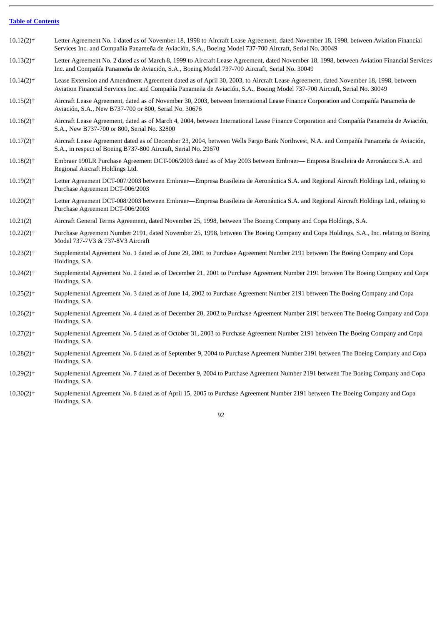| $10.12(2)$ <sup>+</sup> | Letter Agreement No. 1 dated as of November 18, 1998 to Aircraft Lease Agreement, dated November 18, 1998, between Aviation Financial<br>Services Inc. and Compañía Panameña de Aviación, S.A., Boeing Model 737-700 Aircraft, Serial No. 30049                |
|-------------------------|----------------------------------------------------------------------------------------------------------------------------------------------------------------------------------------------------------------------------------------------------------------|
| $10.13(2)$ <sup>†</sup> | Letter Agreement No. 2 dated as of March 8, 1999 to Aircraft Lease Agreement, dated November 18, 1998, between Aviation Financial Services<br>Inc. and Compañía Panameña de Aviación, S.A., Boeing Model 737-700 Aircraft, Serial No. 30049                    |
| $10.14(2)$ <sup>†</sup> | Lease Extension and Amendment Agreement dated as of April 30, 2003, to Aircraft Lease Agreement, dated November 18, 1998, between<br>Aviation Financial Services Inc. and Compañía Panameña de Aviación, S.A., Boeing Model 737-700 Aircraft, Serial No. 30049 |
| $10.15(2)$ <sup>†</sup> | Aircraft Lease Agreement, dated as of November 30, 2003, between International Lease Finance Corporation and Compañía Panameña de<br>Aviación, S.A., New B737-700 or 800, Serial No. 30676                                                                     |
| $10.16(2)$ <sup>†</sup> | Aircraft Lease Agreement, dated as of March 4, 2004, between International Lease Finance Corporation and Compañía Panameña de Aviación,<br>S.A., New B737-700 or 800, Serial No. 32800                                                                         |
| $10.17(2)$ <sup>†</sup> | Aircraft Lease Agreement dated as of December 23, 2004, between Wells Fargo Bank Northwest, N.A. and Compañía Panameña de Aviación,<br>S.A., in respect of Boeing B737-800 Aircraft, Serial No. 29670                                                          |
| $10.18(2)$ <sup>†</sup> | Embraer 190LR Purchase Agreement DCT-006/2003 dated as of May 2003 between Embraer—Empresa Brasileira de Aeronáutica S.A. and<br>Regional Aircraft Holdings Ltd.                                                                                               |
| $10.19(2)$ <sup>†</sup> | Letter Agreement DCT-007/2003 between Embraer—Empresa Brasileira de Aeronáutica S.A. and Regional Aircraft Holdings Ltd., relating to<br>Purchase Agreement DCT-006/2003                                                                                       |
| $10.20(2)$ <sup>†</sup> | Letter Agreement DCT-008/2003 between Embraer—Empresa Brasileira de Aeronáutica S.A. and Regional Aircraft Holdings Ltd., relating to<br>Purchase Agreement DCT-006/2003                                                                                       |
| 10.21(2)                | Aircraft General Terms Agreement, dated November 25, 1998, between The Boeing Company and Copa Holdings, S.A.                                                                                                                                                  |
| $10.22(2)$ <sup>+</sup> | Purchase Agreement Number 2191, dated November 25, 1998, between The Boeing Company and Copa Holdings, S.A., Inc. relating to Boeing<br>Model 737-7V3 & 737-8V3 Aircraft                                                                                       |
| $10.23(2)$ <sup>+</sup> | Supplemental Agreement No. 1 dated as of June 29, 2001 to Purchase Agreement Number 2191 between The Boeing Company and Copa<br>Holdings, S.A.                                                                                                                 |
| $10.24(2)$ <sup>†</sup> | Supplemental Agreement No. 2 dated as of December 21, 2001 to Purchase Agreement Number 2191 between The Boeing Company and Copa<br>Holdings, S.A.                                                                                                             |
| $10.25(2)$ <sup>†</sup> | Supplemental Agreement No. 3 dated as of June 14, 2002 to Purchase Agreement Number 2191 between The Boeing Company and Copa<br>Holdings, S.A.                                                                                                                 |
| $10.26(2)$ <sup>†</sup> | Supplemental Agreement No. 4 dated as of December 20, 2002 to Purchase Agreement Number 2191 between The Boeing Company and Copa<br>Holdings, S.A.                                                                                                             |
| $10.27(2)$ <sup>†</sup> | Supplemental Agreement No. 5 dated as of October 31, 2003 to Purchase Agreement Number 2191 between The Boeing Company and Copa<br>Holdings, S.A.                                                                                                              |
| $10.28(2)$ <sup>+</sup> | Supplemental Agreement No. 6 dated as of September 9, 2004 to Purchase Agreement Number 2191 between The Boeing Company and Copa<br>Holdings, S.A.                                                                                                             |
| $10.29(2)$ <sup>+</sup> | Supplemental Agreement No. 7 dated as of December 9, 2004 to Purchase Agreement Number 2191 between The Boeing Company and Copa<br>Holdings, S.A.                                                                                                              |

10.30(2)† Supplemental Agreement No. 8 dated as of April 15, 2005 to Purchase Agreement Number 2191 between The Boeing Company and Copa Holdings, S.A.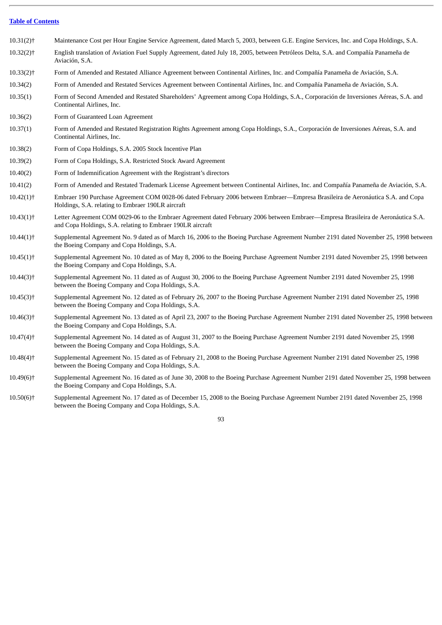| $10.31(2)$ <sup>†</sup> | Maintenance Cost per Hour Engine Service Agreement, dated March 5, 2003, between G.E. Engine Services, Inc. and Copa Holdings, S.A.                                                            |
|-------------------------|------------------------------------------------------------------------------------------------------------------------------------------------------------------------------------------------|
| $10.32(2)$ <sup>+</sup> | English translation of Aviation Fuel Supply Agreement, dated July 18, 2005, between Petróleos Delta, S.A. and Compañía Panameña de<br>Aviación, S.A.                                           |
| $10.33(2)$ <sup>+</sup> | Form of Amended and Restated Alliance Agreement between Continental Airlines, Inc. and Compañía Panameña de Aviación, S.A.                                                                     |
| 10.34(2)                | Form of Amended and Restated Services Agreement between Continental Airlines, Inc. and Compañía Panameña de Aviación, S.A.                                                                     |
| 10.35(1)                | Form of Second Amended and Restated Shareholders' Agreement among Copa Holdings, S.A., Corporación de Inversiones Aéreas, S.A. and<br>Continental Airlines, Inc.                               |
| 10.36(2)                | Form of Guaranteed Loan Agreement                                                                                                                                                              |
| 10.37(1)                | Form of Amended and Restated Registration Rights Agreement among Copa Holdings, S.A., Corporación de Inversiones Aéreas, S.A. and<br>Continental Airlines, Inc.                                |
| 10.38(2)                | Form of Copa Holdings, S.A. 2005 Stock Incentive Plan                                                                                                                                          |
| 10.39(2)                | Form of Copa Holdings, S.A. Restricted Stock Award Agreement                                                                                                                                   |
| 10.40(2)                | Form of Indemnification Agreement with the Registrant's directors                                                                                                                              |
| 10.41(2)                | Form of Amended and Restated Trademark License Agreement between Continental Airlines, Inc. and Compañía Panameña de Aviación, S.A.                                                            |
| $10.42(1)$ <sup>+</sup> | Embraer 190 Purchase Agreement COM 0028-06 dated February 2006 between Embraer—Empresa Brasileira de Aeronáutica S.A. and Copa<br>Holdings, S.A. relating to Embraer 190LR aircraft            |
| $10.43(1)$ <sup>+</sup> | Letter Agreement COM 0029-06 to the Embraer Agreement dated February 2006 between Embraer—Empresa Brasileira de Aeronáutica S.A.<br>and Copa Holdings, S.A. relating to Embraer 190LR aircraft |
| $10.44(1)$ <sup>+</sup> | Supplemental Agreement No. 9 dated as of March 16, 2006 to the Boeing Purchase Agreement Number 2191 dated November 25, 1998 between<br>the Boeing Company and Copa Holdings, S.A.             |
| $10.45(1)$ <sup>+</sup> | Supplemental Agreement No. 10 dated as of May 8, 2006 to the Boeing Purchase Agreement Number 2191 dated November 25, 1998 between<br>the Boeing Company and Copa Holdings, S.A.               |
| $10.44(3)$ <sup>†</sup> | Supplemental Agreement No. 11 dated as of August 30, 2006 to the Boeing Purchase Agreement Number 2191 dated November 25, 1998<br>between the Boeing Company and Copa Holdings, S.A.           |
| $10.45(3)$ <sup>†</sup> | Supplemental Agreement No. 12 dated as of February 26, 2007 to the Boeing Purchase Agreement Number 2191 dated November 25, 1998<br>between the Boeing Company and Copa Holdings, S.A.         |
| $10.46(3)$ <sup>+</sup> | Supplemental Agreement No. 13 dated as of April 23, 2007 to the Boeing Purchase Agreement Number 2191 dated November 25, 1998 between<br>the Boeing Company and Copa Holdings, S.A.            |
| $10.47(4)$ <sup>†</sup> | Supplemental Agreement No. 14 dated as of August 31, 2007 to the Boeing Purchase Agreement Number 2191 dated November 25, 1998<br>between the Boeing Company and Copa Holdings, S.A.           |
| $10.48(4)$ <sup>+</sup> | Supplemental Agreement No. 15 dated as of February 21, 2008 to the Boeing Purchase Agreement Number 2191 dated November 25, 1998<br>between the Boeing Company and Copa Holdings, S.A.         |
| $10.49(6)$ <sup>+</sup> | Supplemental Agreement No. 16 dated as of June 30, 2008 to the Boeing Purchase Agreement Number 2191 dated November 25, 1998 between<br>the Boeing Company and Copa Holdings, S.A.             |
| $10.50(6)$ <sup>†</sup> | Supplemental Agreement No. 17 dated as of December 15, 2008 to the Boeing Purchase Agreement Number 2191 dated November 25, 1998                                                               |

93

between the Boeing Company and Copa Holdings, S.A.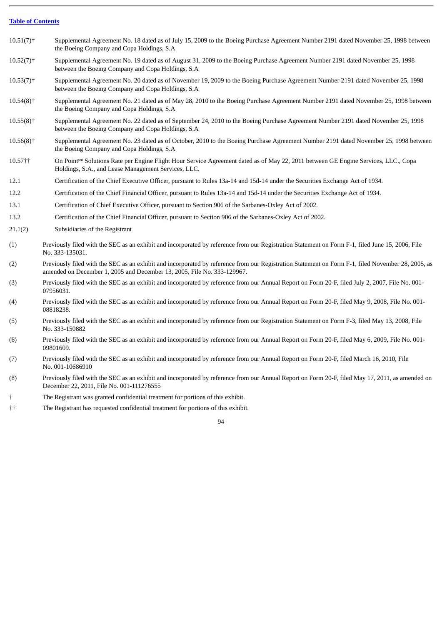- 10.51(7)† Supplemental Agreement No. 18 dated as of July 15, 2009 to the Boeing Purchase Agreement Number 2191 dated November 25, 1998 between the Boeing Company and Copa Holdings, S.A 10.52(7)† Supplemental Agreement No. 19 dated as of August 31, 2009 to the Boeing Purchase Agreement Number 2191 dated November 25, 1998 between the Boeing Company and Copa Holdings, S.A 10.53(7)† Supplemental Agreement No. 20 dated as of November 19, 2009 to the Boeing Purchase Agreement Number 2191 dated November 25, 1998 between the Boeing Company and Copa Holdings, S.A 10.54(8)† Supplemental Agreement No. 21 dated as of May 28, 2010 to the Boeing Purchase Agreement Number 2191 dated November 25, 1998 between the Boeing Company and Copa Holdings, S.A 10.55(8)† Supplemental Agreement No. 22 dated as of September 24, 2010 to the Boeing Purchase Agreement Number 2191 dated November 25, 1998 between the Boeing Company and Copa Holdings, S.A 10.56(8)† Supplemental Agreement No. 23 dated as of October, 2010 to the Boeing Purchase Agreement Number 2191 dated November 25, 1998 between the Boeing Company and Copa Holdings, S.A 10.57†† On Point<sup>sm</sup> Solutions Rate per Engine Flight Hour Service Agreement dated as of May 22, 2011 between GE Engine Services, LLC., Copa Holdings, S.A., and Lease Management Services, LLC. 12.1 Certification of the Chief Executive Officer, pursuant to Rules 13a-14 and 15d-14 under the Securities Exchange Act of 1934. 12.2 Certification of the Chief Financial Officer, pursuant to Rules 13a-14 and 15d-14 under the Securities Exchange Act of 1934. 13.1 Certification of Chief Executive Officer, pursuant to Section 906 of the Sarbanes-Oxley Act of 2002. 13.2 Certification of the Chief Financial Officer, pursuant to Section 906 of the Sarbanes-Oxley Act of 2002. 21.1(2) Subsidiaries of the Registrant (1) Previously filed with the SEC as an exhibit and incorporated by reference from our Registration Statement on Form F-1, filed June 15, 2006, File No. 333-135031. (2) Previously filed with the SEC as an exhibit and incorporated by reference from our Registration Statement on Form F-1, filed November 28, 2005, as amended on December 1, 2005 and December 13, 2005, File No. 333-129967. (3) Previously filed with the SEC as an exhibit and incorporated by reference from our Annual Report on Form 20-F, filed July 2, 2007, File No. 001- 07956031. (4) Previously filed with the SEC as an exhibit and incorporated by reference from our Annual Report on Form 20-F, filed May 9, 2008, File No. 001- 08818238. (5) Previously filed with the SEC as an exhibit and incorporated by reference from our Registration Statement on Form F-3, filed May 13, 2008, File No. 333-150882
- (6) Previously filed with the SEC as an exhibit and incorporated by reference from our Annual Report on Form 20-F, filed May 6, 2009, File No. 001- 09801609.
- (7) Previously filed with the SEC as an exhibit and incorporated by reference from our Annual Report on Form 20-F, filed March 16, 2010, File No. 001-10686910
- (8) Previously filed with the SEC as an exhibit and incorporated by reference from our Annual Report on Form 20-F, filed May 17, 2011, as amended on December 22, 2011, File No. 001-111276555
- † The Registrant was granted confidential treatment for portions of this exhibit.
- †† The Registrant has requested confidential treatment for portions of this exhibit.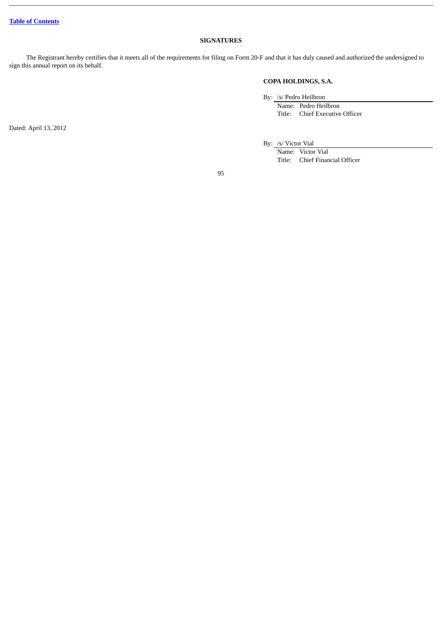# **SIGNATURES**

The Registrant hereby certifies that it meets all of the requirements for filing on Form 20-F and that it has duly caused and authorized the undersigned to sign this annual report on its behalf.

# **COPA HOLDINGS, S.A.**

By: /s/ Pedro Heilbron

Name: Pedro Heilbron Title: Chief Executive Officer

Dated: April 13, 2012

By: /s/ Victor Vial

Name: Victor Vial Title: Chief Financial Officer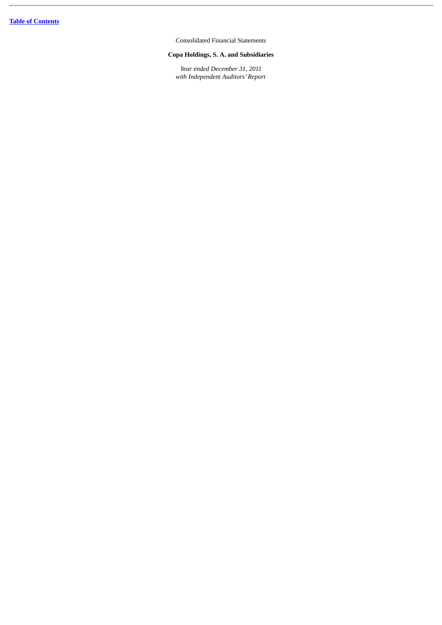Consolidated Financial Statements

# **Copa Holdings, S. A. and Subsidiaries**

*Year ended December 31, 2011 with Independent Auditors' Report*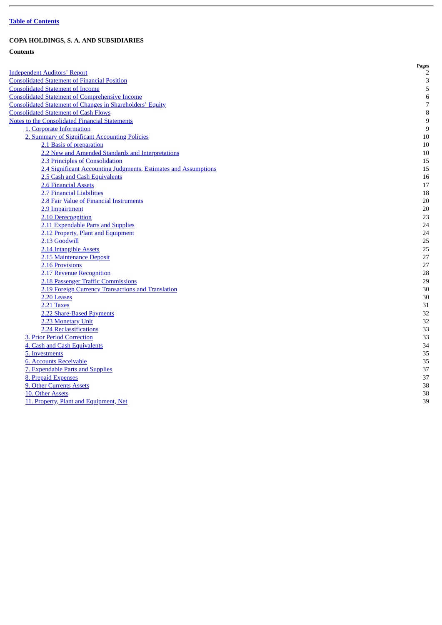# **COPA HOLDINGS, S. A. AND SUBSIDIARIES**

# **Contents**

L.

| <b>Independent Auditors' Report</b>                              | Pages<br>$\overline{2}$ |
|------------------------------------------------------------------|-------------------------|
| <b>Consolidated Statement of Financial Position</b>              | 3                       |
| <b>Consolidated Statement of Income</b>                          | 5                       |
| <b>Consolidated Statement of Comprehensive Income</b>            | 6                       |
| <b>Consolidated Statement of Changes in Shareholders' Equity</b> | $\sqrt{ }$              |
| <b>Consolidated Statement of Cash Flows</b>                      | 8                       |
| Notes to the Consolidated Financial Statements                   | 9                       |
| 1. Corporate Information                                         | 9                       |
| 2. Summary of Significant Accounting Policies                    | 10                      |
| 2.1 Basis of preparation                                         | 10                      |
| 2.2 New and Amended Standards and Interpretations                | 10                      |
| 2.3 Principles of Consolidation                                  | 15                      |
| 2.4 Significant Accounting Judgments, Estimates and Assumptions  | 15                      |
| 2.5 Cash and Cash Equivalents                                    | 16                      |
| 2.6 Financial Assets                                             | 17                      |
| 2.7 Financial Liabilities                                        | 18                      |
| 2.8 Fair Value of Financial Instruments                          | 20                      |
| 2.9 Impairtment                                                  | 20                      |
| 2.10 Derecognition                                               | 23                      |
| 2.11 Expendable Parts and Supplies                               | 24                      |
| 2.12 Property, Plant and Equipment                               | 24                      |
| 2.13 Goodwill                                                    | 25                      |
| 2.14 Intangible Assets                                           | 25                      |
| 2.15 Maintenance Deposit                                         | 27                      |
| 2.16 Provisions                                                  | 27                      |
| 2.17 Revenue Recognition                                         | 28                      |
| 2.18 Passenger Traffic Commissions                               | 29                      |
| 2.19 Foreign Currency Transactions and Translation               | 30                      |
| 2.20 Leases                                                      | 30                      |
| 2.21 Taxes                                                       | 31                      |
| 2.22 Share-Based Payments                                        | 32                      |
| 2.23 Monetary Unit                                               | 32                      |
| 2.24 Reclassifications                                           | 33                      |
| <b>3. Prior Period Correction</b>                                | 33                      |
| 4. Cash and Cash Equivalents                                     | 34                      |
| 5. Investments                                                   | 35                      |
| <b>6. Accounts Receivable</b>                                    | 35                      |
| <b>7. Expendable Parts and Supplies</b>                          | 37                      |
| 8. Prepaid Expenses                                              | 37                      |
| 9. Other Currents Assets                                         | 38                      |
| 10. Other Assets                                                 | 38                      |
| 11. Property, Plant and Equipment, Net                           | 39                      |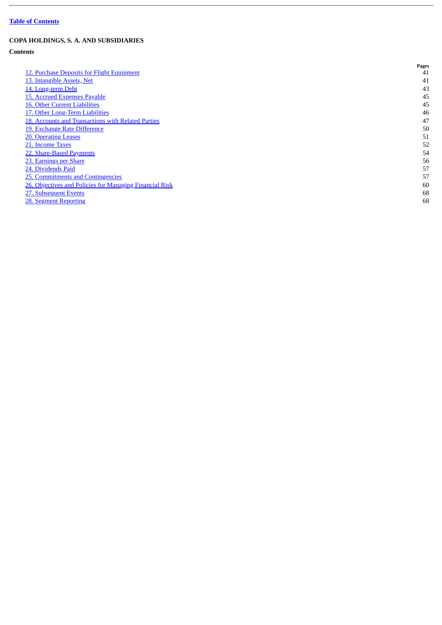# **COPA HOLDINGS, S. A. AND SUBSIDIARIES**

# **Contents**

L.

|                                                         | Pages |
|---------------------------------------------------------|-------|
| 12. Purchase Deposits for Flight Equipment              | 41    |
| 13. Intangible Assets, Net                              | 41    |
| 14. Long-term Debt                                      | 43    |
| 15. Accrued Expenses Payable                            | 45    |
| 16. Other Current Liabilities                           | 45    |
| 17. Other Long-Term Liabilities                         | 46    |
| 18. Accounts and Transactions with Related Parties      | 47    |
| 19. Exchange Rate Difference                            | 50    |
| <b>20. Operating Leases</b>                             | 51    |
| 21. Income Taxes                                        | 52    |
| 22. Share-Based Payments                                | 54    |
| 23. Earnings per Share                                  | 56    |
| 24. Dividends Paid                                      | 57    |
| 25. Commitments and Contingencies                       | 57    |
| 26. Objectives and Policies for Managing Financial Risk | 60    |
| 27. Subsequent Events                                   | 68    |
| 28. Segment Reporting                                   | 68    |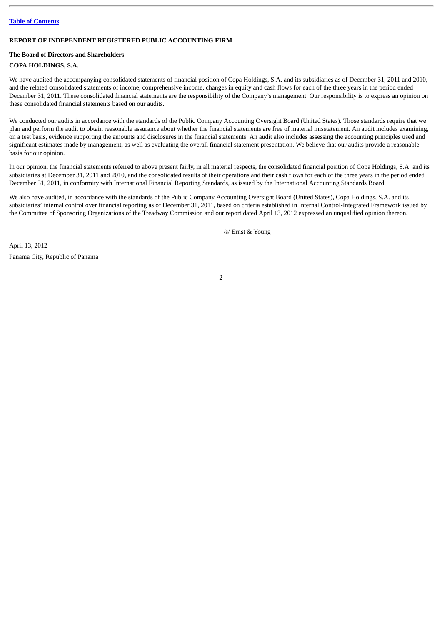# <span id="page-103-0"></span>**REPORT OF INDEPENDENT REGISTERED PUBLIC ACCOUNTING FIRM**

# **The Board of Directors and Shareholders**

# **COPA HOLDINGS, S.A.**

We have audited the accompanying consolidated statements of financial position of Copa Holdings, S.A. and its subsidiaries as of December 31, 2011 and 2010, and the related consolidated statements of income, comprehensive income, changes in equity and cash flows for each of the three years in the period ended December 31, 2011. These consolidated financial statements are the responsibility of the Company's management. Our responsibility is to express an opinion on these consolidated financial statements based on our audits.

We conducted our audits in accordance with the standards of the Public Company Accounting Oversight Board (United States). Those standards require that we plan and perform the audit to obtain reasonable assurance about whether the financial statements are free of material misstatement. An audit includes examining, on a test basis, evidence supporting the amounts and disclosures in the financial statements. An audit also includes assessing the accounting principles used and significant estimates made by management, as well as evaluating the overall financial statement presentation. We believe that our audits provide a reasonable basis for our opinion.

In our opinion, the financial statements referred to above present fairly, in all material respects, the consolidated financial position of Copa Holdings, S.A. and its subsidiaries at December 31, 2011 and 2010, and the consolidated results of their operations and their cash flows for each of the three years in the period ended December 31, 2011, in conformity with International Financial Reporting Standards, as issued by the International Accounting Standards Board.

We also have audited, in accordance with the standards of the Public Company Accounting Oversight Board (United States), Copa Holdings, S.A. and its subsidiaries' internal control over financial reporting as of December 31, 2011, based on criteria established in Internal Control-Integrated Framework issued by the Committee of Sponsoring Organizations of the Treadway Commission and our report dated April 13, 2012 expressed an unqualified opinion thereon.

/s/ Ernst & Young

April 13, 2012 Panama City, Republic of Panama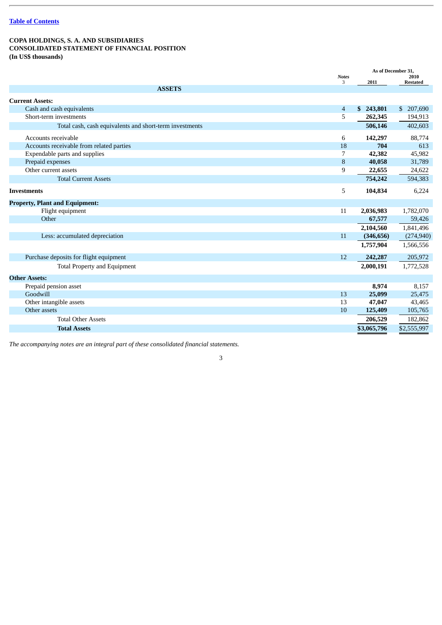# <span id="page-104-0"></span>**COPA HOLDINGS, S. A. AND SUBSIDIARIES CONSOLIDATED STATEMENT OF FINANCIAL POSITION (In US\$ thousands)**

|                                                         |                   | As of December 31, |                         |
|---------------------------------------------------------|-------------------|--------------------|-------------------------|
|                                                         | <b>Notes</b><br>3 | 2011               | 2010<br><b>Restated</b> |
| <b>ASSETS</b>                                           |                   |                    |                         |
| <b>Current Assets:</b>                                  |                   |                    |                         |
| Cash and cash equivalents                               | $\overline{4}$    | \$243,801          | \$ 207,690              |
| Short-term investments                                  | 5                 | 262,345            | 194,913                 |
| Total cash, cash equivalents and short-term investments |                   | 506,146            | 402,603                 |
| Accounts receivable                                     | 6                 | 142,297            | 88,774                  |
| Accounts receivable from related parties                | 18                | 704                | 613                     |
| Expendable parts and supplies                           | 7                 | 42,382             | 45,982                  |
| Prepaid expenses                                        | 8                 | 40,058             | 31,789                  |
| Other current assets                                    | 9                 | 22,655             | 24,622                  |
| <b>Total Current Assets</b>                             |                   | 754,242            | 594,383                 |
| <b>Investments</b>                                      | 5                 | 104,834            | 6,224                   |
| <b>Property, Plant and Equipment:</b>                   |                   |                    |                         |
| Flight equipment                                        | 11                | 2,036,983          | 1,782,070               |
| Other                                                   |                   | 67,577             | 59,426                  |
|                                                         |                   | 2,104,560          | 1,841,496               |
| Less: accumulated depreciation                          | 11                | (346, 656)         | (274, 940)              |
|                                                         |                   | 1,757,904          | 1,566,556               |
| Purchase deposits for flight equipment                  | 12                | 242,287            | 205,972                 |
| Total Property and Equipment                            |                   | 2,000,191          | 1,772,528               |
| <b>Other Assets:</b>                                    |                   |                    |                         |
| Prepaid pension asset                                   |                   | 8,974              | 8,157                   |
| Goodwill                                                | 13                | 25,099             | 25,475                  |
| Other intangible assets                                 | 13                | 47,047             | 43,465                  |
| Other assets                                            | 10                | 125,409            | 105,765                 |
| <b>Total Other Assets</b>                               |                   | 206,529            | 182,862                 |
| <b>Total Assets</b>                                     |                   | \$3,065,796        | \$2,555,997             |

*The accompanying notes are an integral part of these consolidated financial statements.*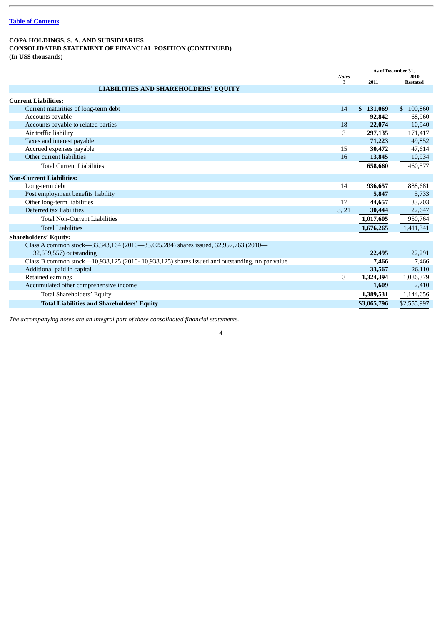# **COPA HOLDINGS, S. A. AND SUBSIDIARIES CONSOLIDATED STATEMENT OF FINANCIAL POSITION (CONTINUED) (In US\$ thousands)**

|                                                                                               |                   |             | As of December 31,      |  |
|-----------------------------------------------------------------------------------------------|-------------------|-------------|-------------------------|--|
|                                                                                               | <b>Notes</b><br>3 | 2011        | 2010<br><b>Restated</b> |  |
| <b>LIABILITIES AND SHAREHOLDERS' EQUITY</b>                                                   |                   |             |                         |  |
| <b>Current Liabilities:</b>                                                                   |                   |             |                         |  |
| Current maturities of long-term debt                                                          | 14                | \$131,069   | 100,860<br>$\mathbb{S}$ |  |
| Accounts payable                                                                              |                   | 92,842      | 68,960                  |  |
| Accounts payable to related parties                                                           | 18                | 22,074      | 10,940                  |  |
| Air traffic liability                                                                         | 3                 | 297,135     | 171,417                 |  |
| Taxes and interest payable                                                                    |                   | 71,223      | 49,852                  |  |
| Accrued expenses payable                                                                      | 15                | 30,472      | 47,614                  |  |
| Other current liabilities                                                                     | 16                | 13,845      | 10,934                  |  |
| <b>Total Current Liabilities</b>                                                              |                   | 658,660     | 460,577                 |  |
| <b>Non-Current Liabilities:</b>                                                               |                   |             |                         |  |
| Long-term debt                                                                                | 14                | 936,657     | 888,681                 |  |
| Post employment benefits liability                                                            |                   | 5,847       | 5,733                   |  |
| Other long-term liabilities                                                                   | 17                | 44,657      | 33,703                  |  |
| Deferred tax liabilities                                                                      | 3, 21             | 30,444      | 22,647                  |  |
| <b>Total Non-Current Liabilities</b>                                                          |                   | 1,017,605   | 950,764                 |  |
| <b>Total Liabilities</b>                                                                      |                   | 1,676,265   | 1,411,341               |  |
| <b>Shareholders' Equity:</b>                                                                  |                   |             |                         |  |
| Class A common stock—33,343,164 (2010—33,025,284) shares issued, 32,957,763 (2010—            |                   |             |                         |  |
| 32,659,557) outstanding                                                                       |                   | 22,495      | 22,291                  |  |
| Class B common stock—10,938,125 (2010-10,938,125) shares issued and outstanding, no par value |                   | 7,466       | 7,466                   |  |
| Additional paid in capital                                                                    |                   | 33,567      | 26,110                  |  |
| Retained earnings                                                                             | 3                 | 1,324,394   | 1,086,379               |  |
| Accumulated other comprehensive income                                                        |                   | 1,609       | 2,410                   |  |
| Total Shareholders' Equity                                                                    |                   | 1,389,531   | 1,144,656               |  |
| <b>Total Liabilities and Shareholders' Equity</b>                                             |                   | \$3,065,796 | \$2,555,997             |  |

*The accompanying notes are an integral part of these consolidated financial statements.*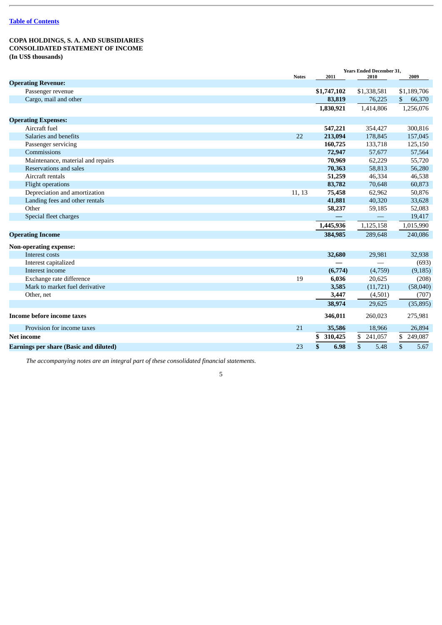# <span id="page-106-0"></span>**COPA HOLDINGS, S. A. AND SUBSIDIARIES CONSOLIDATED STATEMENT OF INCOME (In US\$ thousands)**

|                                        |              | <b>Years Ended December 31,</b> |               |               |
|----------------------------------------|--------------|---------------------------------|---------------|---------------|
|                                        | <b>Notes</b> | 2011                            | 2010          | 2009          |
| <b>Operating Revenue:</b>              |              |                                 |               |               |
| Passenger revenue                      |              | \$1,747,102                     | \$1,338,581   | \$1,189,706   |
| Cargo, mail and other                  |              | 83,819                          | 76,225        | \$<br>66,370  |
|                                        |              | 1,830,921                       | 1,414,806     | 1,256,076     |
| <b>Operating Expenses:</b>             |              |                                 |               |               |
| Aircraft fuel                          |              | 547,221                         | 354,427       | 300,816       |
| Salaries and benefits                  | 22           | 213,094                         | 178,845       | 157,045       |
| Passenger servicing                    |              | 160,725                         | 133,718       | 125,150       |
| Commissions                            |              | 72,947                          | 57,677        | 57,564        |
| Maintenance, material and repairs      |              | 70,969                          | 62,229        | 55,720        |
| Reservations and sales                 |              | 70,363                          | 58,813        | 56,280        |
| Aircraft rentals                       |              | 51,259                          | 46,334        | 46,538        |
| Flight operations                      |              | 83,782                          | 70,648        | 60,873        |
| Depreciation and amortization          | 11, 13       | 75,458                          | 62,962        | 50,876        |
| Landing fees and other rentals         |              | 41,881                          | 40,320        | 33,628        |
| Other                                  |              | 58,237                          | 59,185        | 52,083        |
| Special fleet charges                  |              |                                 |               | 19,417        |
|                                        |              | 1,445,936                       | 1,125,158     | 1,015,990     |
| <b>Operating Income</b>                |              | 384,985                         | 289,648       | 240,086       |
| Non-operating expense:                 |              |                                 |               |               |
| Interest costs                         |              | 32,680                          | 29,981        | 32,938        |
| Interest capitalized                   |              |                                 |               | (693)         |
| Interest income                        |              | (6,774)                         | (4,759)       | (9, 185)      |
| Exchange rate difference               | 19           | 6,036                           | 20,625        | (208)         |
| Mark to market fuel derivative         |              | 3,585                           | (11, 721)     | (58,040)      |
| Other, net                             |              | 3,447                           | (4,501)       | (707)         |
|                                        |              | 38,974                          | 29,625        | (35, 895)     |
| Income before income taxes             |              | 346,011                         | 260,023       | 275,981       |
| Provision for income taxes             | 21           | 35,586                          | 18,966        | 26,894        |
| <b>Net income</b>                      |              | \$<br>310,425                   | 241,057<br>\$ | 249,087<br>\$ |
| Earnings per share (Basic and diluted) | 23           | \$<br>6.98                      | \$<br>5.48    | \$<br>5.67    |

*The accompanying notes are an integral part of these consolidated financial statements.*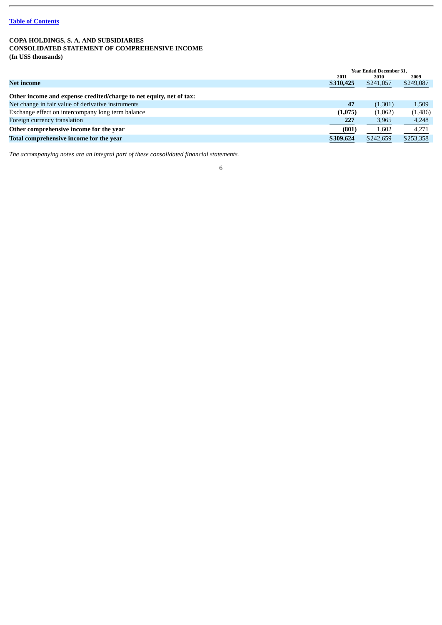# <span id="page-107-0"></span>**COPA HOLDINGS, S. A. AND SUBSIDIARIES CONSOLIDATED STATEMENT OF COMPREHENSIVE INCOME (In US\$ thousands)**

|                                                                     |           | Year Ended December 31, |           |  |
|---------------------------------------------------------------------|-----------|-------------------------|-----------|--|
|                                                                     | 2011      | 2010                    | 2009      |  |
| Net income                                                          | \$310,425 | \$241,057               | \$249,087 |  |
| Other income and expense credited/charge to net equity, net of tax: |           |                         |           |  |
| Net change in fair value of derivative instruments                  | 47        | (1,301)                 | 1,509     |  |
| Exchange effect on intercompany long term balance                   | (1,075)   | (1,062)                 | (1,486)   |  |
| Foreign currency translation                                        | 227       | 3,965                   | 4,248     |  |
| Other comprehensive income for the year                             | (801)     | 1,602                   | 4,271     |  |
| Total comprehensive income for the year                             | \$309,624 | \$242,659               | \$253,358 |  |
|                                                                     |           |                         |           |  |

*The accompanying notes are an integral part of these consolidated financial statements.*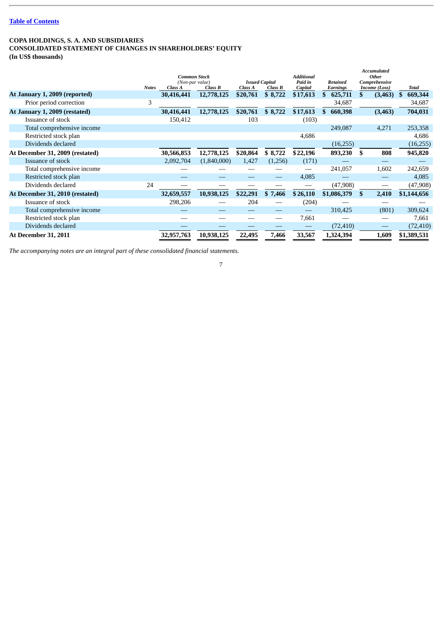# **COPA HOLDINGS, S. A. AND SUBSIDIARIES CONSOLIDATED STATEMENT OF CHANGES IN SHAREHOLDERS' EQUITY**

**(In US\$ thousands)**

|                                 |              | <b>Common Stock</b><br>(Non-par value) |             | <b>Issued Capital</b> |         | <b>Additional</b><br>Paid in | Retained        |     | Accumulated<br>Other<br>Comprehensive |    |              |
|---------------------------------|--------------|----------------------------------------|-------------|-----------------------|---------|------------------------------|-----------------|-----|---------------------------------------|----|--------------|
|                                 | <b>Notes</b> | Class A                                | Class B     | Class A               | Class B | Capital                      | <b>Earnings</b> |     | Income (Loss)                         |    | <b>Total</b> |
| At January 1, 2009 (reported)   |              | 30,416,441                             | 12,778,125  | \$20,761              | \$8,722 | \$17,613                     | 625,711         | \$  | (3,463)                               | S. | 669,344      |
| Prior period correction         | 3            |                                        |             |                       |         |                              | 34,687          |     |                                       |    | 34,687       |
| At January 1, 2009 (restated)   |              | 30,416,441                             | 12,778,125  | \$20,761              | \$8,722 | \$17,613                     | 660,398<br>\$   |     | (3, 463)                              |    | 704,031      |
| Issuance of stock               |              | 150,412                                |             | 103                   |         | (103)                        |                 |     |                                       |    |              |
| Total comprehensive income      |              |                                        |             |                       |         |                              | 249,087         |     | 4,271                                 |    | 253,358      |
| Restricted stock plan           |              |                                        |             |                       |         | 4,686                        |                 |     |                                       |    | 4,686        |
| Dividends declared              |              |                                        |             |                       |         |                              | (16, 255)       |     |                                       |    | (16, 255)    |
| At December 31, 2009 (restated) |              | 30,566,853                             | 12,778,125  | \$20,864              | \$8,722 | \$22,196                     | 893,230         | \$. | 808                                   |    | 945,820      |
| Issuance of stock               |              | 2,092,704                              | (1,840,000) | 1,427                 | (1,256) | (171)                        |                 |     |                                       |    |              |
| Total comprehensive income      |              |                                        |             |                       |         |                              | 241,057         |     | 1,602                                 |    | 242,659      |
| Restricted stock plan           |              |                                        |             |                       |         | 4,085                        |                 |     |                                       |    | 4,085        |
| Dividends declared              | 24           |                                        |             |                       |         |                              | (47,908)        |     |                                       |    | (47,908)     |
| At December 31, 2010 (restated) |              | 32,659,557                             | 10,938,125  | \$22,291              | \$7,466 | \$26,110                     | \$1,086,379     | \$  | 2,410                                 |    | \$1,144,656  |
| Issuance of stock               |              | 298,206                                |             | 204                   |         | (204)                        |                 |     |                                       |    |              |
| Total comprehensive income      |              |                                        |             |                       |         |                              | 310,425         |     | (801)                                 |    | 309,624      |
| Restricted stock plan           |              |                                        |             |                       |         | 7,661                        |                 |     |                                       |    | 7,661        |
| Dividends declared              |              |                                        |             |                       |         |                              | (72, 410)       |     |                                       |    | (72, 410)    |
| At December 31, 2011            |              | 32,957,763                             | 10,938,125  | 22,495                | 7,466   | 33,567                       | 1,324,394       |     | 1,609                                 |    | \$1,389,531  |

*The accompanying notes are an integral part of these consolidated financial statements.*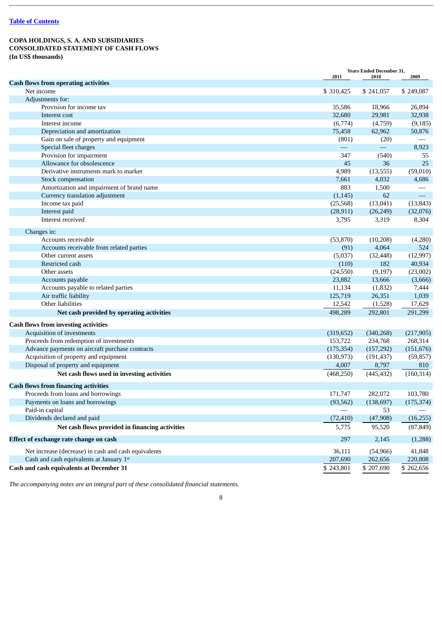# **COPA HOLDINGS, S. A. AND SUBSIDIARIES CONSOLIDATED STATEMENT OF CASH FLOWS (In US\$ thousands)**

|                                                      |            | <b>Years Ended December 31,</b><br>2010 |            |  |
|------------------------------------------------------|------------|-----------------------------------------|------------|--|
| <b>Cash flows from operating activities</b>          | 2011       |                                         | 2009       |  |
| Net income                                           | \$310,425  | \$241,057                               | \$249,087  |  |
| Adjustments for:                                     |            |                                         |            |  |
| Provision for income tax                             | 35,586     | 18,966                                  | 26,894     |  |
| Interest cost                                        | 32,680     | 29,981                                  | 32,938     |  |
| Interest income                                      | (6,774)    | (4,759)                                 | (9, 185)   |  |
| Depreciation and amortization                        | 75,458     | 62,962                                  | 50,876     |  |
| Gain on sale of property and equipment               | (801)      | (20)                                    |            |  |
| Special fleet charges                                |            | $\overline{\phantom{0}}$                | 8,923      |  |
| Provision for impairment                             | 347        | (540)                                   | 55         |  |
| Allowance for obsolescence                           | 45         | 36                                      | 25         |  |
| Derivative instruments mark to market                | 4,989      | (13, 555)                               | (59,010)   |  |
| Stock compensation                                   | 7,661      | 4,032                                   | 4,686      |  |
| Amortization and impairment of brand name            | 883        | 1,500                                   |            |  |
| Currency translation adjustment                      | (1, 145)   | 62                                      | $\equiv$   |  |
| Income tax paid                                      | (25, 568)  | (13, 041)                               | (13, 843)  |  |
| Interest paid                                        | (28, 911)  | (26, 249)                               | (32,076)   |  |
| Interest received                                    | 3,795      | 3,319                                   | 8,304      |  |
|                                                      |            |                                         |            |  |
| Changes in:                                          |            |                                         |            |  |
| Accounts receivable                                  | (53, 870)  | (10, 208)                               | (4,280)    |  |
| Accounts receivable from related parties             | (91)       | 4,064                                   | 524        |  |
| Other current assets                                 | (5,037)    | (32, 448)                               | (12, 997)  |  |
| Restricted cash                                      | (110)      | 182                                     | 40,934     |  |
| Other assets                                         | (24, 550)  | (9, 197)                                | (23,002)   |  |
| Accounts payable                                     | 23,882     | 13,666                                  | (3,666)    |  |
| Accounts payable to related parties                  | 11,134     | (1,832)                                 | 7,444      |  |
| Air traffic liability                                | 125,719    | 26,351                                  | 1,039      |  |
| Other liabilities                                    | 12,542     | (1,528)                                 | 17,629     |  |
| Net cash provided by operating activities            | 498,289    | 292,801                                 | 291,299    |  |
| <b>Cash flows from investing activities</b>          |            |                                         |            |  |
| Acquisition of investments                           | (319, 652) | (340, 268)                              | (217,905)  |  |
| Proceeds from redemption of investments              | 153,722    | 234,768                                 | 268,314    |  |
| Advance payments on aircraft purchase contracts      | (175, 354) | (157, 292)                              | (151, 676) |  |
| Acquisition of property and equipment                | (130, 973) | (191, 437)                              | (59, 857)  |  |
| Disposal of property and equipment                   | 4,007      | 8,797                                   | 810        |  |
| Net cash flows used in investing activities          | (468, 250) | (445, 432)                              | (160, 314) |  |
| <b>Cash flows from financing activities</b>          |            |                                         |            |  |
| Proceeds from loans and borrowings                   | 171,747    | 282,072                                 | 103,780    |  |
| Payments on loans and borrowings                     | (93, 562)  | (138, 697)                              | (175, 374) |  |
| Paid-in capital                                      |            | 53                                      |            |  |
| Dividends declared and paid                          | (72, 410)  | (47,908)                                | (16, 255)  |  |
|                                                      |            |                                         |            |  |
| Net cash flows provided in financing activities      | 5,775      | 95,520                                  | (87, 849)  |  |
| Effect of exchange rate change on cash               | 297        | 2,145                                   | (1,288)    |  |
| Net increase (decrease) in cash and cash equivalents | 36,111     | (54, 966)                               | 41,848     |  |
| Cash and cash equivalents at January 1st             | 207,690    | 262,656                                 | 220,808    |  |
| Cash and cash equivalents at December 31             | \$243,801  | \$ 207,690                              | \$262,656  |  |

*The accompanying notes are an integral part of these consolidated financial statements.*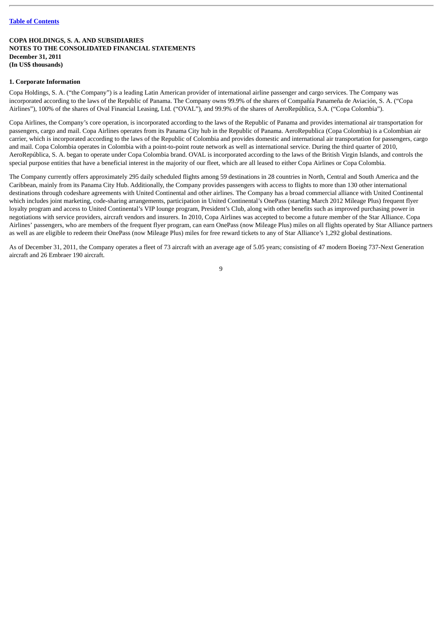# **COPA HOLDINGS, S. A. AND SUBSIDIARIES NOTES TO THE CONSOLIDATED FINANCIAL STATEMENTS December 31, 2011 (In US\$ thousands)**

#### **1. Corporate Information**

Copa Holdings, S. A. ("the Company") is a leading Latin American provider of international airline passenger and cargo services. The Company was incorporated according to the laws of the Republic of Panama. The Company owns 99.9% of the shares of Compañía Panameña de Aviación, S. A. ("Copa Airlines"), 100% of the shares of Oval Financial Leasing, Ltd. ("OVAL"), and 99.9% of the shares of AeroRepública, S.A. ("Copa Colombia").

Copa Airlines, the Company's core operation, is incorporated according to the laws of the Republic of Panama and provides international air transportation for passengers, cargo and mail. Copa Airlines operates from its Panama City hub in the Republic of Panama. AeroRepublica (Copa Colombia) is a Colombian air carrier, which is incorporated according to the laws of the Republic of Colombia and provides domestic and international air transportation for passengers, cargo and mail. Copa Colombia operates in Colombia with a point-to-point route network as well as international service. During the third quarter of 2010, AeroRepública, S. A. began to operate under Copa Colombia brand. OVAL is incorporated according to the laws of the British Virgin Islands, and controls the special purpose entities that have a beneficial interest in the majority of our fleet, which are all leased to either Copa Airlines or Copa Colombia.

The Company currently offers approximately 295 daily scheduled flights among 59 destinations in 28 countries in North, Central and South America and the Caribbean, mainly from its Panama City Hub. Additionally, the Company provides passengers with access to flights to more than 130 other international destinations through codeshare agreements with United Continental and other airlines. The Company has a broad commercial alliance with United Continental which includes joint marketing, code-sharing arrangements, participation in United Continental's OnePass (starting March 2012 Mileage Plus) frequent flyer loyalty program and access to United Continental's VIP lounge program, President's Club, along with other benefits such as improved purchasing power in negotiations with service providers, aircraft vendors and insurers. In 2010, Copa Airlines was accepted to become a future member of the Star Alliance. Copa Airlines' passengers, who are members of the frequent flyer program, can earn OnePass (now Mileage Plus) miles on all flights operated by Star Alliance partners as well as are eligible to redeem their OnePass (now Mileage Plus) miles for free reward tickets to any of Star Alliance's 1,292 global destinations.

As of December 31, 2011, the Company operates a fleet of 73 aircraft with an average age of 5.05 years; consisting of 47 modern Boeing 737-Next Generation aircraft and 26 Embraer 190 aircraft.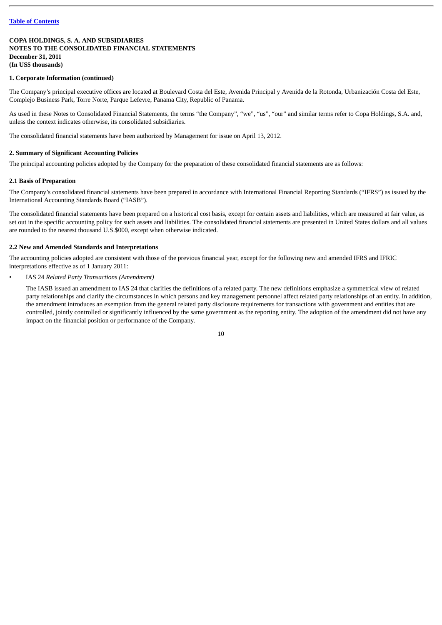# **COPA HOLDINGS, S. A. AND SUBSIDIARIES NOTES TO THE CONSOLIDATED FINANCIAL STATEMENTS December 31, 2011 (In US\$ thousands)**

## **1. Corporate Information (continued)**

The Company's principal executive offices are located at Boulevard Costa del Este, Avenida Principal y Avenida de la Rotonda, Urbanización Costa del Este, Complejo Business Park, Torre Norte, Parque Lefevre, Panama City, Republic of Panama.

As used in these Notes to Consolidated Financial Statements, the terms "the Company", "we", "us", "our" and similar terms refer to Copa Holdings, S.A. and, unless the context indicates otherwise, its consolidated subsidiaries.

The consolidated financial statements have been authorized by Management for issue on April 13, 2012.

### **2. Summary of Significant Accounting Policies**

The principal accounting policies adopted by the Company for the preparation of these consolidated financial statements are as follows:

#### **2.1 Basis of Preparation**

The Company's consolidated financial statements have been prepared in accordance with International Financial Reporting Standards ("IFRS") as issued by the International Accounting Standards Board ("IASB").

The consolidated financial statements have been prepared on a historical cost basis, except for certain assets and liabilities, which are measured at fair value, as set out in the specific accounting policy for such assets and liabilities. The consolidated financial statements are presented in United States dollars and all values are rounded to the nearest thousand U.S.\$000, except when otherwise indicated.

# **2.2 New and Amended Standards and Interpretations**

The accounting policies adopted are consistent with those of the previous financial year, except for the following new and amended IFRS and IFRIC interpretations effective as of 1 January 2011:

• IAS 24 *Related Party Transactions (Amendment)*

The IASB issued an amendment to IAS 24 that clarifies the definitions of a related party. The new definitions emphasize a symmetrical view of related party relationships and clarify the circumstances in which persons and key management personnel affect related party relationships of an entity. In addition, the amendment introduces an exemption from the general related party disclosure requirements for transactions with government and entities that are controlled, jointly controlled or significantly influenced by the same government as the reporting entity. The adoption of the amendment did not have any impact on the financial position or performance of the Company.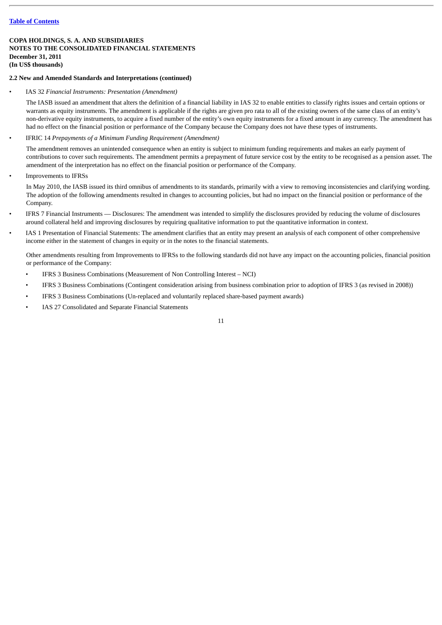# **COPA HOLDINGS, S. A. AND SUBSIDIARIES NOTES TO THE CONSOLIDATED FINANCIAL STATEMENTS December 31, 2011 (In US\$ thousands)**

# **2.2 New and Amended Standards and Interpretations (continued)**

## • IAS 32 *Financial Instruments: Presentation (Amendment)*

The IASB issued an amendment that alters the definition of a financial liability in IAS 32 to enable entities to classify rights issues and certain options or warrants as equity instruments. The amendment is applicable if the rights are given pro rata to all of the existing owners of the same class of an entity's non-derivative equity instruments, to acquire a fixed number of the entity's own equity instruments for a fixed amount in any currency. The amendment has had no effect on the financial position or performance of the Company because the Company does not have these types of instruments.

# • IFRIC 14 *Prepayments of a Minimum Funding Requirement (Amendment)*

The amendment removes an unintended consequence when an entity is subject to minimum funding requirements and makes an early payment of contributions to cover such requirements. The amendment permits a prepayment of future service cost by the entity to be recognised as a pension asset. The amendment of the interpretation has no effect on the financial position or performance of the Company.

• Improvements to IFRSs

In May 2010, the IASB issued its third omnibus of amendments to its standards, primarily with a view to removing inconsistencies and clarifying wording. The adoption of the following amendments resulted in changes to accounting policies, but had no impact on the financial position or performance of the Company.

- IFRS 7 Financial Instruments Disclosures: The amendment was intended to simplify the disclosures provided by reducing the volume of disclosures around collateral held and improving disclosures by requiring qualitative information to put the quantitative information in context.
- IAS 1 Presentation of Financial Statements: The amendment clarifies that an entity may present an analysis of each component of other comprehensive income either in the statement of changes in equity or in the notes to the financial statements.

Other amendments resulting from Improvements to IFRSs to the following standards did not have any impact on the accounting policies, financial position or performance of the Company:

- IFRS 3 Business Combinations (Measurement of Non Controlling Interest NCI)
- IFRS 3 Business Combinations (Contingent consideration arising from business combination prior to adoption of IFRS 3 (as revised in 2008))
- IFRS 3 Business Combinations (Un-replaced and voluntarily replaced share-based payment awards)
- IAS 27 Consolidated and Separate Financial Statements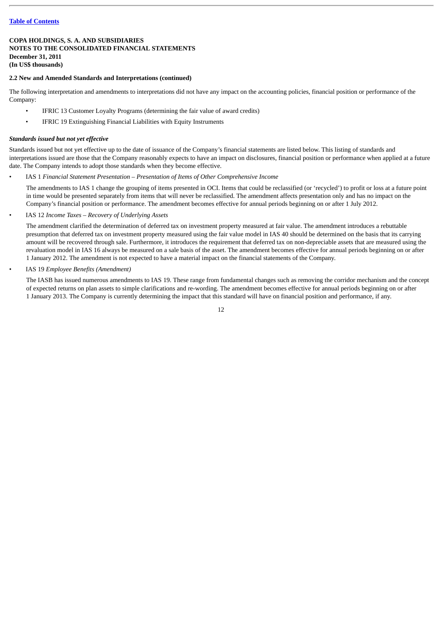## **COPA HOLDINGS, S. A. AND SUBSIDIARIES NOTES TO THE CONSOLIDATED FINANCIAL STATEMENTS December 31, 2011 (In US\$ thousands)**

## **2.2 New and Amended Standards and Interpretations (continued)**

The following interpretation and amendments to interpretations did not have any impact on the accounting policies, financial position or performance of the Company:

- IFRIC 13 Customer Loyalty Programs (determining the fair value of award credits)
- IFRIC 19 Extinguishing Financial Liabilities with Equity Instruments

## *Standards issued but not yet effective*

Standards issued but not yet effective up to the date of issuance of the Company's financial statements are listed below. This listing of standards and interpretations issued are those that the Company reasonably expects to have an impact on disclosures, financial position or performance when applied at a future date. The Company intends to adopt those standards when they become effective.

• IAS 1 *Financial Statement Presentation – Presentation of Items of Other Comprehensive Income*

The amendments to IAS 1 change the grouping of items presented in OCI. Items that could be reclassified (or 'recycled') to profit or loss at a future point in time would be presented separately from items that will never be reclassified. The amendment affects presentation only and has no impact on the Company's financial position or performance. The amendment becomes effective for annual periods beginning on or after 1 July 2012.

## • IAS 12 *Income Taxes – Recovery of Underlying Assets*

The amendment clarified the determination of deferred tax on investment property measured at fair value. The amendment introduces a rebuttable presumption that deferred tax on investment property measured using the fair value model in IAS 40 should be determined on the basis that its carrying amount will be recovered through sale. Furthermore, it introduces the requirement that deferred tax on non-depreciable assets that are measured using the revaluation model in IAS 16 always be measured on a sale basis of the asset. The amendment becomes effective for annual periods beginning on or after 1 January 2012. The amendment is not expected to have a material impact on the financial statements of the Company.

# • IAS 19 *Employee Benefits (Amendment)*

The IASB has issued numerous amendments to IAS 19. These range from fundamental changes such as removing the corridor mechanism and the concept of expected returns on plan assets to simple clarifications and re-wording. The amendment becomes effective for annual periods beginning on or after 1 January 2013. The Company is currently determining the impact that this standard will have on financial position and performance, if any.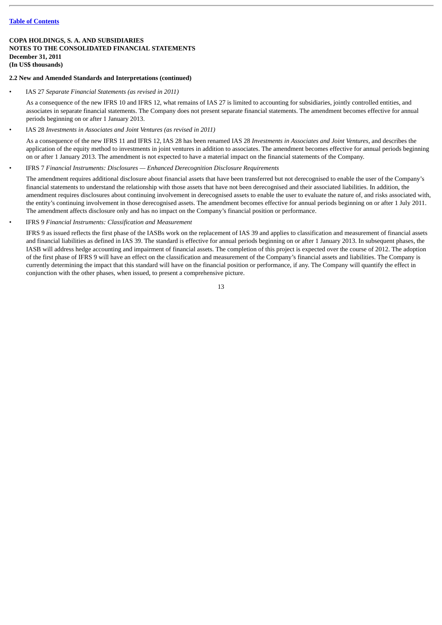# **COPA HOLDINGS, S. A. AND SUBSIDIARIES NOTES TO THE CONSOLIDATED FINANCIAL STATEMENTS December 31, 2011 (In US\$ thousands)**

# **2.2 New and Amended Standards and Interpretations (continued)**

#### • IAS 27 *Separate Financial Statements (as revised in 2011)*

As a consequence of the new IFRS 10 and IFRS 12, what remains of IAS 27 is limited to accounting for subsidiaries, jointly controlled entities, and associates in separate financial statements. The Company does not present separate financial statements. The amendment becomes effective for annual periods beginning on or after 1 January 2013.

## • IAS 28 *Investments in Associates and Joint Ventures (as revised in 2011)*

As a consequence of the new IFRS 11 and IFRS 12, IAS 28 has been renamed IAS 28 *Investments in Associates and Joint Ventures*, and describes the application of the equity method to investments in joint ventures in addition to associates. The amendment becomes effective for annual periods beginning on or after 1 January 2013. The amendment is not expected to have a material impact on the financial statements of the Company.

#### • IFRS 7 *Financial Instruments: Disclosures — Enhanced Derecognition Disclosure Requirements*

The amendment requires additional disclosure about financial assets that have been transferred but not derecognised to enable the user of the Company's financial statements to understand the relationship with those assets that have not been derecognised and their associated liabilities. In addition, the amendment requires disclosures about continuing involvement in derecognised assets to enable the user to evaluate the nature of, and risks associated with, the entity's continuing involvement in those derecognised assets. The amendment becomes effective for annual periods beginning on or after 1 July 2011. The amendment affects disclosure only and has no impact on the Company's financial position or performance.

## • IFRS 9 *Financial Instruments: Classification and Measurement*

IFRS 9 as issued reflects the first phase of the IASBs work on the replacement of IAS 39 and applies to classification and measurement of financial assets and financial liabilities as defined in IAS 39. The standard is effective for annual periods beginning on or after 1 January 2013. In subsequent phases, the IASB will address hedge accounting and impairment of financial assets. The completion of this project is expected over the course of 2012. The adoption of the first phase of IFRS 9 will have an effect on the classification and measurement of the Company's financial assets and liabilities. The Company is currently determining the impact that this standard will have on the financial position or performance, if any. The Company will quantify the effect in conjunction with the other phases, when issued, to present a comprehensive picture.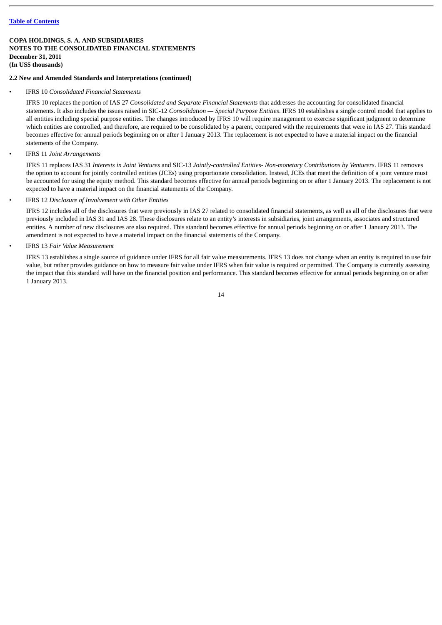# **COPA HOLDINGS, S. A. AND SUBSIDIARIES NOTES TO THE CONSOLIDATED FINANCIAL STATEMENTS December 31, 2011 (In US\$ thousands)**

## **2.2 New and Amended Standards and Interpretations (continued)**

## • IFRS 10 *Consolidated Financial Statements*

IFRS 10 replaces the portion of IAS 27 *Consolidated and Separate Financial Statements* that addresses the accounting for consolidated financial statements. It also includes the issues raised in SIC-12 *Consolidation — Special Purpose Entities*. IFRS 10 establishes a single control model that applies to all entities including special purpose entities. The changes introduced by IFRS 10 will require management to exercise significant judgment to determine which entities are controlled, and therefore, are required to be consolidated by a parent, compared with the requirements that were in IAS 27. This standard becomes effective for annual periods beginning on or after 1 January 2013. The replacement is not expected to have a material impact on the financial statements of the Company.

• IFRS 11 *Joint Arrangements*

IFRS 11 replaces IAS 31 *Interests in Joint Ventures* and SIC-13 *Jointly-controlled Entities- Non-monetary Contributions by Venturers*. IFRS 11 removes the option to account for jointly controlled entities (JCEs) using proportionate consolidation. Instead, JCEs that meet the definition of a joint venture must be accounted for using the equity method. This standard becomes effective for annual periods beginning on or after 1 January 2013. The replacement is not expected to have a material impact on the financial statements of the Company.

• IFRS 12 *Disclosure of Involvement with Other Entities*

IFRS 12 includes all of the disclosures that were previously in IAS 27 related to consolidated financial statements, as well as all of the disclosures that were previously included in IAS 31 and IAS 28. These disclosures relate to an entity's interests in subsidiaries, joint arrangements, associates and structured entities. A number of new disclosures are also required. This standard becomes effective for annual periods beginning on or after 1 January 2013. The amendment is not expected to have a material impact on the financial statements of the Company.

• IFRS 13 *Fair Value Measurement*

IFRS 13 establishes a single source of guidance under IFRS for all fair value measurements. IFRS 13 does not change when an entity is required to use fair value, but rather provides guidance on how to measure fair value under IFRS when fair value is required or permitted. The Company is currently assessing the impact that this standard will have on the financial position and performance. This standard becomes effective for annual periods beginning on or after 1 January 2013.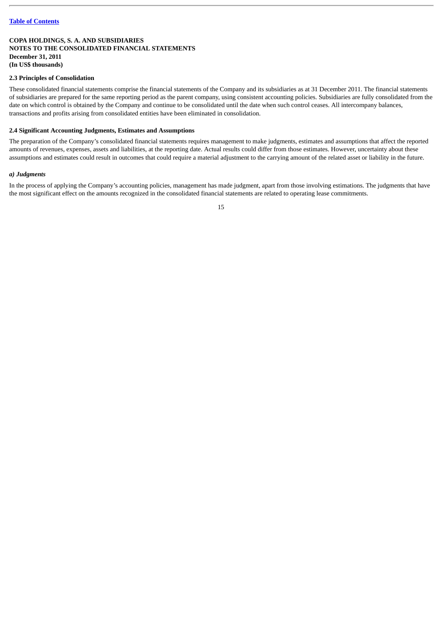# **COPA HOLDINGS, S. A. AND SUBSIDIARIES NOTES TO THE CONSOLIDATED FINANCIAL STATEMENTS December 31, 2011 (In US\$ thousands)**

## **2.3 Principles of Consolidation**

These consolidated financial statements comprise the financial statements of the Company and its subsidiaries as at 31 December 2011. The financial statements of subsidiaries are prepared for the same reporting period as the parent company, using consistent accounting policies. Subsidiaries are fully consolidated from the date on which control is obtained by the Company and continue to be consolidated until the date when such control ceases. All intercompany balances, transactions and profits arising from consolidated entities have been eliminated in consolidation.

## **2.4 Significant Accounting Judgments, Estimates and Assumptions**

The preparation of the Company's consolidated financial statements requires management to make judgments, estimates and assumptions that affect the reported amounts of revenues, expenses, assets and liabilities, at the reporting date. Actual results could differ from those estimates. However, uncertainty about these assumptions and estimates could result in outcomes that could require a material adjustment to the carrying amount of the related asset or liability in the future.

## *a) Judgments*

In the process of applying the Company's accounting policies, management has made judgment, apart from those involving estimations. The judgments that have the most significant effect on the amounts recognized in the consolidated financial statements are related to operating lease commitments.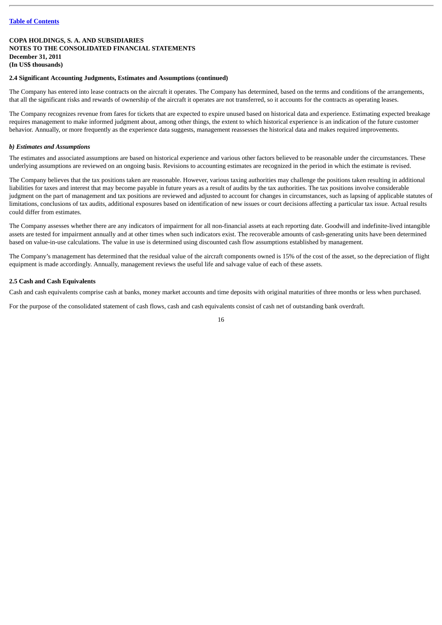# **COPA HOLDINGS, S. A. AND SUBSIDIARIES NOTES TO THE CONSOLIDATED FINANCIAL STATEMENTS December 31, 2011 (In US\$ thousands)**

#### **2.4 Significant Accounting Judgments, Estimates and Assumptions (continued)**

The Company has entered into lease contracts on the aircraft it operates. The Company has determined, based on the terms and conditions of the arrangements, that all the significant risks and rewards of ownership of the aircraft it operates are not transferred, so it accounts for the contracts as operating leases.

The Company recognizes revenue from fares for tickets that are expected to expire unused based on historical data and experience. Estimating expected breakage requires management to make informed judgment about, among other things, the extent to which historical experience is an indication of the future customer behavior. Annually, or more frequently as the experience data suggests, management reassesses the historical data and makes required improvements.

## *b) Estimates and Assumptions*

The estimates and associated assumptions are based on historical experience and various other factors believed to be reasonable under the circumstances. These underlying assumptions are reviewed on an ongoing basis. Revisions to accounting estimates are recognized in the period in which the estimate is revised.

The Company believes that the tax positions taken are reasonable. However, various taxing authorities may challenge the positions taken resulting in additional liabilities for taxes and interest that may become payable in future years as a result of audits by the tax authorities. The tax positions involve considerable judgment on the part of management and tax positions are reviewed and adjusted to account for changes in circumstances, such as lapsing of applicable statutes of limitations, conclusions of tax audits, additional exposures based on identification of new issues or court decisions affecting a particular tax issue. Actual results could differ from estimates.

The Company assesses whether there are any indicators of impairment for all non-financial assets at each reporting date. Goodwill and indefinite-lived intangible assets are tested for impairment annually and at other times when such indicators exist. The recoverable amounts of cash-generating units have been determined based on value-in-use calculations. The value in use is determined using discounted cash flow assumptions established by management.

The Company's management has determined that the residual value of the aircraft components owned is 15% of the cost of the asset, so the depreciation of flight equipment is made accordingly. Annually, management reviews the useful life and salvage value of each of these assets.

## **2.5 Cash and Cash Equivalents**

Cash and cash equivalents comprise cash at banks, money market accounts and time deposits with original maturities of three months or less when purchased.

For the purpose of the consolidated statement of cash flows, cash and cash equivalents consist of cash net of outstanding bank overdraft.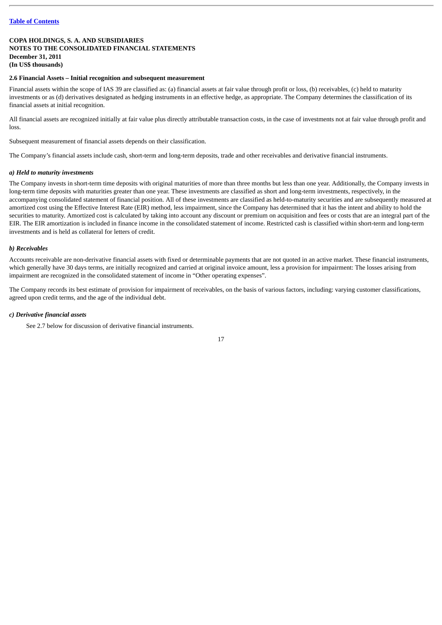# **COPA HOLDINGS, S. A. AND SUBSIDIARIES NOTES TO THE CONSOLIDATED FINANCIAL STATEMENTS December 31, 2011 (In US\$ thousands)**

#### **2.6 Financial Assets – Initial recognition and subsequent measurement**

Financial assets within the scope of IAS 39 are classified as: (a) financial assets at fair value through profit or loss, (b) receivables, (c) held to maturity investments or as (d) derivatives designated as hedging instruments in an effective hedge, as appropriate. The Company determines the classification of its financial assets at initial recognition.

All financial assets are recognized initially at fair value plus directly attributable transaction costs, in the case of investments not at fair value through profit and loss.

Subsequent measurement of financial assets depends on their classification.

The Company's financial assets include cash, short-term and long-term deposits, trade and other receivables and derivative financial instruments.

## *a) Held to maturity investments*

The Company invests in short-term time deposits with original maturities of more than three months but less than one year. Additionally, the Company invests in long-term time deposits with maturities greater than one year. These investments are classified as short and long-term investments, respectively, in the accompanying consolidated statement of financial position. All of these investments are classified as held-to-maturity securities and are subsequently measured at amortized cost using the Effective Interest Rate (EIR) method, less impairment, since the Company has determined that it has the intent and ability to hold the securities to maturity. Amortized cost is calculated by taking into account any discount or premium on acquisition and fees or costs that are an integral part of the EIR. The EIR amortization is included in finance income in the consolidated statement of income. Restricted cash is classified within short-term and long-term investments and is held as collateral for letters of credit.

# *b) Receivables*

Accounts receivable are non-derivative financial assets with fixed or determinable payments that are not quoted in an active market. These financial instruments, which generally have 30 days terms, are initially recognized and carried at original invoice amount, less a provision for impairment: The losses arising from impairment are recognized in the consolidated statement of income in "Other operating expenses".

The Company records its best estimate of provision for impairment of receivables, on the basis of various factors, including: varying customer classifications, agreed upon credit terms, and the age of the individual debt.

## *c) Derivative financial assets*

See 2.7 below for discussion of derivative financial instruments.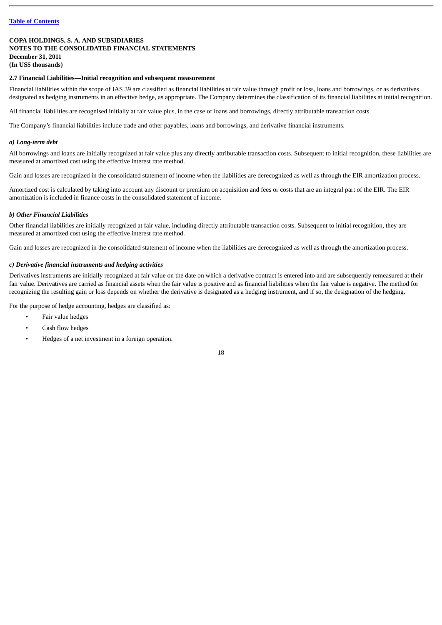## **COPA HOLDINGS, S. A. AND SUBSIDIARIES NOTES TO THE CONSOLIDATED FINANCIAL STATEMENTS December 31, 2011 (In US\$ thousands)**

## **2.7 Financial Liabilities—Initial recognition and subsequent measurement**

Financial liabilities within the scope of IAS 39 are classified as financial liabilities at fair value through profit or loss, loans and borrowings, or as derivatives designated as hedging instruments in an effective hedge, as appropriate. The Company determines the classification of its financial liabilities at initial recognition.

All financial liabilities are recognised initially at fair value plus, in the case of loans and borrowings, directly attributable transaction costs.

The Company's financial liabilities include trade and other payables, loans and borrowings, and derivative financial instruments.

## *a) Long-term debt*

All borrowings and loans are initially recognized at fair value plus any directly attributable transaction costs. Subsequent to initial recognition, these liabilities are measured at amortized cost using the effective interest rate method.

Gain and losses are recognized in the consolidated statement of income when the liabilities are derecognized as well as through the EIR amortization process.

Amortized cost is calculated by taking into account any discount or premium on acquisition and fees or costs that are an integral part of the EIR. The EIR amortization is included in finance costs in the consolidated statement of income.

## *b) Other Financial Liabilities*

Other financial liabilities are initially recognized at fair value, including directly attributable transaction costs. Subsequent to initial recognition, they are measured at amortized cost using the effective interest rate method.

Gain and losses are recognized in the consolidated statement of income when the liabilities are derecognized as well as through the amortization process.

# *c) Derivative financial instruments and hedging activities*

Derivatives instruments are initially recognized at fair value on the date on which a derivative contract is entered into and are subsequently remeasured at their fair value. Derivatives are carried as financial assets when the fair value is positive and as financial liabilities when the fair value is negative. The method for recognizing the resulting gain or loss depends on whether the derivative is designated as a hedging instrument, and if so, the designation of the hedging.

For the purpose of hedge accounting, hedges are classified as:

- Fair value hedges
- Cash flow hedges
- Hedges of a net investment in a foreign operation.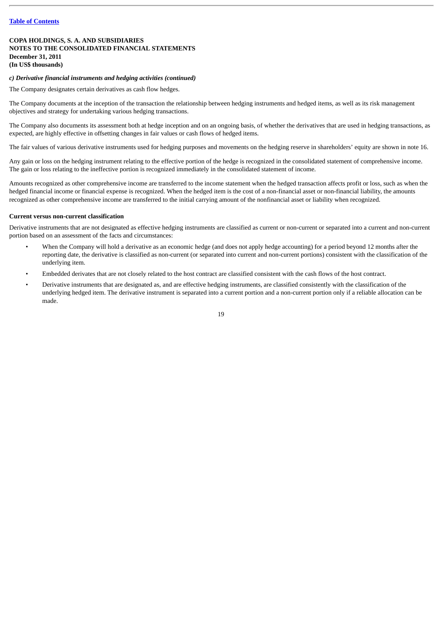## **COPA HOLDINGS, S. A. AND SUBSIDIARIES NOTES TO THE CONSOLIDATED FINANCIAL STATEMENTS December 31, 2011 (In US\$ thousands)**

#### *c) Derivative financial instruments and hedging activities (continued)*

The Company designates certain derivatives as cash flow hedges.

The Company documents at the inception of the transaction the relationship between hedging instruments and hedged items, as well as its risk management objectives and strategy for undertaking various hedging transactions.

The Company also documents its assessment both at hedge inception and on an ongoing basis, of whether the derivatives that are used in hedging transactions, as expected, are highly effective in offsetting changes in fair values or cash flows of hedged items.

The fair values of various derivative instruments used for hedging purposes and movements on the hedging reserve in shareholders' equity are shown in note 16.

Any gain or loss on the hedging instrument relating to the effective portion of the hedge is recognized in the consolidated statement of comprehensive income. The gain or loss relating to the ineffective portion is recognized immediately in the consolidated statement of income.

Amounts recognized as other comprehensive income are transferred to the income statement when the hedged transaction affects profit or loss, such as when the hedged financial income or financial expense is recognized. When the hedged item is the cost of a non-financial asset or non-financial liability, the amounts recognized as other comprehensive income are transferred to the initial carrying amount of the nonfinancial asset or liability when recognized.

## **Current versus non-current classification**

Derivative instruments that are not designated as effective hedging instruments are classified as current or non-current or separated into a current and non-current portion based on an assessment of the facts and circumstances:

- When the Company will hold a derivative as an economic hedge (and does not apply hedge accounting) for a period beyond 12 months after the reporting date, the derivative is classified as non-current (or separated into current and non-current portions) consistent with the classification of the underlying item.
- Embedded derivates that are not closely related to the host contract are classified consistent with the cash flows of the host contract.
- Derivative instruments that are designated as, and are effective hedging instruments, are classified consistently with the classification of the underlying hedged item. The derivative instrument is separated into a current portion and a non-current portion only if a reliable allocation can be made.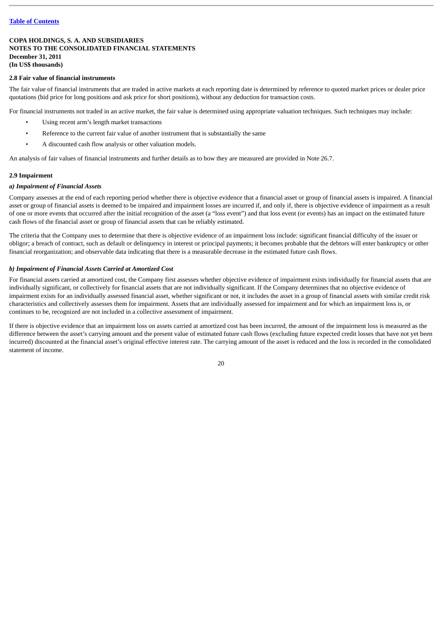# **COPA HOLDINGS, S. A. AND SUBSIDIARIES NOTES TO THE CONSOLIDATED FINANCIAL STATEMENTS December 31, 2011 (In US\$ thousands)**

## **2.8 Fair value of financial instruments**

The fair value of financial instruments that are traded in active markets at each reporting date is determined by reference to quoted market prices or dealer price quotations (bid price for long positions and ask price for short positions), without any deduction for transaction costs.

For financial instruments not traded in an active market, the fair value is determined using appropriate valuation techniques. Such techniques may include:

- Using recent arm's length market transactions
- Reference to the current fair value of another instrument that is substantially the same
- A discounted cash flow analysis or other valuation models.

An analysis of fair values of financial instruments and further details as to how they are measured are provided in Note 26.7.

# **2.9 Impairment**

#### *a) Impairment of Financial Assets*

Company assesses at the end of each reporting period whether there is objective evidence that a financial asset or group of financial assets is impaired. A financial asset or group of financial assets is deemed to be impaired and impairment losses are incurred if, and only if, there is objective evidence of impairment as a result of one or more events that occurred after the initial recognition of the asset (a "loss event") and that loss event (or events) has an impact on the estimated future cash flows of the financial asset or group of financial assets that can be reliably estimated.

The criteria that the Company uses to determine that there is objective evidence of an impairment loss include: significant financial difficulty of the issuer or obligor; a breach of contract, such as default or delinquency in interest or principal payments; it becomes probable that the debtors will enter bankruptcy or other financial reorganization; and observable data indicating that there is a measurable decrease in the estimated future cash flows.

#### *b) Impairment of Financial Assets Carried at Amortized Cost*

For financial assets carried at amortized cost, the Company first assesses whether objective evidence of impairment exists individually for financial assets that are individually significant, or collectively for financial assets that are not individually significant. If the Company determines that no objective evidence of impairment exists for an individually assessed financial asset, whether significant or not, it includes the asset in a group of financial assets with similar credit risk characteristics and collectively assesses them for impairment. Assets that are individually assessed for impairment and for which an impairment loss is, or continues to be, recognized are not included in a collective assessment of impairment.

If there is objective evidence that an impairment loss on assets carried at amortized cost has been incurred, the amount of the impairment loss is measured as the difference between the asset's carrying amount and the present value of estimated future cash flows (excluding future expected credit losses that have not yet been incurred) discounted at the financial asset's original effective interest rate. The carrying amount of the asset is reduced and the loss is recorded in the consolidated statement of income.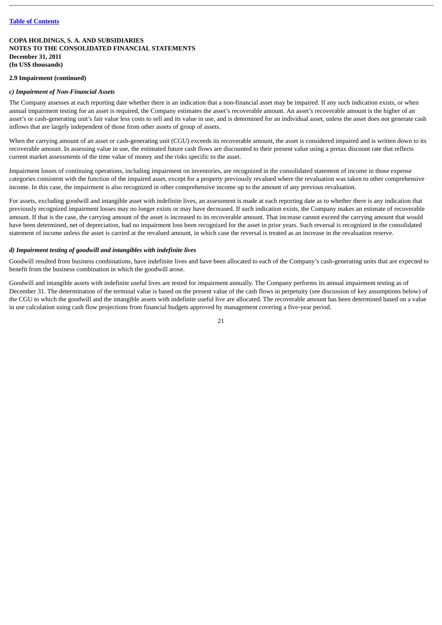# **COPA HOLDINGS, S. A. AND SUBSIDIARIES NOTES TO THE CONSOLIDATED FINANCIAL STATEMENTS December 31, 2011 (In US\$ thousands)**

#### **2.9 Impairment (continued)**

#### *c) Impairment of Non-Financial Assets*

The Company assesses at each reporting date whether there is an indication that a non-financial asset may be impaired. If any such indication exists, or when annual impairment testing for an asset is required, the Company estimates the asset's recoverable amount. An asset's recoverable amount is the higher of an asset's or cash-generating unit's fair value less costs to sell and its value in use, and is determined for an individual asset, unless the asset does not generate cash inflows that are largely independent of those from other assets of group of assets.

When the carrying amount of an asset or cash-generating unit (CGU) exceeds its recoverable amount, the asset is considered impaired and is written down to its recoverable amount. In assessing value in use, the estimated future cash flows are discounted to their present value using a pretax discount rate that reflects current market assessments of the time value of money and the risks specific to the asset.

Impairment losses of continuing operations, including impairment on inventories, are recognized in the consolidated statement of income in those expense categories consistent with the function of the impaired asset, except for a property previously revalued where the revaluation was taken to other comprehensive income. In this case, the impairment is also recognized in other comprehensive income up to the amount of any previous revaluation.

For assets, excluding goodwill and intangible asset with indefinite lives, an assessment is made at each reporting date as to whether there is any indication that previously recognized impairment losses may no longer exists or may have decreased. If such indication exists, the Company makes an estimate of recoverable amount. If that is the case, the carrying amount of the asset is increased to its recoverable amount. That increase cannot exceed the carrying amount that would have been determined, net of depreciation, had no impairment loss been recognized for the asset in prior years. Such reversal is recognized in the consolidated statement of income unless the asset is carried at the revalued amount, in which case the reversal is treated as an increase in the revaluation reserve.

## *d) Impairment testing of goodwill and intangibles with indefinite lives*

Goodwill resulted from business combinations, have indefinite lives and have been allocated to each of the Company's cash-generating units that are expected to benefit from the business combination in which the goodwill arose.

Goodwill and intangible assets with indefinite useful lives are tested for impairment annually. The Company performs its annual impairment testing as of December 31. The determination of the terminal value is based on the present value of the cash flows in perpetuity (see discussion of key assumptions below) of the CGU to which the goodwill and the intangible assets with indefinite useful live are allocated. The recoverable amount has been determined based on a value in use calculation using cash flow projections from financial budgets approved by management covering a five-year period.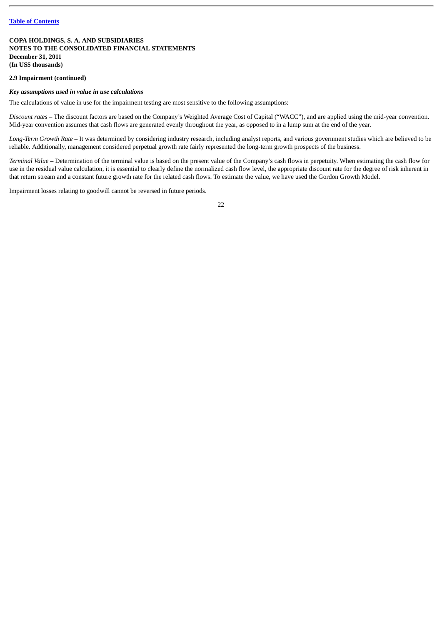# **COPA HOLDINGS, S. A. AND SUBSIDIARIES NOTES TO THE CONSOLIDATED FINANCIAL STATEMENTS December 31, 2011 (In US\$ thousands)**

## **2.9 Impairment (continued)**

## *Key assumptions used in value in use calculations*

The calculations of value in use for the impairment testing are most sensitive to the following assumptions:

*Discount rates* – The discount factors are based on the Company's Weighted Average Cost of Capital ("WACC"), and are applied using the mid-year convention. Mid-year convention assumes that cash flows are generated evenly throughout the year, as opposed to in a lump sum at the end of the year.

*Long-Term Growth Rate* – It was determined by considering industry research, including analyst reports, and various government studies which are believed to be reliable. Additionally, management considered perpetual growth rate fairly represented the long-term growth prospects of the business.

*Terminal Value* – Determination of the terminal value is based on the present value of the Company's cash flows in perpetuity. When estimating the cash flow for use in the residual value calculation, it is essential to clearly define the normalized cash flow level, the appropriate discount rate for the degree of risk inherent in that return stream and a constant future growth rate for the related cash flows. To estimate the value, we have used the Gordon Growth Model.

Impairment losses relating to goodwill cannot be reversed in future periods.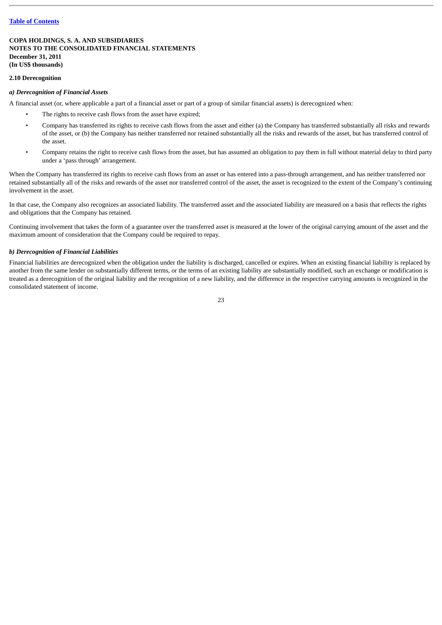## **COPA HOLDINGS, S. A. AND SUBSIDIARIES NOTES TO THE CONSOLIDATED FINANCIAL STATEMENTS December 31, 2011 (In US\$ thousands)**

#### **2.10 Derecognition**

## *a) Derecognition of Financial Assets*

A financial asset (or, where applicable a part of a financial asset or part of a group of similar financial assets) is derecognized when:

- The rights to receive cash flows from the asset have expired;
- Company has transferred its rights to receive cash flows from the asset and either (a) the Company has transferred substantially all risks and rewards of the asset, or (b) the Company has neither transferred nor retained substantially all the risks and rewards of the asset, but has transferred control of the asset.
- Company retains the right to receive cash flows from the asset, but has assumed an obligation to pay them in full without material delay to third party under a 'pass through' arrangement.

When the Company has transferred its rights to receive cash flows from an asset or has entered into a pass-through arrangement, and has neither transferred nor retained substantially all of the risks and rewards of the asset nor transferred control of the asset, the asset is recognized to the extent of the Company's continuing involvement in the asset.

In that case, the Company also recognizes an associated liability. The transferred asset and the associated liability are measured on a basis that reflects the rights and obligations that the Company has retained.

Continuing involvement that takes the form of a guarantee over the transferred asset is measured at the lower of the original carrying amount of the asset and the maximum amount of consideration that the Company could be required to repay.

## *b) Derecognition of Financial Liabilities*

Financial liabilities are derecognized when the obligation under the liability is discharged, cancelled or expires. When an existing financial liability is replaced by another from the same lender on substantially different terms, or the terms of an existing liability are substantially modified, such an exchange or modification is treated as a derecognition of the original liability and the recognition of a new liability, and the difference in the respective carrying amounts is recognized in the consolidated statement of income.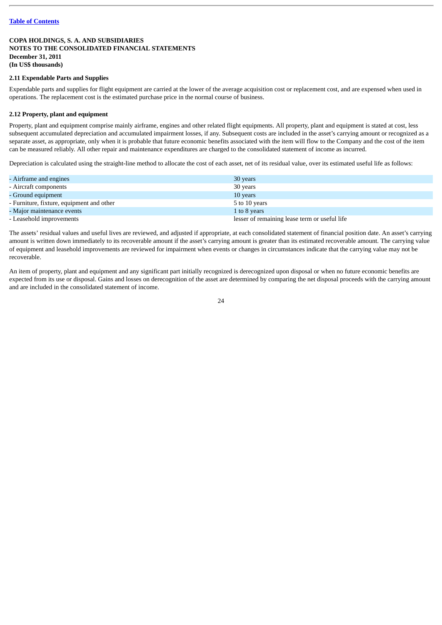# **COPA HOLDINGS, S. A. AND SUBSIDIARIES NOTES TO THE CONSOLIDATED FINANCIAL STATEMENTS December 31, 2011 (In US\$ thousands)**

# **2.11 Expendable Parts and Supplies**

Expendable parts and supplies for flight equipment are carried at the lower of the average acquisition cost or replacement cost, and are expensed when used in operations. The replacement cost is the estimated purchase price in the normal course of business.

## **2.12 Property, plant and equipment**

Property, plant and equipment comprise mainly airframe, engines and other related flight equipments. All property, plant and equipment is stated at cost, less subsequent accumulated depreciation and accumulated impairment losses, if any. Subsequent costs are included in the asset's carrying amount or recognized as a separate asset, as appropriate, only when it is probable that future economic benefits associated with the item will flow to the Company and the cost of the item can be measured reliably. All other repair and maintenance expenditures are charged to the consolidated statement of income as incurred.

Depreciation is calculated using the straight-line method to allocate the cost of each asset, net of its residual value, over its estimated useful life as follows:

| - Airframe and engines                    | 30 years                                      |
|-------------------------------------------|-----------------------------------------------|
| - Aircraft components                     | 30 years                                      |
| - Ground equipment                        | 10 years                                      |
| - Furniture, fixture, equipment and other | 5 to 10 years                                 |
| - Major maintenance events                | 1 to 8 years                                  |
| - Leasehold improvements                  | lesser of remaining lease term or useful life |

The assets' residual values and useful lives are reviewed, and adjusted if appropriate, at each consolidated statement of financial position date. An asset's carrying amount is written down immediately to its recoverable amount if the asset's carrying amount is greater than its estimated recoverable amount. The carrying value of equipment and leasehold improvements are reviewed for impairment when events or changes in circumstances indicate that the carrying value may not be recoverable.

An item of property, plant and equipment and any significant part initially recognized is derecognized upon disposal or when no future economic benefits are expected from its use or disposal. Gains and losses on derecognition of the asset are determined by comparing the net disposal proceeds with the carrying amount and are included in the consolidated statement of income.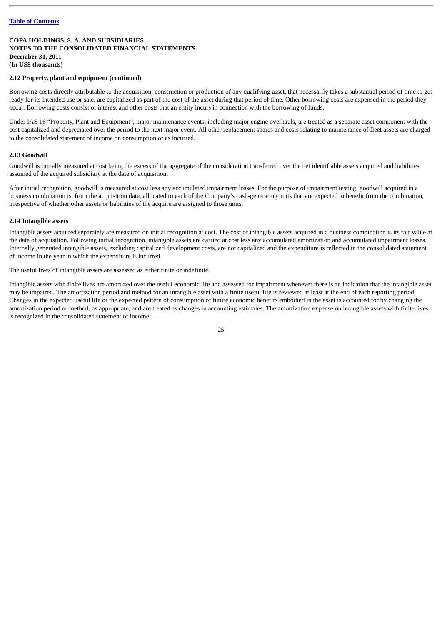# **COPA HOLDINGS, S. A. AND SUBSIDIARIES NOTES TO THE CONSOLIDATED FINANCIAL STATEMENTS December 31, 2011 (In US\$ thousands)**

#### **2.12 Property, plant and equipment (continued)**

Borrowing costs directly attributable to the acquisition, construction or production of any qualifying asset, that necessarily takes a substantial period of time to get ready for its intended use or sale, are capitalized as part of the cost of the asset during that period of time. Other borrowing costs are expensed in the period they occur. Borrowing costs consist of interest and other costs that an entity incurs in connection with the borrowing of funds.

Under IAS 16 "Property, Plant and Equipment", major maintenance events, including major engine overhauls, are treated as a separate asset component with the cost capitalized and depreciated over the period to the next major event. All other replacement spares and costs relating to maintenance of fleet assets are charged to the consolidated statement of income on consumption or as incurred.

## **2.13 Goodwill**

Goodwill is initially measured at cost being the excess of the aggregate of the consideration transferred over the net identifiable assets acquired and liabilities assumed of the acquired subsidiary at the date of acquisition.

After initial recognition, goodwill is measured at cost less any accumulated impairment losses. For the purpose of impairment testing, goodwill acquired in a business combination is, from the acquisition date, allocated to each of the Company's cash-generating units that are expected to benefit from the combination, irrespective of whether other assets or liabilities of the acquire are assigned to those units.

#### **2.14 Intangible assets**

Intangible assets acquired separately are measured on initial recognition at cost. The cost of intangible assets acquired in a business combination is its fair value at the date of acquisition. Following initial recognition, intangible assets are carried at cost less any accumulated amortization and accumulated impairment losses. Internally generated intangible assets, excluding capitalized development costs, are not capitalized and the expenditure is reflected in the consolidated statement of income in the year in which the expenditure is incurred.

The useful lives of intangible assets are assessed as either finite or indefinite.

Intangible assets with finite lives are amortized over the useful economic life and assessed for impairment whenever there is an indication that the intangible asset may be impaired. The amortization period and method for an intangible asset with a finite useful life is reviewed at least at the end of each reporting period. Changes in the expected useful life or the expected pattern of consumption of future economic benefits embodied in the asset is accounted for by changing the amortization period or method, as appropriate, and are treated as changes in accounting estimates. The amortization expense on intangible assets with finite lives is recognized in the consolidated statement of income.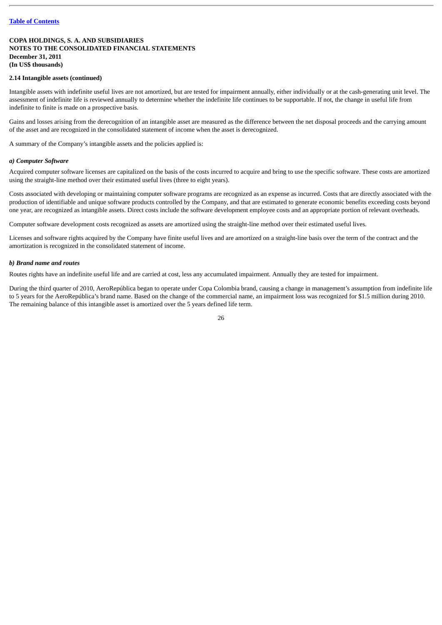# **COPA HOLDINGS, S. A. AND SUBSIDIARIES NOTES TO THE CONSOLIDATED FINANCIAL STATEMENTS December 31, 2011 (In US\$ thousands)**

#### **2.14 Intangible assets (continued)**

Intangible assets with indefinite useful lives are not amortized, but are tested for impairment annually, either individually or at the cash-generating unit level. The assessment of indefinite life is reviewed annually to determine whether the indefinite life continues to be supportable. If not, the change in useful life from indefinite to finite is made on a prospective basis.

Gains and losses arising from the derecognition of an intangible asset are measured as the difference between the net disposal proceeds and the carrying amount of the asset and are recognized in the consolidated statement of income when the asset is derecognized.

A summary of the Company's intangible assets and the policies applied is:

#### *a) Computer Software*

Acquired computer software licenses are capitalized on the basis of the costs incurred to acquire and bring to use the specific software. These costs are amortized using the straight-line method over their estimated useful lives (three to eight years).

Costs associated with developing or maintaining computer software programs are recognized as an expense as incurred. Costs that are directly associated with the production of identifiable and unique software products controlled by the Company, and that are estimated to generate economic benefits exceeding costs beyond one year, are recognized as intangible assets. Direct costs include the software development employee costs and an appropriate portion of relevant overheads.

Computer software development costs recognized as assets are amortized using the straight-line method over their estimated useful lives.

Licenses and software rights acquired by the Company have finite useful lives and are amortized on a straight-line basis over the term of the contract and the amortization is recognized in the consolidated statement of income.

#### *b) Brand name and routes*

Routes rights have an indefinite useful life and are carried at cost, less any accumulated impairment. Annually they are tested for impairment.

During the third quarter of 2010, AeroRepública began to operate under Copa Colombia brand, causing a change in management's assumption from indefinite life to 5 years for the AeroRepública's brand name. Based on the change of the commercial name, an impairment loss was recognized for \$1.5 million during 2010. The remaining balance of this intangible asset is amortized over the 5 years defined life term.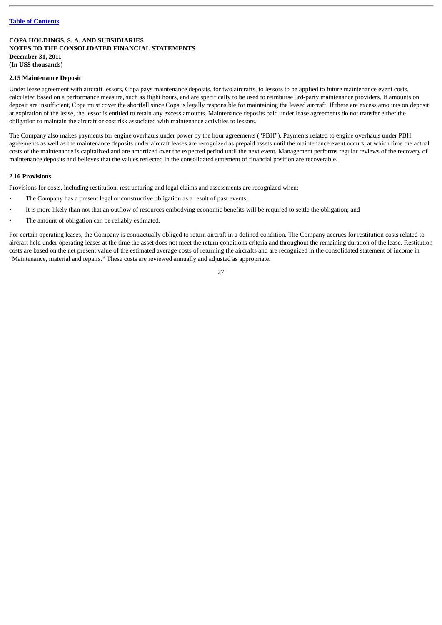# **COPA HOLDINGS, S. A. AND SUBSIDIARIES NOTES TO THE CONSOLIDATED FINANCIAL STATEMENTS December 31, 2011 (In US\$ thousands)**

## **2.15 Maintenance Deposit**

Under lease agreement with aircraft lessors, Copa pays maintenance deposits, for two aircrafts, to lessors to be applied to future maintenance event costs, calculated based on a performance measure, such as flight hours, and are specifically to be used to reimburse 3rd-party maintenance providers. If amounts on deposit are insufficient, Copa must cover the shortfall since Copa is legally responsible for maintaining the leased aircraft. If there are excess amounts on deposit at expiration of the lease, the lessor is entitled to retain any excess amounts. Maintenance deposits paid under lease agreements do not transfer either the obligation to maintain the aircraft or cost risk associated with maintenance activities to lessors.

The Company also makes payments for engine overhauls under power by the hour agreements ("PBH"). Payments related to engine overhauls under PBH agreements as well as the maintenance deposits under aircraft leases are recognized as prepaid assets until the maintenance event occurs, at which time the actual costs of the maintenance is capitalized and are amortized over the expected period until the next event*.* Management performs regular reviews of the recovery of maintenance deposits and believes that the values reflected in the consolidated statement of financial position are recoverable.

## **2.16 Provisions**

Provisions for costs, including restitution, restructuring and legal claims and assessments are recognized when:

- The Company has a present legal or constructive obligation as a result of past events;
- It is more likely than not that an outflow of resources embodying economic benefits will be required to settle the obligation; and
- The amount of obligation can be reliably estimated.

For certain operating leases, the Company is contractually obliged to return aircraft in a defined condition. The Company accrues for restitution costs related to aircraft held under operating leases at the time the asset does not meet the return conditions criteria and throughout the remaining duration of the lease. Restitution costs are based on the net present value of the estimated average costs of returning the aircrafts and are recognized in the consolidated statement of income in "Maintenance, material and repairs." These costs are reviewed annually and adjusted as appropriate.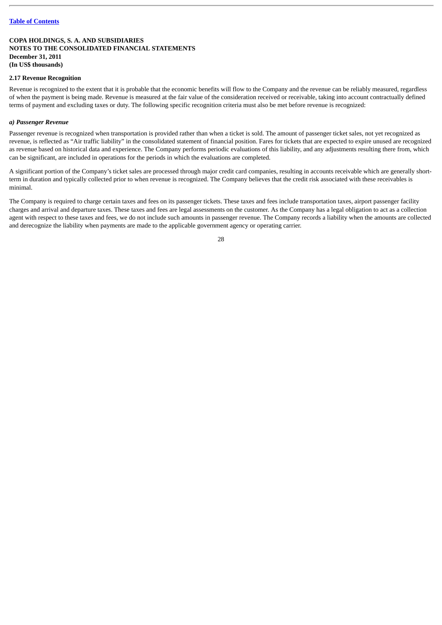# **COPA HOLDINGS, S. A. AND SUBSIDIARIES NOTES TO THE CONSOLIDATED FINANCIAL STATEMENTS December 31, 2011 (In US\$ thousands)**

## **2.17 Revenue Recognition**

Revenue is recognized to the extent that it is probable that the economic benefits will flow to the Company and the revenue can be reliably measured, regardless of when the payment is being made. Revenue is measured at the fair value of the consideration received or receivable, taking into account contractually defined terms of payment and excluding taxes or duty. The following specific recognition criteria must also be met before revenue is recognized:

#### *a) Passenger Revenue*

Passenger revenue is recognized when transportation is provided rather than when a ticket is sold. The amount of passenger ticket sales, not yet recognized as revenue, is reflected as "Air traffic liability" in the consolidated statement of financial position. Fares for tickets that are expected to expire unused are recognized as revenue based on historical data and experience. The Company performs periodic evaluations of this liability, and any adjustments resulting there from, which can be significant, are included in operations for the periods in which the evaluations are completed.

A significant portion of the Company's ticket sales are processed through major credit card companies, resulting in accounts receivable which are generally shortterm in duration and typically collected prior to when revenue is recognized. The Company believes that the credit risk associated with these receivables is minimal.

The Company is required to charge certain taxes and fees on its passenger tickets. These taxes and fees include transportation taxes, airport passenger facility charges and arrival and departure taxes. These taxes and fees are legal assessments on the customer. As the Company has a legal obligation to act as a collection agent with respect to these taxes and fees, we do not include such amounts in passenger revenue. The Company records a liability when the amounts are collected and derecognize the liability when payments are made to the applicable government agency or operating carrier.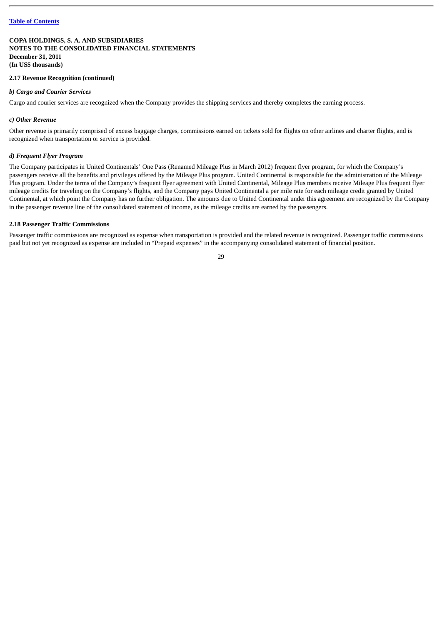# **COPA HOLDINGS, S. A. AND SUBSIDIARIES NOTES TO THE CONSOLIDATED FINANCIAL STATEMENTS December 31, 2011 (In US\$ thousands)**

## **2.17 Revenue Recognition (continued)**

## *b) Cargo and Courier Services*

Cargo and courier services are recognized when the Company provides the shipping services and thereby completes the earning process.

#### *c) Other Revenue*

Other revenue is primarily comprised of excess baggage charges, commissions earned on tickets sold for flights on other airlines and charter flights, and is recognized when transportation or service is provided.

#### *d) Frequent Flyer Program*

The Company participates in United Continentals' One Pass (Renamed Mileage Plus in March 2012) frequent flyer program, for which the Company's passengers receive all the benefits and privileges offered by the Mileage Plus program. United Continental is responsible for the administration of the Mileage Plus program. Under the terms of the Company's frequent flyer agreement with United Continental, Mileage Plus members receive Mileage Plus frequent flyer mileage credits for traveling on the Company's flights, and the Company pays United Continental a per mile rate for each mileage credit granted by United Continental, at which point the Company has no further obligation. The amounts due to United Continental under this agreement are recognized by the Company in the passenger revenue line of the consolidated statement of income, as the mileage credits are earned by the passengers.

#### **2.18 Passenger Traffic Commissions**

Passenger traffic commissions are recognized as expense when transportation is provided and the related revenue is recognized. Passenger traffic commissions paid but not yet recognized as expense are included in "Prepaid expenses" in the accompanying consolidated statement of financial position.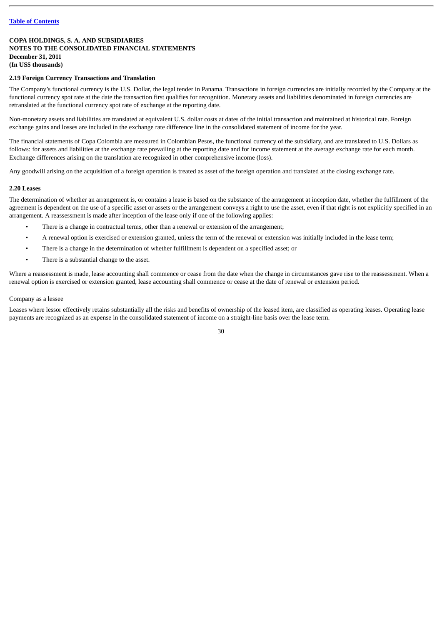## **COPA HOLDINGS, S. A. AND SUBSIDIARIES NOTES TO THE CONSOLIDATED FINANCIAL STATEMENTS December 31, 2011 (In US\$ thousands)**

## **2.19 Foreign Currency Transactions and Translation**

The Company's functional currency is the U.S. Dollar, the legal tender in Panama. Transactions in foreign currencies are initially recorded by the Company at the functional currency spot rate at the date the transaction first qualifies for recognition. Monetary assets and liabilities denominated in foreign currencies are retranslated at the functional currency spot rate of exchange at the reporting date.

Non-monetary assets and liabilities are translated at equivalent U.S. dollar costs at dates of the initial transaction and maintained at historical rate. Foreign exchange gains and losses are included in the exchange rate difference line in the consolidated statement of income for the year.

The financial statements of Copa Colombia are measured in Colombian Pesos, the functional currency of the subsidiary, and are translated to U.S. Dollars as follows: for assets and liabilities at the exchange rate prevailing at the reporting date and for income statement at the average exchange rate for each month. Exchange differences arising on the translation are recognized in other comprehensive income (loss).

Any goodwill arising on the acquisition of a foreign operation is treated as asset of the foreign operation and translated at the closing exchange rate.

## **2.20 Leases**

The determination of whether an arrangement is, or contains a lease is based on the substance of the arrangement at inception date, whether the fulfillment of the agreement is dependent on the use of a specific asset or assets or the arrangement conveys a right to use the asset, even if that right is not explicitly specified in an arrangement. A reassessment is made after inception of the lease only if one of the following applies:

- There is a change in contractual terms, other than a renewal or extension of the arrangement;
- A renewal option is exercised or extension granted, unless the term of the renewal or extension was initially included in the lease term;
- There is a change in the determination of whether fulfillment is dependent on a specified asset; or
- There is a substantial change to the asset.

Where a reassessment is made, lease accounting shall commence or cease from the date when the change in circumstances gave rise to the reassessment. When a renewal option is exercised or extension granted, lease accounting shall commence or cease at the date of renewal or extension period.

#### Company as a lessee

Leases where lessor effectively retains substantially all the risks and benefits of ownership of the leased item, are classified as operating leases. Operating lease payments are recognized as an expense in the consolidated statement of income on a straight-line basis over the lease term.

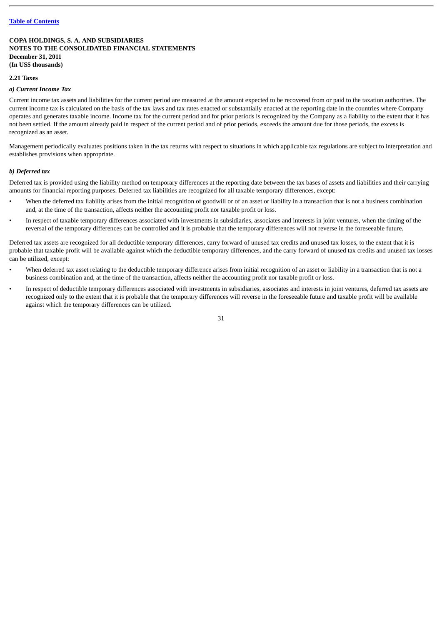## **COPA HOLDINGS, S. A. AND SUBSIDIARIES NOTES TO THE CONSOLIDATED FINANCIAL STATEMENTS December 31, 2011 (In US\$ thousands)**

## **2.21 Taxes**

#### *a) Current Income Tax*

Current income tax assets and liabilities for the current period are measured at the amount expected to be recovered from or paid to the taxation authorities. The current income tax is calculated on the basis of the tax laws and tax rates enacted or substantially enacted at the reporting date in the countries where Company operates and generates taxable income. Income tax for the current period and for prior periods is recognized by the Company as a liability to the extent that it has not been settled. If the amount already paid in respect of the current period and of prior periods, exceeds the amount due for those periods, the excess is recognized as an asset.

Management periodically evaluates positions taken in the tax returns with respect to situations in which applicable tax regulations are subject to interpretation and establishes provisions when appropriate.

## *b) Deferred tax*

Deferred tax is provided using the liability method on temporary differences at the reporting date between the tax bases of assets and liabilities and their carrying amounts for financial reporting purposes. Deferred tax liabilities are recognized for all taxable temporary differences, except:

- When the deferred tax liability arises from the initial recognition of goodwill or of an asset or liability in a transaction that is not a business combination and, at the time of the transaction, affects neither the accounting profit nor taxable profit or loss.
- In respect of taxable temporary differences associated with investments in subsidiaries, associates and interests in joint ventures, when the timing of the reversal of the temporary differences can be controlled and it is probable that the temporary differences will not reverse in the foreseeable future.

Deferred tax assets are recognized for all deductible temporary differences, carry forward of unused tax credits and unused tax losses, to the extent that it is probable that taxable profit will be available against which the deductible temporary differences, and the carry forward of unused tax credits and unused tax losses can be utilized, except:

- When deferred tax asset relating to the deductible temporary difference arises from initial recognition of an asset or liability in a transaction that is not a business combination and, at the time of the transaction, affects neither the accounting profit nor taxable profit or loss.
- In respect of deductible temporary differences associated with investments in subsidiaries, associates and interests in joint ventures, deferred tax assets are recognized only to the extent that it is probable that the temporary differences will reverse in the foreseeable future and taxable profit will be available against which the temporary differences can be utilized.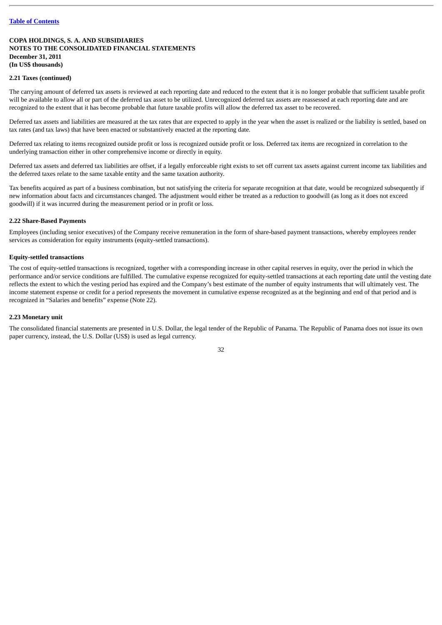## **COPA HOLDINGS, S. A. AND SUBSIDIARIES NOTES TO THE CONSOLIDATED FINANCIAL STATEMENTS December 31, 2011 (In US\$ thousands)**

#### **2.21 Taxes (continued)**

The carrying amount of deferred tax assets is reviewed at each reporting date and reduced to the extent that it is no longer probable that sufficient taxable profit will be available to allow all or part of the deferred tax asset to be utilized. Unrecognized deferred tax assets are reassessed at each reporting date and are recognized to the extent that it has become probable that future taxable profits will allow the deferred tax asset to be recovered.

Deferred tax assets and liabilities are measured at the tax rates that are expected to apply in the year when the asset is realized or the liability is settled, based on tax rates (and tax laws) that have been enacted or substantively enacted at the reporting date.

Deferred tax relating to items recognized outside profit or loss is recognized outside profit or loss. Deferred tax items are recognized in correlation to the underlying transaction either in other comprehensive income or directly in equity.

Deferred tax assets and deferred tax liabilities are offset, if a legally enforceable right exists to set off current tax assets against current income tax liabilities and the deferred taxes relate to the same taxable entity and the same taxation authority.

Tax benefits acquired as part of a business combination, but not satisfying the criteria for separate recognition at that date, would be recognized subsequently if new information about facts and circumstances changed. The adjustment would either be treated as a reduction to goodwill (as long as it does not exceed goodwill) if it was incurred during the measurement period or in profit or loss.

#### **2.22 Share-Based Payments**

Employees (including senior executives) of the Company receive remuneration in the form of share-based payment transactions, whereby employees render services as consideration for equity instruments (equity-settled transactions).

#### **Equity-settled transactions**

The cost of equity-settled transactions is recognized, together with a corresponding increase in other capital reserves in equity, over the period in which the performance and/or service conditions are fulfilled. The cumulative expense recognized for equity-settled transactions at each reporting date until the vesting date reflects the extent to which the vesting period has expired and the Company's best estimate of the number of equity instruments that will ultimately vest. The income statement expense or credit for a period represents the movement in cumulative expense recognized as at the beginning and end of that period and is recognized in "Salaries and benefits" expense (Note 22).

#### **2.23 Monetary unit**

The consolidated financial statements are presented in U.S. Dollar, the legal tender of the Republic of Panama. The Republic of Panama does not issue its own paper currency, instead, the U.S. Dollar (US\$) is used as legal currency.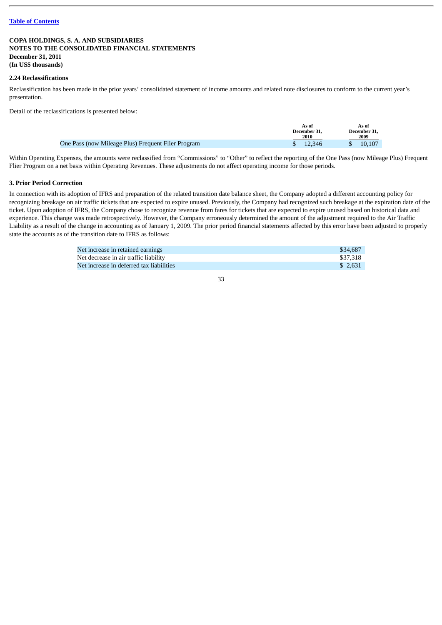## **COPA HOLDINGS, S. A. AND SUBSIDIARIES NOTES TO THE CONSOLIDATED FINANCIAL STATEMENTS December 31, 2011 (In US\$ thousands)**

## **2.24 Reclassifications**

Reclassification has been made in the prior years' consolidated statement of income amounts and related note disclosures to conform to the current year's presentation.

Detail of the reclassifications is presented below:

|                                                    | As of<br>December 31.<br>2010 | As of<br>December 31.<br>2009 |
|----------------------------------------------------|-------------------------------|-------------------------------|
| One Pass (now Mileage Plus) Frequent Flier Program | 12.346                        | 10.107                        |

Within Operating Expenses, the amounts were reclassified from "Commissions" to "Other" to reflect the reporting of the One Pass (now Mileage Plus) Frequent Flier Program on a net basis within Operating Revenues. These adjustments do not affect operating income for those periods.

## **3. Prior Period Correction**

In connection with its adoption of IFRS and preparation of the related transition date balance sheet, the Company adopted a different accounting policy for recognizing breakage on air traffic tickets that are expected to expire unused. Previously, the Company had recognized such breakage at the expiration date of the ticket. Upon adoption of IFRS, the Company chose to recognize revenue from fares for tickets that are expected to expire unused based on historical data and experience. This change was made retrospectively. However, the Company erroneously determined the amount of the adjustment required to the Air Traffic Liability as a result of the change in accounting as of January 1, 2009. The prior period financial statements affected by this error have been adjusted to properly state the accounts as of the transition date to IFRS as follows:

| Net increase in retained earnings        | \$34,687 |
|------------------------------------------|----------|
| Net decrease in air traffic liability    | \$37.318 |
| Net increase in deferred tax liabilities | \$ 2.631 |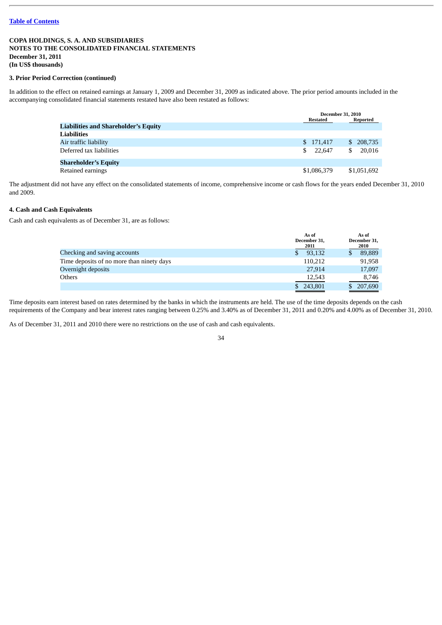# **COPA HOLDINGS, S. A. AND SUBSIDIARIES NOTES TO THE CONSOLIDATED FINANCIAL STATEMENTS December 31, 2011 (In US\$ thousands)**

## **3. Prior Period Correction (continued)**

In addition to the effect on retained earnings at January 1, 2009 and December 31, 2009 as indicated above. The prior period amounts included in the accompanying consolidated financial statements restated have also been restated as follows:

| <b>Liabilities and Shareholder's Equity</b> | Restated      | <b>December 31, 2010</b><br>Reported |
|---------------------------------------------|---------------|--------------------------------------|
| Liabilities                                 |               |                                      |
|                                             |               |                                      |
| Air traffic liability                       | \$ 171,417    | \$ 208,735                           |
| Deferred tax liabilities                    | 22.647<br>SS. | 20,016<br>S                          |
| <b>Shareholder's Equity</b>                 |               |                                      |
| Retained earnings                           | \$1,086,379   | \$1,051,692                          |

The adjustment did not have any effect on the consolidated statements of income, comprehensive income or cash flows for the years ended December 31, 2010 and 2009.

# **4. Cash and Cash Equivalents**

Cash and cash equivalents as of December 31, are as follows:

|                                           | As of<br>December 31,<br>2011 | As of<br>December 31,<br>2010 |
|-------------------------------------------|-------------------------------|-------------------------------|
| Checking and saving accounts              | 93,132                        | 89,889                        |
| Time deposits of no more than ninety days | 110,212                       | 91,958                        |
| Overnight deposits                        | 27.914                        | 17,097                        |
| Others                                    | 12,543                        | 8,746                         |
|                                           | 243,801<br>S.                 | \$ 207,690                    |

Time deposits earn interest based on rates determined by the banks in which the instruments are held. The use of the time deposits depends on the cash requirements of the Company and bear interest rates ranging between 0.25% and 3.40% as of December 31, 2011 and 0.20% and 4.00% as of December 31, 2010.

As of December 31, 2011 and 2010 there were no restrictions on the use of cash and cash equivalents.

<sup>34</sup>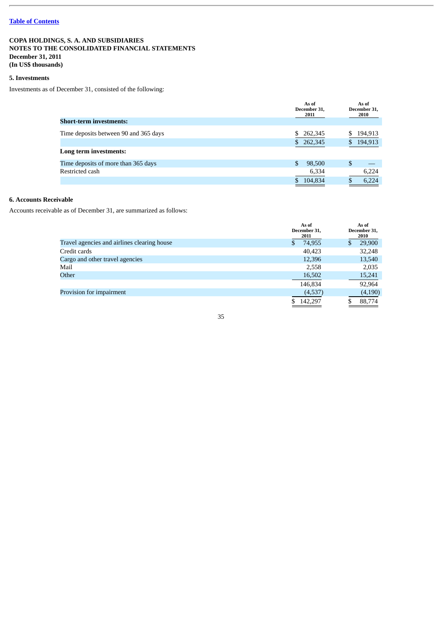# **COPA HOLDINGS, S. A. AND SUBSIDIARIES NOTES TO THE CONSOLIDATED FINANCIAL STATEMENTS December 31, 2011 (In US\$ thousands)**

# **5. Investments**

Investments as of December 31, consisted of the following:

|                                       | As of<br>December 31,<br>2011 | As of<br>December 31,<br>2010 |
|---------------------------------------|-------------------------------|-------------------------------|
| <b>Short-term investments:</b>        |                               |                               |
| Time deposits between 90 and 365 days | 262,345                       | 194,913<br>S                  |
|                                       | 262,345                       | 194,913                       |
| Long term investments:                |                               |                               |
| Time deposits of more than 365 days   | 98,500                        | \$                            |
| Restricted cash                       | 6,334                         | 6,224                         |
|                                       | 104,834                       | 6.224                         |

# **6. Accounts Receivable**

Accounts receivable as of December 31, are summarized as follows:

|                                             | As of<br>December 31,<br>2011 | As of<br>December 31,<br>2010 |
|---------------------------------------------|-------------------------------|-------------------------------|
| Travel agencies and airlines clearing house | 74,955<br>S                   | 29,900                        |
| Credit cards                                | 40,423                        | 32,248                        |
| Cargo and other travel agencies             | 12,396                        | 13,540                        |
| Mail                                        | 2,558                         | 2,035                         |
| Other                                       | 16,502                        | 15,241                        |
|                                             | 146,834                       | 92,964                        |
| Provision for impairment                    | (4,537)                       | (4,190)                       |
|                                             | 142.297<br>S                  | 88,774                        |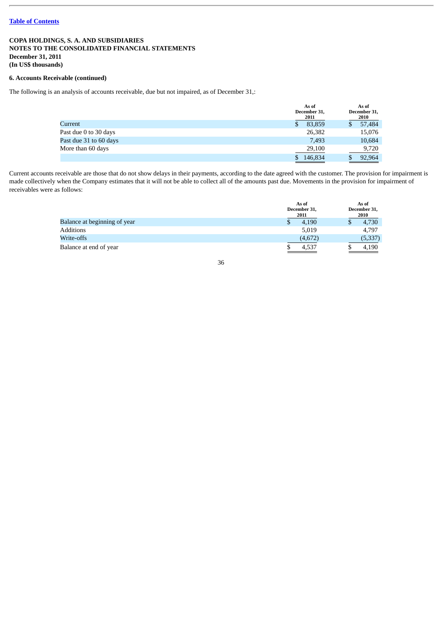# **COPA HOLDINGS, S. A. AND SUBSIDIARIES NOTES TO THE CONSOLIDATED FINANCIAL STATEMENTS December 31, 2011 (In US\$ thousands)**

## **6. Accounts Receivable (continued)**

The following is an analysis of accounts receivable, due but not impaired, as of December 31,:

|                        | As of<br>December 31,<br>2011 | As of<br>December 31,<br>2010 |
|------------------------|-------------------------------|-------------------------------|
| Current                | 83,859                        | 57,484                        |
| Past due 0 to 30 days  | 26,382                        | 15,076                        |
| Past due 31 to 60 days | 7.493                         | 10,684                        |
| More than 60 days      | 29,100                        | 9,720                         |
|                        | 146,834                       | 92.964                        |

Current accounts receivable are those that do not show delays in their payments, according to the date agreed with the customer. The provision for impairment is made collectively when the Company estimates that it will not be able to collect all of the amounts past due. Movements in the provision for impairment of receivables were as follows:

|                              | As of<br>December 31,<br>2011 | As of<br>December 31,<br>2010 |
|------------------------------|-------------------------------|-------------------------------|
| Balance at beginning of year | 4,190                         | 4,730                         |
| Additions                    | 5,019                         | 4,797                         |
| Write-offs                   | (4,672)                       | (5, 337)                      |
| Balance at end of year       | 4,537                         | 4.190                         |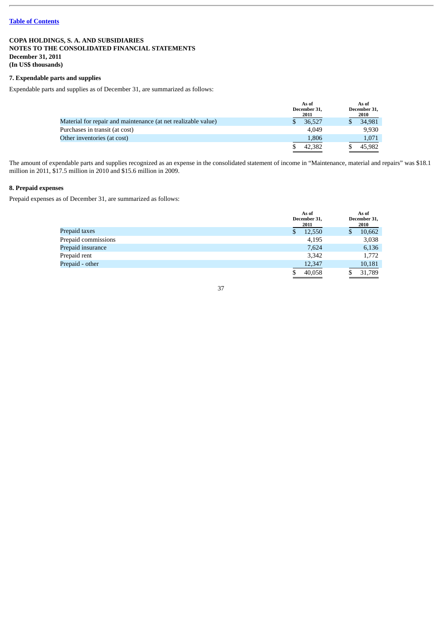# **COPA HOLDINGS, S. A. AND SUBSIDIARIES NOTES TO THE CONSOLIDATED FINANCIAL STATEMENTS December 31, 2011 (In US\$ thousands)**

# **7. Expendable parts and supplies**

Expendable parts and supplies as of December 31, are summarized as follows:

|                                                               | As of<br>December 31.<br>2011 | As of<br>December 31,<br>2010 |
|---------------------------------------------------------------|-------------------------------|-------------------------------|
| Material for repair and maintenance (at net realizable value) | 36,527                        | 34.981                        |
| Purchases in transit (at cost)                                | 4.049                         | 9.930                         |
| Other inventories (at cost)                                   | 1,806                         | 1.071                         |
|                                                               | 42,382                        | 45.982                        |

The amount of expendable parts and supplies recognized as an expense in the consolidated statement of income in "Maintenance, material and repairs" was \$18.1 million in 2011, \$17.5 million in 2010 and \$15.6 million in 2009.

# **8. Prepaid expenses**

Prepaid expenses as of December 31, are summarized as follows:

|                     | As of<br>December 31,<br>2011 | As of<br>December 31,<br>2010 |
|---------------------|-------------------------------|-------------------------------|
| Prepaid taxes       | 12,550<br>S                   | \$<br>10,662                  |
| Prepaid commissions | 4,195                         | 3,038                         |
| Prepaid insurance   | 7,624                         | 6,136                         |
| Prepaid rent        | 3,342                         | 1.772                         |
| Prepaid - other     | 12,347                        | 10,181                        |
|                     | 40,058                        | 31,789                        |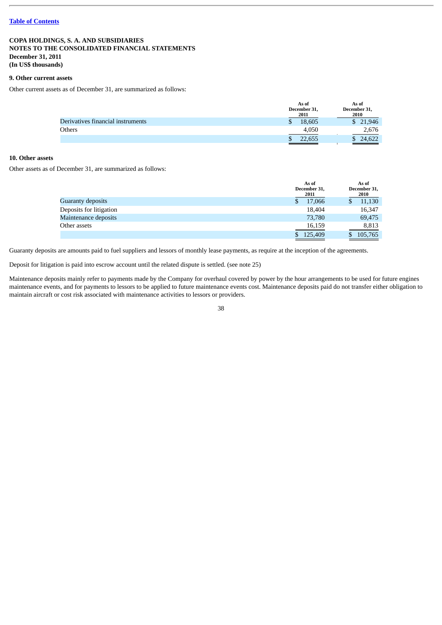## **COPA HOLDINGS, S. A. AND SUBSIDIARIES NOTES TO THE CONSOLIDATED FINANCIAL STATEMENTS December 31, 2011 (In US\$ thousands)**

## **9. Other current assets**

Other current assets as of December 31, are summarized as follows:

|                                   | As of<br>December 31,<br>2011 | As of<br>December 31,<br>2010 |
|-----------------------------------|-------------------------------|-------------------------------|
| Derivatives financial instruments | 18,605                        | \$21,946                      |
| Others                            | 4,050                         | 2,676                         |
|                                   | 22,655                        | 24,622                        |

# **10. Other assets**

Other assets as of December 31, are summarized as follows:

|                         | As of<br>December 31,<br>2011 | As of<br>December 31,<br>2010 |
|-------------------------|-------------------------------|-------------------------------|
| Guaranty deposits       | 17,066                        | 11,130                        |
| Deposits for litigation | 18,404                        | 16,347                        |
| Maintenance deposits    | 73,780                        | 69,475                        |
| Other assets            | 16,159                        | 8,813                         |
|                         | 125,409                       | 105,765                       |

Guaranty deposits are amounts paid to fuel suppliers and lessors of monthly lease payments, as require at the inception of the agreements.

Deposit for litigation is paid into escrow account until the related dispute is settled. (see note 25)

Maintenance deposits mainly refer to payments made by the Company for overhaul covered by power by the hour arrangements to be used for future engines maintenance events, and for payments to lessors to be applied to future maintenance events cost. Maintenance deposits paid do not transfer either obligation to maintain aircraft or cost risk associated with maintenance activities to lessors or providers.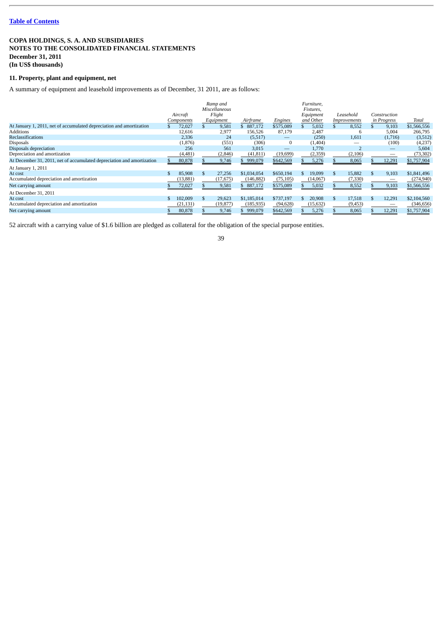# **COPA HOLDINGS, S. A. AND SUBSIDIARIES NOTES TO THE CONSOLIDATED FINANCIAL STATEMENTS December 31, 2011 (In US\$ thousands)**

# **11. Property, plant and equipment, net**

A summary of equipment and leasehold improvements as of December, 31 2011, are as follows:

|                                                                        | Aircraft<br>Components |     | Ramp and<br><b>Miscellaneous</b><br>Flight<br>Equipment | Airframe    | Engines                  | Furniture,<br>Fixtures,<br>Equipment<br>and Other |              | Leasehold<br>Improvements |    | Construction<br>in Progress | Total       |
|------------------------------------------------------------------------|------------------------|-----|---------------------------------------------------------|-------------|--------------------------|---------------------------------------------------|--------------|---------------------------|----|-----------------------------|-------------|
| At January 1, 2011, net of accumulated depreciation and amortization   | 72,027                 |     | 9,581                                                   | 887,172     | \$575,089                | 5,032                                             |              | 8,552                     |    | 9,103                       | \$1,566,556 |
| <b>Additions</b>                                                       | 12,616                 |     | 2,977                                                   | 156,526     | 87,179                   | 2,487                                             |              | h                         |    | 5,004                       | 266,795     |
| Reclassifications                                                      | 2,336                  |     | 24                                                      | (5,517)     | $\overline{\phantom{0}}$ | (250)                                             |              | 1,611                     |    | (1,716)                     | (3,512)     |
| <b>Disposals</b>                                                       | (1, 876)               |     | (551)                                                   | (306)       | $\bf{0}$                 | (1,404)                                           |              | $-$                       |    | (100)                       | (4,237)     |
| Disposals depreciation                                                 | 256                    |     | 561                                                     | 3,015       | –                        | 1,770                                             |              |                           |    |                             | 5,604       |
| Depreciation and amortization                                          | (4,481)                |     | (2,846)                                                 | (41, 811)   | (19,699)                 | (2,359)                                           |              | (2,106)                   |    | —                           | (73, 302)   |
| At December 31, 2011, net of accumulated depreciation and amortization | 80,878                 |     | 9,746                                                   | 999,079     | \$642,569                | 5,276                                             |              | 8,065                     |    | 12,291                      | \$1,757,904 |
| At January 1, 2011                                                     |                        |     |                                                         |             |                          |                                                   |              |                           |    |                             |             |
| At cost                                                                | 85,908                 | S.  | 27,256                                                  | \$1,034,054 | \$650,194                | 19,099                                            | -SS          | 15,882                    | S. | 9,103                       | \$1,841,496 |
| Accumulated depreciation and amortization                              | (13, 881)              |     | (17, 675)                                               | (146, 882)  | (75, 105)                | (14,067)                                          |              | (7, 330)                  |    | —                           | (274, 940)  |
| Net carrying amount                                                    | 72,027                 |     | 9,581                                                   | 887,172     | \$575,089                | 5,032                                             |              | 8,552                     |    | 9,103                       | \$1,566,556 |
| At December 31, 2011                                                   |                        |     |                                                         |             |                          |                                                   |              |                           |    |                             |             |
| At cost                                                                | 102.009                | \$. | 29,623                                                  | \$1,185,014 | \$737,197                | 20,908                                            | $\mathbf{s}$ | 17.518                    |    | 12,291                      | \$2,104,560 |
| Accumulated depreciation and amortization                              | (21, 131)              |     | (19, 877)                                               | (185, 935)  | (94, 628)                | (15, 632)                                         |              | (9,453)                   |    |                             | (346, 656)  |
| Net carrying amount                                                    | 80,878                 |     | 9,746                                                   | 999,079     | \$642,569                | 5,276                                             |              | 8,065                     |    | 12,291                      | \$1,757,904 |

52 aircraft with a carrying value of \$1.6 billion are pledged as collateral for the obligation of the special purpose entities.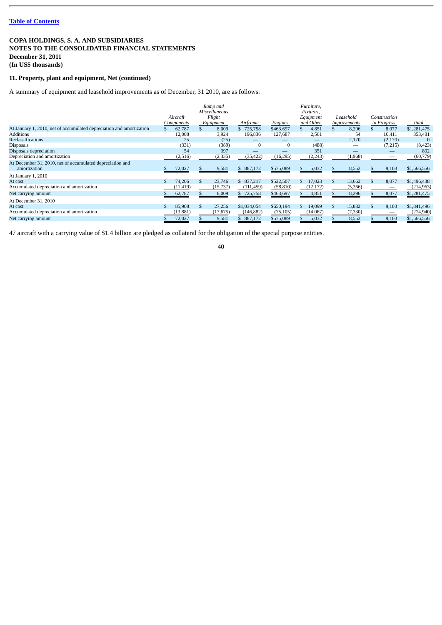# **COPA HOLDINGS, S. A. AND SUBSIDIARIES NOTES TO THE CONSOLIDATED FINANCIAL STATEMENTS December 31, 2011 (In US\$ thousands)**

# **11. Property, plant and equipment, Net (continued)**

A summary of equipment and leasehold improvements as of December, 31 2010, are as follows:

|                                                                           | Aircraft<br>Components |              | Ramp and<br><b>Miscellaneous</b><br>Flight<br>Equipment | Airframe       | Engines   | Furniture,<br>Fixtures,<br>Equipment<br>and Other |               | Leasehold<br>Improvements |     | Construction<br>in Progress | Total       |
|---------------------------------------------------------------------------|------------------------|--------------|---------------------------------------------------------|----------------|-----------|---------------------------------------------------|---------------|---------------------------|-----|-----------------------------|-------------|
| At January 1, 2010, net of accumulated depreciation and amortization      | 62,787                 |              | 8,009                                                   | 725,758<br>\$. | \$463,697 | 4,851                                             |               | 8,296                     |     | 8,077                       | \$1,281,475 |
| <b>Additions</b>                                                          | 12,008                 |              | 3,924                                                   | 196,836        | 127,687   | 2,561                                             |               | 54                        |     | 10,411                      | 353,481     |
| Reclassifications                                                         | 25                     |              | (25)                                                    |                |           |                                                   |               | 2,170                     |     | (2,170)                     |             |
| Disposals                                                                 | (331)                  |              | (389)                                                   | $\Omega$       | $\Omega$  | (488)                                             |               |                           |     | (7,215)                     | (8, 423)    |
| Disposals depreciation                                                    | 54                     |              | 397                                                     |                |           | 351                                               |               |                           |     |                             | 802         |
| Depreciation and amortization                                             | (2, 516)               |              | (2, 335)                                                | (35, 422)      | (16, 295) | (2,243)                                           |               | (1,968)                   |     |                             | (60, 779)   |
| At December 31, 2010, net of accumulated depreciation and<br>amortization | 72,027                 |              | 9,581                                                   | 887,172        | \$575,089 | 5,032<br>\$                                       |               | 8,552                     |     | 9,103                       | \$1,566,556 |
| At January 1, 2010                                                        |                        |              |                                                         |                |           |                                                   |               |                           |     |                             |             |
| At cost                                                                   | 74,206                 |              | 23,746                                                  | \$ 837,217     | \$522,507 | 17,023<br>\$                                      | \$            | 13,662                    | \$  | 8,077                       | \$1,496,438 |
| Accumulated depreciation and amortization                                 | (11,419)               |              | (15, 737)                                               | (111, 459)     | (58, 810) | (12, 172)                                         |               | (5,366)                   |     |                             | (214, 963)  |
| Net carrying amount                                                       | 62,787                 |              | 8,009                                                   | 725,758        | \$463,697 | 4,851                                             |               | 8,296                     |     | 8,077                       | \$1,281,475 |
| At December 31, 2010                                                      |                        |              |                                                         |                |           |                                                   |               |                           |     |                             |             |
| At cost                                                                   | 85,908                 | $\mathbf{r}$ | 27,256                                                  | \$1,034,054    | \$650,194 | 19,099<br>\$                                      | <sup>\$</sup> | 15,882                    | \$. | 9,103                       | \$1,841,496 |
| Accumulated depreciation and amortization                                 | (13, 881)              |              | (17, 675)                                               | (146, 882)     | (75, 105) | (14, 067)                                         |               | (7, 330)                  |     |                             | (274, 940)  |
| Net carrying amount                                                       | 72,027                 |              | 9,581                                                   | 887,172        | \$575,089 | 5,032                                             |               | 8,552                     |     | 9,103                       | \$1,566,556 |

47 aircraft with a carrying value of \$1.4 billion are pledged as collateral for the obligation of the special purpose entities.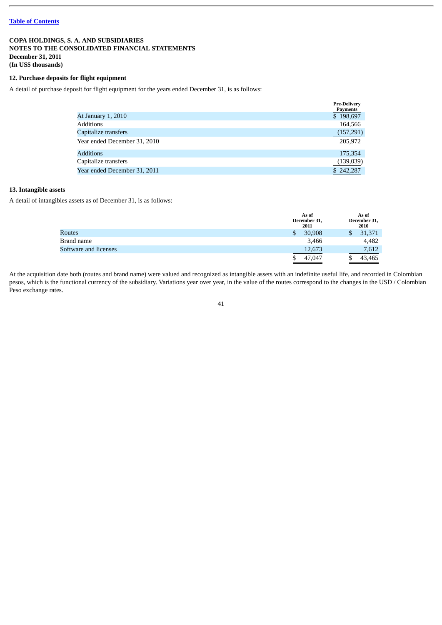# **COPA HOLDINGS, S. A. AND SUBSIDIARIES NOTES TO THE CONSOLIDATED FINANCIAL STATEMENTS December 31, 2011 (In US\$ thousands)**

# **12. Purchase deposits for flight equipment**

A detail of purchase deposit for flight equipment for the years ended December 31, is as follows:

|                              | <b>Pre-Delivery</b><br>Payments |
|------------------------------|---------------------------------|
| At January 1, 2010           | \$198,697                       |
| <b>Additions</b>             | 164,566                         |
| Capitalize transfers         | (157, 291)                      |
| Year ended December 31, 2010 | 205.972                         |
| <b>Additions</b>             | 175,354                         |
| Capitalize transfers         | (139,039)                       |
| Year ended December 31, 2011 | \$242,287                       |

# **13. Intangible assets**

A detail of intangibles assets as of December 31, is as follows:

|                       | As of<br>December 31,<br>2011 | As of<br>December 31,<br>2010 |
|-----------------------|-------------------------------|-------------------------------|
| Routes                | 30,908<br>S                   | 31,371                        |
| Brand name            | 3,466                         | 4,482                         |
| Software and licenses | 12,673                        | 7,612                         |
|                       | 47,047                        | 43,465                        |

At the acquisition date both (routes and brand name) were valued and recognized as intangible assets with an indefinite useful life, and recorded in Colombian pesos, which is the functional currency of the subsidiary. Variations year over year, in the value of the routes correspond to the changes in the USD / Colombian Peso exchange rates.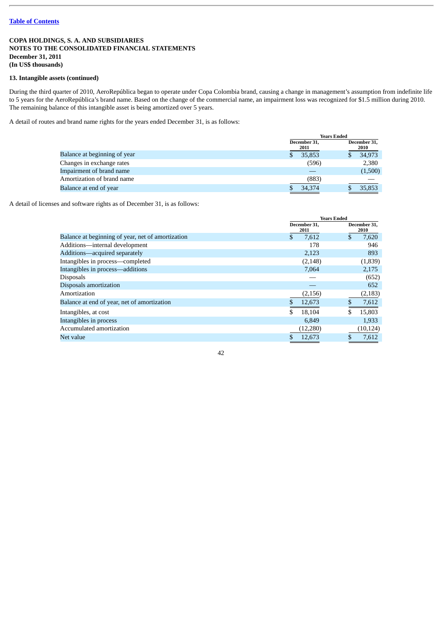# **COPA HOLDINGS, S. A. AND SUBSIDIARIES NOTES TO THE CONSOLIDATED FINANCIAL STATEMENTS December 31, 2011 (In US\$ thousands)**

# **13. Intangible assets (continued)**

During the third quarter of 2010, AeroRepública began to operate under Copa Colombia brand, causing a change in management's assumption from indefinite life to 5 years for the AeroRepública's brand name. Based on the change of the commercial name, an impairment loss was recognized for \$1.5 million during 2010. The remaining balance of this intangible asset is being amortized over 5 years.

A detail of routes and brand name rights for the years ended December 31, is as follows:

|                              | <b>Years Ended</b>   |  |                      |  |
|------------------------------|----------------------|--|----------------------|--|
|                              | December 31,<br>2011 |  | December 31,<br>2010 |  |
| Balance at beginning of year | 35,853               |  | 34,973               |  |
| Changes in exchange rates    | (596)                |  | 2,380                |  |
| Impairment of brand name     |                      |  | (1,500)              |  |
| Amortization of brand name   | (883)                |  |                      |  |
| Balance at end of year       | 34,374               |  | 35,853               |  |

A detail of licenses and software rights as of December 31, is as follows:

|                                                   | <b>Years Ended</b>     |                      |
|---------------------------------------------------|------------------------|----------------------|
|                                                   | December 31.<br>2011   | December 31.<br>2010 |
| Balance at beginning of year, net of amortization | $\mathcal{S}$<br>7.612 | \$<br>7,620          |
| Additions—internal development                    | 178                    | 946                  |
| Additions—acquired separately                     | 2,123                  | 893                  |
| Intangibles in process-completed                  | (2, 148)               | (1,839)              |
| Intangibles in process—additions                  | 7,064                  | 2,175                |
| <b>Disposals</b>                                  |                        | (652)                |
| Disposals amortization                            |                        | 652                  |
| Amortization                                      | (2,156)                | (2, 183)             |
| Balance at end of year, net of amortization       | 12,673                 | 7,612                |
| Intangibles, at cost                              | \$<br>18.104           | 15,803               |
| Intangibles in process                            | 6,849                  | 1,933                |
| Accumulated amortization                          | (12, 280)              | (10, 124)            |
| Net value                                         | 12.673                 | 7.612                |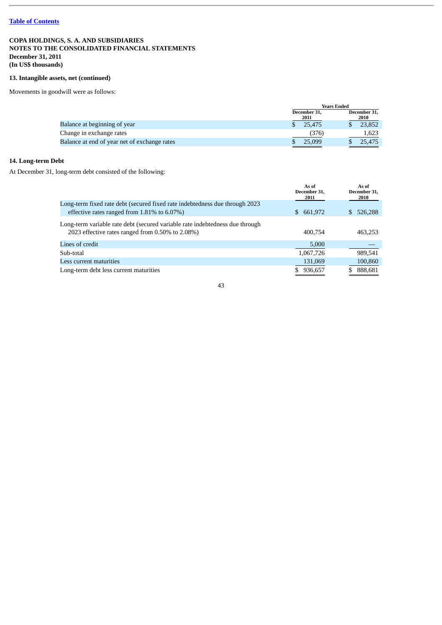# **COPA HOLDINGS, S. A. AND SUBSIDIARIES NOTES TO THE CONSOLIDATED FINANCIAL STATEMENTS December 31, 2011 (In US\$ thousands)**

# **13. Intangible assets, net (continued)**

Movements in goodwill were as follows:

|                                              | <b>Years Ended</b>   |                      |
|----------------------------------------------|----------------------|----------------------|
|                                              | December 31,<br>2011 | December 31,<br>2010 |
| Balance at beginning of year                 | 25,475               | 23,852               |
| Change in exchange rates                     | (376)                | 1.623                |
| Balance at end of year net of exchange rates | 25,099               | 25,475               |

# **14. Long-term Debt**

At December 31, long-term debt consisted of the following:

|                                                                                                                                  | As of<br>December 31.<br>2011 | As of<br>December 31.<br>2010 |
|----------------------------------------------------------------------------------------------------------------------------------|-------------------------------|-------------------------------|
| Long-term fixed rate debt (secured fixed rate indebtedness due through 2023                                                      |                               |                               |
| effective rates ranged from $1.81\%$ to $6.07\%$ )                                                                               | \$ 661,972                    | \$526,288                     |
| Long-term variable rate debt (secured variable rate indebtedness due through<br>2023 effective rates ranged from 0.50% to 2.08%) | 400.754                       | 463,253                       |
| Lines of credit                                                                                                                  | 5,000                         |                               |
| Sub-total                                                                                                                        | 1.067.726                     | 989.541                       |
| Less current maturities                                                                                                          | 131,069                       | 100,860                       |
| Long-term debt less current maturities                                                                                           | 936,657                       | 888,681                       |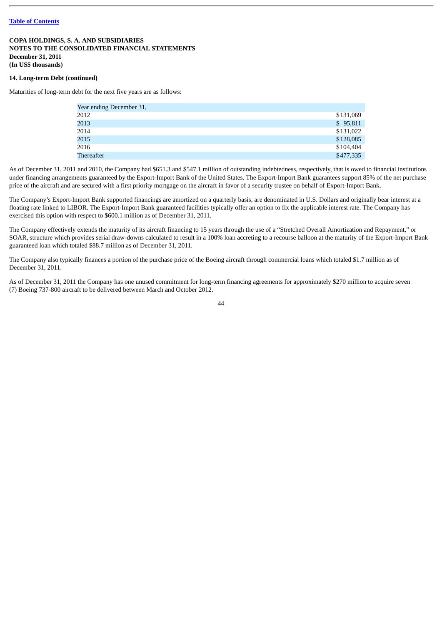## **COPA HOLDINGS, S. A. AND SUBSIDIARIES NOTES TO THE CONSOLIDATED FINANCIAL STATEMENTS December 31, 2011 (In US\$ thousands)**

## **14. Long-term Debt (continued)**

Maturities of long-term debt for the next five years are as follows:

| Year ending December 31, |           |
|--------------------------|-----------|
| 2012                     | \$131,069 |
| 2013                     | \$95,811  |
| 2014                     | \$131,022 |
| 2015                     | \$128,085 |
| 2016                     | \$104,404 |
| Thereafter               | \$477,335 |

As of December 31, 2011 and 2010, the Company had \$651.3 and \$547.1 million of outstanding indebtedness, respectively, that is owed to financial institutions under financing arrangements guaranteed by the Export-Import Bank of the United States. The Export-Import Bank guarantees support 85% of the net purchase price of the aircraft and are secured with a first priority mortgage on the aircraft in favor of a security trustee on behalf of Export-Import Bank.

The Company's Export-Import Bank supported financings are amortized on a quarterly basis, are denominated in U.S. Dollars and originally bear interest at a floating rate linked to LIBOR. The Export-Import Bank guaranteed facilities typically offer an option to fix the applicable interest rate. The Company has exercised this option with respect to \$600.1 million as of December 31, 2011.

The Company effectively extends the maturity of its aircraft financing to 15 years through the use of a "Stretched Overall Amortization and Repayment," or SOAR, structure which provides serial draw-downs calculated to result in a 100% loan accreting to a recourse balloon at the maturity of the Export-Import Bank guaranteed loan which totaled \$88.7 million as of December 31, 2011.

The Company also typically finances a portion of the purchase price of the Boeing aircraft through commercial loans which totaled \$1.7 million as of December 31, 2011.

As of December 31, 2011 the Company has one unused commitment for long-term financing agreements for approximately \$270 million to acquire seven (7) Boeing 737-800 aircraft to be delivered between March and October 2012.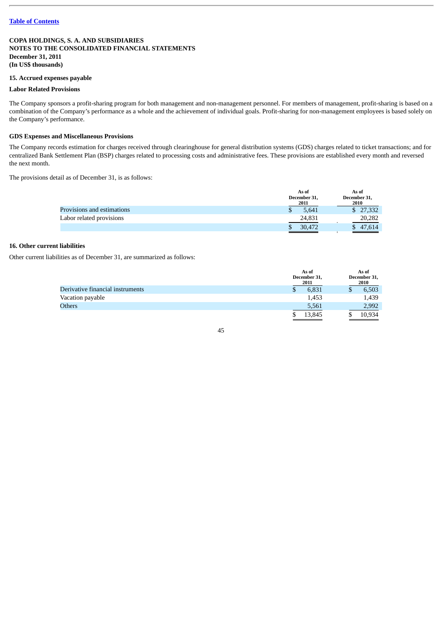## **COPA HOLDINGS, S. A. AND SUBSIDIARIES NOTES TO THE CONSOLIDATED FINANCIAL STATEMENTS December 31, 2011 (In US\$ thousands)**

## **15. Accrued expenses payable**

#### **Labor Related Provisions**

The Company sponsors a profit-sharing program for both management and non-management personnel. For members of management, profit-sharing is based on a combination of the Company's performance as a whole and the achievement of individual goals. Profit-sharing for non-management employees is based solely on the Company's performance.

### **GDS Expenses and Miscellaneous Provisions**

The Company records estimation for charges received through clearinghouse for general distribution systems (GDS) charges related to ticket transactions; and for centralized Bank Settlement Plan (BSP) charges related to processing costs and administrative fees. These provisions are established every month and reversed the next month.

The provisions detail as of December 31, is as follows:

|                            | As of<br>December 31,<br>2011 |          |
|----------------------------|-------------------------------|----------|
| Provisions and estimations | 5.641                         | \$27,332 |
| Labor related provisions   | 24,831                        | 20,282   |
|                            | 30,472                        | 47.614   |

### **16. Other current liabilities**

Other current liabilities as of December 31, are summarized as follows:

|                                  | As of<br>December 31,<br>2011 | As of<br>December 31,<br>2010 |  |  |
|----------------------------------|-------------------------------|-------------------------------|--|--|
| Derivative financial instruments | 6,831                         | 6,503                         |  |  |
| Vacation payable                 | 1,453                         | 1,439                         |  |  |
| Others                           | 5,561                         | 2,992                         |  |  |
|                                  | 13,845                        | 10,934                        |  |  |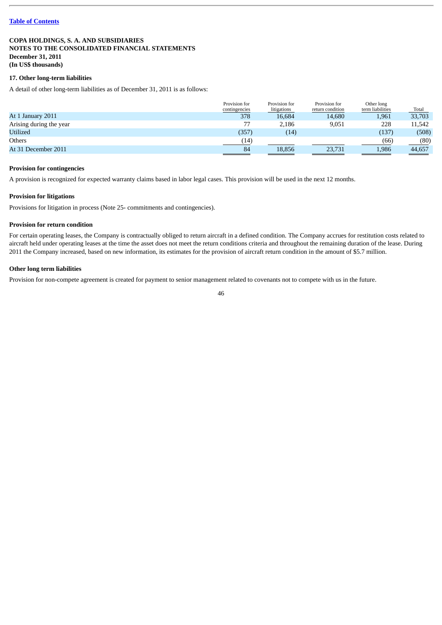## **COPA HOLDINGS, S. A. AND SUBSIDIARIES NOTES TO THE CONSOLIDATED FINANCIAL STATEMENTS December 31, 2011 (In US\$ thousands)**

## **17. Other long-term liabilities**

A detail of other long-term liabilities as of December 31, 2011 is as follows:

|                         | Provision for<br>contingencies | Provision for<br>litigations | Provision for<br>return condition | Other long<br>term liabilities | <b>Total</b> |
|-------------------------|--------------------------------|------------------------------|-----------------------------------|--------------------------------|--------------|
| At 1 January 2011       | 378                            | 16,684                       | 14,680                            | 1,961                          | 33,703       |
| Arising during the year | 77                             | 2,186                        | 9,051                             | 228                            | 11,542       |
| Utilized                | (357)                          | (14)                         |                                   | (137)                          | (508)        |
| <b>Others</b>           | (14)                           |                              |                                   | (66)                           | (80)         |
| At 31 December 2011     | 84                             | 18,856                       | 23,731                            | 1,986                          | 44,657       |

## **Provision for contingencies**

A provision is recognized for expected warranty claims based in labor legal cases. This provision will be used in the next 12 months.

## **Provision for litigations**

Provisions for litigation in process (Note 25- commitments and contingencies).

### **Provision for return condition**

For certain operating leases, the Company is contractually obliged to return aircraft in a defined condition. The Company accrues for restitution costs related to aircraft held under operating leases at the time the asset does not meet the return conditions criteria and throughout the remaining duration of the lease. During 2011 the Company increased, based on new information, its estimates for the provision of aircraft return condition in the amount of \$5.7 million.

## **Other long term liabilities**

Provision for non-compete agreement is created for payment to senior management related to covenants not to compete with us in the future.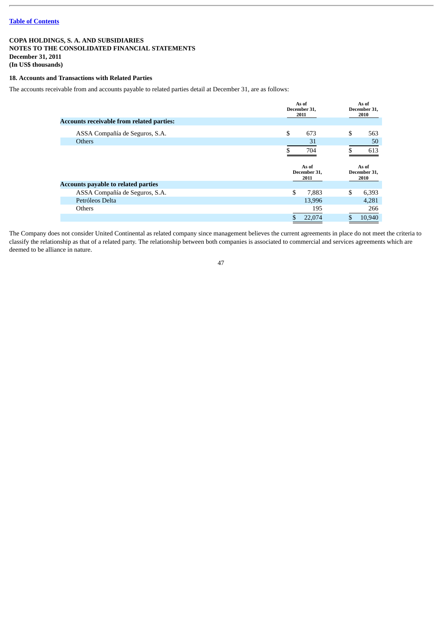## **COPA HOLDINGS, S. A. AND SUBSIDIARIES NOTES TO THE CONSOLIDATED FINANCIAL STATEMENTS December 31, 2011 (In US\$ thousands)**

# **18. Accounts and Transactions with Related Parties**

The accounts receivable from and accounts payable to related parties detail at December 31, are as follows:

|                                           | As of<br>December 31,<br>2011 |    | As of<br>December 31,<br>2010 |
|-------------------------------------------|-------------------------------|----|-------------------------------|
| Accounts receivable from related parties: |                               |    |                               |
| ASSA Compañía de Seguros, S.A.            | \$<br>673                     | \$ | 563                           |
| <b>Others</b>                             | 31                            |    | 50                            |
|                                           | 704                           | \$ | 613                           |
|                                           |                               |    |                               |
|                                           | As of<br>December 31.<br>2011 |    | As of<br>December 31,<br>2010 |
| Accounts payable to related parties       |                               |    |                               |
| ASSA Compañía de Seguros, S.A.            | \$<br>7,883                   | \$ | 6,393                         |
| Petróleos Delta                           | 13,996                        |    | 4,281                         |
| <b>Others</b>                             | 195                           |    | 266                           |

The Company does not consider United Continental as related company since management believes the current agreements in place do not meet the criteria to classify the relationship as that of a related party. The relationship between both companies is associated to commercial and services agreements which are deemed to be alliance in nature.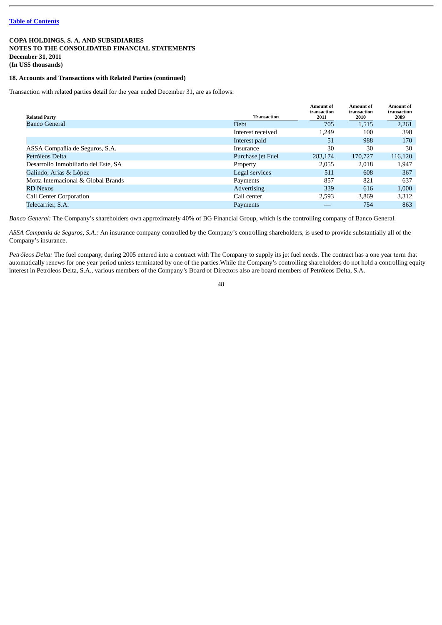## **COPA HOLDINGS, S. A. AND SUBSIDIARIES NOTES TO THE CONSOLIDATED FINANCIAL STATEMENTS December 31, 2011 (In US\$ thousands)**

## **18. Accounts and Transactions with Related Parties (continued)**

Transaction with related parties detail for the year ended December 31, are as follows:

| <b>Related Party</b>                 | <b>Transaction</b> | <b>Amount of</b><br>transaction<br>2011 | Amount of<br>transaction<br>2010 | Amount of<br>transaction<br>2009 |
|--------------------------------------|--------------------|-----------------------------------------|----------------------------------|----------------------------------|
| Banco General                        | Debt               | 705                                     | 1,515                            | 2,261                            |
|                                      | Interest received  | 1,249                                   | 100                              | 398                              |
|                                      | Interest paid      | 51                                      | 988                              | 170                              |
| ASSA Compañía de Seguros, S.A.       | Insurance          | 30                                      | 30                               | 30                               |
| Petróleos Delta                      | Purchase jet Fuel  | 283,174                                 | 170,727                          | 116,120                          |
| Desarrollo Inmobiliario del Este, SA | Property           | 2,055                                   | 2,018                            | 1,947                            |
| Galindo, Arias & López               | Legal services     | 511                                     | 608                              | 367                              |
| Motta Internacional & Global Brands  | Payments           | 857                                     | 821                              | 637                              |
| <b>RD Nexos</b>                      | Advertising        | 339                                     | 616                              | 1,000                            |
| <b>Call Center Corporation</b>       | Call center        | 2.593                                   | 3.869                            | 3.312                            |
| Telecarrier, S.A.                    | Payments           |                                         | 754                              | 863                              |

*Banco General:* The Company's shareholders own approximately 40% of BG Financial Group, which is the controlling company of Banco General.

*ASSA Campania de Seguros, S.A.:* An insurance company controlled by the Company's controlling shareholders, is used to provide substantially all of the Company's insurance.

*Petróleos Delta:* The fuel company, during 2005 entered into a contract with The Company to supply its jet fuel needs. The contract has a one year term that automatically renews for one year period unless terminated by one of the parties.While the Company's controlling shareholders do not hold a controlling equity interest in Petróleos Delta, S.A., various members of the Company's Board of Directors also are board members of Petróleos Delta, S.A.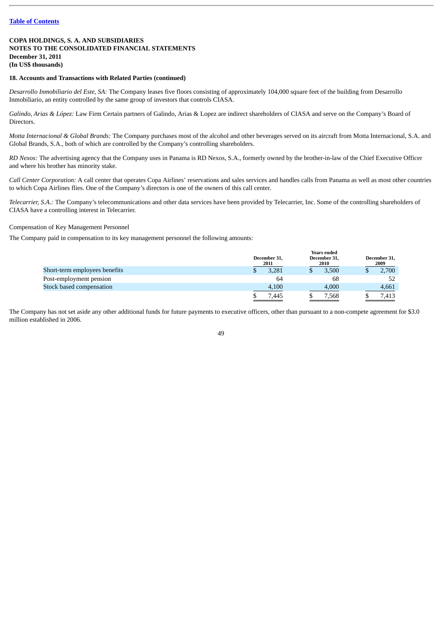## **COPA HOLDINGS, S. A. AND SUBSIDIARIES NOTES TO THE CONSOLIDATED FINANCIAL STATEMENTS December 31, 2011 (In US\$ thousands)**

### **18. Accounts and Transactions with Related Parties (continued)**

*Desarrollo Inmobiliario del Este, SA:* The Company leases five floors consisting of approximately 104,000 square feet of the building from Desarrollo Inmobiliario, an entity controlled by the same group of investors that controls CIASA.

*Galindo, Arias & López:* Law Firm Certain partners of Galindo, Arias & Lopez are indirect shareholders of CIASA and serve on the Company's Board of Directors.

*Motta Internacional & Global Brands:* The Company purchases most of the alcohol and other beverages served on its aircraft from Motta Internacional, S.A. and Global Brands, S.A., both of which are controlled by the Company's controlling shareholders.

*RD Nexos:* The advertising agency that the Company uses in Panama is RD Nexos, S.A., formerly owned by the brother-in-law of the Chief Executive Officer and where his brother has minority stake.

Call Center Corporation: A call center that operates Copa Airlines' reservations and sales services and handles calls from Panama as well as most other countries to which Copa Airlines flies. One of the Company's directors is one of the owners of this call center.

*Telecarrier, S.A.:* The Company's telecommunications and other data services have been provided by Telecarrier, Inc. Some of the controlling shareholders of CIASA have a controlling interest in Telecarrier.

#### Compensation of Key Management Personnel

The Company paid in compensation to its key management personnel the following amounts:

|                               | December 31,<br>2011 | <b>Years ended</b><br>December 31,<br>2010 | December 31,<br>2009 |
|-------------------------------|----------------------|--------------------------------------------|----------------------|
| Short-term employees benefits | 3,281                | 3,500                                      | 2,700                |
| Post-employment pension       | 64                   | 68                                         | 52                   |
| Stock based compensation      | 4,100                | 4,000                                      | 4,661                |
|                               | 7.445                | 7.568                                      | 7,413                |

The Company has not set aside any other additional funds for future payments to executive officers, other than pursuant to a non-compete agreement for \$3.0 million established in 2006.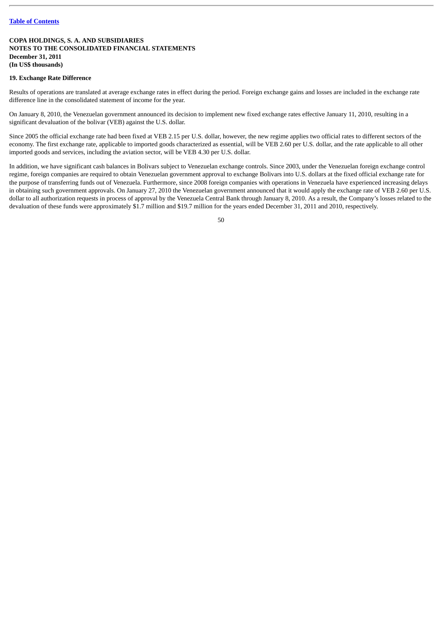## **COPA HOLDINGS, S. A. AND SUBSIDIARIES NOTES TO THE CONSOLIDATED FINANCIAL STATEMENTS December 31, 2011 (In US\$ thousands)**

### **19. Exchange Rate Difference**

Results of operations are translated at average exchange rates in effect during the period. Foreign exchange gains and losses are included in the exchange rate difference line in the consolidated statement of income for the year.

On January 8, 2010, the Venezuelan government announced its decision to implement new fixed exchange rates effective January 11, 2010, resulting in a significant devaluation of the bolivar (VEB) against the U.S. dollar.

Since 2005 the official exchange rate had been fixed at VEB 2.15 per U.S. dollar, however, the new regime applies two official rates to different sectors of the economy. The first exchange rate, applicable to imported goods characterized as essential, will be VEB 2.60 per U.S. dollar, and the rate applicable to all other imported goods and services, including the aviation sector, will be VEB 4.30 per U.S. dollar.

In addition, we have significant cash balances in Bolivars subject to Venezuelan exchange controls. Since 2003, under the Venezuelan foreign exchange control regime, foreign companies are required to obtain Venezuelan government approval to exchange Bolivars into U.S. dollars at the fixed official exchange rate for the purpose of transferring funds out of Venezuela. Furthermore, since 2008 foreign companies with operations in Venezuela have experienced increasing delays in obtaining such government approvals. On January 27, 2010 the Venezuelan government announced that it would apply the exchange rate of VEB 2.60 per U.S. dollar to all authorization requests in process of approval by the Venezuela Central Bank through January 8, 2010. As a result, the Company's losses related to the devaluation of these funds were approximately \$1.7 million and \$19.7 million for the years ended December 31, 2011 and 2010, respectively.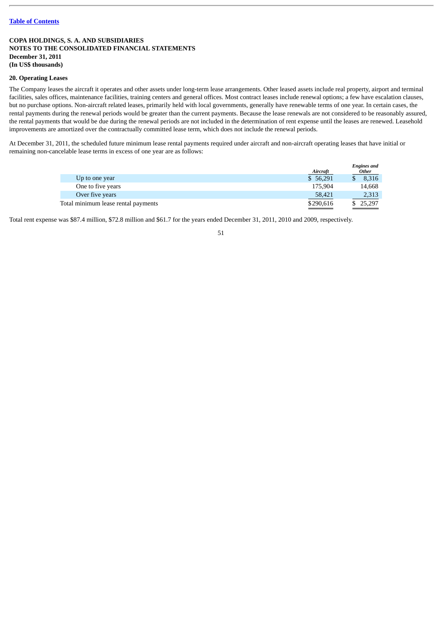## **COPA HOLDINGS, S. A. AND SUBSIDIARIES NOTES TO THE CONSOLIDATED FINANCIAL STATEMENTS December 31, 2011 (In US\$ thousands)**

### **20. Operating Leases**

The Company leases the aircraft it operates and other assets under long-term lease arrangements. Other leased assets include real property, airport and terminal facilities, sales offices, maintenance facilities, training centers and general offices. Most contract leases include renewal options; a few have escalation clauses, but no purchase options. Non-aircraft related leases, primarily held with local governments, generally have renewable terms of one year. In certain cases, the rental payments during the renewal periods would be greater than the current payments. Because the lease renewals are not considered to be reasonably assured, the rental payments that would be due during the renewal periods are not included in the determination of rent expense until the leases are renewed. Leasehold improvements are amortized over the contractually committed lease term, which does not include the renewal periods.

At December 31, 2011, the scheduled future minimum lease rental payments required under aircraft and non-aircraft operating leases that have initial or remaining non-cancelable lease terms in excess of one year are as follows:

|                                     | <b>Aircraft</b> | <b>Engines and</b><br>Other |
|-------------------------------------|-----------------|-----------------------------|
| Up to one year                      | \$56,291        | 8,316                       |
| One to five years                   | 175.904         | 14,668                      |
| Over five years                     | 58,421          | 2,313                       |
| Total minimum lease rental payments | \$290,616       | 25,297                      |

Total rent expense was \$87.4 million, \$72.8 million and \$61.7 for the years ended December 31, 2011, 2010 and 2009, respectively.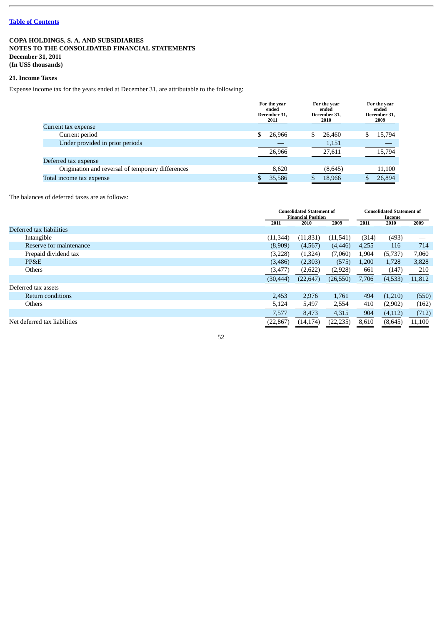## **COPA HOLDINGS, S. A. AND SUBSIDIARIES NOTES TO THE CONSOLIDATED FINANCIAL STATEMENTS December 31, 2011 (In US\$ thousands)**

## **21. Income Taxes**

Expense income tax for the years ended at December 31, are attributable to the following:

|                                                   | For the year<br>ended<br>December 31,<br>2011 | For the year<br>ended<br>December 31,<br>2010 | For the year<br>ended<br>December 31,<br>2009 |
|---------------------------------------------------|-----------------------------------------------|-----------------------------------------------|-----------------------------------------------|
| Current tax expense                               |                                               |                                               |                                               |
| Current period                                    | \$<br>26.966                                  | 26,460<br>\$                                  | S<br>15,794                                   |
| Under provided in prior periods                   |                                               | 1,151                                         |                                               |
|                                                   | 26,966                                        | 27,611                                        | 15,794                                        |
| Deferred tax expense                              |                                               |                                               |                                               |
| Origination and reversal of temporary differences | 8,620                                         | (8,645)                                       | 11,100                                        |
| Total income tax expense                          | 35,586                                        | 18,966                                        | 26,894                                        |

The balances of deferred taxes are as follows:

|                              | <b>Consolidated Statement of</b><br><b>Financial Position</b> |           | <b>Consolidated Statement of</b><br>Income |       |          |        |
|------------------------------|---------------------------------------------------------------|-----------|--------------------------------------------|-------|----------|--------|
|                              | 2011                                                          | 2010      | 2009                                       | 2011  | 2010     | 2009   |
| Deferred tax liabilities     |                                                               |           |                                            |       |          |        |
| Intangible                   | (11, 344)                                                     | (11, 831) | (11,541)                                   | (314) | (493)    |        |
| Reserve for maintenance      | (8,909)                                                       | (4,567)   | (4, 446)                                   | 4,255 | 116      | 714    |
| Prepaid dividend tax         | (3,228)                                                       | (1,324)   | (7,060)                                    | 1,904 | (5,737)  | 7,060  |
| PP&E                         | (3,486)                                                       | (2,303)   | (575)                                      | 1,200 | 1,728    | 3,828  |
| Others                       | (3, 477)                                                      | (2,622)   | (2,928)                                    | 661   | (147)    | 210    |
|                              | (30, 444)                                                     | (22, 647) | (26, 550)                                  | 7,706 | (4,533)  | 11,812 |
| Deferred tax assets          |                                                               |           |                                            |       |          |        |
| Return conditions            | 2,453                                                         | 2,976     | 1,761                                      | 494   | (1,210)  | (550)  |
| Others                       | 5,124                                                         | 5,497     | 2,554                                      | 410   | (2,902)  | (162)  |
|                              | 7,577                                                         | 8,473     | 4,315                                      | 904   | (4, 112) | (712)  |
| Net deferred tax liabilities | (22, 867)                                                     | (14, 174) | (22, 235)                                  | 8,610 | (8,645)  | 11,100 |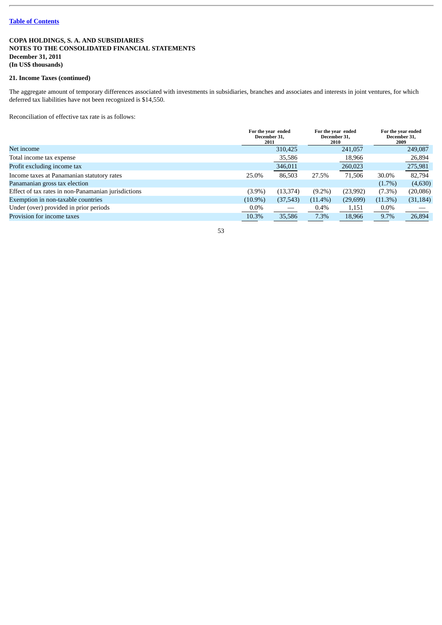## **COPA HOLDINGS, S. A. AND SUBSIDIARIES NOTES TO THE CONSOLIDATED FINANCIAL STATEMENTS December 31, 2011 (In US\$ thousands)**

## **21. Income Taxes (continued)**

The aggregate amount of temporary differences associated with investments in subsidiaries, branches and associates and interests in joint ventures, for which deferred tax liabilities have not been recognized is \$14,550.

Reconciliation of effective tax rate is as follows:

|                                                     | For the year ended<br>For the year ended<br>December 31,<br>December 31.<br>2010<br>2011 |           |            | For the year ended<br>December 31,<br>2009 |           |           |
|-----------------------------------------------------|------------------------------------------------------------------------------------------|-----------|------------|--------------------------------------------|-----------|-----------|
| Net income                                          |                                                                                          | 310,425   |            | 241,057                                    |           | 249,087   |
| Total income tax expense                            |                                                                                          | 35,586    |            | 18,966                                     |           | 26,894    |
| Profit excluding income tax                         |                                                                                          | 346,011   |            | 260,023                                    |           | 275,981   |
| Income taxes at Panamanian statutory rates          | 25.0%                                                                                    | 86,503    | 27.5%      | 71.506                                     | 30.0%     | 82,794    |
| Panamanian gross tax election                       |                                                                                          |           |            |                                            | $(1.7\%)$ | (4,630)   |
| Effect of tax rates in non-Panamanian jurisdictions | $(3.9\%)$                                                                                | (13, 374) | $(9.2\%)$  | (23,992)                                   | $(7.3\%)$ | (20,086)  |
| Exemption in non-taxable countries                  | $(10.9\%)$                                                                               | (37,543)  | $(11.4\%)$ | (29,699)                                   | (11.3%)   | (31, 184) |
| Under (over) provided in prior periods              | $0.0\%$                                                                                  |           | 0.4%       | 1,151                                      | $0.0\%$   |           |
| Provision for income taxes                          | 10.3%                                                                                    | 35,586    | 7.3%       | 18,966                                     | 9.7%      | 26,894    |

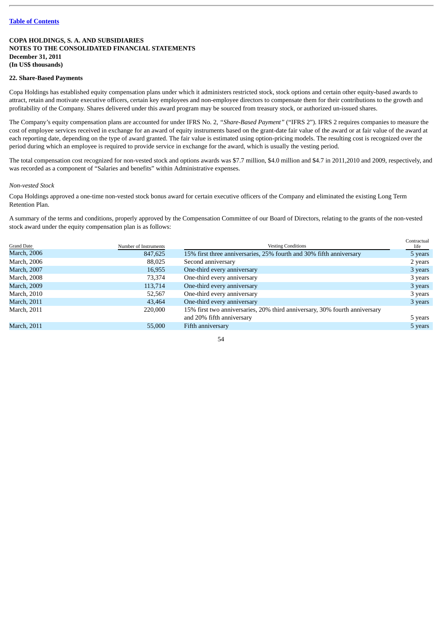## **COPA HOLDINGS, S. A. AND SUBSIDIARIES NOTES TO THE CONSOLIDATED FINANCIAL STATEMENTS December 31, 2011 (In US\$ thousands)**

#### **22. Share-Based Payments**

Copa Holdings has established equity compensation plans under which it administers restricted stock, stock options and certain other equity-based awards to attract, retain and motivate executive officers, certain key employees and non-employee directors to compensate them for their contributions to the growth and profitability of the Company. Shares delivered under this award program may be sourced from treasury stock, or authorized un-issued shares.

The Company's equity compensation plans are accounted for under IFRS No. 2, *"Share-Based Payment"* ("IFRS 2"). IFRS 2 requires companies to measure the cost of employee services received in exchange for an award of equity instruments based on the grant-date fair value of the award or at fair value of the award at each reporting date, depending on the type of award granted. The fair value is estimated using option-pricing models. The resulting cost is recognized over the period during which an employee is required to provide service in exchange for the award, which is usually the vesting period.

The total compensation cost recognized for non-vested stock and options awards was \$7.7 million, \$4.0 million and \$4.7 in 2011,2010 and 2009, respectively, and was recorded as a component of "Salaries and benefits" within Administrative expenses.

#### *Non-vested Stock*

Copa Holdings approved a one-time non-vested stock bonus award for certain executive officers of the Company and eliminated the existing Long Term Retention Plan.

A summary of the terms and conditions, properly approved by the Compensation Committee of our Board of Directors, relating to the grants of the non-vested stock award under the equity compensation plan is as follows:

| Grand Date          | Number of Instruments | <b>Vesting Conditions</b>                                                  | Contractual<br>life |
|---------------------|-----------------------|----------------------------------------------------------------------------|---------------------|
| <b>March, 2006</b>  | 847,625               | 15% first three anniversaries, 25% fourth and 30% fifth anniversary        | 5 years             |
| March, 2006         | 88,025                | Second anniversary                                                         | 2 years             |
| <b>March</b> , 2007 | 16,955                | One-third every anniversary                                                | 3 years             |
| <b>March, 2008</b>  | 73,374                | One-third every anniversary                                                | 3 years             |
| <b>March, 2009</b>  | 113,714               | One-third every anniversary                                                | 3 years             |
| <b>March</b> , 2010 | 52,567                | One-third every anniversary                                                | 3 years             |
| <b>March</b> , 2011 | 43,464                | One-third every anniversary                                                | 3 years             |
| <b>March</b> , 2011 | 220,000               | 15% first two anniversaries, 20% third anniversary, 30% fourth anniversary |                     |
|                     |                       | and 20% fifth anniversary                                                  | 5 years             |
| <b>March</b> , 2011 | 55,000                | Fifth anniversary                                                          | 5 years             |
|                     |                       |                                                                            |                     |

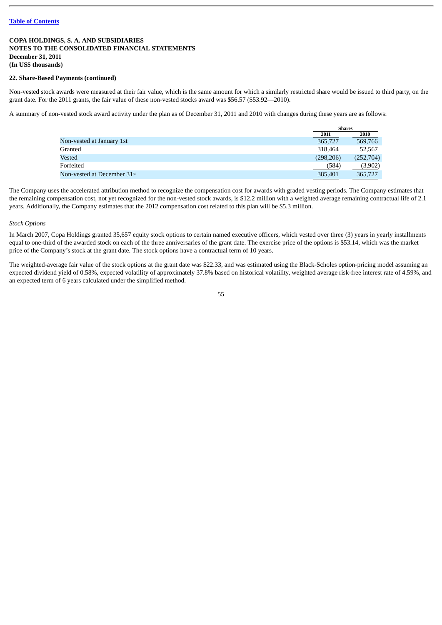## **COPA HOLDINGS, S. A. AND SUBSIDIARIES NOTES TO THE CONSOLIDATED FINANCIAL STATEMENTS December 31, 2011 (In US\$ thousands)**

### **22. Share-Based Payments (continued)**

Non-vested stock awards were measured at their fair value, which is the same amount for which a similarly restricted share would be issued to third party, on the grant date. For the 2011 grants, the fair value of these non-vested stocks award was \$56.57 (\$53.92—2010).

A summary of non-vested stock award activity under the plan as of December 31, 2011 and 2010 with changes during these years are as follows:

|                             | <b>Shares</b> |           |
|-----------------------------|---------------|-----------|
|                             | 2011          | 2010      |
| Non-vested at January 1st   | 365,727       | 569,766   |
| Granted                     | 318,464       | 52,567    |
| Vested                      | (298, 206)    | (252,704) |
| Forfeited                   | (584)         | (3,902)   |
| Non-vested at December 31st | 385,401       | 365,727   |

The Company uses the accelerated attribution method to recognize the compensation cost for awards with graded vesting periods. The Company estimates that the remaining compensation cost, not yet recognized for the non-vested stock awards, is \$12.2 million with a weighted average remaining contractual life of 2.1 years. Additionally, the Company estimates that the 2012 compensation cost related to this plan will be \$5.3 million.

### *Stock Options*

In March 2007, Copa Holdings granted 35,657 equity stock options to certain named executive officers, which vested over three (3) years in yearly installments equal to one-third of the awarded stock on each of the three anniversaries of the grant date. The exercise price of the options is \$53.14, which was the market price of the Company's stock at the grant date. The stock options have a contractual term of 10 years.

The weighted-average fair value of the stock options at the grant date was \$22.33, and was estimated using the Black-Scholes option-pricing model assuming an expected dividend yield of 0.58%, expected volatility of approximately 37.8% based on historical volatility, weighted average risk-free interest rate of 4.59%, and an expected term of 6 years calculated under the simplified method.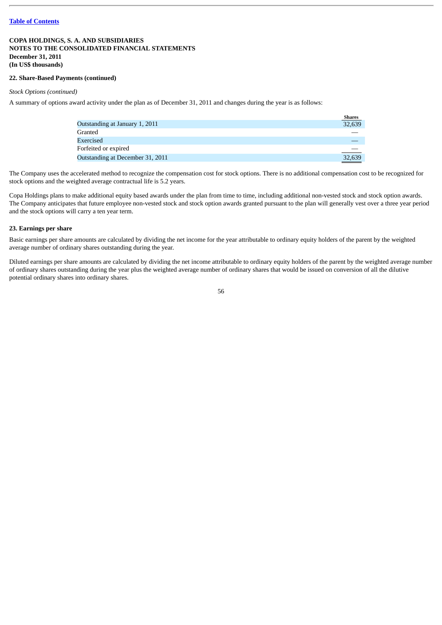## **COPA HOLDINGS, S. A. AND SUBSIDIARIES NOTES TO THE CONSOLIDATED FINANCIAL STATEMENTS December 31, 2011 (In US\$ thousands)**

### **22. Share-Based Payments (continued)**

### *Stock Options (continued)*

A summary of options award activity under the plan as of December 31, 2011 and changes during the year is as follows:

|                                  | <b>Shares</b> |
|----------------------------------|---------------|
| Outstanding at January 1, 2011   | 32,639        |
| Granted                          |               |
| Exercised                        |               |
| Forfeited or expired             |               |
| Outstanding at December 31, 2011 | 32,639        |
|                                  | <u> —</u>     |

The Company uses the accelerated method to recognize the compensation cost for stock options. There is no additional compensation cost to be recognized for stock options and the weighted average contractual life is 5.2 years.

Copa Holdings plans to make additional equity based awards under the plan from time to time, including additional non-vested stock and stock option awards. The Company anticipates that future employee non-vested stock and stock option awards granted pursuant to the plan will generally vest over a three year period and the stock options will carry a ten year term.

#### **23. Earnings per share**

Basic earnings per share amounts are calculated by dividing the net income for the year attributable to ordinary equity holders of the parent by the weighted average number of ordinary shares outstanding during the year.

Diluted earnings per share amounts are calculated by dividing the net income attributable to ordinary equity holders of the parent by the weighted average number of ordinary shares outstanding during the year plus the weighted average number of ordinary shares that would be issued on conversion of all the dilutive potential ordinary shares into ordinary shares.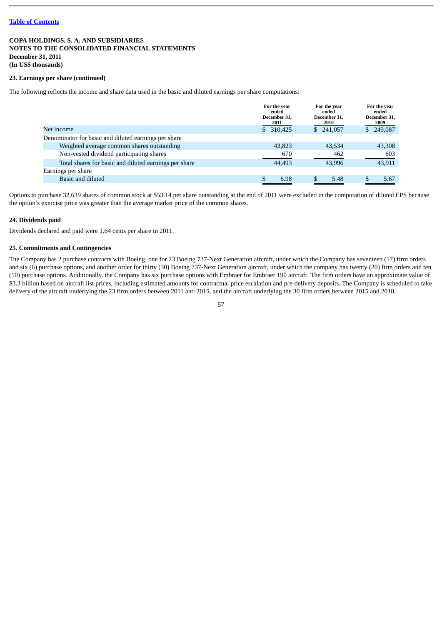## **COPA HOLDINGS, S. A. AND SUBSIDIARIES NOTES TO THE CONSOLIDATED FINANCIAL STATEMENTS December 31, 2011 (In US\$ thousands)**

#### **23. Earnings per share (continued)**

The following reflects the income and share data used in the basic and diluted earnings per share computations:

|                                                       | For the year<br>ended<br>December 31,<br>2011 | For the year<br>ended<br>December 31,<br>2010 | For the year<br>ended<br>December 31,<br>2009 |
|-------------------------------------------------------|-----------------------------------------------|-----------------------------------------------|-----------------------------------------------|
| Net income                                            | \$310,425                                     | \$241,057                                     | \$ 249,087                                    |
| Denominator for basic and diluted earnings per share  |                                               |                                               |                                               |
| Weighted average common shares outstanding            | 43,823                                        | 43.534                                        | 43,308                                        |
| Non-vested dividend participating shares              | 670                                           | 462                                           | 603                                           |
| Total shares for basic and diluted earnings per share | 44.493                                        | 43.996                                        | 43,911                                        |
| Earnings per share                                    |                                               |                                               |                                               |
| Basic and diluted                                     | 6.98                                          | 5.48                                          | 5.67                                          |

Options to purchase 32,639 shares of common stock at \$53.14 per share outstanding at the end of 2011 were excluded in the computation of diluted EPS because the option's exercise price was greater than the average market price of the common shares.

#### **24. Dividends paid**

Dividends declared and paid were 1.64 cents per share in 2011.

## **25. Commitments and Contingencies**

The Company has 2 purchase contracts with Boeing, one for 23 Boeing 737-Next Generation aircraft, under which the Company has seventeen (17) firm orders and six (6) purchase options, and another order for thirty (30) Boeing 737-Next Generation aircraft, under which the company has twenty (20) firm orders and ten (10) purchase options. Additionally, the Company has six purchase options with Embraer for Embraer 190 aircraft. The firm orders have an approximate value of \$3.3 billion based on aircraft list prices, including estimated amounts for contractual price escalation and pre-delivery deposits. The Company is scheduled to take delivery of the aircraft underlying the 23 firm orders between 2011 and 2015, and the aircraft underlying the 30 firm orders between 2015 and 2018.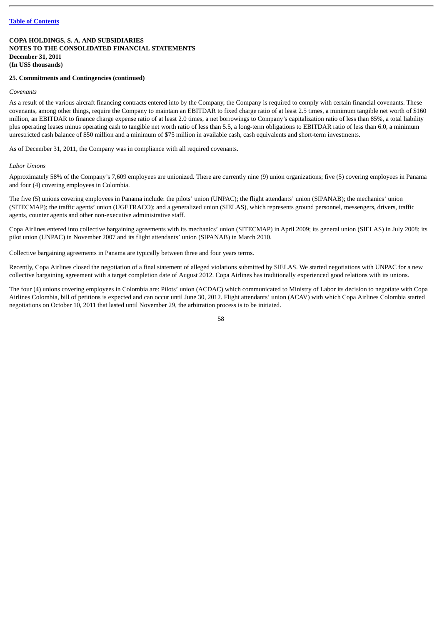## **COPA HOLDINGS, S. A. AND SUBSIDIARIES NOTES TO THE CONSOLIDATED FINANCIAL STATEMENTS December 31, 2011 (In US\$ thousands)**

#### **25. Commitments and Contingencies (continued)**

#### *Covenants*

As a result of the various aircraft financing contracts entered into by the Company, the Company is required to comply with certain financial covenants. These covenants, among other things, require the Company to maintain an EBITDAR to fixed charge ratio of at least 2.5 times, a minimum tangible net worth of \$160 million, an EBITDAR to finance charge expense ratio of at least 2.0 times, a net borrowings to Company's capitalization ratio of less than 85%, a total liability plus operating leases minus operating cash to tangible net worth ratio of less than 5.5, a long-term obligations to EBITDAR ratio of less than 6.0, a minimum unrestricted cash balance of \$50 million and a minimum of \$75 million in available cash, cash equivalents and short-term investments.

As of December 31, 2011, the Company was in compliance with all required covenants.

#### *Labor Unions*

Approximately 58% of the Company's 7,609 employees are unionized. There are currently nine (9) union organizations; five (5) covering employees in Panama and four (4) covering employees in Colombia.

The five (5) unions covering employees in Panama include: the pilots' union (UNPAC); the flight attendants' union (SIPANAB); the mechanics' union (SITECMAP); the traffic agents' union (UGETRACO); and a generalized union (SIELAS), which represents ground personnel, messengers, drivers, traffic agents, counter agents and other non-executive administrative staff.

Copa Airlines entered into collective bargaining agreements with its mechanics' union (SITECMAP) in April 2009; its general union (SIELAS) in July 2008; its pilot union (UNPAC) in November 2007 and its flight attendants' union (SIPANAB) in March 2010.

Collective bargaining agreements in Panama are typically between three and four years terms.

Recently, Copa Airlines closed the negotiation of a final statement of alleged violations submitted by SIELAS. We started negotiations with UNPAC for a new collective bargaining agreement with a target completion date of August 2012. Copa Airlines has traditionally experienced good relations with its unions.

The four (4) unions covering employees in Colombia are: Pilots' union (ACDAC) which communicated to Ministry of Labor its decision to negotiate with Copa Airlines Colombia, bill of petitions is expected and can occur until June 30, 2012. Flight attendants' union (ACAV) with which Copa Airlines Colombia started negotiations on October 10, 2011 that lasted until November 29, the arbitration process is to be initiated.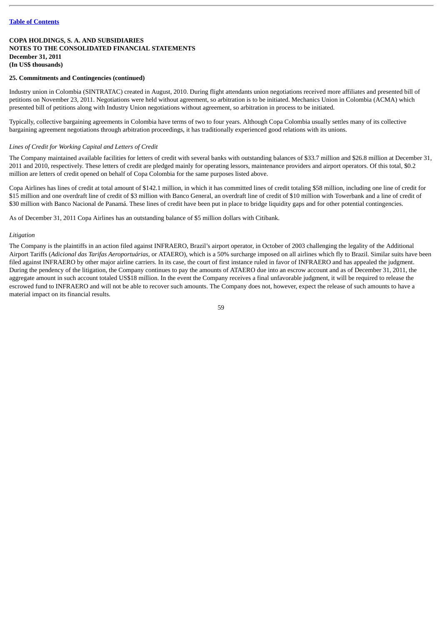## **COPA HOLDINGS, S. A. AND SUBSIDIARIES NOTES TO THE CONSOLIDATED FINANCIAL STATEMENTS December 31, 2011 (In US\$ thousands)**

### **25. Commitments and Contingencies (continued)**

Industry union in Colombia (SINTRATAC) created in August, 2010. During flight attendants union negotiations received more affiliates and presented bill of petitions on November 23, 2011. Negotiations were held without agreement, so arbitration is to be initiated. Mechanics Union in Colombia (ACMA) which presented bill of petitions along with Industry Union negotiations without agreement, so arbitration in process to be initiated.

Typically, collective bargaining agreements in Colombia have terms of two to four years. Although Copa Colombia usually settles many of its collective bargaining agreement negotiations through arbitration proceedings, it has traditionally experienced good relations with its unions.

### *Lines of Credit for Working Capital and Letters of Credit*

The Company maintained available facilities for letters of credit with several banks with outstanding balances of \$33.7 million and \$26.8 million at December 31, 2011 and 2010, respectively. These letters of credit are pledged mainly for operating lessors, maintenance providers and airport operators. Of this total, \$0.2 million are letters of credit opened on behalf of Copa Colombia for the same purposes listed above.

Copa Airlines has lines of credit at total amount of \$142.1 million, in which it has committed lines of credit totaling \$58 million, including one line of credit for \$15 million and one overdraft line of credit of \$3 million with Banco General, an overdraft line of credit of \$10 million with Towerbank and a line of credit of \$30 million with Banco Nacional de Panamá. These lines of credit have been put in place to bridge liquidity gaps and for other potential contingencies.

As of December 31, 2011 Copa Airlines has an outstanding balance of \$5 million dollars with Citibank.

#### *Litigation*

The Company is the plaintiffs in an action filed against INFRAERO, Brazil's airport operator, in October of 2003 challenging the legality of the Additional Airport Tariffs (*Adicional das Tarifas Aeroportuárias*, or ATAERO), which is a 50% surcharge imposed on all airlines which fly to Brazil. Similar suits have been filed against INFRAERO by other major airline carriers. In its case, the court of first instance ruled in favor of INFRAERO and has appealed the judgment. During the pendency of the litigation, the Company continues to pay the amounts of ATAERO due into an escrow account and as of December 31, 2011, the aggregate amount in such account totaled US\$18 million. In the event the Company receives a final unfavorable judgment, it will be required to release the escrowed fund to INFRAERO and will not be able to recover such amounts. The Company does not, however, expect the release of such amounts to have a material impact on its financial results.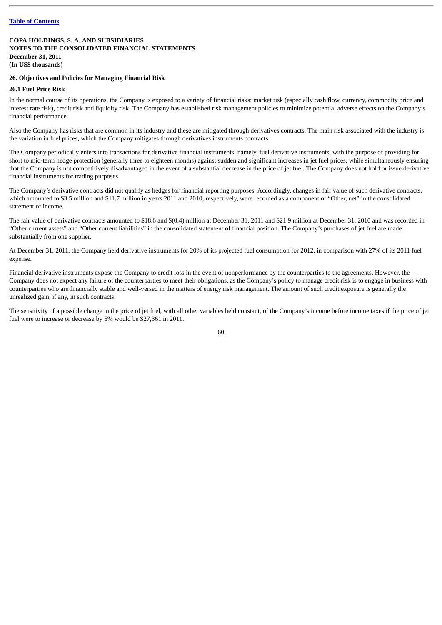## **COPA HOLDINGS, S. A. AND SUBSIDIARIES NOTES TO THE CONSOLIDATED FINANCIAL STATEMENTS December 31, 2011 (In US\$ thousands)**

### **26. Objectives and Policies for Managing Financial Risk**

#### **26.1 Fuel Price Risk**

In the normal course of its operations, the Company is exposed to a variety of financial risks: market risk (especially cash flow, currency, commodity price and interest rate risk), credit risk and liquidity risk. The Company has established risk management policies to minimize potential adverse effects on the Company's financial performance.

Also the Company has risks that are common in its industry and these are mitigated through derivatives contracts. The main risk associated with the industry is the variation in fuel prices, which the Company mitigates through derivatives instruments contracts.

The Company periodically enters into transactions for derivative financial instruments, namely, fuel derivative instruments, with the purpose of providing for short to mid-term hedge protection (generally three to eighteen months) against sudden and significant increases in jet fuel prices, while simultaneously ensuring that the Company is not competitively disadvantaged in the event of a substantial decrease in the price of jet fuel. The Company does not hold or issue derivative financial instruments for trading purposes.

The Company's derivative contracts did not qualify as hedges for financial reporting purposes. Accordingly, changes in fair value of such derivative contracts, which amounted to \$3.5 million and \$11.7 million in years 2011 and 2010, respectively, were recorded as a component of "Other, net" in the consolidated statement of income.

The fair value of derivative contracts amounted to \$18.6 and \$(0.4) million at December 31, 2011 and \$21.9 million at December 31, 2010 and was recorded in "Other current assets" and "Other current liabilities" in the consolidated statement of financial position. The Company's purchases of jet fuel are made substantially from one supplier.

At December 31, 2011, the Company held derivative instruments for 20% of its projected fuel consumption for 2012, in comparison with 27% of its 2011 fuel expense.

Financial derivative instruments expose the Company to credit loss in the event of nonperformance by the counterparties to the agreements. However, the Company does not expect any failure of the counterparties to meet their obligations, as the Company's policy to manage credit risk is to engage in business with counterparties who are financially stable and well-versed in the matters of energy risk management. The amount of such credit exposure is generally the unrealized gain, if any, in such contracts.

The sensitivity of a possible change in the price of jet fuel, with all other variables held constant, of the Company's income before income taxes if the price of jet fuel were to increase or decrease by 5% would be \$27,361 in 2011.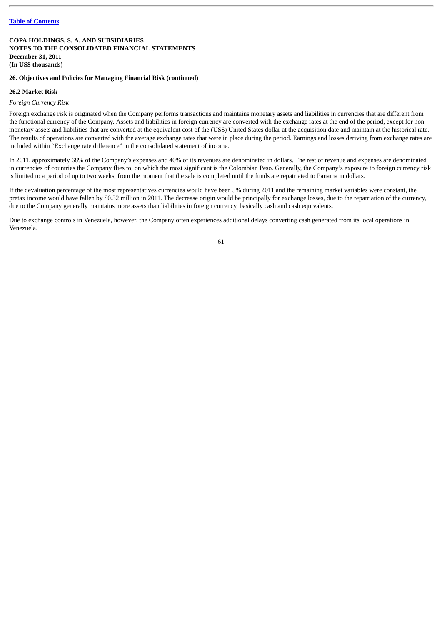## **COPA HOLDINGS, S. A. AND SUBSIDIARIES NOTES TO THE CONSOLIDATED FINANCIAL STATEMENTS December 31, 2011 (In US\$ thousands)**

## **26. Objectives and Policies for Managing Financial Risk (continued)**

### **26.2 Market Risk**

*Foreign Currency Risk*

Foreign exchange risk is originated when the Company performs transactions and maintains monetary assets and liabilities in currencies that are different from the functional currency of the Company. Assets and liabilities in foreign currency are converted with the exchange rates at the end of the period, except for nonmonetary assets and liabilities that are converted at the equivalent cost of the (US\$) United States dollar at the acquisition date and maintain at the historical rate. The results of operations are converted with the average exchange rates that were in place during the period. Earnings and losses deriving from exchange rates are included within "Exchange rate difference" in the consolidated statement of income.

In 2011, approximately 68% of the Company's expenses and 40% of its revenues are denominated in dollars. The rest of revenue and expenses are denominated in currencies of countries the Company flies to, on which the most significant is the Colombian Peso. Generally, the Company's exposure to foreign currency risk is limited to a period of up to two weeks, from the moment that the sale is completed until the funds are repatriated to Panama in dollars.

If the devaluation percentage of the most representatives currencies would have been 5% during 2011 and the remaining market variables were constant, the pretax income would have fallen by \$0.32 million in 2011. The decrease origin would be principally for exchange losses, due to the repatriation of the currency, due to the Company generally maintains more assets than liabilities in foreign currency, basically cash and cash equivalents.

Due to exchange controls in Venezuela, however, the Company often experiences additional delays converting cash generated from its local operations in Venezuela.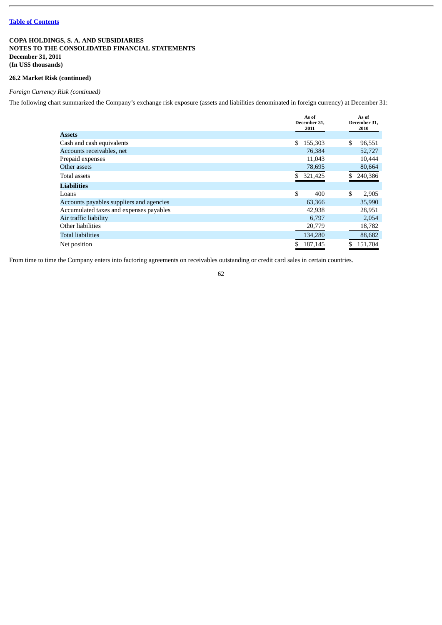## **COPA HOLDINGS, S. A. AND SUBSIDIARIES NOTES TO THE CONSOLIDATED FINANCIAL STATEMENTS December 31, 2011 (In US\$ thousands)**

# **26.2 Market Risk (continued)**

## *Foreign Currency Risk (continued)*

The following chart summarized the Company's exchange risk exposure (assets and liabilities denominated in foreign currency) at December 31:

|                                          | As of<br>December 31,<br>2011 | As of<br>December 31,<br>2010 |
|------------------------------------------|-------------------------------|-------------------------------|
| Assets                                   |                               |                               |
| Cash and cash equivalents                | \$<br>155,303                 | \$<br>96,551                  |
| Accounts receivables, net                | 76,384                        | 52,727                        |
| Prepaid expenses                         | 11,043                        | 10,444                        |
| Other assets                             | 78,695                        | 80,664                        |
| Total assets                             | \$321,425                     | 240,386                       |
| Liabilities                              |                               |                               |
| Loans                                    | \$<br>400                     | \$<br>2,905                   |
| Accounts payables suppliers and agencies | 63,366                        | 35,990                        |
| Accumulated taxes and expenses payables  | 42,938                        | 28,951                        |
| Air traffic liability                    | 6,797                         | 2,054                         |
| Other liabilities                        | 20,779                        | 18,782                        |
| <b>Total liabilities</b>                 | 134,280                       | 88,682                        |
| Net position                             | 187,145                       | 151,704                       |

From time to time the Company enters into factoring agreements on receivables outstanding or credit card sales in certain countries.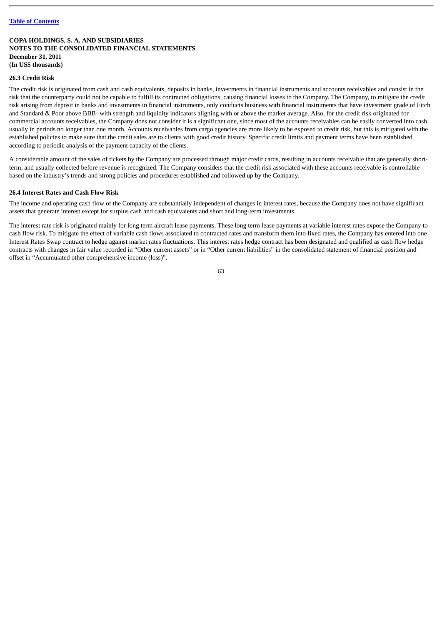### **COPA HOLDINGS, S. A. AND SUBSIDIARIES NOTES TO THE CONSOLIDATED FINANCIAL STATEMENTS December 31, 2011 (In US\$ thousands)**

## **26.3 Credit Risk**

The credit risk is originated from cash and cash equivalents, deposits in banks, investments in financial instruments and accounts receivables and consist in the risk that the counterparty could not be capable to fulfill its contracted obligations, causing financial losses to the Company. The Company, to mitigate the credit risk arising from deposit in banks and investments in financial instruments, only conducts business with financial instruments that have investment grade of Fitch and Standard & Poor above BBB- with strength and liquidity indicators aligning with or above the market average. Also, for the credit risk originated for commercial accounts receivables, the Company does not consider it is a significant one, since most of the accounts receivables can be easily converted into cash, usually in periods no longer than one month. Accounts receivables from cargo agencies are more likely to be exposed to credit risk, but this is mitigated with the established policies to make sure that the credit sales are to clients with good credit history. Specific credit limits and payment terms have been established according to periodic analysis of the payment capacity of the clients.

A considerable amount of the sales of tickets by the Company are processed through major credit cards, resulting in accounts receivable that are generally shortterm, and usually collected before revenue is recognized. The Company considers that the credit risk associated with these accounts receivable is controllable based on the industry's trends and strong policies and procedures established and followed up by the Company.

#### **26.4 Interest Rates and Cash Flow Risk**

The income and operating cash flow of the Company are substantially independent of changes in interest rates, because the Company does not have significant assets that generate interest except for surplus cash and cash equivalents and short and long-term investments.

The interest rate risk is originated mainly for long term aircraft lease payments. These long term lease payments at variable interest rates expose the Company to cash flow risk. To mitigate the effect of variable cash flows associated to contracted rates and transform them into fixed rates, the Company has entered into one Interest Rates Swap contract to hedge against market rates fluctuations. This interest rates hedge contract has been designated and qualified as cash flow hedge contracts with changes in fair value recorded in "Other current assets" or in "Other current liabilities" in the consolidated statement of financial position and offset in "Accumulated other comprehensive income (loss)".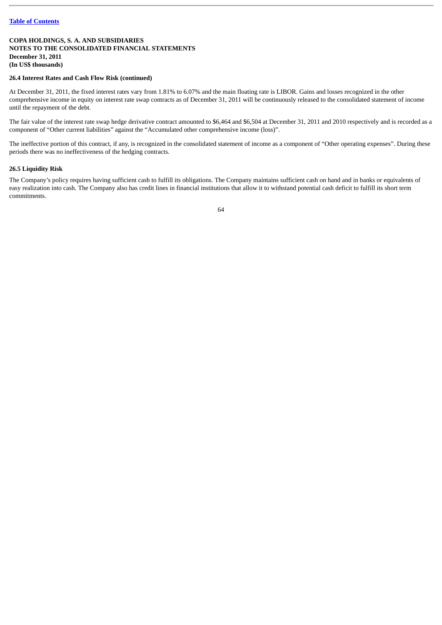## **COPA HOLDINGS, S. A. AND SUBSIDIARIES NOTES TO THE CONSOLIDATED FINANCIAL STATEMENTS December 31, 2011 (In US\$ thousands)**

### **26.4 Interest Rates and Cash Flow Risk (continued)**

At December 31, 2011, the fixed interest rates vary from 1.81% to 6.07% and the main floating rate is LIBOR. Gains and losses recognized in the other comprehensive income in equity on interest rate swap contracts as of December 31, 2011 will be continuously released to the consolidated statement of income until the repayment of the debt.

The fair value of the interest rate swap hedge derivative contract amounted to \$6,464 and \$6,504 at December 31, 2011 and 2010 respectively and is recorded as a component of "Other current liabilities" against the "Accumulated other comprehensive income (loss)".

The ineffective portion of this contract, if any, is recognized in the consolidated statement of income as a component of "Other operating expenses". During these periods there was no ineffectiveness of the hedging contracts.

### **26.5 Liquidity Risk**

The Company's policy requires having sufficient cash to fulfill its obligations. The Company maintains sufficient cash on hand and in banks or equivalents of easy realization into cash. The Company also has credit lines in financial institutions that allow it to withstand potential cash deficit to fulfill its short term commitments.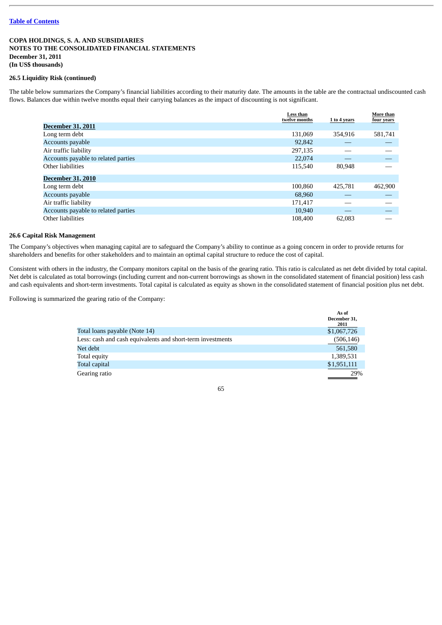## **COPA HOLDINGS, S. A. AND SUBSIDIARIES NOTES TO THE CONSOLIDATED FINANCIAL STATEMENTS December 31, 2011 (In US\$ thousands)**

## **26.5 Liquidity Risk (continued)**

The table below summarizes the Company's financial liabilities according to their maturity date. The amounts in the table are the contractual undiscounted cash flows. Balances due within twelve months equal their carrying balances as the impact of discounting is not significant.

|                                     | Less than<br>twelve months |              | More than  |
|-------------------------------------|----------------------------|--------------|------------|
| <b>December 31, 2011</b>            |                            | 1 to 4 years | four years |
| Long term debt                      | 131.069                    | 354,916      | 581,741    |
| Accounts payable                    | 92,842                     |              |            |
| Air traffic liability               | 297.135                    |              |            |
| Accounts payable to related parties | 22,074                     |              |            |
| Other liabilities                   | 115,540                    | 80.948       |            |
| <b>December 31, 2010</b>            |                            |              |            |
| Long term debt                      | 100.860                    | 425.781      | 462,900    |
| Accounts payable                    | 68,960                     |              |            |
| Air traffic liability               | 171.417                    |              |            |
| Accounts payable to related parties | 10,940                     |              |            |
| Other liabilities                   | 108,400                    | 62.083       |            |

## **26.6 Capital Risk Management**

The Company's objectives when managing capital are to safeguard the Company's ability to continue as a going concern in order to provide returns for shareholders and benefits for other stakeholders and to maintain an optimal capital structure to reduce the cost of capital.

Consistent with others in the industry, the Company monitors capital on the basis of the gearing ratio. This ratio is calculated as net debt divided by total capital. Net debt is calculated as total borrowings (including current and non-current borrowings as shown in the consolidated statement of financial position) less cash and cash equivalents and short-term investments. Total capital is calculated as equity as shown in the consolidated statement of financial position plus net debt.

Following is summarized the gearing ratio of the Company:

|                                                            | As of<br>December 31,<br>2011 |
|------------------------------------------------------------|-------------------------------|
| Total loans payable (Note 14)                              | \$1,067,726                   |
| Less: cash and cash equivalents and short-term investments | (506, 146)                    |
| Net debt                                                   | 561,580                       |
| Total equity                                               | 1,389,531                     |
| <b>Total capital</b>                                       | \$1,951,111                   |
| Gearing ratio                                              | 29%                           |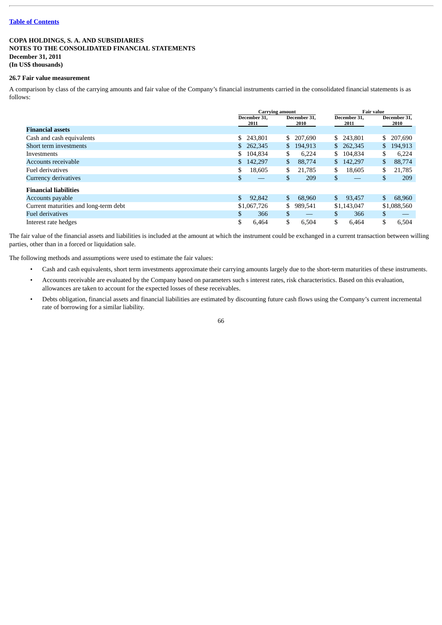## **COPA HOLDINGS, S. A. AND SUBSIDIARIES NOTES TO THE CONSOLIDATED FINANCIAL STATEMENTS December 31, 2011 (In US\$ thousands)**

## **26.7 Fair value measurement**

A comparison by class of the carrying amounts and fair value of the Company's financial instruments carried in the consolidated financial statements is as follows:

|                                       |    | <b>Carrying amount</b> |    |                      | <b>Fair value</b> |                      |              |                      |
|---------------------------------------|----|------------------------|----|----------------------|-------------------|----------------------|--------------|----------------------|
|                                       |    | December 31.<br>2011   |    | December 31.<br>2010 |                   | December 31.<br>2011 |              | December 31,<br>2010 |
| <b>Financial assets</b>               |    |                        |    |                      |                   |                      |              |                      |
| Cash and cash equivalents             | S. | 243.801                | S. | 207.690              |                   | \$243,801            |              | \$ 207,690           |
| Short term investments                | S. | 262,345                |    | \$194,913            |                   | \$262,345            |              | \$194,913            |
| Investments                           | S. | 104,834                | \$ | 6,224                |                   | \$104,834            | \$           | 6,224                |
| Accounts receivable                   | S. | 142,297                | \$ | 88,774               |                   | \$142,297            | $\mathbb{S}$ | 88,774               |
| Fuel derivatives                      | \$ | 18,605                 | \$ | 21,785               | \$                | 18.605               | \$           | 21,785               |
| Currency derivatives                  | S  |                        | \$ | 209                  | \$                |                      | \$           | 209                  |
| <b>Financial liabilities</b>          |    |                        |    |                      |                   |                      |              |                      |
| Accounts payable                      | \$ | 92,842                 | \$ | 68,960               | \$                | 93,457               | $\mathbb{S}$ | 68,960               |
| Current maturities and long-term debt |    | \$1,067,726            | \$ | 989,541              |                   | \$1,143,047          |              | \$1,088,560          |
| <b>Fuel derivatives</b>               | \$ | 366                    | \$ |                      | \$                | 366                  | \$           |                      |
| Interest rate hedges                  | \$ | 6,464                  | \$ | 6,504                | \$                | 6,464                | \$           | 6,504                |

The fair value of the financial assets and liabilities is included at the amount at which the instrument could be exchanged in a current transaction between willing parties, other than in a forced or liquidation sale.

The following methods and assumptions were used to estimate the fair values:

- Cash and cash equivalents, short term investments approximate their carrying amounts largely due to the short-term maturities of these instruments.
- Accounts receivable are evaluated by the Company based on parameters such s interest rates, risk characteristics. Based on this evaluation, allowances are taken to account for the expected losses of these receivables.
- Debts obligation, financial assets and financial liabilities are estimated by discounting future cash flows using the Company's current incremental rate of borrowing for a similar liability.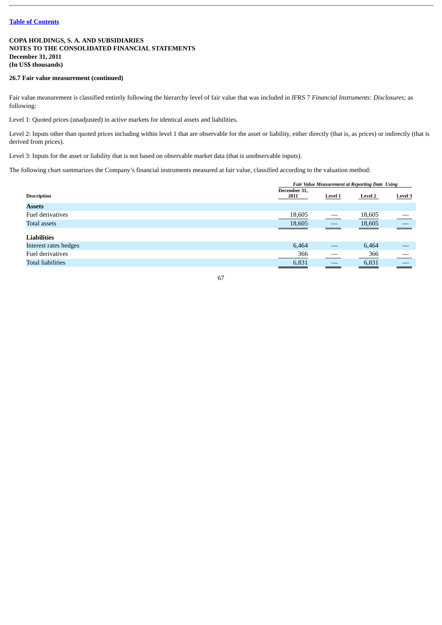# **COPA HOLDINGS, S. A. AND SUBSIDIARIES NOTES TO THE CONSOLIDATED FINANCIAL STATEMENTS December 31, 2011 (In US\$ thousands)**

## **26.7 Fair value measurement (continued)**

Fair value measurement is classified entirely following the hierarchy level of fair value that was included in IFRS 7 *Financial Instruments: Disclosures;* as following:

Level 1: Quoted prices (unadjusted) in active markets for identical assets and liabilities.

Level 2: Inputs other than quoted prices including within level 1 that are observable for the asset or liability, either directly (that is, as prices) or indirectly (that is derived from prices).

Level 3: Inputs for the asset or liability that is not based on observable market data (that is unobservable inputs).

The following chart summarizes the Company's financial instruments measured at fair value, classified according to the valuation method:

|                          |                      | <b>Fair Value Measurement at Reporting Date Using</b> |                |         |
|--------------------------|----------------------|-------------------------------------------------------|----------------|---------|
| <b>Description</b>       | December 31,<br>2011 | Level 1                                               | <b>Level 2</b> | Level 3 |
| <b>Assets</b>            |                      |                                                       |                |         |
| Fuel derivatives         | 18,605               |                                                       | 18,605         |         |
| <b>Total assets</b>      | 18,605               |                                                       | 18,605         |         |
| <b>Liabilities</b>       |                      |                                                       |                |         |
| Interest rates hedges    | 6,464                |                                                       | 6,464          |         |
| Fuel derivatives         | 366                  |                                                       | 366            |         |
| <b>Total liabilities</b> | 6,831                |                                                       | 6,831          |         |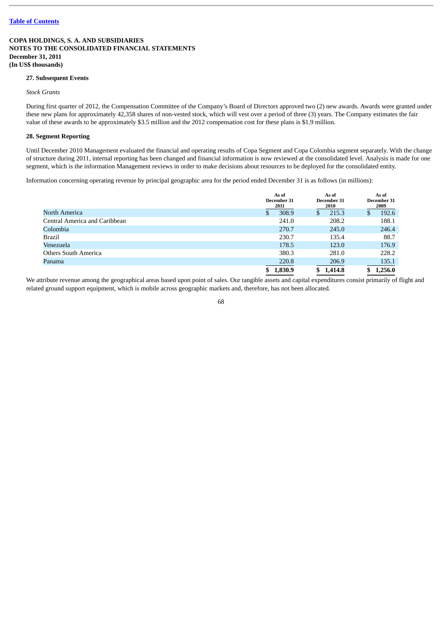## **COPA HOLDINGS, S. A. AND SUBSIDIARIES NOTES TO THE CONSOLIDATED FINANCIAL STATEMENTS December 31, 2011 (In US\$ thousands)**

#### **27. Subsequent Events**

#### *Stock Grants*

During first quarter of 2012, the Compensation Committee of the Company's Board of Directors approved two (2) new awards. Awards were granted under these new plans for approximately 42,358 shares of non-vested stock, which will vest over a period of three (3) years. The Company estimates the fair value of these awards to be approximately \$3.5 million and the 2012 compensation cost for these plans is \$1.9 million.

#### **28. Segment Reporting**

Until December 2010 Management evaluated the financial and operating results of Copa Segment and Copa Colombia segment separately. With the change of structure during 2011, internal reporting has been changed and financial information is now reviewed at the consolidated level. Analysis is made for one segment, which is the information Management reviews in order to make decisions about resources to be deployed for the consolidated entity.

Information concerning operating revenue by principal geographic area for the period ended December 31 is as follows (in millions):

|                               | As of<br>December 31<br>2011 | As of<br>December 31<br>2010 | As of<br>December 31<br>2009 |
|-------------------------------|------------------------------|------------------------------|------------------------------|
| North America                 | 308.9                        | 215.3<br>S.                  | 192.6<br>S                   |
| Central America and Caribbean | 241.0                        | 208.2                        | 188.1                        |
| Colombia                      | 270.7                        | 245.0                        | 246.4                        |
| Brazil                        | 230.7                        | 135.4                        | 88.7                         |
| Venezuela                     | 178.5                        | 123.0                        | 176.9                        |
| Others South America          | 380.3                        | 281.0                        | 228.2                        |
| Panama                        | 220.8                        | 206.9                        | 135.1                        |
|                               | 1,830.9<br>S                 | 1,414.8                      | 1,256.0                      |

We attribute revenue among the geographical areas based upon point of sales. Our tangible assets and capital expenditures consist primarily of flight and related ground support equipment, which is mobile across geographic markets and, therefore, has not been allocated.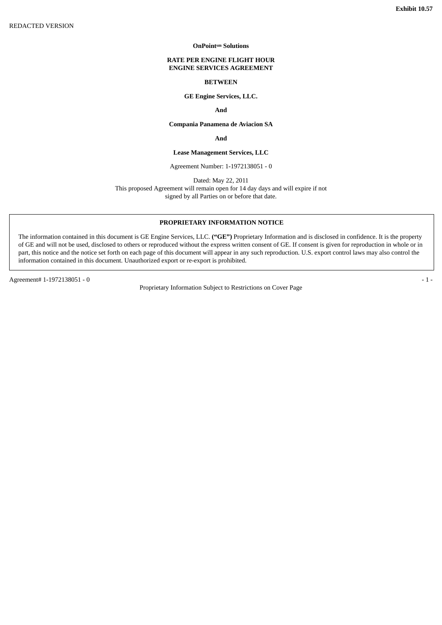**OnPointsm Solutions** 

## **RATE PER ENGINE FLIGHT HOUR ENGINE SERVICES AGREEMENT**

### **BETWEEN**

### **GE Engine Services, LLC.**

### **And**

**Compania Panamena de Aviacion SA**

#### **And**

## **Lease Management Services, LLC**

Agreement Number: 1-1972138051 - 0

Dated: May 22, 2011

This proposed Agreement will remain open for 14 day days and will expire if not signed by all Parties on or before that date.

## **PROPRIETARY INFORMATION NOTICE**

The information contained in this document is GE Engine Services, LLC. **("GE")** Proprietary Information and is disclosed in confidence. It is the property of GE and will not be used, disclosed to others or reproduced without the express written consent of GE. If consent is given for reproduction in whole or in part, this notice and the notice set forth on each page of this document will appear in any such reproduction. U.S. export control laws may also control the information contained in this document. Unauthorized export or re-export is prohibited.

Agreement# 1-1972138051 - 0 - 1 -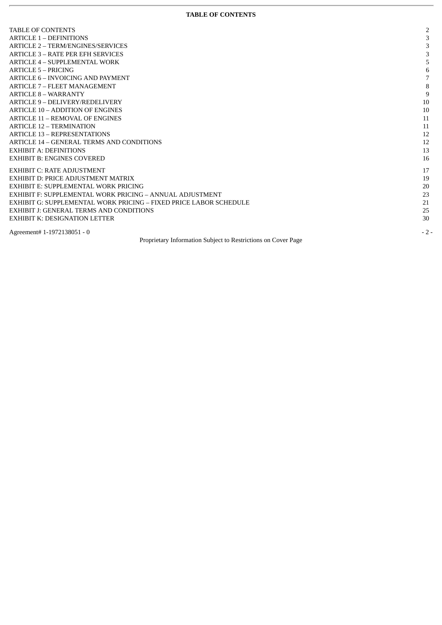| <b>TABLE OF CONTENTS</b>                                          | $\overline{2}$ |
|-------------------------------------------------------------------|----------------|
| <b>ARTICLE 1 - DEFINITIONS</b>                                    | 3              |
| ARTICLE 2 - TERM/ENGINES/SERVICES                                 | 3              |
| <b>ARTICLE 3 - RATE PER EFH SERVICES</b>                          | 3              |
| ARTICLE 4 – SUPPLEMENTAL WORK                                     | 5              |
| <b>ARTICLE 5 - PRICING</b>                                        | 6              |
| ARTICLE 6 - INVOICING AND PAYMENT                                 |                |
| <b>ARTICLE 7 - FLEET MANAGEMENT</b>                               | 8              |
| <b>ARTICLE 8 - WARRANTY</b>                                       | 9              |
| ARTICLE 9 - DELIVERY/REDELIVERY                                   | 10             |
| ARTICLE 10 - ADDITION OF ENGINES                                  | 10             |
| ARTICLE 11 - REMOVAL OF ENGINES                                   | 11             |
| <b>ARTICLE 12 - TERMINATION</b>                                   | 11             |
| <b>ARTICLE 13 - REPRESENTATIONS</b>                               | 12             |
| ARTICLE 14 - GENERAL TERMS AND CONDITIONS                         | 12             |
| <b>EXHIBIT A: DEFINITIONS</b>                                     | 13             |
| <b>EXHIBIT B: ENGINES COVERED</b>                                 | 16             |
| <b>EXHIBIT C: RATE ADJUSTMENT</b>                                 | 17             |
| EXHIBIT D: PRICE ADJUSTMENT MATRIX                                | 19             |
| EXHIBIT E: SUPPLEMENTAL WORK PRICING                              | 20             |
| EXHIBIT F: SUPPLEMENTAL WORK PRICING - ANNUAL ADJUSTMENT          | 23             |
| EXHIBIT G: SUPPLEMENTAL WORK PRICING – FIXED PRICE LABOR SCHEDULE | 21             |
| <b>EXHIBIT J: GENERAL TERMS AND CONDITIONS</b>                    | 25             |
| <b>EXHIBIT K: DESIGNATION LETTER</b>                              | 30             |
| Agreement# 1-1972138051 - 0                                       | $-2-$          |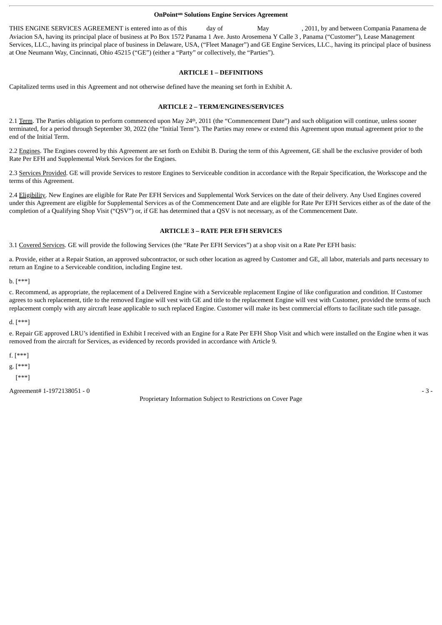#### **OnPointsm Solutions Engine Services Agreement**

THIS ENGINE SERVICES AGREEMENT is entered into as of this day of May , 2011, by and between Compania Panamena de Aviacion SA, having its principal place of business at Po Box 1572 Panama 1 Ave. Justo Arosemena Y Calle 3 , Panama ("Customer"), Lease Management Services, LLC., having its principal place of business in Delaware, USA, ("Fleet Manager") and GE Engine Services, LLC., having its principal place of business at One Neumann Way, Cincinnati, Ohio 45215 ("GE") (either a "Party" or collectively, the "Parties").

### **ARTICLE 1 – DEFINITIONS**

Capitalized terms used in this Agreement and not otherwise defined have the meaning set forth in Exhibit A.

## **ARTICLE 2 – TERM/ENGINES/SERVICES**

2.1 Term. The Parties obligation to perform commenced upon May 24<sup>th</sup>, 2011 (the "Commencement Date") and such obligation will continue, unless sooner terminated, for a period through September 30, 2022 (the "Initial Term"). The Parties may renew or extend this Agreement upon mutual agreement prior to the end of the Initial Term.

2.2 Engines. The Engines covered by this Agreement are set forth on Exhibit B. During the term of this Agreement, GE shall be the exclusive provider of both Rate Per EFH and Supplemental Work Services for the Engines.

2.3 Services Provided. GE will provide Services to restore Engines to Serviceable condition in accordance with the Repair Specification, the Workscope and the terms of this Agreement.

2.4 Eligibility. New Engines are eligible for Rate Per EFH Services and Supplemental Work Services on the date of their delivery. Any Used Engines covered under this Agreement are eligible for Supplemental Services as of the Commencement Date and are eligible for Rate Per EFH Services either as of the date of the completion of a Qualifying Shop Visit ("QSV") or, if GE has determined that a QSV is not necessary, as of the Commencement Date.

# **ARTICLE 3 – RATE PER EFH SERVICES**

3.1 Covered Services. GE will provide the following Services (the "Rate Per EFH Services") at a shop visit on a Rate Per EFH basis:

a. Provide, either at a Repair Station, an approved subcontractor, or such other location as agreed by Customer and GE, all labor, materials and parts necessary to return an Engine to a Serviceable condition, including Engine test.

b. [\*\*\*]

c. Recommend, as appropriate, the replacement of a Delivered Engine with a Serviceable replacement Engine of like configuration and condition. If Customer agrees to such replacement, title to the removed Engine will vest with GE and title to the replacement Engine will vest with Customer, provided the terms of such replacement comply with any aircraft lease applicable to such replaced Engine. Customer will make its best commercial efforts to facilitate such title passage.

## d. [\*\*\*]

e. Repair GE approved LRU's identified in Exhibit I received with an Engine for a Rate Per EFH Shop Visit and which were installed on the Engine when it was removed from the aircraft for Services, as evidenced by records provided in accordance with Article 9.

- f. [\*\*\*]
- g. [\*\*\*]
- [\*\*\*]

Agreement# 1-1972138051 - 0 - 3 -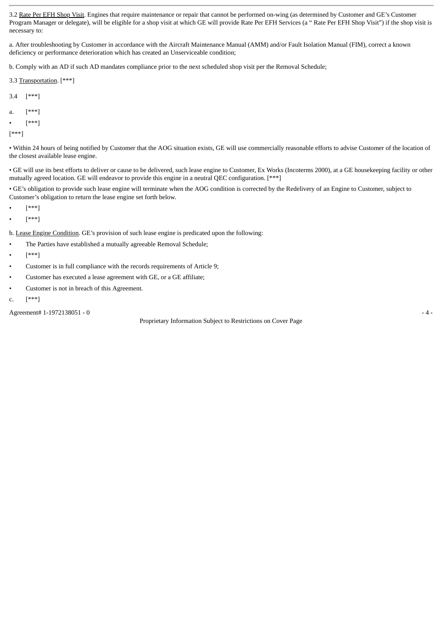3.2 Rate Per EFH Shop Visit. Engines that require maintenance or repair that cannot be performed on-wing (as determined by Customer and GE's Customer Program Manager or delegate), will be eligible for a shop visit at which GE will provide Rate Per EFH Services (a " Rate Per EFH Shop Visit") if the shop visit is necessary to:

a. After troubleshooting by Customer in accordance with the Aircraft Maintenance Manual (AMM) and/or Fault Isolation Manual (FIM), correct a known deficiency or performance deterioration which has created an Unserviceable condition;

b. Comply with an AD if such AD mandates compliance prior to the next scheduled shop visit per the Removal Schedule;

3.3 Transportation. [\*\*\*]

3.4 [\*\*\*]

 $[***]$ 

 $[***]$ 

[\*\*\*]

• Within 24 hours of being notified by Customer that the AOG situation exists, GE will use commercially reasonable efforts to advise Customer of the location of the closest available lease engine.

• GE will use its best efforts to deliver or cause to be delivered, such lease engine to Customer, Ex Works (Incoterms 2000), at a GE housekeeping facility or other mutually agreed location. GE will endeavor to provide this engine in a neutral QEC configuration. [\*\*\*]

• GE's obligation to provide such lease engine will terminate when the AOG condition is corrected by the Redelivery of an Engine to Customer, subject to Customer's obligation to return the lease engine set forth below.

- $[***]$
- $[***]$

b. Lease Engine Condition. GE's provision of such lease engine is predicated upon the following:

- The Parties have established a mutually agreeable Removal Schedule;
- $[***]$
- Customer is in full compliance with the records requirements of Article 9;
- Customer has executed a lease agreement with GE, or a GE affiliate;
- Customer is not in breach of this Agreement.
- c. [\*\*\*]

Agreement# 1-1972138051 - 0 - 4 -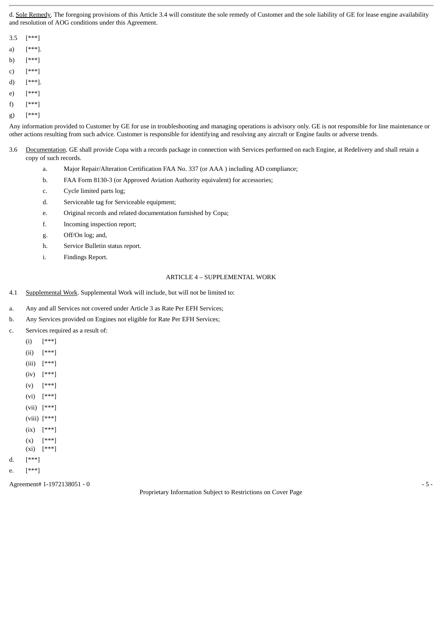d. Sole Remedy. The foregoing provisions of this Article 3.4 will constitute the sole remedy of Customer and the sole liability of GE for lease engine availability and resolution of AOG conditions under this Agreement.

- 3.5 [\*\*\*]
- a) [\*\*\*].
- b) [\*\*\*]
- c) [\*\*\*]
- d) [\*\*\*].
- e) [\*\*\*]
- f) [\*\*\*]
- g) [\*\*\*]

Any information provided to Customer by GE for use in troubleshooting and managing operations is advisory only. GE is not responsible for line maintenance or other actions resulting from such advice. Customer is responsible for identifying and resolving any aircraft or Engine faults or adverse trends.

3.6 Documentation. GE shall provide Copa with a records package in connection with Services performed on each Engine, at Redelivery and shall retain a copy of such records.

- a. Major Repair/Alteration Certification FAA No. 337 (or AAA ) including AD compliance;
- b. FAA Form 8130-3 (or Approved Aviation Authority equivalent) for accessories;
- c. Cycle limited parts log;
- d. Serviceable tag for Serviceable equipment;
- e. Original records and related documentation furnished by Copa;
- f. Incoming inspection report;
- g. Off/On log; and,
- h. Service Bulletin status report.
- i. Findings Report.

# ARTICLE 4 – SUPPLEMENTAL WORK

- 4.1 Supplemental Work. Supplemental Work will include, but will not be limited to:
- a. Any and all Services not covered under Article 3 as Rate Per EFH Services;
- b. Any Services provided on Engines not eligible for Rate Per EFH Services;
- c. Services required as a result of:
	- (i) [\*\*\*]
	- (ii) [\*\*\*]
	- (iii) [\*\*\*]
	- (iv) [\*\*\*]
	- (v) [\*\*\*]
	- (vi) [\*\*\*]
	- (vii) [\*\*\*]
	- (viii) [\*\*\*]
	-
	- (ix) [\*\*\*]
	- (x) [\*\*\*] (xi) [\*\*\*]
- d. [\*\*\*]
- e. [\*\*\*]

Agreement# 1-1972138051 - 0 - 5 -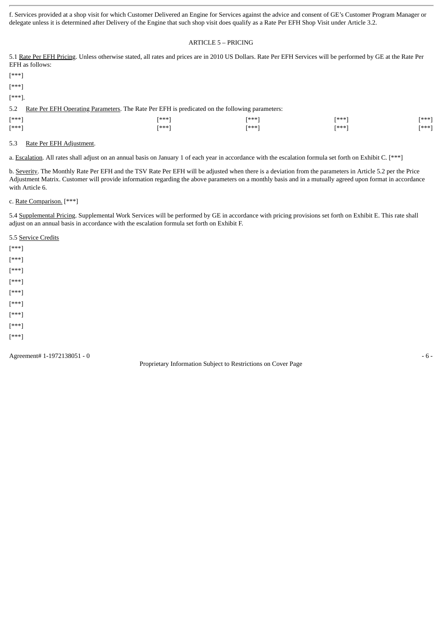f. Services provided at a shop visit for which Customer Delivered an Engine for Services against the advice and consent of GE's Customer Program Manager or delegate unless it is determined after Delivery of the Engine that such shop visit does qualify as a Rate Per EFH Shop Visit under Article 3.2.

### ARTICLE 5 – PRICING

5.1 Rate Per EFH Pricing. Unless otherwise stated, all rates and prices are in 2010 US Dollars. Rate Per EFH Services will be performed by GE at the Rate Per EFH as follows:

[\*\*\*]

- [\*\*\*]
- 
- [\*\*\*].

5.2 Rate Per EFH Operating Parameters. The Rate Per EFH is predicated on the following parameters:

| $[***]$ | [***] | [***] | [***] | [***] |
|---------|-------|-------|-------|-------|
| [***]   | [***] | [***] | [***] | [***] |

### 5.3 Rate Per EFH Adjustment.

a. Escalation. All rates shall adjust on an annual basis on January 1 of each year in accordance with the escalation formula set forth on Exhibit C. [\*\*\*]

b. Severity. The Monthly Rate Per EFH and the TSV Rate Per EFH will be adjusted when there is a deviation from the parameters in Article 5.2 per the Price Adjustment Matrix. Customer will provide information regarding the above parameters on a monthly basis and in a mutually agreed upon format in accordance with Article 6.

## c. Rate Comparison. [\*\*\*]

5.4 Supplemental Pricing. Supplemental Work Services will be performed by GE in accordance with pricing provisions set forth on Exhibit E. This rate shall adjust on an annual basis in accordance with the escalation formula set forth on Exhibit F.

#### 5.5 Service Credits

[\*\*\*]

- [\*\*\*]
- [\*\*\*]
- [\*\*\*]
- [\*\*\*]
- [\*\*\*]
- [\*\*\*]
- 
- [\*\*\*]
- [\*\*\*]

 $A$ greement# 1-1972138051 - 0  $-6$  -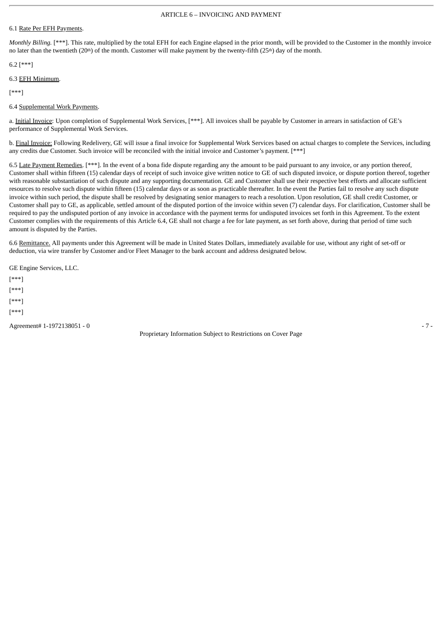### ARTICLE 6 – INVOICING AND PAYMENT

## 6.1 Rate Per EFH Payments.

*Monthly Billing.* [\*\*\*]. This rate, multiplied by the total EFH for each Engine elapsed in the prior month, will be provided to the Customer in the monthly invoice no later than the twentieth  $(20<sup>th</sup>)$  of the month. Customer will make payment by the twenty-fifth  $(25<sup>th</sup>)$  day of the month.

6.2 [\*\*\*]

6.3 EFH Minimum.

[\*\*\*]

6.4 Supplemental Work Payments.

a. Initial Invoice: Upon completion of Supplemental Work Services, [\*\*\*]. All invoices shall be payable by Customer in arrears in satisfaction of GE's performance of Supplemental Work Services.

b. Final Invoice: Following Redelivery, GE will issue a final invoice for Supplemental Work Services based on actual charges to complete the Services, including any credits due Customer. Such invoice will be reconciled with the initial invoice and Customer's payment. [\*\*\*]

6.5 Late Payment Remedies. [\*\*\*]. In the event of a bona fide dispute regarding any the amount to be paid pursuant to any invoice, or any portion thereof, Customer shall within fifteen (15) calendar days of receipt of such invoice give written notice to GE of such disputed invoice, or dispute portion thereof, together with reasonable substantiation of such dispute and any supporting documentation. GE and Customer shall use their respective best efforts and allocate sufficient resources to resolve such dispute within fifteen (15) calendar days or as soon as practicable thereafter. In the event the Parties fail to resolve any such dispute invoice within such period, the dispute shall be resolved by designating senior managers to reach a resolution. Upon resolution, GE shall credit Customer, or Customer shall pay to GE, as applicable, settled amount of the disputed portion of the invoice within seven (7) calendar days. For clarification, Customer shall be required to pay the undisputed portion of any invoice in accordance with the payment terms for undisputed invoices set forth in this Agreement. To the extent Customer complies with the requirements of this Article 6.4, GE shall not charge a fee for late payment, as set forth above, during that period of time such amount is disputed by the Parties.

6.6 Remittance. All payments under this Agreement will be made in United States Dollars, immediately available for use, without any right of set-off or deduction, via wire transfer by Customer and/or Fleet Manager to the bank account and address designated below.

GE Engine Services, LLC.

- [\*\*\*]
- [\*\*\*]
- [\*\*\*]
- [\*\*\*]

Agreement# 1-1972138051 - 0 - 7 -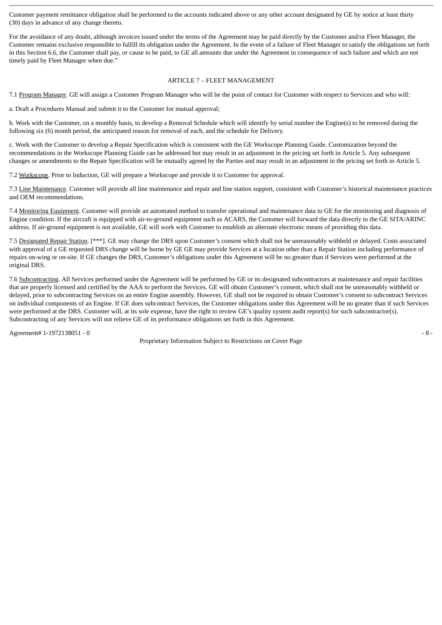Customer payment remittance obligation shall be performed to the accounts indicated above or any other account designated by GE by notice at least thirty (30) days in advance of any change thereto.

For the avoidance of any doubt, although invoices issued under the terms of the Agreement may be paid directly by the Customer and/or Fleet Manager, the Customer remains exclusive responsible to fulfill its obligation under the Agreement. In the event of a failure of Fleet Manager to satisfy the obligations set forth in this Section 6.6, the Customer shall pay, or cause to be paid, to GE all amounts due under the Agreement in consequence of such failure and which are not timely paid by Fleet Manager when due."

## ARTICLE 7 – FLEET MANAGEMENT

7.1 Program Manager. GE will assign a Customer Program Manager who will be the point of contact for Customer with respect to Services and who will:

a. Draft a Procedures Manual and submit it to the Customer for mutual approval;

b. Work with the Customer, on a monthly basis, to develop a Removal Schedule which will identify by serial number the Engine(s) to be removed during the following six (6) month period, the anticipated reason for removal of each, and the schedule for Delivery.

c. Work with the Customer to develop a Repair Specification which is consistent with the GE Workscope Planning Guide. Customization beyond the recommendations in the Workscope Planning Guide can be addressed but may result in an adjustment in the pricing set forth in Article 5. Any subsequent changes or amendments to the Repair Specification will be mutually agreed by the Parties and may result in an adjustment in the pricing set forth in Article 5.

7.2 Workscope. Prior to Induction, GE will prepare a Workscope and provide it to Customer for approval.

7.3 Line Maintenance. Customer will provide all line maintenance and repair and line station support, consistent with Customer's historical maintenance practices and OEM recommendations.

7.4 Monitoring Equipment. Customer will provide an automated method to transfer operational and maintenance data to GE for the monitoring and diagnosis of Engine condition. If the aircraft is equipped with air-to-ground equipment such as ACARS, the Customer will forward the data directly to the GE SITA/ARINC address. If air-ground equipment is not available, GE will work with Customer to establish an alternate electronic means of providing this data.

7.5 Designated Repair Station. [\*\*\*]. GE may change the DRS upon Customer's consent which shall not be unreasonably withheld or delayed. Costs associated with approval of a GE requested DRS change will be borne by GE GE may provide Services at a location other than a Repair Station including performance of repairs on-wing or on-site. If GE changes the DRS, Customer's obligations under this Agreement will be no greater than if Services were performed at the original DRS.

7.6 Subcontracting. All Services performed under the Agreement will be performed by GE or its designated subcontractors at maintenance and repair facilities that are properly licensed and certified by the AAA to perform the Services. GE will obtain Customer's consent, which shall not be unreasonably withheld or delayed, prior to subcontracting Services on an entire Engine assembly. However, GE shall not be required to obtain Customer's consent to subcontract Services on individual components of an Engine. If GE does subcontract Services, the Customer obligations under this Agreement will be no greater than if such Services were performed at the DRS. Customer will, at its sole expense, have the right to review GE's quality system audit report(s) for such subcontractor(s). Subcontracting of any Services will not relieve GE of its performance obligations set forth in this Agreement.

Agreement# 1-1972138051 - 0 - 8 -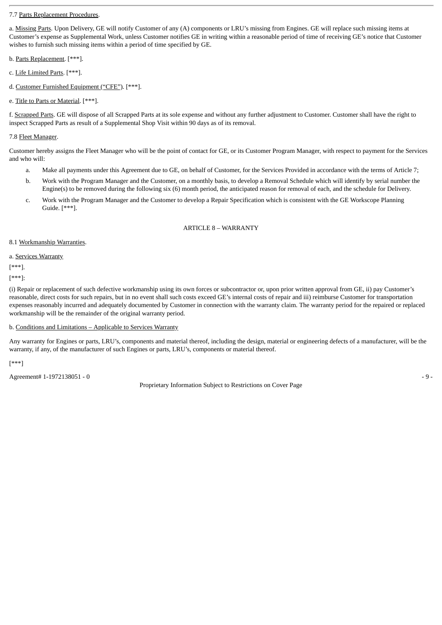## 7.7 Parts Replacement Procedures.

a. Missing Parts. Upon Delivery, GE will notify Customer of any (A) components or LRU's missing from Engines. GE will replace such missing items at Customer's expense as Supplemental Work, unless Customer notifies GE in writing within a reasonable period of time of receiving GE's notice that Customer wishes to furnish such missing items within a period of time specified by GE.

b. Parts Replacement. [\*\*\*].

c. Life Limited Parts. [\*\*\*].

- d. Customer Furnished Equipment ("CFE"). [\*\*\*].
- e. Title to Parts or Material. [\*\*\*].

f. Scrapped Parts. GE will dispose of all Scrapped Parts at its sole expense and without any further adjustment to Customer. Customer shall have the right to inspect Scrapped Parts as result of a Supplemental Shop Visit within 90 days as of its removal.

## 7.8 Fleet Manager.

Customer hereby assigns the Fleet Manager who will be the point of contact for GE, or its Customer Program Manager, with respect to payment for the Services and who will:

- a. Make all payments under this Agreement due to GE, on behalf of Customer, for the Services Provided in accordance with the terms of Article 7;
- b. Work with the Program Manager and the Customer, on a monthly basis, to develop a Removal Schedule which will identify by serial number the Engine(s) to be removed during the following six (6) month period, the anticipated reason for removal of each, and the schedule for Delivery.
- c. Work with the Program Manager and the Customer to develop a Repair Specification which is consistent with the GE Workscope Planning Guide. [\*\*\*].

## ARTICLE 8 – WARRANTY

## 8.1 Workmanship Warranties.

a. Services Warranty

[\*\*\*].

[\*\*\*]:

(i) Repair or replacement of such defective workmanship using its own forces or subcontractor or, upon prior written approval from GE, ii) pay Customer's reasonable, direct costs for such repairs, but in no event shall such costs exceed GE's internal costs of repair and iii) reimburse Customer for transportation expenses reasonably incurred and adequately documented by Customer in connection with the warranty claim. The warranty period for the repaired or replaced workmanship will be the remainder of the original warranty period.

## b. Conditions and Limitations – Applicable to Services Warranty

Any warranty for Engines or parts, LRU's, components and material thereof, including the design, material or engineering defects of a manufacturer, will be the warranty, if any, of the manufacturer of such Engines or parts, LRU's, components or material thereof.

[\*\*\*]

Agreement# 1-1972138051 - 0 - 9 -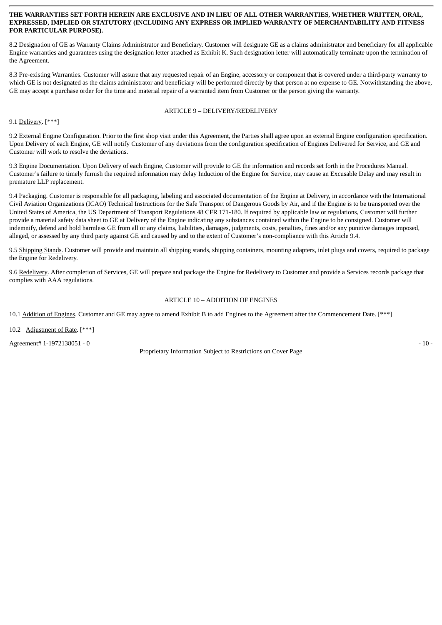## **THE WARRANTIES SET FORTH HEREIN ARE EXCLUSIVE AND IN LIEU OF ALL OTHER WARRANTIES, WHETHER WRITTEN, ORAL, EXPRESSED, IMPLIED OR STATUTORY (INCLUDING ANY EXPRESS OR IMPLIED WARRANTY OF MERCHANTABILITY AND FITNESS FOR PARTICULAR PURPOSE).**

8.2 Designation of GE as Warranty Claims Administrator and Beneficiary. Customer will designate GE as a claims administrator and beneficiary for all applicable Engine warranties and guarantees using the designation letter attached as Exhibit K. Such designation letter will automatically terminate upon the termination of the Agreement.

8.3 Pre-existing Warranties. Customer will assure that any requested repair of an Engine, accessory or component that is covered under a third-party warranty to which GE is not designated as the claims administrator and beneficiary will be performed directly by that person at no expense to GE. Notwithstanding the above, GE may accept a purchase order for the time and material repair of a warranted item from Customer or the person giving the warranty.

## ARTICLE 9 – DELIVERY/REDELIVERY

9.1 Delivery. [\*\*\*]

9.2 External Engine Configuration. Prior to the first shop visit under this Agreement, the Parties shall agree upon an external Engine configuration specification. Upon Delivery of each Engine, GE will notify Customer of any deviations from the configuration specification of Engines Delivered for Service, and GE and Customer will work to resolve the deviations.

9.3 Engine Documentation. Upon Delivery of each Engine, Customer will provide to GE the information and records set forth in the Procedures Manual. Customer's failure to timely furnish the required information may delay Induction of the Engine for Service, may cause an Excusable Delay and may result in premature LLP replacement.

9.4 Packaging. Customer is responsible for all packaging, labeling and associated documentation of the Engine at Delivery, in accordance with the International Civil Aviation Organizations (ICAO) Technical Instructions for the Safe Transport of Dangerous Goods by Air, and if the Engine is to be transported over the United States of America, the US Department of Transport Regulations 48 CFR 171-180. If required by applicable law or regulations, Customer will further provide a material safety data sheet to GE at Delivery of the Engine indicating any substances contained within the Engine to be consigned. Customer will indemnify, defend and hold harmless GE from all or any claims, liabilities, damages, judgments, costs, penalties, fines and/or any punitive damages imposed, alleged, or assessed by any third party against GE and caused by and to the extent of Customer's non-compliance with this Article 9.4.

9.5 Shipping Stands. Customer will provide and maintain all shipping stands, shipping containers, mounting adapters, inlet plugs and covers, required to package the Engine for Redelivery.

9.6 Redelivery. After completion of Services, GE will prepare and package the Engine for Redelivery to Customer and provide a Services records package that complies with AAA regulations.

## ARTICLE 10 – ADDITION OF ENGINES

10.1 Addition of Engines. Customer and GE may agree to amend Exhibit B to add Engines to the Agreement after the Commencement Date. [\*\*\*]

10.2 Adjustment of Rate. [\*\*\*]

Agreement# 1-1972138051 - 0 - 10 -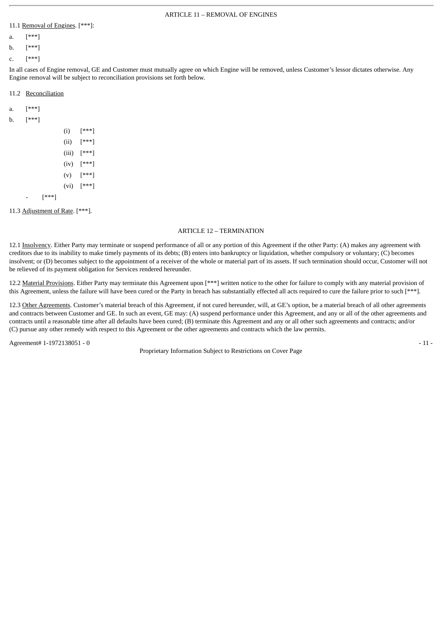### ARTICLE 11 – REMOVAL OF ENGINES

11.1 Removal of Engines. [\*\*\*]:

- a. [\*\*\*]
- b. [\*\*\*]

a. [\*\*\*] b. [\*\*\*]

c. [\*\*\*]

In all cases of Engine removal, GE and Customer must mutually agree on which Engine will be removed, unless Customer's lessor dictates otherwise. Any Engine removal will be subject to reconciliation provisions set forth below.

11.2 Reconciliation

| (i)   | [***] |
|-------|-------|
| (i)   | [***] |
| (iii) | [***] |
| (iv)  | [***] |
| (v)   | [***] |
| (vi)  | [***] |
|       |       |
| ***]  |       |

11.3 Adjustment of Rate. [\*\*\*].

### ARTICLE 12 – TERMINATION

12.1 Insolvency. Either Party may terminate or suspend performance of all or any portion of this Agreement if the other Party: (A) makes any agreement with creditors due to its inability to make timely payments of its debts; (B) enters into bankruptcy or liquidation, whether compulsory or voluntary; (C) becomes insolvent; or (D) becomes subject to the appointment of a receiver of the whole or material part of its assets. If such termination should occur, Customer will not be relieved of its payment obligation for Services rendered hereunder.

12.2 Material Provisions. Either Party may terminate this Agreement upon [\*\*\*] written notice to the other for failure to comply with any material provision of this Agreement, unless the failure will have been cured or the Party in breach has substantially effected all acts required to cure the failure prior to such [\*\*\*].

12.3 Other Agreements. Customer's material breach of this Agreement, if not cured hereunder, will, at GE's option, be a material breach of all other agreements and contracts between Customer and GE. In such an event, GE may: (A) suspend performance under this Agreement, and any or all of the other agreements and contracts until a reasonable time after all defaults have been cured; (B) terminate this Agreement and any or all other such agreements and contracts; and/or (C) pursue any other remedy with respect to this Agreement or the other agreements and contracts which the law permits.

Agreement# 1-1972138051 - 0 - 11 - 1072138051 - 0 - 11 - 11 - 11 - 11 - 12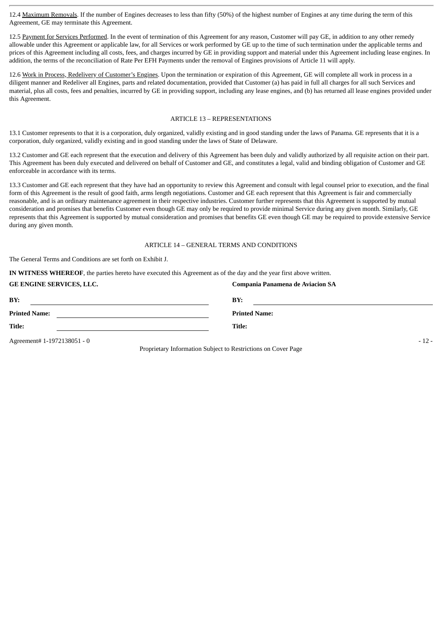12.4 Maximum Removals. If the number of Engines decreases to less than fifty (50%) of the highest number of Engines at any time during the term of this Agreement, GE may terminate this Agreement.

12.5 Payment for Services Performed. In the event of termination of this Agreement for any reason, Customer will pay GE, in addition to any other remedy allowable under this Agreement or applicable law, for all Services or work performed by GE up to the time of such termination under the applicable terms and prices of this Agreement including all costs, fees, and charges incurred by GE in providing support and material under this Agreement including lease engines. In addition, the terms of the reconciliation of Rate Per EFH Payments under the removal of Engines provisions of Article 11 will apply.

12.6 Work in Process, Redelivery of Customer's Engines. Upon the termination or expiration of this Agreement, GE will complete all work in process in a diligent manner and Redeliver all Engines, parts and related documentation, provided that Customer (a) has paid in full all charges for all such Services and material, plus all costs, fees and penalties, incurred by GE in providing support, including any lease engines, and (b) has returned all lease engines provided under this Agreement.

#### ARTICLE 13 – REPRESENTATIONS

13.1 Customer represents to that it is a corporation, duly organized, validly existing and in good standing under the laws of Panama. GE represents that it is a corporation, duly organized, validly existing and in good standing under the laws of State of Delaware.

13.2 Customer and GE each represent that the execution and delivery of this Agreement has been duly and validly authorized by all requisite action on their part. This Agreement has been duly executed and delivered on behalf of Customer and GE, and constitutes a legal, valid and binding obligation of Customer and GE enforceable in accordance with its terms.

13.3 Customer and GE each represent that they have had an opportunity to review this Agreement and consult with legal counsel prior to execution, and the final form of this Agreement is the result of good faith, arms length negotiations. Customer and GE each represent that this Agreement is fair and commercially reasonable, and is an ordinary maintenance agreement in their respective industries. Customer further represents that this Agreement is supported by mutual consideration and promises that benefits Customer even though GE may only be required to provide minimal Service during any given month. Similarly, GE represents that this Agreement is supported by mutual consideration and promises that benefits GE even though GE may be required to provide extensive Service during any given month.

### ARTICLE 14 – GENERAL TERMS AND CONDITIONS

The General Terms and Conditions are set forth on Exhibit J.

**IN WITNESS WHEREOF**, the parties hereto have executed this Agreement as of the day and the year first above written. **GE ENGINE SERVICES, LLC. Compania Panamena de Aviacion SA**

| GE ENGINE SERVICES, LLC.    | Compania Panamena de Aviación SA                              |        |
|-----------------------------|---------------------------------------------------------------|--------|
| BY:                         | BY:                                                           |        |
| <b>Printed Name:</b>        | <b>Printed Name:</b>                                          |        |
| Title:                      | Title:                                                        |        |
| Agreement# 1-1972138051 - 0 |                                                               | $-12-$ |
|                             | Proprietary Information Subject to Restrictions on Cover Page |        |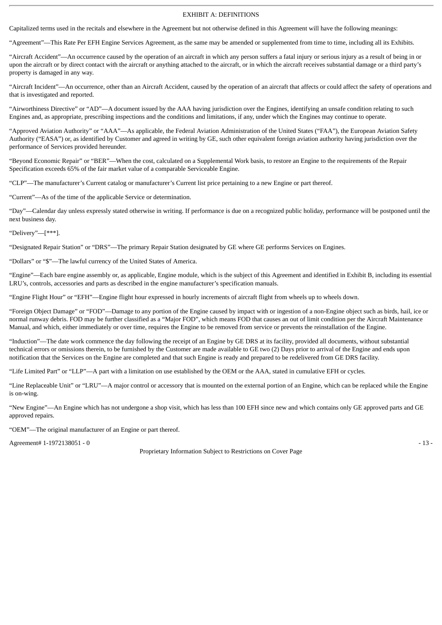## EXHIBIT A: DEFINITIONS

Capitalized terms used in the recitals and elsewhere in the Agreement but not otherwise defined in this Agreement will have the following meanings:

"Agreement"—This Rate Per EFH Engine Services Agreement, as the same may be amended or supplemented from time to time, including all its Exhibits.

"Aircraft Accident"—An occurrence caused by the operation of an aircraft in which any person suffers a fatal injury or serious injury as a result of being in or upon the aircraft or by direct contact with the aircraft or anything attached to the aircraft, or in which the aircraft receives substantial damage or a third party's property is damaged in any way.

"Aircraft Incident"—An occurrence, other than an Aircraft Accident, caused by the operation of an aircraft that affects or could affect the safety of operations and that is investigated and reported.

"Airworthiness Directive" or "AD"—A document issued by the AAA having jurisdiction over the Engines, identifying an unsafe condition relating to such Engines and, as appropriate, prescribing inspections and the conditions and limitations, if any, under which the Engines may continue to operate.

"Approved Aviation Authority" or "AAA"—As applicable, the Federal Aviation Administration of the United States ("FAA"), the European Aviation Safety Authority ("EASA") or, as identified by Customer and agreed in writing by GE, such other equivalent foreign aviation authority having jurisdiction over the performance of Services provided hereunder.

"Beyond Economic Repair" or "BER"—When the cost, calculated on a Supplemental Work basis, to restore an Engine to the requirements of the Repair Specification exceeds 65% of the fair market value of a comparable Serviceable Engine.

"CLP"—The manufacturer's Current catalog or manufacturer's Current list price pertaining to a new Engine or part thereof.

"Current"—As of the time of the applicable Service or determination.

"Day"—Calendar day unless expressly stated otherwise in writing. If performance is due on a recognized public holiday, performance will be postponed until the next business day.

"Delivery"—[\*\*\*].

"Designated Repair Station" or "DRS"—The primary Repair Station designated by GE where GE performs Services on Engines.

"Dollars" or "\$"—The lawful currency of the United States of America.

"Engine"—Each bare engine assembly or, as applicable, Engine module, which is the subject of this Agreement and identified in Exhibit B, including its essential LRU's, controls, accessories and parts as described in the engine manufacturer's specification manuals.

"Engine Flight Hour" or "EFH"—Engine flight hour expressed in hourly increments of aircraft flight from wheels up to wheels down.

"Foreign Object Damage" or "FOD"—Damage to any portion of the Engine caused by impact with or ingestion of a non-Engine object such as birds, hail, ice or normal runway debris. FOD may be further classified as a "Major FOD", which means FOD that causes an out of limit condition per the Aircraft Maintenance Manual, and which, either immediately or over time, requires the Engine to be removed from service or prevents the reinstallation of the Engine.

"Induction"—The date work commence the day following the receipt of an Engine by GE DRS at its facility, provided all documents, without substantial technical errors or omissions therein, to be furnished by the Customer are made available to GE two (2) Days prior to arrival of the Engine and ends upon notification that the Services on the Engine are completed and that such Engine is ready and prepared to be redelivered from GE DRS facility.

"Life Limited Part" or "LLP"—A part with a limitation on use established by the OEM or the AAA, stated in cumulative EFH or cycles.

"Line Replaceable Unit" or "LRU"—A major control or accessory that is mounted on the external portion of an Engine, which can be replaced while the Engine is on-wing.

"New Engine"—An Engine which has not undergone a shop visit, which has less than 100 EFH since new and which contains only GE approved parts and GE approved repairs.

"OEM"—The original manufacturer of an Engine or part thereof.

Agreement# 1-1972138051 - 0 - 13 -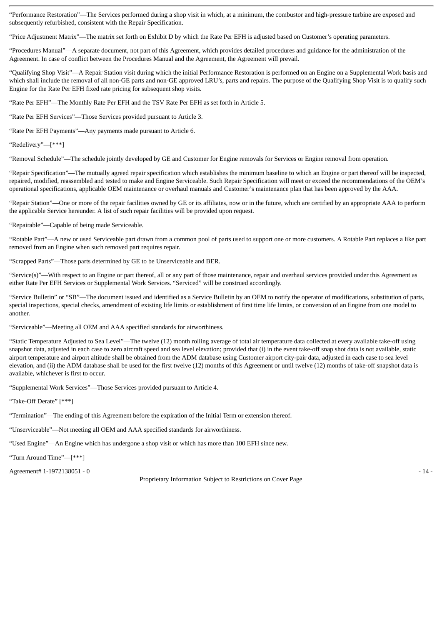"Performance Restoration"—The Services performed during a shop visit in which, at a minimum, the combustor and high-pressure turbine are exposed and subsequently refurbished, consistent with the Repair Specification.

"Price Adjustment Matrix"—The matrix set forth on Exhibit D by which the Rate Per EFH is adjusted based on Customer's operating parameters.

"Procedures Manual"—A separate document, not part of this Agreement, which provides detailed procedures and guidance for the administration of the Agreement. In case of conflict between the Procedures Manual and the Agreement, the Agreement will prevail.

"Qualifying Shop Visit"—A Repair Station visit during which the initial Performance Restoration is performed on an Engine on a Supplemental Work basis and which shall include the removal of all non-GE parts and non-GE approved LRU's, parts and repairs. The purpose of the Qualifying Shop Visit is to qualify such Engine for the Rate Per EFH fixed rate pricing for subsequent shop visits.

"Rate Per EFH"—The Monthly Rate Per EFH and the TSV Rate Per EFH as set forth in Article 5.

"Rate Per EFH Services"—Those Services provided pursuant to Article 3.

"Rate Per EFH Payments"—Any payments made pursuant to Article 6.

"Redelivery"—[\*\*\*]

"Removal Schedule"—The schedule jointly developed by GE and Customer for Engine removals for Services or Engine removal from operation.

"Repair Specification"—The mutually agreed repair specification which establishes the minimum baseline to which an Engine or part thereof will be inspected, repaired, modified, reassembled and tested to make and Engine Serviceable. Such Repair Specification will meet or exceed the recommendations of the OEM's operational specifications, applicable OEM maintenance or overhaul manuals and Customer's maintenance plan that has been approved by the AAA.

"Repair Station"—One or more of the repair facilities owned by GE or its affiliates, now or in the future, which are certified by an appropriate AAA to perform the applicable Service hereunder. A list of such repair facilities will be provided upon request.

"Repairable"—Capable of being made Serviceable.

"Rotable Part"—A new or used Serviceable part drawn from a common pool of parts used to support one or more customers. A Rotable Part replaces a like part removed from an Engine when such removed part requires repair.

"Scrapped Parts"—Those parts determined by GE to be Unserviceable and BER.

"Service(s)"—With respect to an Engine or part thereof, all or any part of those maintenance, repair and overhaul services provided under this Agreement as either Rate Per EFH Services or Supplemental Work Services. "Serviced" will be construed accordingly.

"Service Bulletin" or "SB"—The document issued and identified as a Service Bulletin by an OEM to notify the operator of modifications, substitution of parts, special inspections, special checks, amendment of existing life limits or establishment of first time life limits, or conversion of an Engine from one model to another.

"Serviceable"—Meeting all OEM and AAA specified standards for airworthiness.

"Static Temperature Adjusted to Sea Level"—The twelve (12) month rolling average of total air temperature data collected at every available take-off using snapshot data, adjusted in each case to zero aircraft speed and sea level elevation; provided that (i) in the event take-off snap shot data is not available, static airport temperature and airport altitude shall be obtained from the ADM database using Customer airport city-pair data, adjusted in each case to sea level elevation, and (ii) the ADM database shall be used for the first twelve (12) months of this Agreement or until twelve (12) months of take-off snapshot data is available, whichever is first to occur.

"Supplemental Work Services"—Those Services provided pursuant to Article 4.

"Take-Off Derate" [\*\*\*]

"Termination"—The ending of this Agreement before the expiration of the Initial Term or extension thereof.

"Unserviceable"—Not meeting all OEM and AAA specified standards for airworthiness.

"Used Engine"—An Engine which has undergone a shop visit or which has more than 100 EFH since new.

"Turn Around Time"—[\*\*\*]

Agreement# 1-1972138051 - 0 - 14 -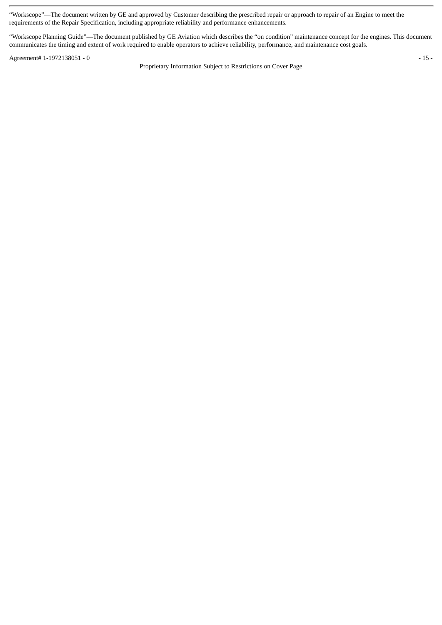"Workscope"—The document written by GE and approved by Customer describing the prescribed repair or approach to repair of an Engine to meet the requirements of the Repair Specification, including appropriate reliability and performance enhancements.

"Workscope Planning Guide"—The document published by GE Aviation which describes the "on condition" maintenance concept for the engines. This document communicates the timing and extent of work required to enable operators to achieve reliability, performance, and maintenance cost goals.

Agreement# 1-1972138051 - 0 - 15 -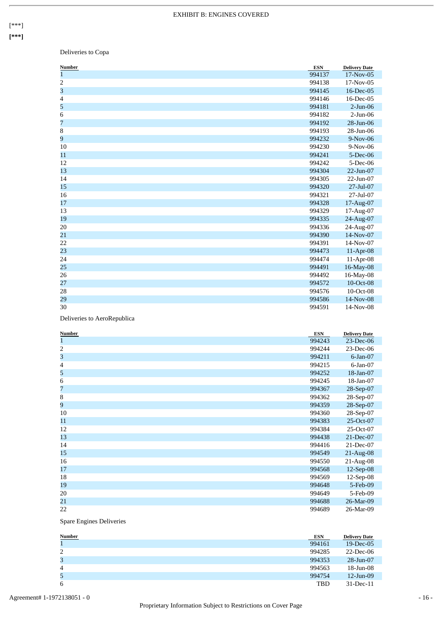# Deliveries to Copa

| Number          | <b>ESN</b> | <b>Delivery Date</b> |
|-----------------|------------|----------------------|
| $\overline{1}$  | 994137     | 17-Nov-05            |
| $\overline{2}$  | 994138     | 17-Nov-05            |
| 3               | 994145     | 16-Dec-05            |
| 4               | 994146     | 16-Dec-05            |
| 5               | 994181     | $2-Jun-06$           |
| $6\overline{6}$ | 994182     | $2-Jun-06$           |
| 7               | 994192     | 28-Jun-06            |
| 8               | 994193     | 28-Jun-06            |
| 9               | 994232     | $9-Nov-06$           |
| 10              | 994230     | $9-Nov-06$           |
| 11              | 994241     | 5-Dec-06             |
| 12              | 994242     | 5-Dec-06             |
| 13              | 994304     | 22-Jun-07            |
| 14              | 994305     | 22-Jun-07            |
| 15              | 994320     | 27-Jul-07            |
| 16              | 994321     | 27-Jul-07            |
| 17              | 994328     | 17-Aug-07            |
| 13              | 994329     | 17-Aug-07            |
| 19              | 994335     | 24-Aug-07            |
| 20              | 994336     | 24-Aug-07            |
| 21              | 994390     | 14-Nov-07            |
| 22              | 994391     | 14-Nov-07            |
| 23              | 994473     | 11-Apr-08            |
| 24              | 994474     | 11-Apr-08            |
| 25              | 994491     | 16-May-08            |
| 26              | 994492     | 16-May-08            |
| 27              | 994572     | 10-Oct-08            |
| 28              | 994576     | 10-Oct-08            |
| 29              | 994586     | 14-Nov-08            |
| 30              | 994591     | 14-Nov-08            |

Deliveries to AeroRepublica

| <b>Number</b> | <b>ESN</b> | <b>Delivery Date</b> |
|---------------|------------|----------------------|
| $\mathbf{1}$  | 994243     | 23-Dec-06            |
| 2             | 994244     | 23-Dec-06            |
| 3             | 994211     | $6-Jan-07$           |
| 4             | 994215     | $6-Jan-07$           |
| 5             | 994252     | 18-Jan-07            |
| 6             | 994245     | 18-Jan-07            |
| 7             | 994367     | 28-Sep-07            |
| 8             | 994362     | 28-Sep-07            |
| 9             | 994359     | 28-Sep-07            |
| 10            | 994360     | 28-Sep-07            |
| 11            | 994383     | 25-Oct-07            |
| 12            | 994384     | 25-Oct-07            |
| 13            | 994438     | 21-Dec-07            |
| 14            | 994416     | 21-Dec-07            |
| 15            | 994549     | 21-Aug-08            |
| 16            | 994550     | 21-Aug-08            |
| 17            | 994568     | 12-Sep-08            |
| 18            | 994569     | 12-Sep-08            |
| 19            | 994648     | 5-Feb-09             |
| 20            | 994649     | 5-Feb-09             |
| 21            | 994688     | 26-Mar-09            |
| 22            | 994689     | 26-Mar-09            |

Spare Engines Deliveries

| <b>Number</b> | ESN    | <b>Delivery Date</b> |
|---------------|--------|----------------------|
| 1             | 994161 | $19$ -Dec-05         |
| 2             | 994285 | 22-Dec-06            |
| 3             | 994353 | 28-Jun-07            |
| 4             | 994563 | 18-Jun-08            |
| 5             | 994754 | $12$ -Jun-09         |
| 6             | TBD    | 31-Dec-11            |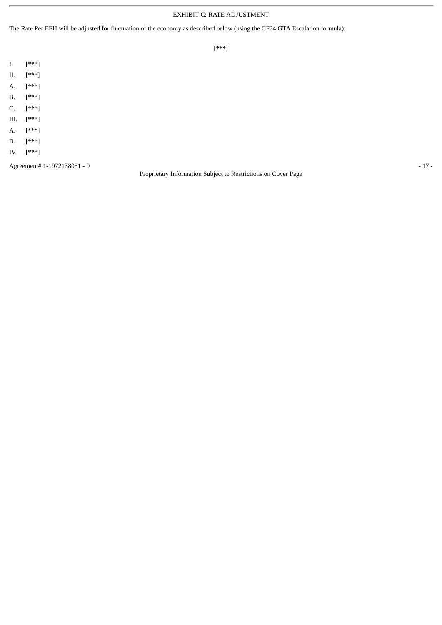# EXHIBIT C: RATE ADJUSTMENT

The Rate Per EFH will be adjusted for fluctuation of the economy as described below (using the CF34 GTA Escalation formula):

# **[\*\*\*]**

I. [\*\*\*] II.  $[\ast \ast \ast]$ A. [\*\*\*] B. [\*\*\*] C. [\*\*\*] III. [\*\*\*] A. [\*\*\*] B. [\*\*\*] IV. [\*\*\*] Agreement# 1-1972138051 - 0 - 17 -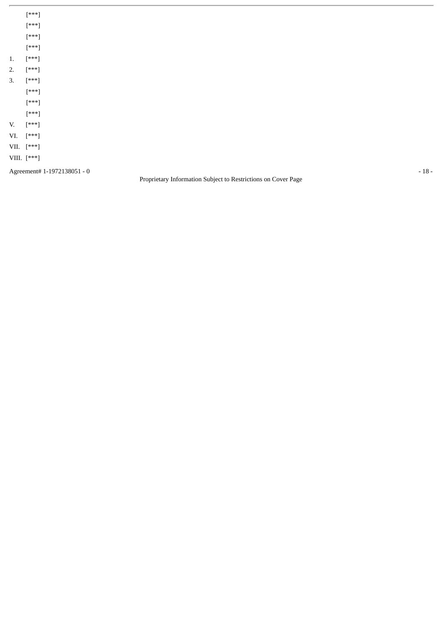|     | $\left[ \text{***}\right]$                                                                                                                                                                                                                                                                                                                                                                                                                                                                                                                                                                                                                                                                                      |  |  |        |
|-----|-----------------------------------------------------------------------------------------------------------------------------------------------------------------------------------------------------------------------------------------------------------------------------------------------------------------------------------------------------------------------------------------------------------------------------------------------------------------------------------------------------------------------------------------------------------------------------------------------------------------------------------------------------------------------------------------------------------------|--|--|--------|
|     | $\left[\mathrm{***}\right]$                                                                                                                                                                                                                                                                                                                                                                                                                                                                                                                                                                                                                                                                                     |  |  |        |
|     | $\left[ \mathrm{***}\right]$                                                                                                                                                                                                                                                                                                                                                                                                                                                                                                                                                                                                                                                                                    |  |  |        |
|     | $\left[\mathrm{***}\right]$                                                                                                                                                                                                                                                                                                                                                                                                                                                                                                                                                                                                                                                                                     |  |  |        |
| 1.  | $\left[ \mathrm{***}\right]$                                                                                                                                                                                                                                                                                                                                                                                                                                                                                                                                                                                                                                                                                    |  |  |        |
| 2.  | $\left[ \mathrm{***}\right]$                                                                                                                                                                                                                                                                                                                                                                                                                                                                                                                                                                                                                                                                                    |  |  |        |
| 3.  | $\left[\mathrm{***}\right]$                                                                                                                                                                                                                                                                                                                                                                                                                                                                                                                                                                                                                                                                                     |  |  |        |
|     | $[***]$                                                                                                                                                                                                                                                                                                                                                                                                                                                                                                                                                                                                                                                                                                         |  |  |        |
|     | $[***]$                                                                                                                                                                                                                                                                                                                                                                                                                                                                                                                                                                                                                                                                                                         |  |  |        |
|     | $\left[\mathrm{***}\right]$                                                                                                                                                                                                                                                                                                                                                                                                                                                                                                                                                                                                                                                                                     |  |  |        |
| V.  | $[***] % \begin{minipage}[b]{0.9\linewidth} \centering \centerline{\includegraphics[width=0.9\linewidth]{images/0.9\linewidth} \centerline{\includegraphics[width=0.9\linewidth]{images/0.9\linewidth}} \centerline{\includegraphics[width=0.9\linewidth]{images/0.9\linewidth}} \centerline{\includegraphics[width=0.9\linewidth]{images/0.9\linewidth}} \centerline{\includegraphics[width=0.9\linewidth]{images/0.9\linewidth}} \centerline{\includegraphics[width=0.9\linewidth]{images/0.9\linewidth}} \centerline{\includegraphics[width=0.9\linewidth]{images/0.9\linewidth}} \centerline{\includegraphics[width=0.9\linewidth]{images/0.9\linewidth}} \centerline{\includegraphics[width=0.9\linewidth$ |  |  |        |
| VI. | $[***]$                                                                                                                                                                                                                                                                                                                                                                                                                                                                                                                                                                                                                                                                                                         |  |  |        |
|     | VII. [***]                                                                                                                                                                                                                                                                                                                                                                                                                                                                                                                                                                                                                                                                                                      |  |  |        |
|     | VIII. $[***]$                                                                                                                                                                                                                                                                                                                                                                                                                                                                                                                                                                                                                                                                                                   |  |  |        |
|     | Agreement# 1-1972138051 - 0                                                                                                                                                                                                                                                                                                                                                                                                                                                                                                                                                                                                                                                                                     |  |  | $-18-$ |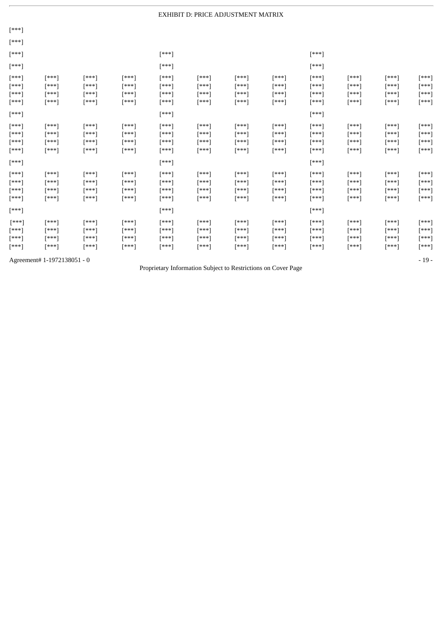| [***]                                                                                                                                                                                                                                                                                                                                                                                                                                                                                                                                                                                                                                                                                                           |         |       |       |         |         |         |       |         |         |         |         |
|-----------------------------------------------------------------------------------------------------------------------------------------------------------------------------------------------------------------------------------------------------------------------------------------------------------------------------------------------------------------------------------------------------------------------------------------------------------------------------------------------------------------------------------------------------------------------------------------------------------------------------------------------------------------------------------------------------------------|---------|-------|-------|---------|---------|---------|-------|---------|---------|---------|---------|
| $[***]$                                                                                                                                                                                                                                                                                                                                                                                                                                                                                                                                                                                                                                                                                                         |         |       |       |         |         |         |       |         |         |         |         |
| $[***]$                                                                                                                                                                                                                                                                                                                                                                                                                                                                                                                                                                                                                                                                                                         |         |       |       | $[***]$ |         |         |       | $[***]$ |         |         |         |
| $[***] % \begin{minipage}[b]{0.9\linewidth} \centering \centerline{\includegraphics[width=0.9\linewidth]{images/0.9\linewidth} \centerline{\includegraphics[width=0.9\linewidth]{images/0.9\linewidth}} \centerline{\includegraphics[width=0.9\linewidth]{images/0.9\linewidth}} \centerline{\includegraphics[width=0.9\linewidth]{images/0.9\linewidth}} \centerline{\includegraphics[width=0.9\linewidth]{images/0.9\linewidth}} \centerline{\includegraphics[width=0.9\linewidth]{images/0.9\linewidth}} \centerline{\includegraphics[width=0.9\linewidth]{images/0.9\linewidth}} \centerline{\includegraphics[width=0.9\linewidth]{images/0.9\linewidth}} \centerline{\includegraphics[width=0.9\linewidth$ |         |       |       | $[***]$ |         |         |       | $[***]$ |         |         |         |
| $[***]$                                                                                                                                                                                                                                                                                                                                                                                                                                                                                                                                                                                                                                                                                                         | [***]   | [***] | [***] | [***]   | [***]   | [***]   | [***] | [***]   | [***]   | [***]   | [***]   |
| $[***]$                                                                                                                                                                                                                                                                                                                                                                                                                                                                                                                                                                                                                                                                                                         | [***]   | [***] | [***] | [***]   | [***]   | [***]   | [***] | [***]   | [***]   | [***]   | [***]   |
| [***]                                                                                                                                                                                                                                                                                                                                                                                                                                                                                                                                                                                                                                                                                                           | $[***]$ | [***] | [***] | $[***]$ | [***]   | [***]   | [***] | [***]   | [***]   | $[***]$ | [***]   |
| $[***]$                                                                                                                                                                                                                                                                                                                                                                                                                                                                                                                                                                                                                                                                                                         | [***]   | [***] | [***] | [***]   | [***]   | [***]   | [***] | [***]   | [***]   | [***]   | [***]   |
| $[***]$                                                                                                                                                                                                                                                                                                                                                                                                                                                                                                                                                                                                                                                                                                         |         |       |       | [***]   |         |         |       | [***]   |         |         |         |
| [***]                                                                                                                                                                                                                                                                                                                                                                                                                                                                                                                                                                                                                                                                                                           | $[***]$ | [***] | [***] | [***]   | $[***]$ | [***]   | [***] | $[***]$ | [***]   | [***]   | [***]   |
| $[***]$                                                                                                                                                                                                                                                                                                                                                                                                                                                                                                                                                                                                                                                                                                         | [***]   | [***] | [***] | $[***]$ | $[***]$ | [***]   | [***] | [***]   | [***]   | [***]   | [***]   |
| [***]                                                                                                                                                                                                                                                                                                                                                                                                                                                                                                                                                                                                                                                                                                           | [***]   | [***] | [***] | $[***]$ | $[***]$ | [***]   | [***] | $[***]$ | [***]   | [***]   | [***]   |
| $[***]$                                                                                                                                                                                                                                                                                                                                                                                                                                                                                                                                                                                                                                                                                                         | [***]   | [***] | [***] | $[***]$ | $[***]$ | [***]   | [***] | [***]   | $[***]$ | [***]   | [***]   |
| $[***]$                                                                                                                                                                                                                                                                                                                                                                                                                                                                                                                                                                                                                                                                                                         |         |       |       | [***]   |         |         |       | $[***]$ |         |         |         |
| [***]                                                                                                                                                                                                                                                                                                                                                                                                                                                                                                                                                                                                                                                                                                           | [***]   | [***] | [***] | [***]   | [***]   | $[***]$ | [***] | [***]   | [***]   | [***]   | [***]   |
| $[***]$                                                                                                                                                                                                                                                                                                                                                                                                                                                                                                                                                                                                                                                                                                         | [***]   | [***] | [***] | $[***]$ | $[***]$ | [***]   | [***] | [***]   | [***]   | [***]   | [***]   |
| [***]                                                                                                                                                                                                                                                                                                                                                                                                                                                                                                                                                                                                                                                                                                           | [***]   | [***] | [***] | [***]   | [***]   | [***]   | [***] | [***]   | [***]   | [***]   | [***]   |
| $[***]$                                                                                                                                                                                                                                                                                                                                                                                                                                                                                                                                                                                                                                                                                                         | [***]   | [***] | [***] | [***]   | [***]   | [***]   | [***] | [***]   | [***]   | [***]   | [***]   |
| $[***]$                                                                                                                                                                                                                                                                                                                                                                                                                                                                                                                                                                                                                                                                                                         |         |       |       | [***]   |         |         |       | [***]   |         |         |         |
| $[***] % \begin{minipage}[b]{0.9\linewidth} \centering \centerline{\includegraphics[width=0.9\linewidth]{images/0.9\linewidth} \centerline{\includegraphics[width=0.9\linewidth]{images/0.9\linewidth} \centerline{\includegraphics[width=0.9\linewidth]{images/0.9\linewidth} \centerline{\includegraphics[width=0.9\linewidth]{images/0.9\linewidth}} \centerline{\includegraphics[width=0.9\linewidth]{images/0.9\linewidth}} \centerline{\includegraphics[width=0.9\linewidth]{images/0.9\linewidth}} \centerline{\includegraphics[width=0.9\linewidth]{images/0.9\linewidth}} \centerline{\includegraphics[width=0.9\linewidth]{images/0.9\linewidth}} \centerline{\includegraphics[width=0.9\linewidth$   | [***]   | [***] | [***] | [***]   | $[***]$ | [***]   | [***] | [***]   | [***]   | [***]   | [***]   |
| $[***]$                                                                                                                                                                                                                                                                                                                                                                                                                                                                                                                                                                                                                                                                                                         | [***]   | [***] | [***] | [***]   | [***]   | [***]   | [***] | [***]   | $[***]$ | [***]   | $[***]$ |
| [***]                                                                                                                                                                                                                                                                                                                                                                                                                                                                                                                                                                                                                                                                                                           | [***]   | [***] | [***] | [***]   | $[***]$ | [***]   | [***] | $[***]$ | [***]   | $[***]$ | [***]   |
| [***]                                                                                                                                                                                                                                                                                                                                                                                                                                                                                                                                                                                                                                                                                                           | [***]   | [***] | [***] | [***]   | $[***]$ | [***]   | [***] | $[***]$ | [***]   | [***]   | [***]   |
|                                                                                                                                                                                                                                                                                                                                                                                                                                                                                                                                                                                                                                                                                                                 |         |       |       |         |         |         |       |         |         |         |         |

Agreement# 1-1972138051 - 0

Proprietary Information Subject to Restrictions on Cover Page

 $-19-$ 

# EXHIBIT D: PRICE ADJUSTMENT MATRIX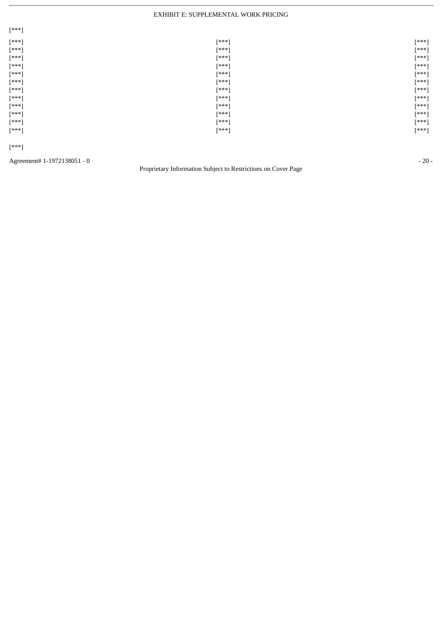| $[***]$ | [***] | [***] |
|---------|-------|-------|
| $[***]$ | [***] | [***] |
| $[***]$ | [***] | [***] |
| [***]   | [***] | [***] |
| $[***]$ | [***] | [***] |
| [***]   | [***] | [***] |
| [***]   | [***] | [***] |
| $[***]$ | [***] | [***] |
| [***]   | [***] | [***] |
| $[***]$ | [***] | [***] |
| [***]   | [***] | [***] |
| [***]   | [***] | [***] |
|         |       |       |

[\*\*\*]

[\*\*\*]

Agreement# 1-1972138051 - 0 - 20 -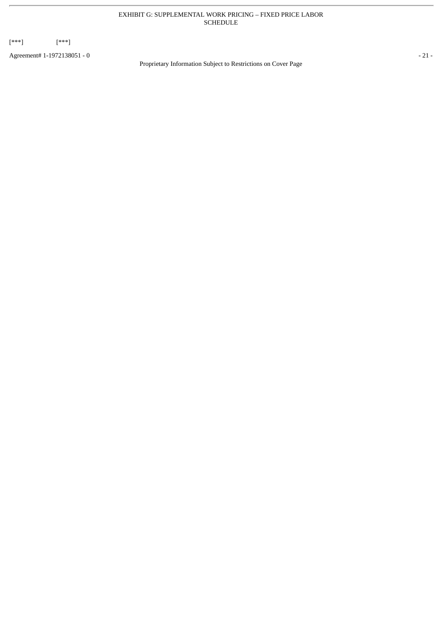#### EXHIBIT G: SUPPLEMENTAL WORK PRICING – FIXED PRICE LABOR SCHEDULE

 $\begin{bmatrix} * * * \\ \end{bmatrix} \qquad \qquad \begin{bmatrix} * * * \\ \end{bmatrix}$ 

Agreement# 1-1972138051 - 0 - 21 -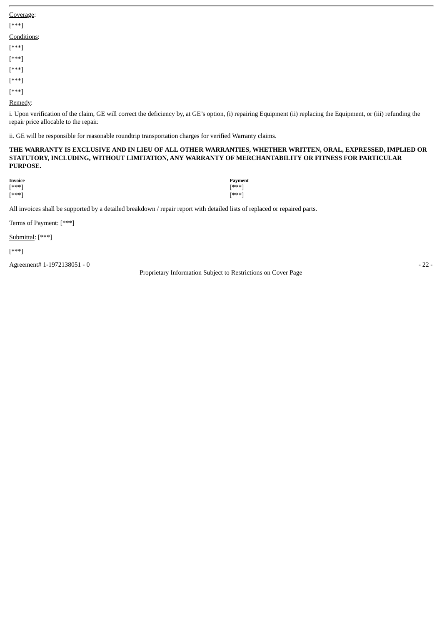| Coverage:   |
|-------------|
| [***        |
| Conditions: |
| [***]       |
| [***]       |
| ***         |

- [\*\*\*]
- [\*\*\*]

## Remedy:

i. Upon verification of the claim, GE will correct the deficiency by, at GE's option, (i) repairing Equipment (ii) replacing the Equipment, or (iii) refunding the repair price allocable to the repair.

ii. GE will be responsible for reasonable roundtrip transportation charges for verified Warranty claims.

## **THE WARRANTY IS EXCLUSIVE AND IN LIEU OF ALL OTHER WARRANTIES, WHETHER WRITTEN, ORAL, EXPRESSED, IMPLIED OR STATUTORY, INCLUDING, WITHOUT LIMITATION, ANY WARRANTY OF MERCHANTABILITY OR FITNESS FOR PARTICULAR PURPOSE.**

[\*\*\*] [\*\*\*] [\*\*\*] [\*\*\*]

**Invoice Payment**

All invoices shall be supported by a detailed breakdown / repair report with detailed lists of replaced or repaired parts.

Terms of Payment: [\*\*\*]

Submittal: [\*\*\*]

[\*\*\*]

Agreement# 1-1972138051 - 0 - 22 -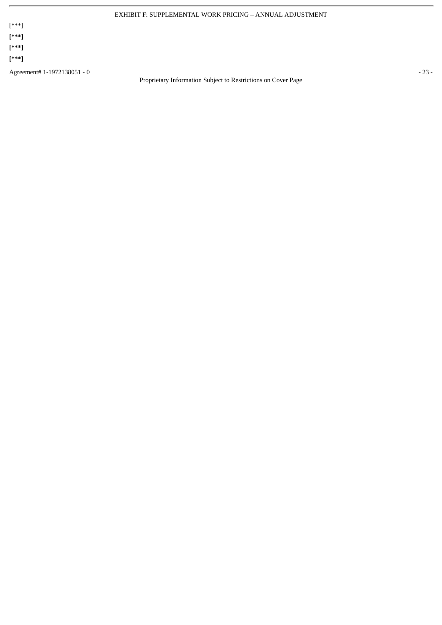[\*\*\*] **[\*\*\*] [\*\*\*] [\*\*\*]**

Agreement# 1-1972138051 - 0 - 23 -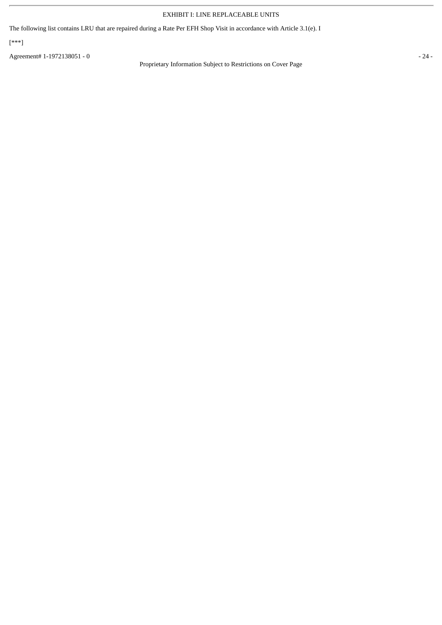## EXHIBIT I: LINE REPLACEABLE UNITS

The following list contains LRU that are repaired during a Rate Per EFH Shop Visit in accordance with Article 3.1(e). I

[\*\*\*]

Agreement# 1-1972138051 - 0 - 24 -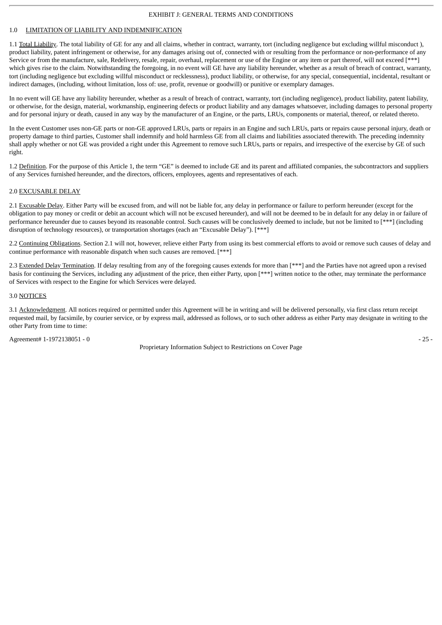### EXHIBIT J: GENERAL TERMS AND CONDITIONS

## 1.0 LIMITATION OF LIABILITY AND INDEMNIFICATION

1.1 Total Liability. The total liability of GE for any and all claims, whether in contract, warranty, tort (including negligence but excluding willful misconduct), product liability, patent infringement or otherwise, for any damages arising out of, connected with or resulting from the performance or non-performance of any Service or from the manufacture, sale, Redelivery, resale, repair, overhaul, replacement or use of the Engine or any item or part thereof, will not exceed [\*\*\*] which gives rise to the claim. Notwithstanding the foregoing, in no event will GE have any liability hereunder, whether as a result of breach of contract, warranty, tort (including negligence but excluding willful misconduct or recklessness), product liability, or otherwise, for any special, consequential, incidental, resultant or indirect damages, (including, without limitation, loss of: use, profit, revenue or goodwill) or punitive or exemplary damages.

In no event will GE have any liability hereunder, whether as a result of breach of contract, warranty, tort (including negligence), product liability, patent liability, or otherwise, for the design, material, workmanship, engineering defects or product liability and any damages whatsoever, including damages to personal property and for personal injury or death, caused in any way by the manufacturer of an Engine, or the parts, LRUs, components or material, thereof, or related thereto.

In the event Customer uses non-GE parts or non-GE approved LRUs, parts or repairs in an Engine and such LRUs, parts or repairs cause personal injury, death or property damage to third parties, Customer shall indemnify and hold harmless GE from all claims and liabilities associated therewith. The preceding indemnity shall apply whether or not GE was provided a right under this Agreement to remove such LRUs, parts or repairs, and irrespective of the exercise by GE of such right.

1.2 Definition. For the purpose of this Article 1, the term "GE" is deemed to include GE and its parent and affiliated companies, the subcontractors and suppliers of any Services furnished hereunder, and the directors, officers, employees, agents and representatives of each.

#### 2.0 EXCUSABLE DELAY

2.1 Excusable Delay. Either Party will be excused from, and will not be liable for, any delay in performance or failure to perform hereunder (except for the obligation to pay money or credit or debit an account which will not be excused hereunder), and will not be deemed to be in default for any delay in or failure of performance hereunder due to causes beyond its reasonable control. Such causes will be conclusively deemed to include, but not be limited to [\*\*\*] (including disruption of technology resources), or transportation shortages (each an "Excusable Delay"). [\*\*\*]

2.2 Continuing Obligations. Section 2.1 will not, however, relieve either Party from using its best commercial efforts to avoid or remove such causes of delay and continue performance with reasonable dispatch when such causes are removed. [\*\*\*]

2.3 Extended Delay Termination. If delay resulting from any of the foregoing causes extends for more than [\*\*\*] and the Parties have not agreed upon a revised basis for continuing the Services, including any adjustment of the price, then either Party, upon [\*\*\*] written notice to the other, may terminate the performance of Services with respect to the Engine for which Services were delayed.

#### 3.0 NOTICES

3.1 Acknowledgment. All notices required or permitted under this Agreement will be in writing and will be delivered personally, via first class return receipt requested mail, by facsimile, by courier service, or by express mail, addressed as follows, or to such other address as either Party may designate in writing to the other Party from time to time:

Agreement# 1-1972138051 - 0 - 25 -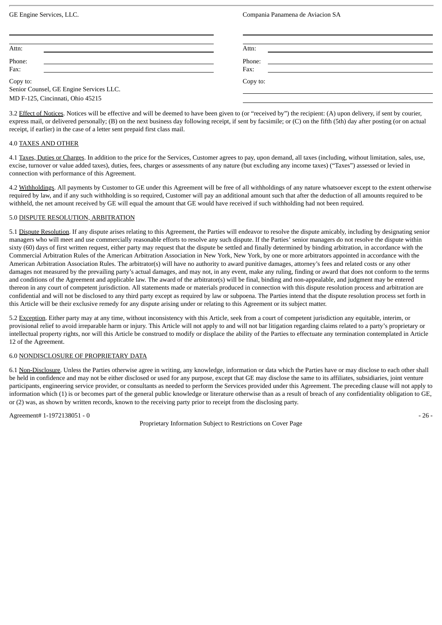| GE Engine Services, LLC.                                                                | Compania Panamena de Aviacion SA |
|-----------------------------------------------------------------------------------------|----------------------------------|
|                                                                                         |                                  |
| Attn:                                                                                   | Attn:                            |
| Phone:<br>Fax:                                                                          | Phone:<br>Fax:                   |
| Copy to:<br>Senior Counsel, GE Engine Services LLC.<br>MD F-125, Cincinnati, Ohio 45215 | Copy to:                         |
|                                                                                         |                                  |

3.2 Effect of Notices. Notices will be effective and will be deemed to have been given to (or "received by") the recipient: (A) upon delivery, if sent by courier, express mail, or delivered personally; (B) on the next business day following receipt, if sent by facsimile; or (C) on the fifth (5th) day after posting (or on actual receipt, if earlier) in the case of a letter sent prepaid first class mail.

### 4.0 TAXES AND OTHER

4.1 Taxes, Duties or Charges. In addition to the price for the Services, Customer agrees to pay, upon demand, all taxes (including, without limitation, sales, use, excise, turnover or value added taxes), duties, fees, charges or assessments of any nature (but excluding any income taxes) ("Taxes") assessed or levied in connection with performance of this Agreement.

4.2 Withholdings. All payments by Customer to GE under this Agreement will be free of all withholdings of any nature whatsoever except to the extent otherwise required by law, and if any such withholding is so required, Customer will pay an additional amount such that after the deduction of all amounts required to be withheld, the net amount received by GE will equal the amount that GE would have received if such withholding had not been required.

### 5.0 DISPUTE RESOLUTION, ARBITRATION

5.1 Dispute Resolution. If any dispute arises relating to this Agreement, the Parties will endeavor to resolve the dispute amicably, including by designating senior managers who will meet and use commercially reasonable efforts to resolve any such dispute. If the Parties' senior managers do not resolve the dispute within sixty (60) days of first written request, either party may request that the dispute be settled and finally determined by binding arbitration, in accordance with the Commercial Arbitration Rules of the American Arbitration Association in New York, New York, by one or more arbitrators appointed in accordance with the American Arbitration Association Rules. The arbitrator(s) will have no authority to award punitive damages, attorney's fees and related costs or any other damages not measured by the prevailing party's actual damages, and may not, in any event, make any ruling, finding or award that does not conform to the terms and conditions of the Agreement and applicable law. The award of the arbitrator(s) will be final, binding and non-appealable, and judgment may be entered thereon in any court of competent jurisdiction. All statements made or materials produced in connection with this dispute resolution process and arbitration are confidential and will not be disclosed to any third party except as required by law or subpoena. The Parties intend that the dispute resolution process set forth in this Article will be their exclusive remedy for any dispute arising under or relating to this Agreement or its subject matter.

5.2 Exception. Either party may at any time, without inconsistency with this Article, seek from a court of competent jurisdiction any equitable, interim, or provisional relief to avoid irreparable harm or injury. This Article will not apply to and will not bar litigation regarding claims related to a party's proprietary or intellectual property rights, nor will this Article be construed to modify or displace the ability of the Parties to effectuate any termination contemplated in Article 12 of the Agreement.

#### 6.0 NONDISCLOSURE OF PROPRIETARY DATA

6.1 Non-Disclosure. Unless the Parties otherwise agree in writing, any knowledge, information or data which the Parties have or may disclose to each other shall be held in confidence and may not be either disclosed or used for any purpose, except that GE may disclose the same to its affiliates, subsidiaries, joint venture participants, engineering service provider, or consultants as needed to perform the Services provided under this Agreement. The preceding clause will not apply to information which (1) is or becomes part of the general public knowledge or literature otherwise than as a result of breach of any confidentiality obligation to GE, or (2) was, as shown by written records, known to the receiving party prior to receipt from the disclosing party.

Agreement# 1-1972138051 - 0 - 26 -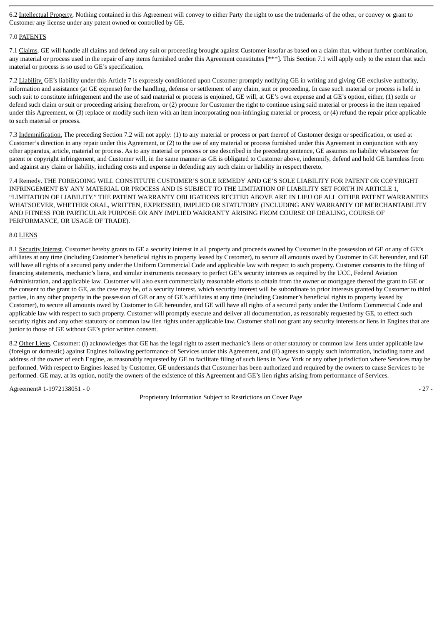6.2 Intellectual Property. Nothing contained in this Agreement will convey to either Party the right to use the trademarks of the other, or convey or grant to Customer any license under any patent owned or controlled by GE.

## 7.0 PATENTS

7.1 Claims. GE will handle all claims and defend any suit or proceeding brought against Customer insofar as based on a claim that, without further combination, any material or process used in the repair of any items furnished under this Agreement constitutes [\*\*\*]. This Section 7.1 will apply only to the extent that such material or process is so used to GE's specification.

7.2 Liability. GE's liability under this Article 7 is expressly conditioned upon Customer promptly notifying GE in writing and giving GE exclusive authority, information and assistance (at GE expense) for the handling, defense or settlement of any claim, suit or proceeding. In case such material or process is held in such suit to constitute infringement and the use of said material or process is enjoined, GE will, at GE's own expense and at GE's option, either, (1) settle or defend such claim or suit or proceeding arising therefrom, or (2) procure for Customer the right to continue using said material or process in the item repaired under this Agreement, or (3) replace or modify such item with an item incorporating non-infringing material or process, or (4) refund the repair price applicable to such material or process.

7.3 Indemnification. The preceding Section 7.2 will not apply: (1) to any material or process or part thereof of Customer design or specification, or used at Customer's direction in any repair under this Agreement, or (2) to the use of any material or process furnished under this Agreement in conjunction with any other apparatus, article, material or process. As to any material or process or use described in the preceding sentence, GE assumes no liability whatsoever for patent or copyright infringement, and Customer will, in the same manner as GE is obligated to Customer above, indemnify, defend and hold GE harmless from and against any claim or liability, including costs and expense in defending any such claim or liability in respect thereto.

7.4 Remedy. THE FOREGOING WILL CONSTITUTE CUSTOMER'S SOLE REMEDY AND GE'S SOLE LIABILITY FOR PATENT OR COPYRIGHT INFRINGEMENT BY ANY MATERIAL OR PROCESS AND IS SUBJECT TO THE LIMITATION OF LIABILITY SET FORTH IN ARTICLE 1, "LIMITATION OF LIABILITY." THE PATENT WARRANTY OBLIGATIONS RECITED ABOVE ARE IN LIEU OF ALL OTHER PATENT WARRANTIES WHATSOEVER, WHETHER ORAL, WRITTEN, EXPRESSED, IMPLIED OR STATUTORY (INCLUDING ANY WARRANTY OF MERCHANTABILITY AND FITNESS FOR PARTICULAR PURPOSE OR ANY IMPLIED WARRANTY ARISING FROM COURSE OF DEALING, COURSE OF PERFORMANCE, OR USAGE OF TRADE).

#### 8.0 LIENS

8.1 Security Interest. Customer hereby grants to GE a security interest in all property and proceeds owned by Customer in the possession of GE or any of GE's affiliates at any time (including Customer's beneficial rights to property leased by Customer), to secure all amounts owed by Customer to GE hereunder, and GE will have all rights of a secured party under the Uniform Commercial Code and applicable law with respect to such property. Customer consents to the filing of financing statements, mechanic's liens, and similar instruments necessary to perfect GE's security interests as required by the UCC, Federal Aviation Administration, and applicable law. Customer will also exert commercially reasonable efforts to obtain from the owner or mortgagee thereof the grant to GE or the consent to the grant to GE, as the case may be, of a security interest, which security interest will be subordinate to prior interests granted by Customer to third parties, in any other property in the possession of GE or any of GE's affiliates at any time (including Customer's beneficial rights to property leased by Customer), to secure all amounts owed by Customer to GE hereunder, and GE will have all rights of a secured party under the Uniform Commercial Code and applicable law with respect to such property. Customer will promptly execute and deliver all documentation, as reasonably requested by GE, to effect such security rights and any other statutory or common law lien rights under applicable law. Customer shall not grant any security interests or liens in Engines that are junior to those of GE without GE's prior written consent.

8.2 Other Liens. Customer: (i) acknowledges that GE has the legal right to assert mechanic's liens or other statutory or common law liens under applicable law (foreign or domestic) against Engines following performance of Services under this Agreement, and (ii) agrees to supply such information, including name and address of the owner of each Engine, as reasonably requested by GE to facilitate filing of such liens in New York or any other jurisdiction where Services may be performed. With respect to Engines leased by Customer, GE understands that Customer has been authorized and required by the owners to cause Services to be performed. GE may, at its option, notify the owners of the existence of this Agreement and GE's lien rights arising from performance of Services.

Agreement# 1-1972138051 - 0 - 27 -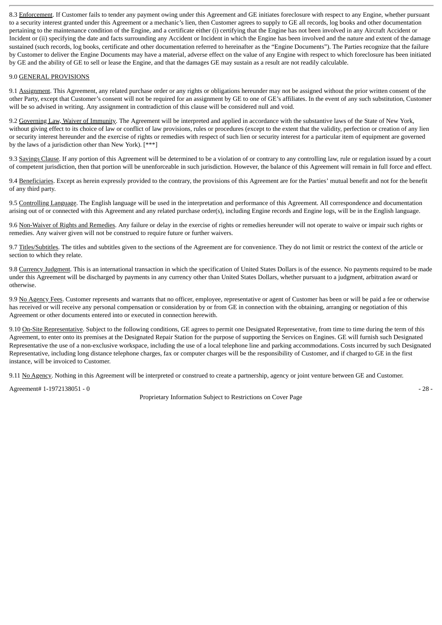8.3 Enforcement. If Customer fails to tender any payment owing under this Agreement and GE initiates foreclosure with respect to any Engine, whether pursuant to a security interest granted under this Agreement or a mechanic's lien, then Customer agrees to supply to GE all records, log books and other documentation pertaining to the maintenance condition of the Engine, and a certificate either (i) certifying that the Engine has not been involved in any Aircraft Accident or Incident or (ii) specifying the date and facts surrounding any Accident or Incident in which the Engine has been involved and the nature and extent of the damage sustained (such records, log books, certificate and other documentation referred to hereinafter as the "Engine Documents"). The Parties recognize that the failure by Customer to deliver the Engine Documents may have a material, adverse effect on the value of any Engine with respect to which foreclosure has been initiated by GE and the ability of GE to sell or lease the Engine, and that the damages GE may sustain as a result are not readily calculable.

### 9.0 GENERAL PROVISIONS

9.1 Assignment. This Agreement, any related purchase order or any rights or obligations hereunder may not be assigned without the prior written consent of the other Party, except that Customer's consent will not be required for an assignment by GE to one of GE's affiliates. In the event of any such substitution, Customer will be so advised in writing. Any assignment in contradiction of this clause will be considered null and void.

9.2 Governing Law, Waiver of Immunity. The Agreement will be interpreted and applied in accordance with the substantive laws of the State of New York, without giving effect to its choice of law or conflict of law provisions, rules or procedures (except to the extent that the validity, perfection or creation of any lien or security interest hereunder and the exercise of rights or remedies with respect of such lien or security interest for a particular item of equipment are governed by the laws of a jurisdiction other than New York). [\*\*\*]

9.3 Savings Clause. If any portion of this Agreement will be determined to be a violation of or contrary to any controlling law, rule or regulation issued by a court of competent jurisdiction, then that portion will be unenforceable in such jurisdiction. However, the balance of this Agreement will remain in full force and effect.

9.4 Beneficiaries. Except as herein expressly provided to the contrary, the provisions of this Agreement are for the Parties' mutual benefit and not for the benefit of any third party.

9.5 Controlling Language. The English language will be used in the interpretation and performance of this Agreement. All correspondence and documentation arising out of or connected with this Agreement and any related purchase order(s), including Engine records and Engine logs, will be in the English language.

9.6 Non-Waiver of Rights and Remedies. Any failure or delay in the exercise of rights or remedies hereunder will not operate to waive or impair such rights or remedies. Any waiver given will not be construed to require future or further waivers.

9.7 Titles/Subtitles. The titles and subtitles given to the sections of the Agreement are for convenience. They do not limit or restrict the context of the article or section to which they relate.

9.8 Currency Judgment. This is an international transaction in which the specification of United States Dollars is of the essence. No payments required to be made under this Agreement will be discharged by payments in any currency other than United States Dollars, whether pursuant to a judgment, arbitration award or otherwise.

9.9 No Agency Fees. Customer represents and warrants that no officer, employee, representative or agent of Customer has been or will be paid a fee or otherwise has received or will receive any personal compensation or consideration by or from GE in connection with the obtaining, arranging or negotiation of this Agreement or other documents entered into or executed in connection herewith.

9.10 On-Site Representative. Subject to the following conditions, GE agrees to permit one Designated Representative, from time to time during the term of this Agreement, to enter onto its premises at the Designated Repair Station for the purpose of supporting the Services on Engines. GE will furnish such Designated Representative the use of a non-exclusive workspace, including the use of a local telephone line and parking accommodations. Costs incurred by such Designated Representative, including long distance telephone charges, fax or computer charges will be the responsibility of Customer, and if charged to GE in the first instance, will be invoiced to Customer.

9.11 No Agency. Nothing in this Agreement will be interpreted or construed to create a partnership, agency or joint venture between GE and Customer.

Agreement# 1-1972138051 - 0 - 28 -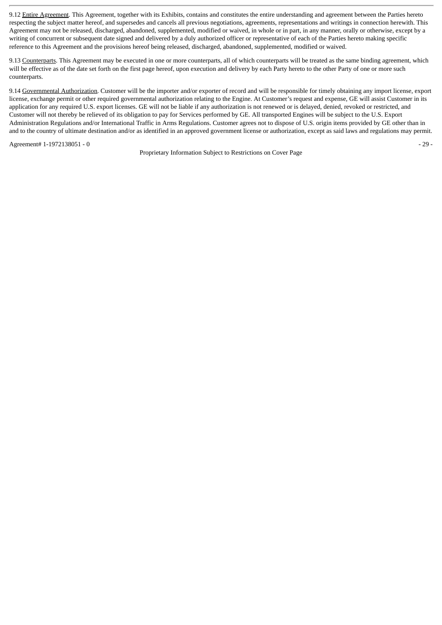9.12 Entire Agreement. This Agreement, together with its Exhibits, contains and constitutes the entire understanding and agreement between the Parties hereto respecting the subject matter hereof, and supersedes and cancels all previous negotiations, agreements, representations and writings in connection herewith. This Agreement may not be released, discharged, abandoned, supplemented, modified or waived, in whole or in part, in any manner, orally or otherwise, except by a writing of concurrent or subsequent date signed and delivered by a duly authorized officer or representative of each of the Parties hereto making specific reference to this Agreement and the provisions hereof being released, discharged, abandoned, supplemented, modified or waived.

9.13 Counterparts. This Agreement may be executed in one or more counterparts, all of which counterparts will be treated as the same binding agreement, which will be effective as of the date set forth on the first page hereof, upon execution and delivery by each Party hereto to the other Party of one or more such counterparts.

9.14 Governmental Authorization. Customer will be the importer and/or exporter of record and will be responsible for timely obtaining any import license, export license, exchange permit or other required governmental authorization relating to the Engine. At Customer's request and expense, GE will assist Customer in its application for any required U.S. export licenses. GE will not be liable if any authorization is not renewed or is delayed, denied, revoked or restricted, and Customer will not thereby be relieved of its obligation to pay for Services performed by GE. All transported Engines will be subject to the U.S. Export Administration Regulations and/or International Traffic in Arms Regulations. Customer agrees not to dispose of U.S. origin items provided by GE other than in and to the country of ultimate destination and/or as identified in an approved government license or authorization, except as said laws and regulations may permit.

Agreement# 1-1972138051 - 0 - 29 -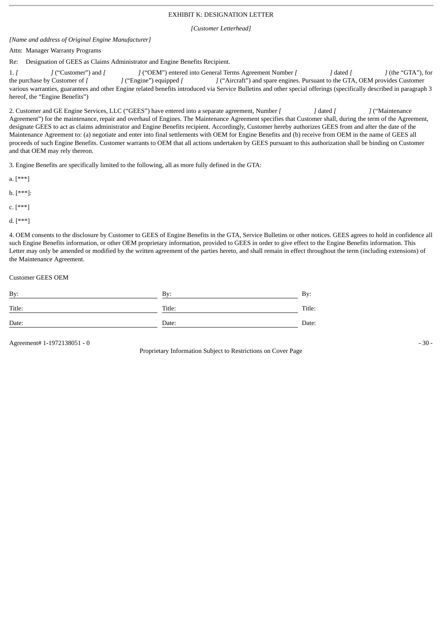## EXHIBIT K: DESIGNATION LETTER

*[Customer Letterhead]*

## *[Name and address of Original Engine Manufacturer]*

Attn: Manager Warranty Programs

Re: Designation of GEES as Claims Administrator and Engine Benefits Recipient.

1. *[ ]* ("Customer") and *[ ]* ("OEM") entered into General Terms Agreement Number *[ ]* dated *[ ]* (the "GTA"), for the purchase by Customer of *[ ]* ("Engine") equipped *[ ]* ("Aircraft") and spare engines. Pursuant to the GTA, OEM provides Customer various warranties, guarantees and other Engine related benefits introduced via Service Bulletins and other special offerings (specifically described in paragraph 3 hereof, the "Engine Benefits")

2. Customer and GE Engine Services, LLC ("GEES") have entered into a separate agreement, Number *[ ]* dated *[ ]* ("Maintenance Agreement") for the maintenance, repair and overhaul of Engines. The Maintenance Agreement specifies that Customer shall, during the term of the Agreement, designate GEES to act as claims administrator and Engine Benefits recipient. Accordingly, Customer hereby authorizes GEES from and after the date of the Maintenance Agreement to: (a) negotiate and enter into final settlements with OEM for Engine Benefits and (b) receive from OEM in the name of GEES all proceeds of such Engine Benefits. Customer warrants to OEM that all actions undertaken by GEES pursuant to this authorization shall be binding on Customer and that OEM may rely thereon.

3. Engine Benefits are specifically limited to the following, all as more fully defined in the GTA:

- a. [\*\*\*]
- b. [\*\*\*]:
- c. [\*\*\*]
- d. [\*\*\*]

4. OEM consents to the disclosure by Customer to GEES of Engine Benefits in the GTA, Service Bulletins or other notices. GEES agrees to hold in confidence all such Engine Benefits information, or other OEM proprietary information, provided to GEES in order to give effect to the Engine Benefits information. This Letter may only be amended or modified by the written agreement of the parties hereto, and shall remain in effect throughout the term (including extensions) of the Maintenance Agreement.

Customer GEES OEM

| By:    | Bv:    | Bv:    |
|--------|--------|--------|
| Title: | Title: | Title: |
| Date:  | Date:  | Date:  |

Agreement# 1-1972138051 - 0 - 30 -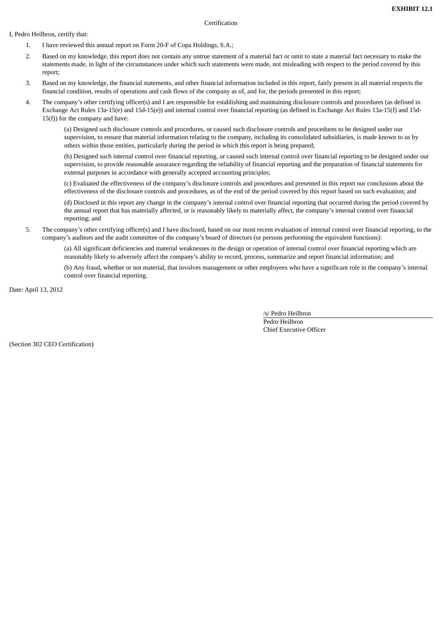#### Certification

#### I, Pedro Heilbron, certify that:

- 1. I have reviewed this annual report on Form 20-F of Copa Holdings, S.A.;
- 2. Based on my knowledge, this report does not contain any untrue statement of a material fact or omit to state a material fact necessary to make the statements made, in light of the circumstances under which such statements were made, not misleading with respect to the period covered by this report;
- 3. Based on my knowledge, the financial statements, and other financial information included in this report, fairly present in all material respects the financial condition, results of operations and cash flows of the company as of, and for, the periods presented in this report;
- 4. The company's other certifying officer(s) and I are responsible for establishing and maintaining disclosure controls and procedures (as defined in Exchange Act Rules 13a-15(e) and 15d-15(e)) and internal control over financial reporting (as defined in Exchange Act Rules 13a-15(f) and 15d-15(f)) for the company and have:

(a) Designed such disclosure controls and procedures, or caused such disclosure controls and procedures to be designed under our supervision, to ensure that material information relating to the company, including its consolidated subsidiaries, is made known to us by others within those entities, particularly during the period in which this report is being prepared;

(b) Designed such internal control over financial reporting, or caused such internal control over financial reporting to be designed under our supervision, to provide reasonable assurance regarding the reliability of financial reporting and the preparation of financial statements for external purposes in accordance with generally accepted accounting principles;

(c) Evaluated the effectiveness of the company's disclosure controls and procedures and presented in this report our conclusions about the effectiveness of the disclosure controls and procedures, as of the end of the period covered by this report based on such evaluation; and

(d) Disclosed in this report any change in the company's internal control over financial reporting that occurred during the period covered by the annual report that has materially affected, or is reasonably likely to materially affect, the company's internal control over financial reporting; and

5. The company's other certifying officer(s) and I have disclosed, based on our most recent evaluation of internal control over financial reporting, to the company's auditors and the audit committee of the company's board of directors (or persons performing the equivalent functions):

(a) All significant deficiencies and material weaknesses in the design or operation of internal control over financial reporting which are reasonably likely to adversely affect the company's ability to record, process, summarize and report financial information; and

(b) Any fraud, whether or not material, that involves management or other employees who have a significant role in the company's internal control over financial reporting.

Date: April 13, 2012

/s/ Pedro Heilbron Pedro Heilbron Chief Executive Officer

(Section 302 CEO Certification)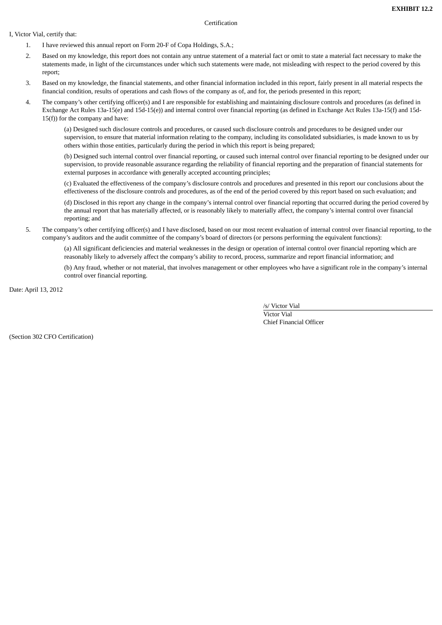#### Certification

I, Victor Vial, certify that:

- 1. I have reviewed this annual report on Form 20-F of Copa Holdings, S.A.;
- 2. Based on my knowledge, this report does not contain any untrue statement of a material fact or omit to state a material fact necessary to make the statements made, in light of the circumstances under which such statements were made, not misleading with respect to the period covered by this report;
- 3. Based on my knowledge, the financial statements, and other financial information included in this report, fairly present in all material respects the financial condition, results of operations and cash flows of the company as of, and for, the periods presented in this report;
- 4. The company's other certifying officer(s) and I are responsible for establishing and maintaining disclosure controls and procedures (as defined in Exchange Act Rules 13a-15(e) and 15d-15(e)) and internal control over financial reporting (as defined in Exchange Act Rules 13a-15(f) and 15d- $15(f)$ ) for the company and have:

(a) Designed such disclosure controls and procedures, or caused such disclosure controls and procedures to be designed under our supervision, to ensure that material information relating to the company, including its consolidated subsidiaries, is made known to us by others within those entities, particularly during the period in which this report is being prepared;

(b) Designed such internal control over financial reporting, or caused such internal control over financial reporting to be designed under our supervision, to provide reasonable assurance regarding the reliability of financial reporting and the preparation of financial statements for external purposes in accordance with generally accepted accounting principles;

(c) Evaluated the effectiveness of the company's disclosure controls and procedures and presented in this report our conclusions about the effectiveness of the disclosure controls and procedures, as of the end of the period covered by this report based on such evaluation; and

(d) Disclosed in this report any change in the company's internal control over financial reporting that occurred during the period covered by the annual report that has materially affected, or is reasonably likely to materially affect, the company's internal control over financial reporting; and

5. The company's other certifying officer(s) and I have disclosed, based on our most recent evaluation of internal control over financial reporting, to the company's auditors and the audit committee of the company's board of directors (or persons performing the equivalent functions):

(a) All significant deficiencies and material weaknesses in the design or operation of internal control over financial reporting which are reasonably likely to adversely affect the company's ability to record, process, summarize and report financial information; and

(b) Any fraud, whether or not material, that involves management or other employees who have a significant role in the company's internal control over financial reporting.

Date: April 13, 2012

/s/ Victor Vial

Victor Vial Chief Financial Officer

(Section 302 CFO Certification)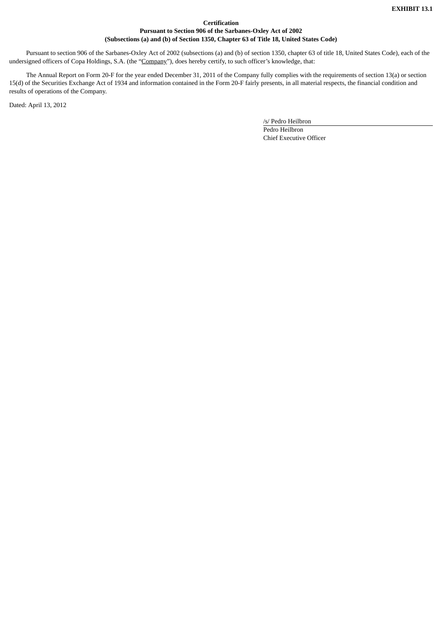### **Certification Pursuant to Section 906 of the Sarbanes-Oxley Act of 2002 (Subsections (a) and (b) of Section 1350, Chapter 63 of Title 18, United States Code)**

Pursuant to section 906 of the Sarbanes-Oxley Act of 2002 (subsections (a) and (b) of section 1350, chapter 63 of title 18, United States Code), each of the undersigned officers of Copa Holdings, S.A. (the "Company"), does hereby certify, to such officer's knowledge, that:

The Annual Report on Form 20-F for the year ended December 31, 2011 of the Company fully complies with the requirements of section 13(a) or section 15(d) of the Securities Exchange Act of 1934 and information contained in the Form 20-F fairly presents, in all material respects, the financial condition and results of operations of the Company.

Dated: April 13, 2012

/s/ Pedro Heilbron

Pedro Heilbron Chief Executive Officer